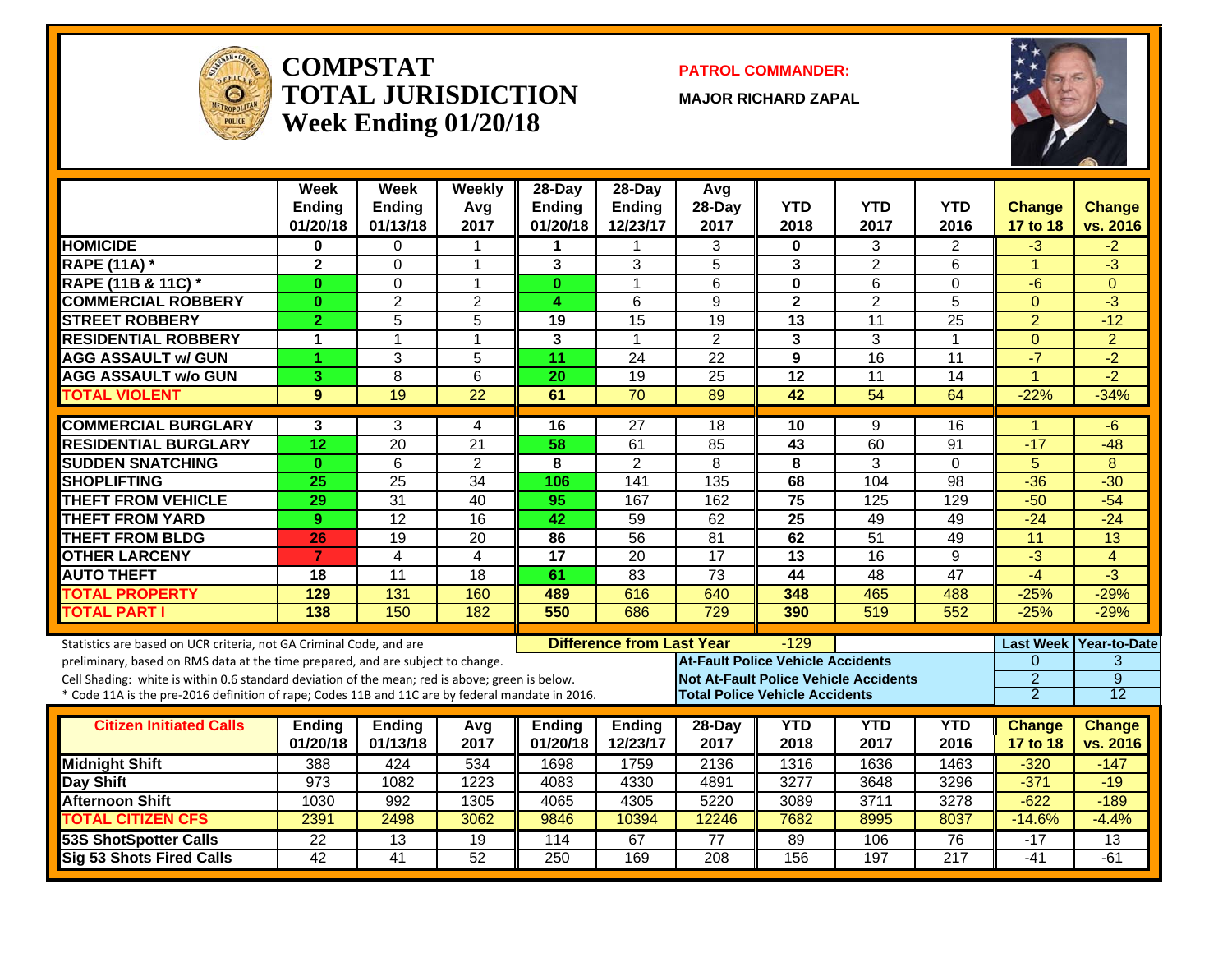

#### **COMPSTATTOTAL JURISDICTIONWeek Ending 01/20/18**

**PATROL COMMANDER:**

**MAJOR RICHARD ZAPAL**



|                                                                                                  | Week<br><b>Ending</b><br>01/20/18 | Week<br><b>Ending</b><br>01/13/18 | Weekly<br>Avg<br>2017 | 28-Day<br><b>Ending</b><br>01/20/18 | $28-Dav$<br><b>Ending</b><br>12/23/17 | Avg<br>28-Day<br>2017                    | <b>YTD</b><br>2018 | <b>YTD</b><br>2017                           | <b>YTD</b><br>2016 | <b>Change</b><br>17 to 18 | Change<br>vs. 2016 |
|--------------------------------------------------------------------------------------------------|-----------------------------------|-----------------------------------|-----------------------|-------------------------------------|---------------------------------------|------------------------------------------|--------------------|----------------------------------------------|--------------------|---------------------------|--------------------|
| <b>HOMICIDE</b>                                                                                  | 0                                 | 0                                 | 1                     | 1                                   |                                       | 3                                        | 0                  | 3                                            | $\overline{2}$     | $-3$                      | $-2$               |
| <b>RAPE (11A)</b> *                                                                              | $\mathbf{2}$                      | 0                                 | 1                     | 3                                   | 3                                     | 5                                        | 3                  | $\overline{2}$                               | 6                  | $\overline{1}$            | $-3$               |
| <b>RAPE (11B &amp; 11C)</b> *                                                                    | $\bf{0}$                          | 0                                 | 1                     | $\bf{0}$                            | $\mathbf 1$                           | 6                                        | 0                  | 6                                            | $\Omega$           | $-6$                      | $\Omega$           |
| <b>COMMERCIAL ROBBERY</b>                                                                        | $\bf{0}$                          | $\overline{2}$                    | $\overline{2}$        | 4                                   | 6                                     | 9                                        | $\mathbf{2}$       | $\overline{2}$                               | 5                  | $\Omega$                  | $-3$               |
| <b>STREET ROBBERY</b>                                                                            | $\overline{2}$                    | 5                                 | 5                     | 19                                  | $\overline{15}$                       | 19                                       | 13                 | $\overline{11}$                              | $\overline{25}$    | $\overline{2}$            | $-12$              |
| <b>RESIDENTIAL ROBBERY</b>                                                                       | 1                                 | $\mathbf{1}$                      | 1                     | 3                                   | $\mathbf{1}$                          | $\overline{2}$                           | 3                  | 3                                            | $\mathbf{1}$       | $\Omega$                  | $\overline{2}$     |
| <b>AGG ASSAULT w/ GUN</b>                                                                        | 1                                 | 3                                 | 5                     | 11                                  | 24                                    | 22                                       | 9                  | 16                                           | 11                 | $-7$                      | $-2$               |
| <b>AGG ASSAULT w/o GUN</b>                                                                       | 3                                 | 8                                 | 6                     | 20                                  | 19                                    | 25                                       | 12                 | 11                                           | 14                 | $\blacktriangleleft$      | $-2$               |
| <b>TOTAL VIOLENT</b>                                                                             | 9                                 | 19                                | 22                    | 61                                  | $\overline{70}$                       | 89                                       | 42                 | 54                                           | 64                 | $-22%$                    | $-34%$             |
| <b>COMMERCIAL BURGLARY</b>                                                                       | 3                                 | 3                                 | 4                     | 16                                  | 27                                    | 18                                       | 10                 | 9                                            | 16                 | -1                        | -6                 |
| <b>RESIDENTIAL BURGLARY</b>                                                                      | 12                                | $\overline{20}$                   | 21                    | 58                                  | 61                                    | 85                                       | 43                 | 60                                           | 91                 | $-17$                     | $-48$              |
| <b>SUDDEN SNATCHING</b>                                                                          | $\mathbf{0}$                      | $6\phantom{1}$                    | $\overline{2}$        | 8                                   | $\overline{2}$                        | 8                                        | 8                  | 3                                            | $\Omega$           | 5                         | 8                  |
| <b>SHOPLIFTING</b>                                                                               | $\overline{25}$                   | 25                                | $\overline{34}$       | 106                                 | 141                                   | 135                                      | 68                 | 104                                          | 98                 | $-36$                     | $-30$              |
| <b>THEFT FROM VEHICLE</b>                                                                        | 29                                | $\overline{31}$                   | 40                    | 95                                  | 167                                   | 162                                      | 75                 | 125                                          | 129                | $-50$                     | $-54$              |
| <b>THEFT FROM YARD</b>                                                                           | 9                                 | $\overline{12}$                   | 16                    | 42                                  | 59                                    | 62                                       | $\overline{25}$    | 49                                           | 49                 | $-24$                     | $-24$              |
| <b>THEFT FROM BLDG</b>                                                                           | 26                                | 19                                | 20                    | 86                                  | 56                                    | 81                                       | 62                 | $\overline{51}$                              | 49                 | 11                        | 13                 |
| <b>OTHER LARCENY</b>                                                                             | $\overline{7}$                    | $\overline{4}$                    | 4                     | 17                                  | 20                                    | $\overline{17}$                          | 13                 | 16                                           | 9                  | $-3$                      | $\overline{4}$     |
| <b>AUTO THEFT</b>                                                                                | 18                                | 11                                | $\overline{18}$       | 61                                  | 83                                    | $\overline{73}$                          | 44                 | 48                                           | $\overline{47}$    | $-4$                      | $-3$               |
| <b>TOTAL PROPERTY</b>                                                                            | 129                               | 131                               | 160                   | 489                                 | 616                                   | 640                                      | 348                | 465                                          | 488                | $-25%$                    | $-29%$             |
| <b>TOTAL PART I</b>                                                                              | 138                               | 150                               | 182                   | 550                                 | 686                                   | $\overline{729}$                         | 390                | 519                                          | 552                | $-25%$                    | $-29%$             |
| Statistics are based on UCR criteria, not GA Criminal Code, and are                              |                                   |                                   |                       |                                     | <b>Difference from Last Year</b>      |                                          | $-129$             |                                              |                    | <b>Last Week</b>          | Year-to-Date       |
| preliminary, based on RMS data at the time prepared, and are subject to change.                  |                                   |                                   |                       |                                     |                                       | <b>At-Fault Police Vehicle Accidents</b> |                    |                                              |                    | $\mathbf{0}$              | 3                  |
| Cell Shading: white is within 0.6 standard deviation of the mean; red is above; green is below.  |                                   |                                   |                       |                                     |                                       |                                          |                    | <b>Not At-Fault Police Vehicle Accidents</b> |                    | $\overline{2}$            | $\overline{9}$     |
| * Code 11A is the pre-2016 definition of rape; Codes 11B and 11C are by federal mandate in 2016. |                                   |                                   |                       |                                     |                                       | <b>Total Police Vehicle Accidents</b>    |                    |                                              |                    | $\overline{2}$            | $\overline{12}$    |
| <b>Citizen Initiated Calls</b>                                                                   | <b>Ending</b>                     | <b>Ending</b>                     | Avg                   | <b>Ending</b>                       | <b>Ending</b>                         | 28-Day                                   | <b>YTD</b>         | <b>YTD</b>                                   | <b>YTD</b>         | <b>Change</b>             | Change             |
|                                                                                                  | 01/20/18                          | 01/13/18                          | 2017                  | 01/20/18                            | 12/23/17                              | 2017                                     | 2018               | 2017                                         | 2016               | 17 to 18                  | vs. 2016           |
| <b>Midnight Shift</b>                                                                            | 388                               | 424                               | 534                   | 1698                                | 1759                                  | 2136                                     | 1316               | 1636                                         | 1463               | $-320$                    | $-147$             |
| Day Shift                                                                                        | 973                               | 1082                              | 1223                  | 4083                                | 4330                                  | 4891                                     | 3277               | 3648                                         | 3296               | $-371$                    | $-19$              |
| <b>Afternoon Shift</b>                                                                           | 1030                              | 992                               | 1305                  | 4065                                | 4305                                  | 5220                                     | 3089               | 3711                                         | 3278               | $-622$                    | $-189$             |
| <b>TOTAL CITIZEN CFS</b>                                                                         | 2391                              | 2498                              | 3062                  | 9846                                | 10394                                 | 12246                                    | 7682               | 8995                                         | 8037               | $-14.6%$                  | $-4.4%$            |
| <b>53S ShotSpotter Calls</b>                                                                     | $\overline{22}$                   | 13                                | 19                    | 114                                 | 67                                    | 77                                       | 89                 | 106                                          | 76                 | $-17$                     | 13                 |
| <b>Sig 53 Shots Fired Calls</b>                                                                  | 42                                | 41                                | $\overline{52}$       | 250                                 | 169                                   | 208                                      | 156                | 197                                          | 217                | $-41$                     | $-61$              |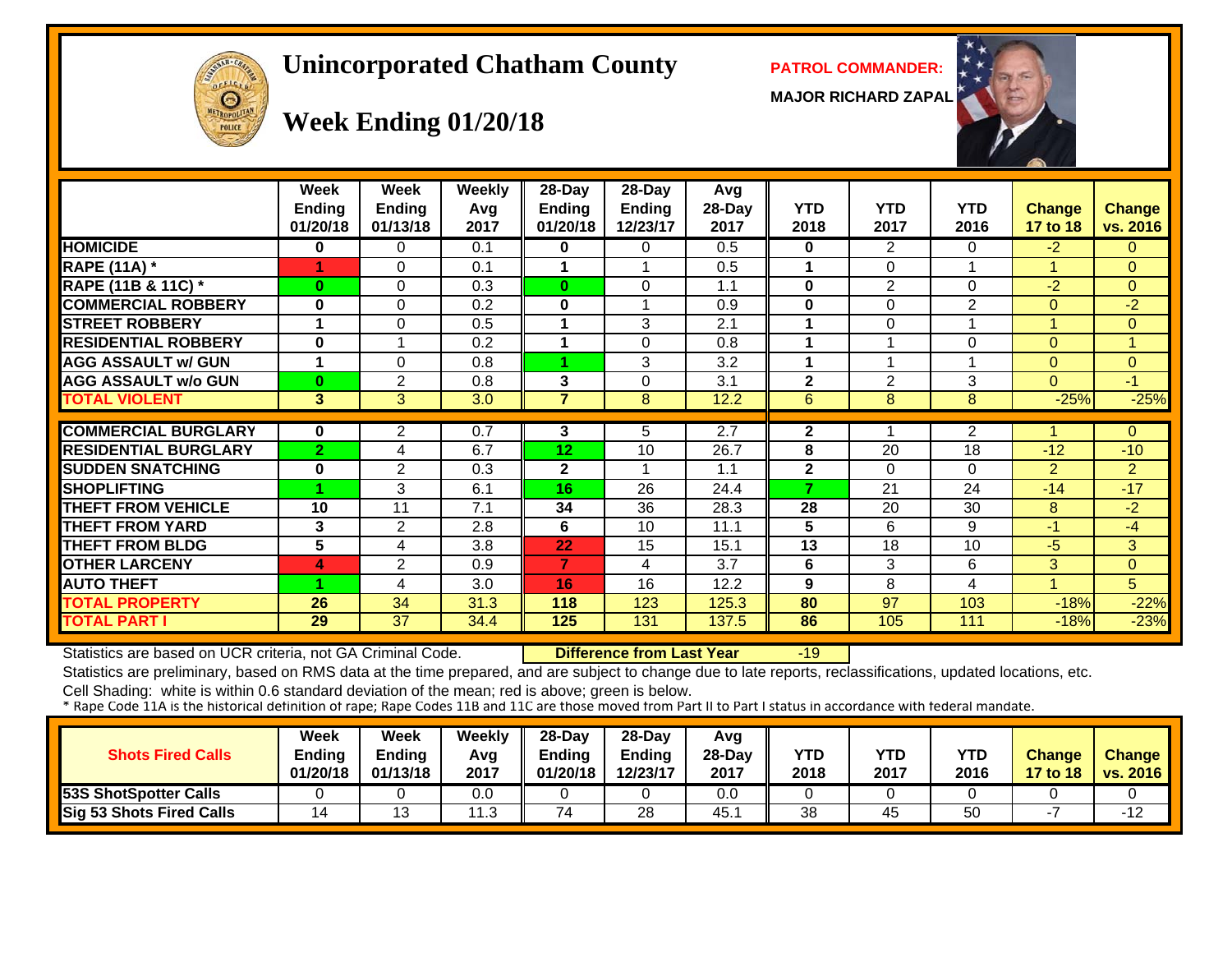# OFFICER  $\Theta$

#### **Unincorporated Chatham County PATROL COMMANDER:**

**MAJOR RICHARD ZAPAL**



## **Week Ending 01/20/18**

|                             | Week<br><b>Endina</b><br>01/20/18 | Week<br><b>Ending</b><br>01/13/18 | <b>Weekly</b><br>Avg<br>2017 | $28$ -Day<br><b>Ending</b><br>01/20/18 | 28-Day<br><b>Ending</b><br>12/23/17 | Avg<br>$28-Day$<br>2017 | <b>YTD</b><br>2018 | <b>YTD</b><br>2017 | <b>YTD</b><br>2016 | <b>Change</b><br>17 to 18 | <b>Change</b><br>vs. 2016 |
|-----------------------------|-----------------------------------|-----------------------------------|------------------------------|----------------------------------------|-------------------------------------|-------------------------|--------------------|--------------------|--------------------|---------------------------|---------------------------|
| <b>HOMICIDE</b>             | 0                                 | $\Omega$                          | 0.1                          | 0                                      | $\Omega$                            | 0.5                     | $\bf{0}$           | $\overline{2}$     | $\Omega$           | $-2$                      | $\Omega$                  |
| <b>RAPE (11A) *</b>         |                                   | $\Omega$                          | 0.1                          |                                        |                                     | 0.5                     | 1                  | 0                  | 1                  |                           | $\Omega$                  |
| RAPE (11B & 11C) *          | $\bf{0}$                          | $\Omega$                          | 0.3                          | $\bf{0}$                               | $\Omega$                            | 1.1                     | $\bf{0}$           | $\overline{2}$     | $\Omega$           | $-2$                      | $\Omega$                  |
| <b>COMMERCIAL ROBBERY</b>   | 0                                 | $\Omega$                          | 0.2                          | $\mathbf{0}$                           |                                     | 0.9                     | $\bf{0}$           | 0                  | $\overline{2}$     | $\Omega$                  | $-2$                      |
| <b>STREET ROBBERY</b>       |                                   | $\Omega$                          | 0.5                          |                                        | 3                                   | 2.1                     |                    | 0                  | 1                  |                           | $\Omega$                  |
| <b>RESIDENTIAL ROBBERY</b>  | 0                                 |                                   | 0.2                          |                                        | $\Omega$                            | 0.8                     |                    |                    | 0                  | $\overline{0}$            |                           |
| <b>AGG ASSAULT w/ GUN</b>   |                                   | $\Omega$                          | 0.8                          |                                        | 3                                   | 3.2                     | 1                  | 1                  | 1                  | $\overline{0}$            | $\mathbf{0}$              |
| <b>AGG ASSAULT w/o GUN</b>  | $\bf{0}$                          | $\overline{2}$                    | 0.8                          | 3                                      | $\Omega$                            | 3.1                     | $\mathbf{2}$       | $\overline{2}$     | 3                  | 0                         | $-1$                      |
| <b>TOTAL VIOLENT</b>        | 3                                 | 3                                 | 3.0                          | 7                                      | 8                                   | 12.2                    | 6                  | 8                  | 8                  | $-25%$                    | $-25%$                    |
|                             |                                   |                                   |                              |                                        |                                     |                         |                    |                    |                    |                           |                           |
| <b>COMMERCIAL BURGLARY</b>  | 0                                 | $\overline{2}$                    | 0.7                          | 3                                      | 5                                   | 2.7                     | $\mathbf{2}$       |                    | $\overline{2}$     |                           | $\Omega$                  |
| <b>RESIDENTIAL BURGLARY</b> | $\overline{2}$                    | 4                                 | 6.7                          | 12 <sub>2</sub>                        | 10                                  | 26.7                    | 8                  | 20                 | 18                 | $-12$                     | $-10$                     |
| <b>SUDDEN SNATCHING</b>     | 0                                 | 2                                 | 0.3                          | $\mathbf{2}$                           |                                     | 1.1                     | $\mathbf{2}$       | 0                  | $\Omega$           | $\overline{2}$            | $\overline{2}$            |
| <b>SHOPLIFTING</b>          | и                                 | 3                                 | 6.1                          | 16                                     | 26                                  | 24.4                    | 7                  | 21                 | 24                 | $-14$                     | $-17$                     |
| <b>THEFT FROM VEHICLE</b>   | 10                                | 11                                | 7.1                          | 34                                     | 36                                  | 28.3                    | 28                 | 20                 | 30                 | 8                         | $-2$                      |
| <b>THEFT FROM YARD</b>      | 3                                 | $\overline{2}$                    | 2.8                          | 6                                      | 10                                  | 11.1                    | 5                  | 6                  | 9                  | $-1$                      | $-4$                      |
| <b>THEFT FROM BLDG</b>      | $\overline{5}$                    | 4                                 | 3.8                          | 22                                     | 15                                  | 15.1                    | 13                 | 18                 | 10                 | $-5$                      | 3                         |
| <b>OTHER LARCENY</b>        | 4                                 | $\overline{2}$                    | 0.9                          | $\overline{ }$                         | 4                                   | 3.7                     | 6                  | 3                  | 6                  | 3                         | $\Omega$                  |
| <b>AUTO THEFT</b>           | и                                 | 4                                 | 3.0                          | 16                                     | 16                                  | 12.2                    | 9                  | 8                  | 4                  | 4                         | 5                         |
| <b>TOTAL PROPERTY</b>       | 26                                | 34                                | 31.3                         | 118                                    | 123                                 | 125.3                   | 80                 | 97                 | 103                | $-18%$                    | $-22%$                    |
| <b>TOTAL PART I</b>         | 29                                | 37                                | 34.4                         | 125                                    | 131                                 | 137.5                   | 86                 | 105                | 111                | $-18%$                    | $-23%$                    |

Statistics are based on UCR criteria, not GA Criminal Code. **Difference from Last Year** -19

Statistics are preliminary, based on RMS data at the time prepared, and are subject to change due to late reports, reclassifications, updated locations, etc.

Cell Shading: white is within 0.6 standard deviation of the mean; red is above; green is below.<br>\* Rape Code 11A is the historical definition of rape; Rape Codes 11B and 11C are those moved from Part II to Part I status in

| <b>Shots Fired Calls</b>     | Week<br>Ending<br>01/20/18 | <b>Week</b><br>Ending<br>01/13/18 | Weekly<br>Avg<br>2017 | $28$ -Dav<br>Ending<br>01/20/18 | 28-Day<br>Ending<br>12/23/17 | Avg<br>$28-Dav$<br>2017 | <b>YTD</b><br>2018 | YTD<br>2017 | YTD<br>2016 | Change<br>17 to 18 | <b>Change</b><br><b>vs. 2016</b> |
|------------------------------|----------------------------|-----------------------------------|-----------------------|---------------------------------|------------------------------|-------------------------|--------------------|-------------|-------------|--------------------|----------------------------------|
| <b>53S ShotSpotter Calls</b> |                            |                                   | 0.0                   |                                 |                              | 0.0                     |                    |             |             |                    |                                  |
| Sig 53 Shots Fired Calls     | 14                         | 1 ว                               | 11.ఎ                  | 74                              | 28                           | 45.7                    | 38                 | 45          | 50          |                    | $-12$                            |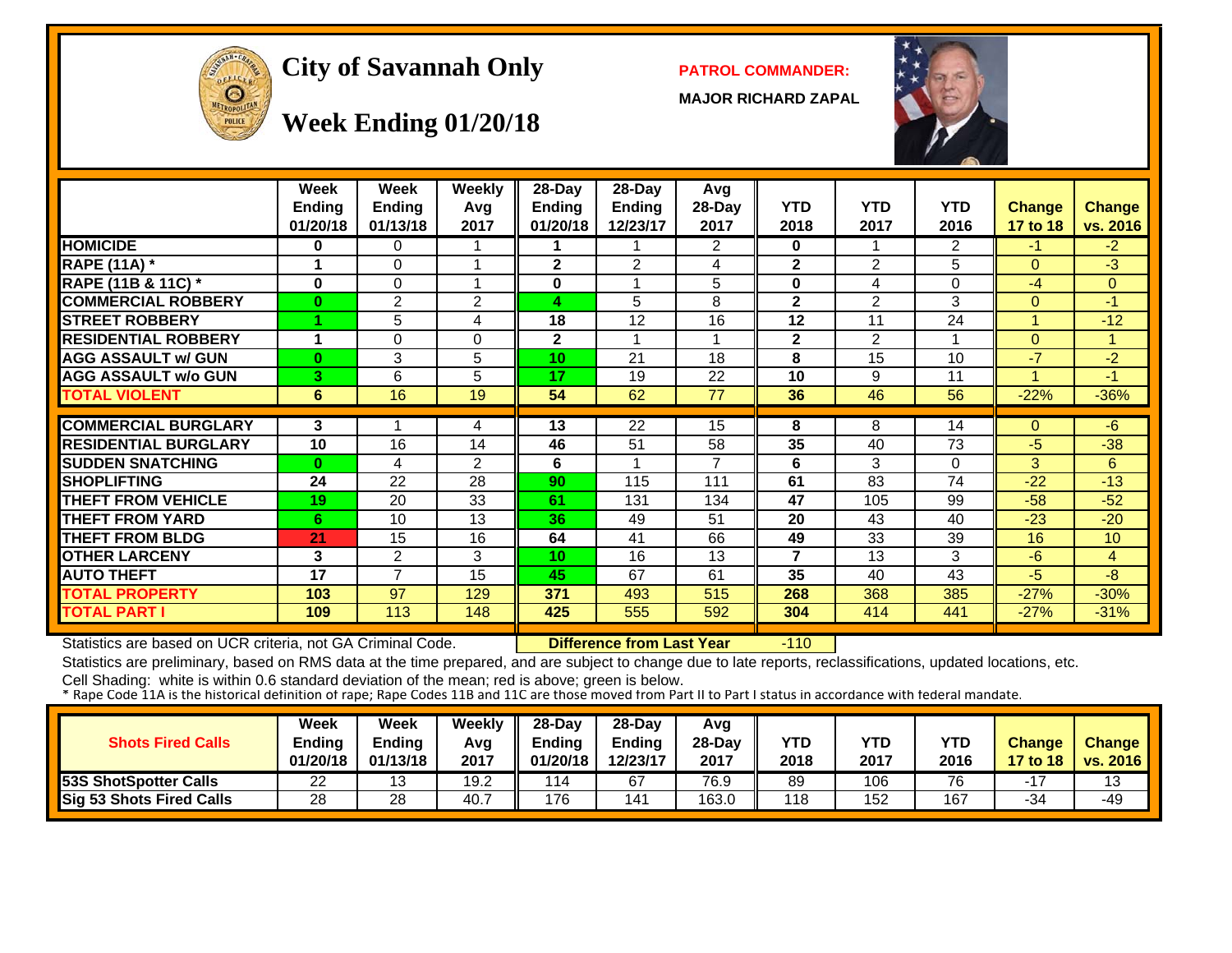

#### City of Savannah Only **PATROL COMMANDER:**

**MAJOR RICHARD ZAPAL**



## **Week Ending 01/20/18**

|                             | <b>Week</b>   | Week           | <b>Weekly</b> | 28-Day          | 28-Day         | Avg    |                |                |            |               |               |
|-----------------------------|---------------|----------------|---------------|-----------------|----------------|--------|----------------|----------------|------------|---------------|---------------|
|                             | <b>Ending</b> | <b>Ending</b>  | Avg           | <b>Ending</b>   | <b>Ending</b>  | 28-Day | <b>YTD</b>     | <b>YTD</b>     | <b>YTD</b> | <b>Change</b> | <b>Change</b> |
|                             | 01/20/18      | 01/13/18       | 2017          | 01/20/18        | 12/23/17       | 2017   | 2018           | 2017           | 2016       | 17 to 18      | vs. 2016      |
| <b>HOMICIDE</b>             | 0             | 0              |               |                 |                | 2      | 0              |                | 2          | -1            | $-2$          |
| <b>RAPE (11A)</b> *         |               | 0              | 1             | $\mathbf{2}$    | $\overline{2}$ | 4      | $\mathbf{2}$   | $\overline{2}$ | 5          | $\Omega$      | $-3$          |
| RAPE (11B & 11C) *          | 0             | 0              | 1             | 0               |                | 5      | $\bf{0}$       | 4              | $\Omega$   | -4            | $\mathbf{0}$  |
| <b>COMMERCIAL ROBBERY</b>   | $\bf{0}$      | $\overline{2}$ | 2             | 4               | 5              | 8      | $\mathbf{2}$   | $\overline{2}$ | 3          | $\Omega$      | -1            |
| <b>STREET ROBBERY</b>       |               | 5              | 4             | 18              | 12             | 16     | 12             | 11             | 24         |               | $-12$         |
| <b>RESIDENTIAL ROBBERY</b>  | 1             | 0              | 0             | $\overline{2}$  | 1              | 1      | $\mathbf{2}$   | 2              |            | $\Omega$      | 1             |
| <b>AGG ASSAULT w/ GUN</b>   | $\bf{0}$      | 3              | 5             | 10 <sub>1</sub> | 21             | 18     | 8              | 15             | 10         | $-7$          | $-2$          |
| <b>AGG ASSAULT w/o GUN</b>  | 3             | 6              | 5             | 17              | 19             | 22     | 10             | 9              | 11         |               | $-1$          |
| <b>TOTAL VIOLENT</b>        | 6             | 16             | 19            | 54              | 62             | 77     | 36             | 46             | 56         | $-22%$        | $-36%$        |
|                             |               |                |               |                 |                |        |                |                |            |               |               |
| <b>COMMERCIAL BURGLARY</b>  | 3             |                | 4             | 13              | 22             | 15     | 8              | 8              | 14         | $\Omega$      | $-6$          |
| <b>RESIDENTIAL BURGLARY</b> | 10            | 16             | 14            | 46              | 51             | 58     | 35             | 40             | 73         | $-5$          | $-38$         |
| <b>SUDDEN SNATCHING</b>     | $\bf{0}$      | 4              | 2             | 6               |                | 7      | 6              | 3              | $\Omega$   | 3             | 6             |
| <b>SHOPLIFTING</b>          | 24            | 22             | 28            | 90              | 115            | 111    | 61             | 83             | 74         | $-22$         | $-13$         |
| <b>THEFT FROM VEHICLE</b>   | 19            | 20             | 33            | 61              | 131            | 134    | 47             | 105            | 99         | $-58$         | $-52$         |
| <b>THEFT FROM YARD</b>      | 6             | 10             | 13            | 36              | 49             | 51     | 20             | 43             | 40         | $-23$         | $-20$         |
| <b>THEFT FROM BLDG</b>      | 21            | 15             | 16            | 64              | 41             | 66     | 49             | 33             | 39         | 16            | 10            |
| <b>OTHER LARCENY</b>        | 3             | $\overline{2}$ | 3             | 10 <sup>°</sup> | 16             | 13     | $\overline{7}$ | 13             | 3          | $-6$          | 4             |
| <b>AUTO THEFT</b>           | 17            | $\overline{7}$ | 15            | 45              | 67             | 61     | 35             | 40             | 43         | -5            | -8            |
| <b>TOTAL PROPERTY</b>       | 103           | 97             | 129           | 371             | 493            | 515    | 268            | 368            | 385        | $-27%$        | $-30%$        |
| TOTAL PART I                | 109           | 113            | 148           | 425             | 555            | 592    | 304            | 414            | 441        | $-27%$        | $-31%$        |

Statistics are based on UCR criteria, not GA Criminal Code. **Difference from Last Year** -110

Statistics are preliminary, based on RMS data at the time prepared, and are subject to change due to late reports, reclassifications, updated locations, etc.

Cell Shading: white is within 0.6 standard deviation of the mean; red is above; green is below.<br>\* Rape Code 11A is the historical definition of rape; Rape Codes 11B and 11C are those moved from Part II to Part I status in

| <b>Shots Fired Calls</b>     | Week<br>Ending<br>01/20/18 | Week<br><b>Ending</b><br>01/13/18 | Weekly<br>Avg<br>2017 | $28-Dav$<br>Ending<br>01/20/18 | $28-Dav$<br><b>Ending</b><br>12/23/17 | Avg<br>28-Day<br>2017 | YTD<br>2018 | YTD<br>2017 | <b>YTD</b><br>2016 | <b>Change</b><br>17 to 18 | <b>Change</b><br>vs. $2016$ |
|------------------------------|----------------------------|-----------------------------------|-----------------------|--------------------------------|---------------------------------------|-----------------------|-------------|-------------|--------------------|---------------------------|-----------------------------|
| <b>53S ShotSpotter Calls</b> | 22                         | 13                                | 19.2                  | 114                            | 67                                    | 76.9                  | 89          | 106         | 76                 |                           | 13                          |
| Sig 53 Shots Fired Calls     | 28                         | 28                                | 40.7                  | 176                            | 41                                    | 163.0                 | 18          | 152         | 167                | -34                       | $-49$                       |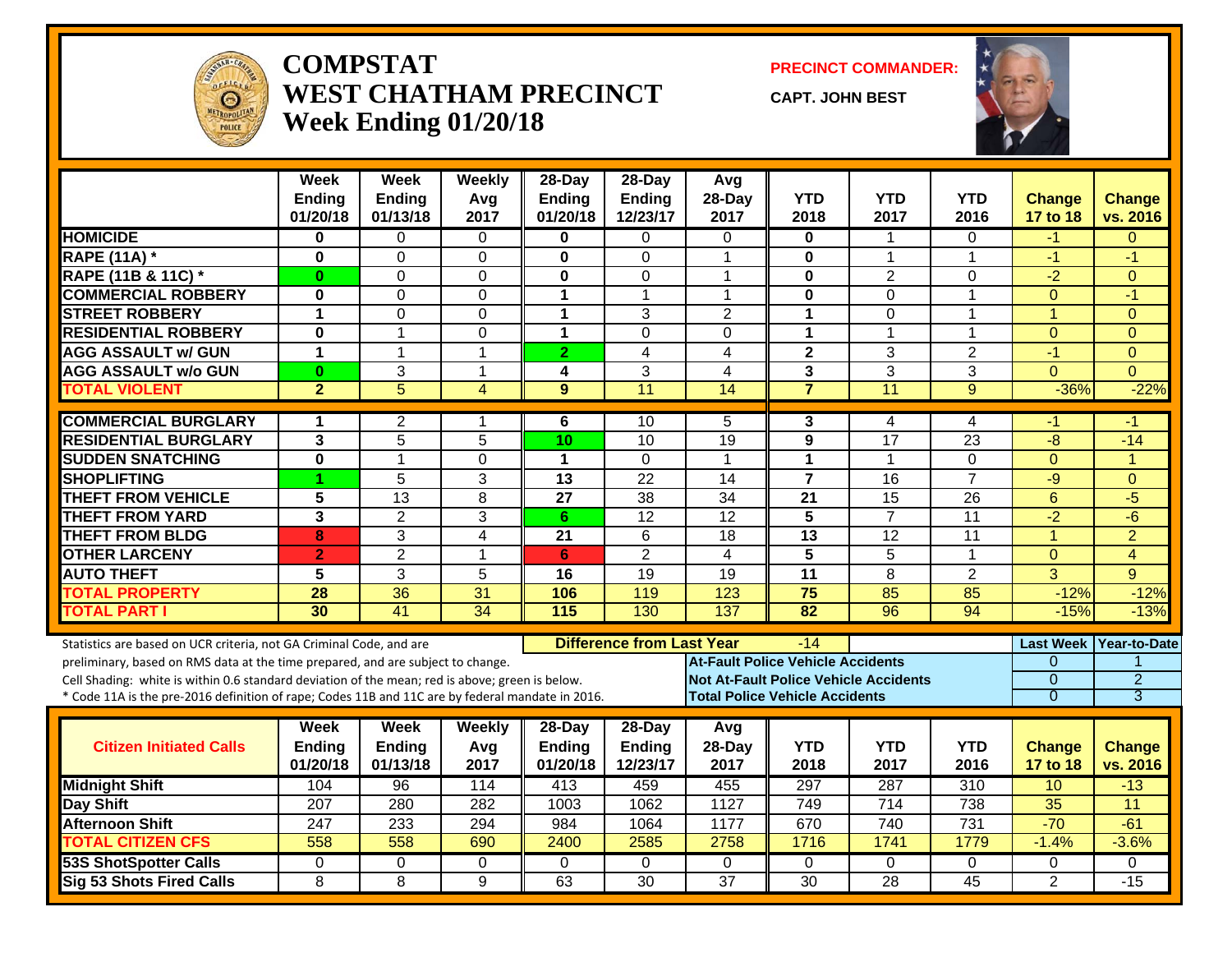

#### **COMPSTATWEST CHATHAM PRECINCTWeek Ending 01/20/18**

**PRECINCT COMMANDER:**

**CAPT. JOHN BEST**



|                                                                                                  | <b>Week</b><br><b>Ending</b><br>01/20/18 | <b>Week</b><br><b>Ending</b><br>01/13/18 | <b>Weekly</b><br>Avg<br>2017 | 28-Day<br><b>Ending</b><br>01/20/18 | 28-Day<br><b>Ending</b><br>12/23/17   | Avg<br>28-Day<br>2017                    | <b>YTD</b><br>2018                    | <b>YTD</b><br>2017 | <b>YTD</b><br>2016 | <b>Change</b><br>17 to 18 | <b>Change</b><br>vs. 2016 |
|--------------------------------------------------------------------------------------------------|------------------------------------------|------------------------------------------|------------------------------|-------------------------------------|---------------------------------------|------------------------------------------|---------------------------------------|--------------------|--------------------|---------------------------|---------------------------|
| <b>HOMICIDE</b>                                                                                  | $\bf{0}$                                 | $\Omega$                                 | $\Omega$                     | $\bf{0}$                            | $\Omega$                              | $\mathbf{0}$                             | 0                                     | $\mathbf 1$        | $\Omega$           | $-1$                      | $\Omega$                  |
| <b>RAPE (11A) *</b>                                                                              | $\bf{0}$                                 | $\Omega$                                 | $\Omega$                     | $\bf{0}$                            | $\mathbf{0}$                          | 1                                        | 0                                     | 1                  | $\mathbf{1}$       | $-1$                      | $-1$                      |
| RAPE (11B & 11C) *                                                                               | $\bf{0}$                                 | $\Omega$                                 | $\Omega$                     | $\bf{0}$                            | $\Omega$                              | 1                                        | 0                                     | $\overline{2}$     | $\Omega$           | $-2$                      | $\Omega$                  |
| <b>COMMERCIAL ROBBERY</b>                                                                        | $\bf{0}$                                 | $\Omega$                                 | $\Omega$                     | 1                                   | $\mathbf{1}$                          | 1                                        | 0                                     | $\Omega$           | $\mathbf{1}$       | $\Omega$                  | $-1$                      |
| <b>STREET ROBBERY</b>                                                                            | 1                                        | $\Omega$                                 | $\Omega$                     | 1                                   | 3                                     | $\overline{2}$                           | $\mathbf{1}$                          | $\Omega$           | 1                  | $\mathbf{1}$              | $\Omega$                  |
| <b>RESIDENTIAL ROBBERY</b>                                                                       | $\bf{0}$                                 | $\mathbf{1}$                             | $\Omega$                     | $\blacktriangleleft$                | $\Omega$                              | $\mathbf 0$                              | $\mathbf{1}$                          | 1                  | 1                  | $\Omega$                  | $\Omega$                  |
| <b>AGG ASSAULT w/ GUN</b>                                                                        | 1                                        | $\mathbf{1}$                             | $\mathbf{1}$                 | $\overline{2}$                      | $\overline{4}$                        | 4                                        | $\overline{2}$                        | 3                  | $\overline{2}$     | $-1$                      | $\Omega$                  |
| <b>AGG ASSAULT w/o GUN</b>                                                                       | $\bf{0}$                                 | 3                                        | 1                            | 4                                   | 3                                     | 4                                        | 3                                     | 3                  | 3                  | $\mathbf{0}$              | $\Omega$                  |
| <b>TOTAL VIOLENT</b>                                                                             | $\overline{2}$                           | 5                                        | $\overline{4}$               | 9                                   | $\overline{11}$                       | 14                                       | $\overline{7}$                        | 11                 | 9                  | $-36%$                    | $-22%$                    |
| <b>COMMERCIAL BURGLARY</b>                                                                       | 1                                        | $\overline{2}$                           | 1                            | 6                                   | 10                                    | 5                                        | 3                                     | 4                  | 4                  | -1                        | -1                        |
| <b>RESIDENTIAL BURGLARY</b>                                                                      | $\mathbf{3}$                             | $\overline{5}$                           | 5                            | 10                                  | $\overline{10}$                       | $\overline{19}$                          | $\overline{\mathbf{9}}$               | 17                 | $\overline{23}$    | -8                        | $-14$                     |
| <b>SUDDEN SNATCHING</b>                                                                          | $\mathbf 0$                              | $\mathbf{1}$                             | 0                            | $\mathbf 1$                         | $\mathbf{0}$                          | 1                                        | 1                                     | 1                  | $\Omega$           | $\mathbf{0}$              | $\overline{1}$            |
| <b>SHOPLIFTING</b>                                                                               | 1                                        | 5                                        | 3                            | $\overline{13}$                     | $\overline{22}$                       | $\overline{14}$                          | $\overline{7}$                        | 16                 | $\overline{7}$     | -9                        | $\Omega$                  |
| <b>THEFT FROM VEHICLE</b>                                                                        | $\overline{5}$                           | $\overline{13}$                          | 8                            | $\overline{27}$                     | $\overline{38}$                       | $\overline{34}$                          | $\overline{21}$                       | 15                 | 26                 | 6                         | $-5$                      |
| <b>THEFT FROM YARD</b>                                                                           | 3                                        | $\overline{2}$                           | 3                            | 6                                   | 12                                    | 12                                       | 5                                     | $\overline{7}$     | 11                 | $-2$                      | $-6$                      |
| <b>THEFT FROM BLDG</b>                                                                           | 8                                        | $\overline{3}$                           | $\overline{\mathbf{4}}$      | $\overline{21}$                     | $\overline{6}$                        | $\overline{18}$                          | 13                                    | 12                 | $\overline{11}$    | $\overline{1}$            | $\overline{2}$            |
| <b>OTHER LARCENY</b>                                                                             | $\overline{2}$                           | $\overline{2}$                           | $\mathbf{1}$                 | 6                                   | $\overline{2}$                        | $\overline{\mathbf{A}}$                  | $\overline{5}$                        | 5                  | $\mathbf{1}$       | $\mathbf{0}$              | $\overline{4}$            |
| <b>AUTO THEFT</b>                                                                                | 5                                        | 3                                        | 5                            | 16                                  | 19                                    | 19                                       | $\overline{11}$                       | 8                  | $\overline{2}$     | $\overline{3}$            | 9                         |
| <b>TOTAL PROPERTY</b>                                                                            | 28                                       | $\overline{36}$                          | 31                           | 106                                 | 119                                   | 123                                      | $\overline{75}$                       | 85                 | 85                 | $-12%$                    | $-12%$                    |
| <b>TOTAL PART I</b>                                                                              | 30                                       | $\overline{41}$                          | $\overline{34}$              | 115                                 | 130                                   | 137                                      | $\overline{82}$                       | $\overline{96}$    | 94                 | $-15%$                    | $-13%$                    |
| Statistics are based on UCR criteria, not GA Criminal Code, and are                              |                                          |                                          |                              |                                     | <b>Difference from Last Year</b>      |                                          | $-14$                                 |                    |                    | <b>Last Week</b>          | Year-to-Date              |
| preliminary, based on RMS data at the time prepared, and are subject to change.                  |                                          |                                          |                              |                                     |                                       | <b>At-Fault Police Vehicle Accidents</b> |                                       |                    |                    | $\Omega$                  | 1                         |
| Cell Shading: white is within 0.6 standard deviation of the mean; red is above; green is below.  |                                          |                                          |                              |                                     |                                       | Not At-Fault Police Vehicle Accidents    |                                       |                    |                    | $\overline{0}$            | $\overline{2}$            |
| * Code 11A is the pre-2016 definition of rape; Codes 11B and 11C are by federal mandate in 2016. |                                          |                                          |                              |                                     |                                       |                                          | <b>Total Police Vehicle Accidents</b> |                    |                    | $\overline{0}$            | 3                         |
| <b>Citizen Initiated Calls</b>                                                                   | Week<br><b>Ending</b><br>01/20/18        | Week<br><b>Ending</b><br>01/13/18        | Weekly<br>Avg<br>2017        | 28-Day<br><b>Ending</b><br>01/20/18 | $28-Day$<br><b>Ending</b><br>12/23/17 | Avg<br>28-Day<br>2017                    | <b>YTD</b><br>2018                    | <b>YTD</b><br>2017 | <b>YTD</b><br>2016 | <b>Change</b><br>17 to 18 | <b>Change</b><br>vs. 2016 |
| <b>Midnight Shift</b>                                                                            | 104                                      | 96                                       | 114                          | $\overline{413}$                    | 459                                   | 455                                      | 297                                   | 287                | $\overline{310}$   | 10                        | $-13$                     |
| <b>Day Shift</b>                                                                                 | $\overline{207}$                         | 280                                      | 282                          | 1003                                | 1062                                  | 1127                                     | 749                                   | 714                | 738                | 35                        | 11                        |
| <b>Afternoon Shift</b>                                                                           | 247                                      | 233                                      | 294                          | 984                                 | 1064                                  | 1177                                     | 670                                   | 740                | 731                | $-70$                     | $-61$                     |
| <b>TOTAL CITIZEN CFS</b>                                                                         | 558                                      | 558                                      | 690                          | 2400                                | 2585                                  | 2758                                     | 1716                                  | 1741               | 1779               | $-1.4%$                   | $-3.6%$                   |
| 53S ShotSpotter Calls                                                                            | 0                                        | $\Omega$                                 | 0                            | $\Omega$                            | $\Omega$                              | $\mathbf 0$                              | $\Omega$                              | $\mathbf 0$        | 0                  | 0                         | 0                         |
| <b>Sig 53 Shots Fired Calls</b>                                                                  | 8                                        | 8                                        | 9                            | 63                                  | 30                                    | $\overline{37}$                          | $\overline{30}$                       | $\overline{28}$    | $\overline{45}$    | 2                         | $-15$                     |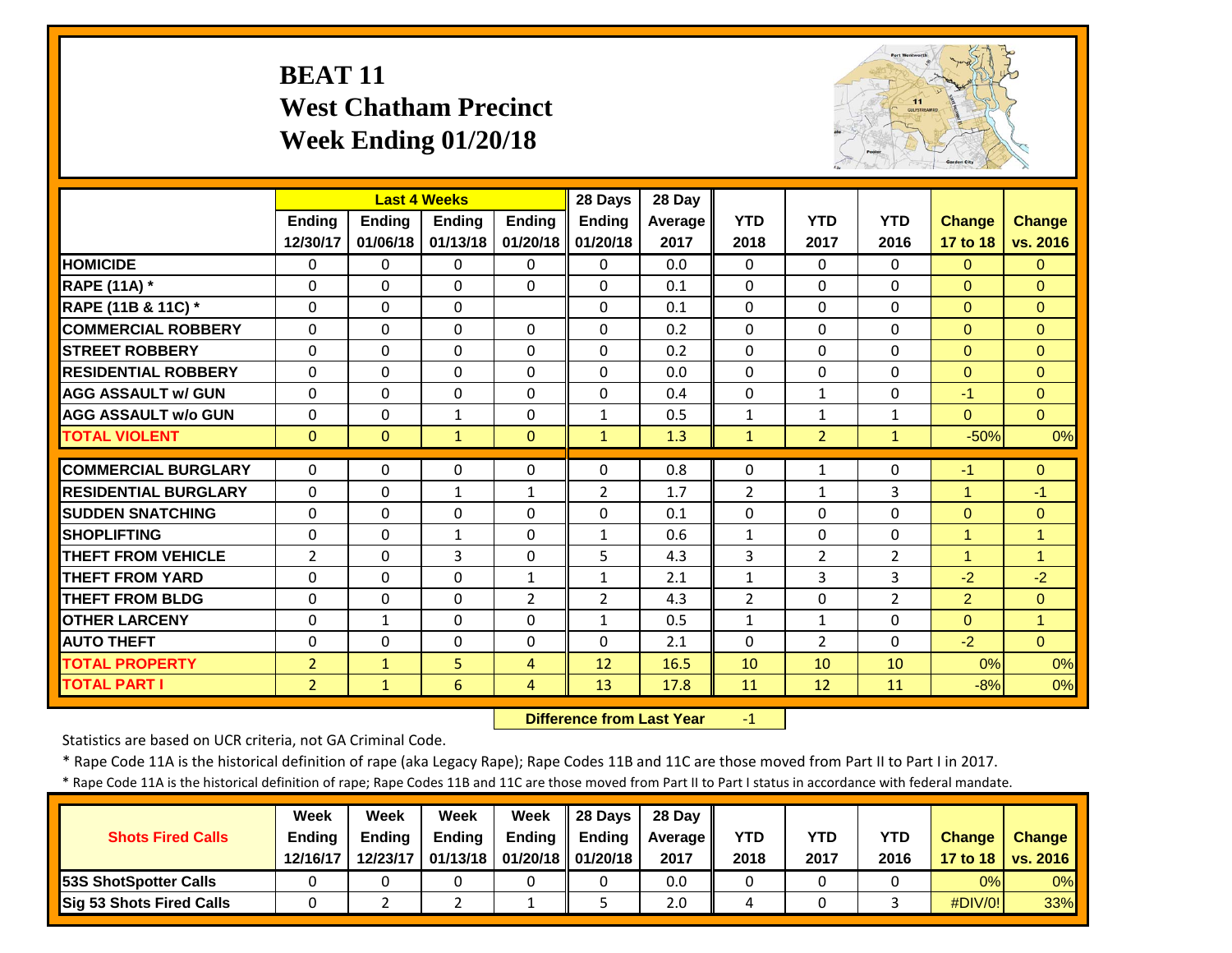## **BEAT 11 West Chatham Precinct Week Ending 01/20/18**



|                             |                | <b>Last 4 Weeks</b> |               |                | 28 Days        | 28 Day  |                |                |                |                |                |
|-----------------------------|----------------|---------------------|---------------|----------------|----------------|---------|----------------|----------------|----------------|----------------|----------------|
|                             | <b>Ending</b>  | Ending              | <b>Endina</b> | <b>Endina</b>  | <b>Ending</b>  | Average | <b>YTD</b>     | <b>YTD</b>     | <b>YTD</b>     | <b>Change</b>  | <b>Change</b>  |
|                             | 12/30/17       | 01/06/18            | 01/13/18      | 01/20/18       | 01/20/18       | 2017    | 2018           | 2017           | 2016           | 17 to 18       | vs. 2016       |
| <b>HOMICIDE</b>             | $\mathbf{0}$   | $\Omega$            | $\Omega$      | $\mathbf{0}$   | $\Omega$       | 0.0     | $\Omega$       | $\Omega$       | 0              | $\Omega$       | $\Omega$       |
| <b>RAPE (11A) *</b>         | $\Omega$       | $\Omega$            | $\Omega$      | $\Omega$       | 0              | 0.1     | $\Omega$       | $\Omega$       | 0              | $\Omega$       | $\Omega$       |
| RAPE (11B & 11C) *          | $\mathbf 0$    | $\Omega$            | $\Omega$      |                | 0              | 0.1     | $\mathbf 0$    | $\Omega$       | 0              | $\overline{0}$ | $\mathbf{0}$   |
| <b>COMMERCIAL ROBBERY</b>   | $\Omega$       | $\Omega$            | $\Omega$      | $\Omega$       | 0              | 0.2     | $\Omega$       | $\Omega$       | 0              | $\Omega$       | $\Omega$       |
| <b>STREET ROBBERY</b>       | $\Omega$       | 0                   | $\Omega$      | $\Omega$       | $\Omega$       | 0.2     | $\Omega$       | $\Omega$       | 0              | $\Omega$       | $\Omega$       |
| <b>RESIDENTIAL ROBBERY</b>  | $\Omega$       | $\Omega$            | $\Omega$      | 0              | $\Omega$       | 0.0     | $\Omega$       | $\Omega$       | 0              | $\Omega$       | $\Omega$       |
| <b>AGG ASSAULT w/ GUN</b>   | $\Omega$       | $\Omega$            | $\Omega$      | $\Omega$       | 0              | 0.4     | $\Omega$       | $\mathbf{1}$   | 0              | $-1$           | $\Omega$       |
| <b>AGG ASSAULT w/o GUN</b>  | $\Omega$       | $\Omega$            | 1             | $\Omega$       | $\mathbf{1}$   | 0.5     | $\mathbf{1}$   | $\mathbf{1}$   | 1              | $\Omega$       | $\Omega$       |
| <b>TOTAL VIOLENT</b>        | $\mathbf{0}$   | $\mathbf{0}$        | $\mathbf{1}$  | $\mathbf{0}$   | $\mathbf{1}$   | 1.3     | $\mathbf{1}$   | $\overline{2}$ | $\mathbf{1}$   | $-50%$         | 0%             |
| <b>COMMERCIAL BURGLARY</b>  | $\Omega$       | $\Omega$            | 0             | $\Omega$       | 0              | 0.8     | $\Omega$       |                | 0              | $-1$           | $\Omega$       |
|                             |                |                     |               |                |                |         |                | 1              |                | 4              |                |
| <b>RESIDENTIAL BURGLARY</b> | $\Omega$       | $\Omega$            | $\mathbf 1$   | $\mathbf{1}$   | $\overline{2}$ | 1.7     | $\overline{2}$ | 1              | 3              |                | $-1$           |
| <b>SUDDEN SNATCHING</b>     | 0              | $\Omega$            | $\Omega$      | $\Omega$       | 0              | 0.1     | $\Omega$       | 0              | 0              | $\Omega$       | $\overline{0}$ |
| <b>SHOPLIFTING</b>          | 0              | $\Omega$            | $\mathbf{1}$  | $\Omega$       | $\mathbf{1}$   | 0.6     | $\mathbf{1}$   | 0              | 0              | 1              | $\overline{1}$ |
| <b>THEFT FROM VEHICLE</b>   | $\overline{2}$ | $\Omega$            | 3             | $\Omega$       | 5              | 4.3     | 3              | $\overline{2}$ | $\overline{2}$ | 1              | $\overline{1}$ |
| <b>THEFT FROM YARD</b>      | $\Omega$       | $\Omega$            | $\Omega$      | $\mathbf{1}$   | $\mathbf{1}$   | 2.1     | $\mathbf{1}$   | 3              | 3              | $-2$           | $-2$           |
| <b>THEFT FROM BLDG</b>      | 0              | $\Omega$            | $\Omega$      | $\overline{2}$ | $\overline{2}$ | 4.3     | $\overline{2}$ | $\Omega$       | $\overline{2}$ | $\overline{2}$ | $\Omega$       |
| <b>OTHER LARCENY</b>        | $\Omega$       | $\mathbf{1}$        | $\Omega$      | $\Omega$       | $\mathbf{1}$   | 0.5     | $\mathbf{1}$   | $\mathbf{1}$   | 0              | $\Omega$       | $\mathbf{1}$   |
| <b>AUTO THEFT</b>           | $\Omega$       | $\Omega$            | $\Omega$      | $\Omega$       | 0              | 2.1     | $\Omega$       | $\overline{2}$ | 0              | $-2$           | $\Omega$       |
| <b>TOTAL PROPERTY</b>       | $\overline{2}$ | $\mathbf{1}$        | 5             | 4              | 12             | 16.5    | 10             | 10             | 10             | 0%             | 0%             |
| <b>TOTAL PART I</b>         | $\overline{2}$ | $\mathbf{1}$        | 6             | 4              | 13             | 17.8    | 11             | 12             | 11             | $-8%$          | 0%             |

 **Difference from Last Year**‐1

Statistics are based on UCR criteria, not GA Criminal Code.

\* Rape Code 11A is the historical definition of rape (aka Legacy Rape); Rape Codes 11B and 11C are those moved from Part II to Part I in 2017.

\* Rape Code 11A is the historical definition of rape; Rape Codes 11B and 11C are those moved from Part II to Part I status in accordance with federal mandate.

|                              | Week          | Week          | Week          | Week                           | 28 Davs       | 28 Day  |      |      |            |               |                     |
|------------------------------|---------------|---------------|---------------|--------------------------------|---------------|---------|------|------|------------|---------------|---------------------|
| <b>Shots Fired Calls</b>     | <b>Ending</b> | <b>Endina</b> | <b>Ending</b> | Ending                         | <b>Endina</b> | Average | YTD  | YTD  | <b>YTD</b> | <b>Change</b> | <b>Change</b>       |
|                              | 12/16/17      | 12/23/17      |               | 01/13/18   01/20/18   01/20/18 |               | 2017    | 2018 | 2017 | 2016       |               | 17 to 18   vs. 2016 |
| <b>53S ShotSpotter Calls</b> |               |               |               |                                |               | 0.0     |      |      |            | 0%            | $0\%$               |
| Sig 53 Shots Fired Calls     |               |               |               |                                |               | 2.0     |      |      |            | $\#$ DIV/0!   | 33%                 |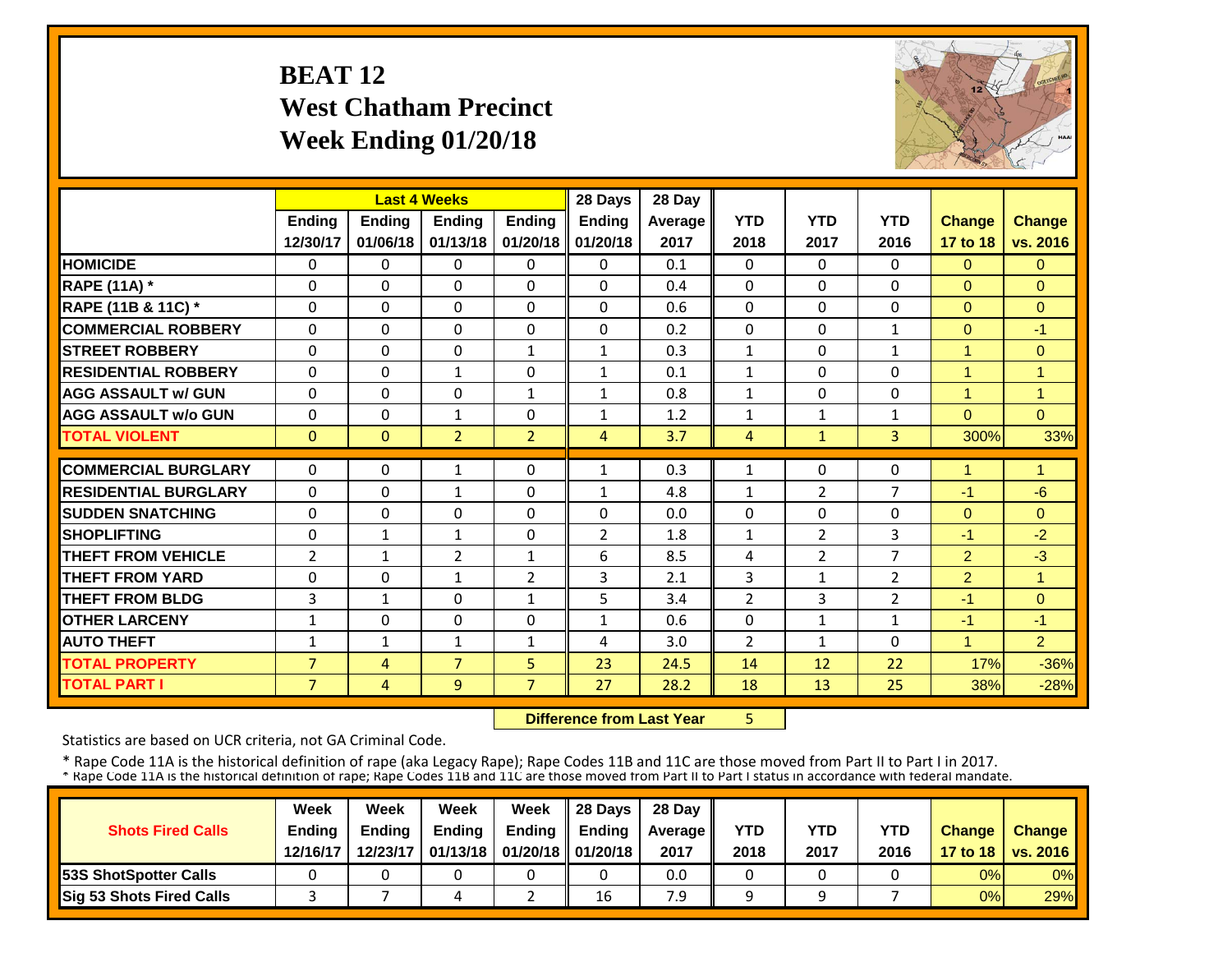## **BEAT 12 West Chatham Precinct Week Ending 01/20/18**



|                             |                |                | <b>Last 4 Weeks</b> |                | 28 Days        | 28 Day  |                |                |                |                         |                |
|-----------------------------|----------------|----------------|---------------------|----------------|----------------|---------|----------------|----------------|----------------|-------------------------|----------------|
|                             | <b>Ending</b>  | Ending         | <b>Ending</b>       | <b>Ending</b>  | <b>Ending</b>  | Average | <b>YTD</b>     | <b>YTD</b>     | <b>YTD</b>     | <b>Change</b>           | <b>Change</b>  |
|                             | 12/30/17       | 01/06/18       | 01/13/18            | 01/20/18       | 01/20/18       | 2017    | 2018           | 2017           | 2016           | 17 to 18                | vs. 2016       |
| <b>HOMICIDE</b>             | 0              | 0              | 0                   | $\Omega$       | 0              | 0.1     | $\Omega$       | $\Omega$       | 0              | $\mathbf{0}$            | $\Omega$       |
| <b>RAPE (11A) *</b>         | $\Omega$       | $\Omega$       | $\Omega$            | $\Omega$       | 0              | 0.4     | $\Omega$       | $\Omega$       | 0              | $\Omega$                | $\Omega$       |
| RAPE (11B & 11C) *          | 0              | $\Omega$       | $\Omega$            | $\Omega$       | $\Omega$       | 0.6     | $\Omega$       | $\Omega$       | 0              | $\Omega$                | $\Omega$       |
| <b>COMMERCIAL ROBBERY</b>   | $\Omega$       | $\Omega$       | $\Omega$            | $\Omega$       | 0              | 0.2     | $\Omega$       | $\Omega$       | $\mathbf{1}$   | $\Omega$                | $-1$           |
| <b>STREET ROBBERY</b>       | $\Omega$       | $\Omega$       | $\Omega$            | $\mathbf{1}$   | 1              | 0.3     | $\mathbf{1}$   | $\Omega$       | 1              | 1                       | $\Omega$       |
| <b>RESIDENTIAL ROBBERY</b>  | $\Omega$       | $\Omega$       | $\mathbf{1}$        | $\Omega$       | $\mathbf{1}$   | 0.1     | $\mathbf{1}$   | 0              | 0              | $\overline{\mathbf{A}}$ | 1              |
| <b>AGG ASSAULT w/ GUN</b>   | $\Omega$       | $\Omega$       | $\Omega$            | $\mathbf{1}$   | 1              | 0.8     | $\mathbf{1}$   | 0              | 0              | $\overline{ }$          | $\overline{1}$ |
| <b>AGG ASSAULT w/o GUN</b>  | 0              | 0              | $\mathbf{1}$        | $\Omega$       | 1              | 1.2     | $\mathbf{1}$   | 1              | 1              | $\Omega$                | $\Omega$       |
| <b>TOTAL VIOLENT</b>        | $\mathbf{0}$   | $\Omega$       | $\overline{2}$      | $\overline{2}$ | 4              | 3.7     | $\overline{4}$ | $\mathbf{1}$   | $\overline{3}$ | 300%                    | 33%            |
| <b>COMMERCIAL BURGLARY</b>  | $\Omega$       | $\Omega$       | 1                   | 0              | $\mathbf{1}$   | 0.3     | $\mathbf{1}$   | $\Omega$       | 0              | 4                       | 1              |
| <b>RESIDENTIAL BURGLARY</b> | $\mathbf{0}$   | $\Omega$       | $\mathbf{1}$        | $\Omega$       | $\mathbf{1}$   | 4.8     | $\mathbf{1}$   | $\overline{2}$ | 7              | $-1$                    | $-6$           |
|                             |                |                |                     |                | $\Omega$       |         | $\Omega$       | $\Omega$       |                |                         |                |
| <b>ISUDDEN SNATCHING</b>    | $\Omega$       | $\Omega$       | $\Omega$            | $\Omega$       |                | 0.0     |                |                | 0              | $\Omega$                | $\Omega$       |
| <b>SHOPLIFTING</b>          | 0              | $\mathbf{1}$   | 1                   | $\Omega$       | $\overline{2}$ | 1.8     | $\mathbf{1}$   | $\overline{2}$ | 3              | $-1$                    | $-2$           |
| <b>THEFT FROM VEHICLE</b>   | $\overline{2}$ | $\mathbf{1}$   | 2                   | $\mathbf{1}$   | 6              | 8.5     | 4              | $\overline{2}$ | 7              | $\overline{2}$          | $-3$           |
| <b>THEFT FROM YARD</b>      | 0              | $\Omega$       | 1                   | 2              | 3              | 2.1     | 3              | 1              | 2              | $\overline{2}$          | $\overline{1}$ |
| <b>THEFT FROM BLDG</b>      | 3              | $\mathbf{1}$   | $\Omega$            | $\mathbf{1}$   | 5              | 3.4     | $\overline{2}$ | 3              | $\overline{2}$ | $-1$                    | $\Omega$       |
| <b>OTHER LARCENY</b>        | 1              | $\Omega$       | $\Omega$            | 0              | $\mathbf{1}$   | 0.6     | $\Omega$       | 1              | $\mathbf{1}$   | $-1$                    | $-1$           |
| <b>AUTO THEFT</b>           | $\mathbf{1}$   | $\mathbf{1}$   | $\mathbf{1}$        | $\mathbf{1}$   | 4              | 3.0     | $\overline{2}$ | 1              | 0              | 1                       | $\overline{2}$ |
| <b>TOTAL PROPERTY</b>       | $\overline{7}$ | 4              | $\overline{7}$      | 5.             | 23             | 24.5    | 14             | 12             | 22             | 17%                     | $-36%$         |
| <b>TOTAL PART I</b>         | $\overline{7}$ | $\overline{4}$ | 9                   | $\overline{7}$ | 27             | 28.2    | 18             | 13             | 25             | 38%                     | $-28%$         |

 **Difference from Last Year**5

Statistics are based on UCR criteria, not GA Criminal Code.

|                               | Week     | Week     | Week          | Week                           | Il 28 Davs    | 28 Day         |      |      |      |               |                     |
|-------------------------------|----------|----------|---------------|--------------------------------|---------------|----------------|------|------|------|---------------|---------------------|
| <b>Shots Fired Calls</b>      | Ending   | Ending   | <b>Ending</b> | Ending                         | <b>Ending</b> | <b>Average</b> | YTD  | YTD  | YTD  | <b>Change</b> | <b>Change</b>       |
|                               | 12/16/17 | 12/23/17 |               | 01/13/18   01/20/18   01/20/18 |               | 2017           | 2018 | 2017 | 2016 |               | 17 to 18   vs. 2016 |
| <b>153S ShotSpotter Calls</b> |          |          |               |                                |               | 0.0            |      |      |      | 0%            | $0\%$               |
| Sig 53 Shots Fired Calls      |          |          |               |                                | 16            | 7.9            |      |      |      | 0%            | 29%                 |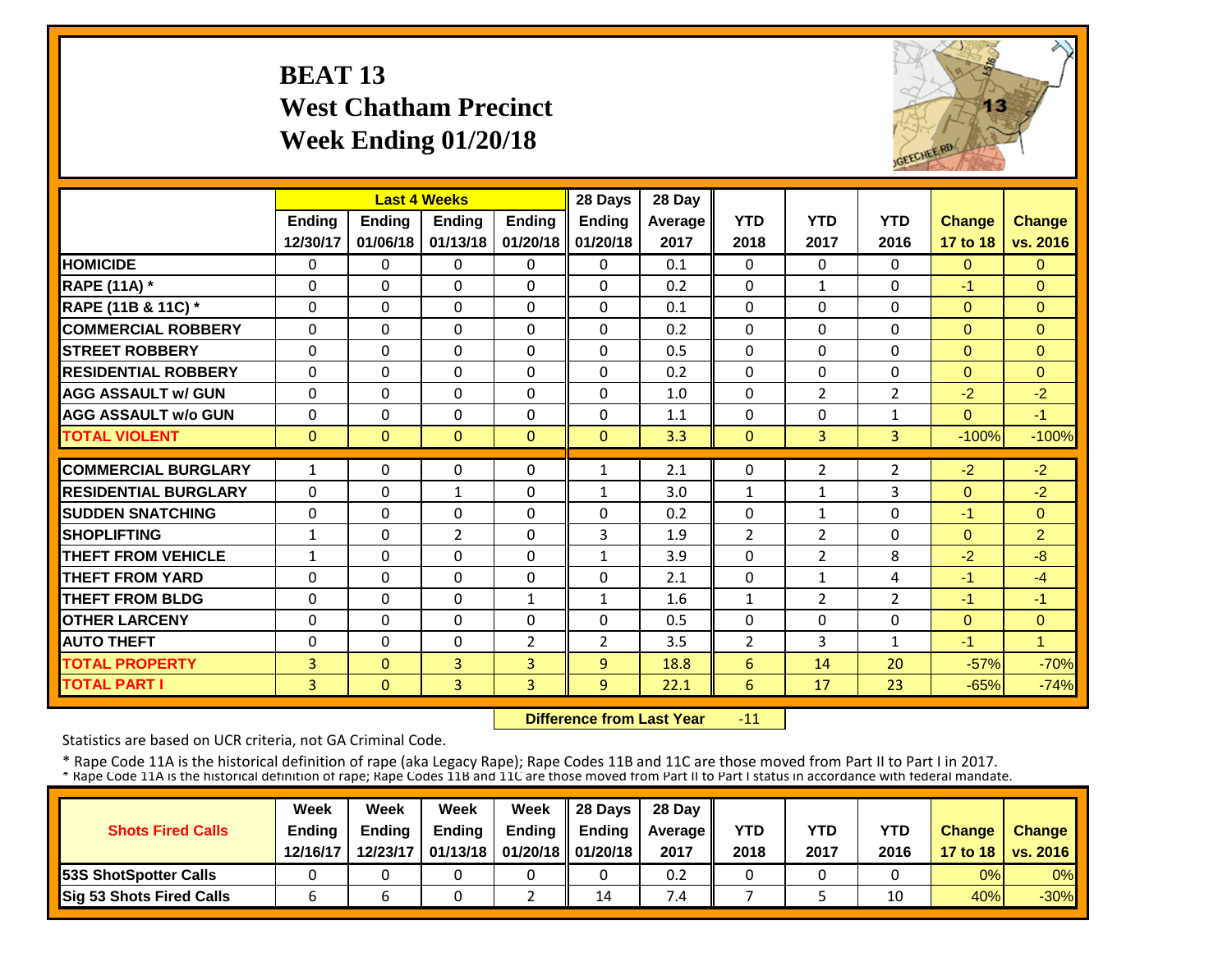## **BEAT 13 West Chatham Precinct Week Ending 01/20/18**



|                             |              |              | <b>Last 4 Weeks</b> |                | 28 Days        | 28 Day  |                |                |                |               |                |
|-----------------------------|--------------|--------------|---------------------|----------------|----------------|---------|----------------|----------------|----------------|---------------|----------------|
|                             | Ending       | Ending       | Ending              | <b>Ending</b>  | Ending         | Average | <b>YTD</b>     | <b>YTD</b>     | <b>YTD</b>     | <b>Change</b> | Change         |
|                             | 12/30/17     | 01/06/18     | 01/13/18            | 01/20/18       | 01/20/18       | 2017    | 2018           | 2017           | 2016           | 17 to 18      | vs. 2016       |
| <b>HOMICIDE</b>             | 0            | $\Omega$     | $\Omega$            | $\Omega$       | $\Omega$       | 0.1     | $\Omega$       | $\Omega$       | 0              | $\Omega$      | $\Omega$       |
| <b>RAPE (11A)</b> *         | $\Omega$     | $\Omega$     | $\Omega$            | $\Omega$       | $\Omega$       | 0.2     | $\Omega$       | $\mathbf{1}$   | 0              | $-1$          | $\Omega$       |
| RAPE (11B & 11C) *          | $\Omega$     | $\Omega$     | $\Omega$            | $\Omega$       | $\Omega$       | 0.1     | 0              | $\Omega$       | 0              | $\Omega$      | $\Omega$       |
| <b>COMMERCIAL ROBBERY</b>   | $\Omega$     | $\Omega$     | $\Omega$            | $\Omega$       | $\Omega$       | 0.2     | $\Omega$       | $\Omega$       | 0              | $\Omega$      | $\Omega$       |
| <b>ISTREET ROBBERY</b>      | $\Omega$     | $\Omega$     | $\Omega$            | $\Omega$       | $\Omega$       | 0.5     | $\Omega$       | $\Omega$       | 0              | $\Omega$      | $\Omega$       |
| <b>RESIDENTIAL ROBBERY</b>  | $\Omega$     | $\Omega$     | $\Omega$            | $\Omega$       | $\Omega$       | 0.2     | $\Omega$       | $\Omega$       | 0              | $\Omega$      | $\Omega$       |
| <b>AGG ASSAULT w/ GUN</b>   | $\Omega$     | $\Omega$     | $\Omega$            | $\Omega$       | $\Omega$       | 1.0     | 0              | 2              | 2              | $-2$          | $-2$           |
| <b>AGG ASSAULT w/o GUN</b>  | $\Omega$     | $\Omega$     | $\Omega$            | $\Omega$       | 0              | 1.1     | $\Omega$       | $\Omega$       | 1              | $\Omega$      | $-1$           |
| <b>TOTAL VIOLENT</b>        | $\Omega$     | $\Omega$     | $\Omega$            | $\Omega$       | $\Omega$       | 3.3     | $\Omega$       | $\overline{3}$ | $\overline{3}$ | $-100%$       | $-100%$        |
| <b>COMMERCIAL BURGLARY</b>  | $\mathbf{1}$ | $\Omega$     | $\Omega$            | $\Omega$       | $\mathbf{1}$   | 2.1     | $\Omega$       | $\overline{2}$ | $\overline{2}$ | $-2$          | $-2$           |
| <b>RESIDENTIAL BURGLARY</b> | $\Omega$     | $\Omega$     | $\mathbf{1}$        | $\Omega$       | 1              | 3.0     | $\mathbf{1}$   | $\mathbf{1}$   | 3              | $\Omega$      | $-2$           |
| <b>SUDDEN SNATCHING</b>     | $\Omega$     | $\Omega$     | $\Omega$            | $\Omega$       | $\Omega$       | 0.2     | $\Omega$       | $\mathbf 1$    | 0              | $-1$          | $\overline{0}$ |
| <b>SHOPLIFTING</b>          | 1            | $\Omega$     | $\overline{2}$      | $\Omega$       | 3              | 1.9     | $\overline{2}$ | $\overline{2}$ | $\Omega$       | $\Omega$      | $\overline{2}$ |
| <b>THEFT FROM VEHICLE</b>   | $\mathbf{1}$ | $\Omega$     | $\Omega$            | $\Omega$       | $\mathbf{1}$   | 3.9     | $\Omega$       | $\overline{2}$ | 8              | $-2$          | -8             |
| <b>THEFT FROM YARD</b>      | $\Omega$     | $\Omega$     | $\Omega$            | $\Omega$       | $\Omega$       | 2.1     | $\Omega$       | 1              | 4              | $-1$          | $-4$           |
| <b>THEFT FROM BLDG</b>      | $\Omega$     | $\Omega$     | $\Omega$            | 1              | $\mathbf{1}$   | 1.6     | $\mathbf{1}$   | $\overline{2}$ | $\overline{2}$ | $-1$          | $-1$           |
| <b>OTHER LARCENY</b>        | $\Omega$     | $\Omega$     | $\Omega$            | 0              | $\Omega$       | 0.5     | $\Omega$       | $\Omega$       | 0              | $\Omega$      | $\Omega$       |
| <b>AUTO THEFT</b>           | 0            | $\Omega$     | $\Omega$            | $\overline{2}$ | $\overline{2}$ | 3.5     | $\overline{2}$ | 3              | 1              | $-1$          | 1              |
| <b>TOTAL PROPERTY</b>       | 3            | $\Omega$     | $\overline{3}$      | 3              | 9              | 18.8    | 6              | 14             | 20             | $-57%$        | $-70%$         |
| <b>TOTAL PART I</b>         | 3            | $\mathbf{0}$ | 3                   | 3              | 9              | 22.1    | 6              | 17             | 23             | $-65%$        | $-74%$         |

 **Difference from Last Year**‐11

Statistics are based on UCR criteria, not GA Criminal Code.

|                               | Week     | Week     | Week          | Week                           | Il 28 Davs    | 28 Day         |      |      |      |               |                     |
|-------------------------------|----------|----------|---------------|--------------------------------|---------------|----------------|------|------|------|---------------|---------------------|
| <b>Shots Fired Calls</b>      | Ending   | Ending   | <b>Ending</b> | <b>Ending</b>                  | <b>Ending</b> | <b>Average</b> | YTD  | YTD  | YTD  | <b>Change</b> | <b>Change</b>       |
|                               | 12/16/17 | 12/23/17 |               | 01/13/18   01/20/18   01/20/18 |               | 2017           | 2018 | 2017 | 2016 |               | 17 to 18   vs. 2016 |
| <b>153S ShotSpotter Calls</b> |          |          |               |                                |               | 0.2            |      |      |      | 0%            | $0\%$               |
| Sig 53 Shots Fired Calls      |          |          |               |                                | 14            | $\cdot$        |      |      | 10   | 40%           | $-30\%$             |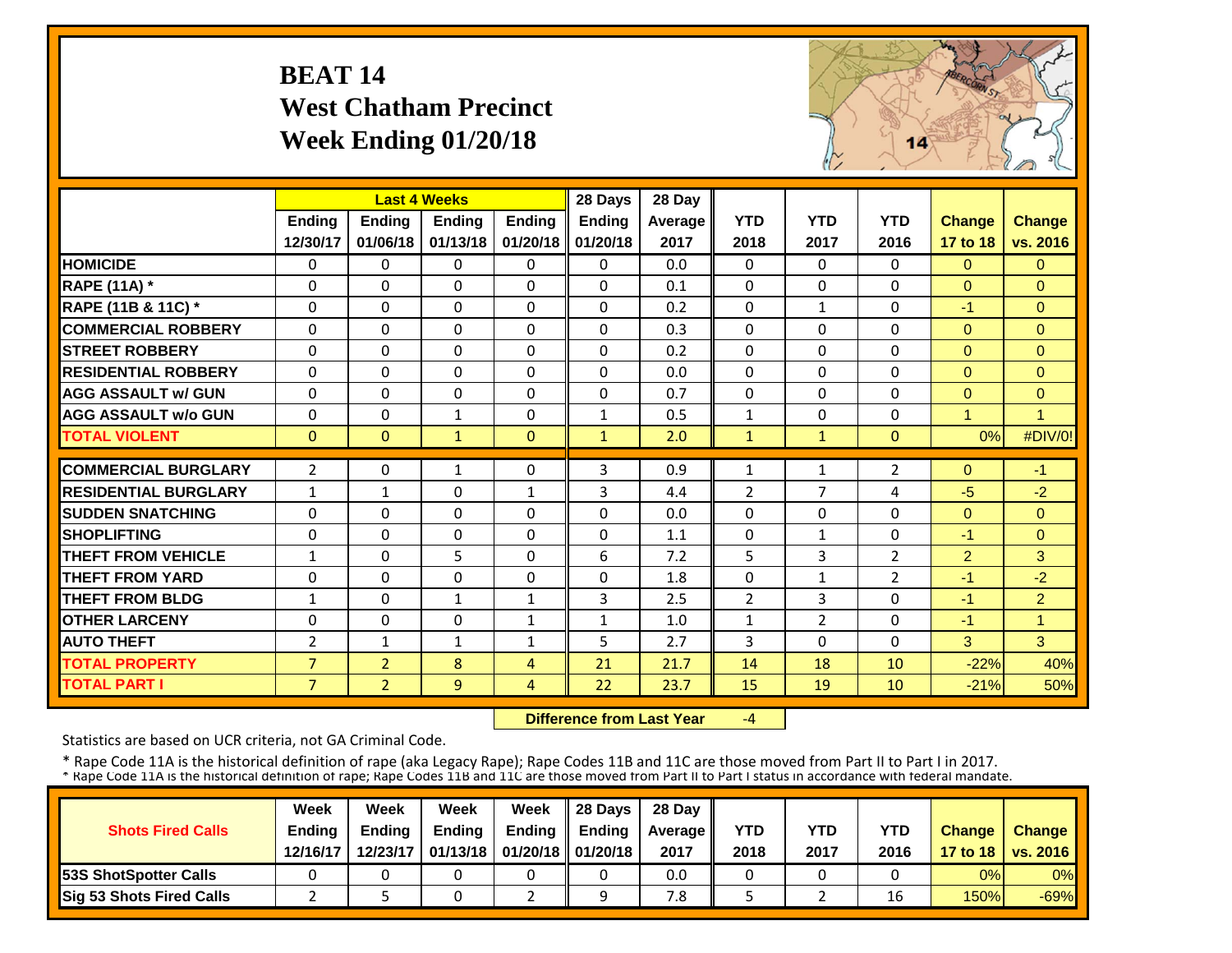## **BEAT 14 West Chatham Precinct Week Ending 01/20/18**



|                             |                | <b>Last 4 Weeks</b> |               |               | 28 Days       | 28 Day         |                |                |                |                |                      |
|-----------------------------|----------------|---------------------|---------------|---------------|---------------|----------------|----------------|----------------|----------------|----------------|----------------------|
|                             | <b>Ending</b>  | <b>Ending</b>       | <b>Endina</b> | <b>Endina</b> | <b>Ending</b> | <b>Average</b> | <b>YTD</b>     | <b>YTD</b>     | <b>YTD</b>     | <b>Change</b>  | <b>Change</b>        |
|                             | 12/30/17       | 01/06/18            | 01/13/18      | 01/20/18      | 01/20/18      | 2017           | 2018           | 2017           | 2016           | 17 to 18       | vs. 2016             |
| <b>HOMICIDE</b>             | $\Omega$       | 0                   | $\mathbf{0}$  | $\Omega$      | 0             | 0.0            | $\Omega$       | $\Omega$       | $\Omega$       | $\Omega$       | $\Omega$             |
| <b>RAPE (11A) *</b>         | $\Omega$       | 0                   | $\Omega$      | $\Omega$      | $\Omega$      | 0.1            | $\Omega$       | $\Omega$       | $\Omega$       | $\Omega$       | $\Omega$             |
| RAPE (11B & 11C) *          | $\Omega$       | 0                   | $\Omega$      | $\Omega$      | $\Omega$      | 0.2            | $\Omega$       | $\mathbf{1}$   | $\Omega$       | $-1$           | $\Omega$             |
| <b>COMMERCIAL ROBBERY</b>   | $\Omega$       | 0                   | $\Omega$      | $\Omega$      | 0             | 0.3            | $\Omega$       | $\Omega$       | $\Omega$       | $\Omega$       | $\Omega$             |
| <b>STREET ROBBERY</b>       | $\Omega$       | $\Omega$            | $\Omega$      | $\Omega$      | $\Omega$      | 0.2            | $\mathbf{0}$   | $\Omega$       | $\Omega$       | $\Omega$       | $\Omega$             |
| <b>RESIDENTIAL ROBBERY</b>  | $\Omega$       | $\Omega$            | $\Omega$      | $\Omega$      | $\Omega$      | 0.0            | $\Omega$       | $\Omega$       | $\Omega$       | $\Omega$       | $\Omega$             |
| <b>AGG ASSAULT w/ GUN</b>   | $\Omega$       | $\Omega$            | $\Omega$      | $\Omega$      | $\Omega$      | 0.7            | $\mathbf{0}$   | $\Omega$       | $\Omega$       | $\Omega$       | $\Omega$             |
| <b>AGG ASSAULT w/o GUN</b>  | $\Omega$       | $\Omega$            | $\mathbf{1}$  | $\Omega$      | 1             | 0.5            | $\mathbf{1}$   | $\Omega$       | $\Omega$       | $\overline{1}$ | $\blacktriangleleft$ |
| <b>TOTAL VIOLENT</b>        | $\mathbf{0}$   | $\Omega$            | $\mathbf{1}$  | $\Omega$      | $\mathbf{1}$  | 2.0            | $\mathbf{1}$   | $\mathbf{1}$   | $\mathbf{0}$   | 0%             | #DIV/0!              |
|                             |                |                     |               |               |               |                |                |                |                |                |                      |
| <b>COMMERCIAL BURGLARY</b>  | $\overline{2}$ | 0                   | 1             | $\Omega$      | 3             | 0.9            | $\mathbf{1}$   | 1              | $\overline{2}$ | $\mathbf{0}$   | $-1$                 |
| <b>RESIDENTIAL BURGLARY</b> | $\mathbf{1}$   | $\mathbf{1}$        | 0             | $\mathbf{1}$  | 3             | 4.4            | $\overline{2}$ | $\overline{7}$ | 4              | $-5$           | $-2$                 |
| <b>SUDDEN SNATCHING</b>     | $\Omega$       | 0                   | $\Omega$      | $\Omega$      | 0             | 0.0            | $\Omega$       | $\Omega$       | 0              | $\Omega$       | $\Omega$             |
| <b>SHOPLIFTING</b>          | $\Omega$       | 0                   | 0             | $\Omega$      | 0             | 1.1            | $\mathbf{0}$   | $\mathbf{1}$   | 0              | $-1$           | $\Omega$             |
| <b>THEFT FROM VEHICLE</b>   | $\mathbf{1}$   | 0                   | 5             | $\Omega$      | 6             | 7.2            | 5              | 3              | $\overline{2}$ | $\overline{2}$ | 3                    |
| <b>THEFT FROM YARD</b>      | $\Omega$       | 0                   | $\Omega$      | $\Omega$      | $\Omega$      | 1.8            | $\Omega$       | $\mathbf{1}$   | $\overline{2}$ | $-1$           | $-2$                 |
| <b>THEFT FROM BLDG</b>      | $\mathbf{1}$   | 0                   | 1             | 1             | 3             | 2.5            | $\overline{2}$ | 3              | 0              | $-1$           | $\overline{2}$       |
| <b>OTHER LARCENY</b>        | $\Omega$       | 0                   | 0             | 1             | 1             | 1.0            | $\mathbf{1}$   | $\overline{2}$ | 0              | $-1$           | $\overline{1}$       |
| <b>AUTO THEFT</b>           | $\overline{2}$ | $\mathbf{1}$        | 1             | 1             | 5             | 2.7            | 3              | $\Omega$       | $\Omega$       | 3              | 3                    |
| <b>TOTAL PROPERTY</b>       | $\overline{7}$ | $\overline{2}$      | 8             | 4             | 21            | 21.7           | 14             | 18             | 10             | $-22%$         | 40%                  |
| <b>TOTAL PART I</b>         | $\overline{7}$ | $\overline{2}$      | 9             | 4             | 22            | 23.7           | 15             | 19             | 10             | $-21%$         | 50%                  |

 **Difference from Last Year**‐4

Statistics are based on UCR criteria, not GA Criminal Code.

|                               | Week     | Week     | Week          | Week                           | Il 28 Davs    | 28 Day         |      |      |      |               |                     |
|-------------------------------|----------|----------|---------------|--------------------------------|---------------|----------------|------|------|------|---------------|---------------------|
| <b>Shots Fired Calls</b>      | Ending   | Ending   | <b>Ending</b> | <b>Ending</b>                  | <b>Ending</b> | <b>Average</b> | YTD  | YTD  | YTD  | <b>Change</b> | <b>Change</b>       |
|                               | 12/16/17 | 12/23/17 |               | 01/13/18   01/20/18   01/20/18 |               | 2017           | 2018 | 2017 | 2016 |               | 17 to 18   vs. 2016 |
| <b>153S ShotSpotter Calls</b> |          |          |               |                                |               | 0.0            |      |      |      | 0%            | $0\%$               |
| Sig 53 Shots Fired Calls      |          |          |               |                                |               | 8.′            |      |      | 16   | 150%          | $-69%$              |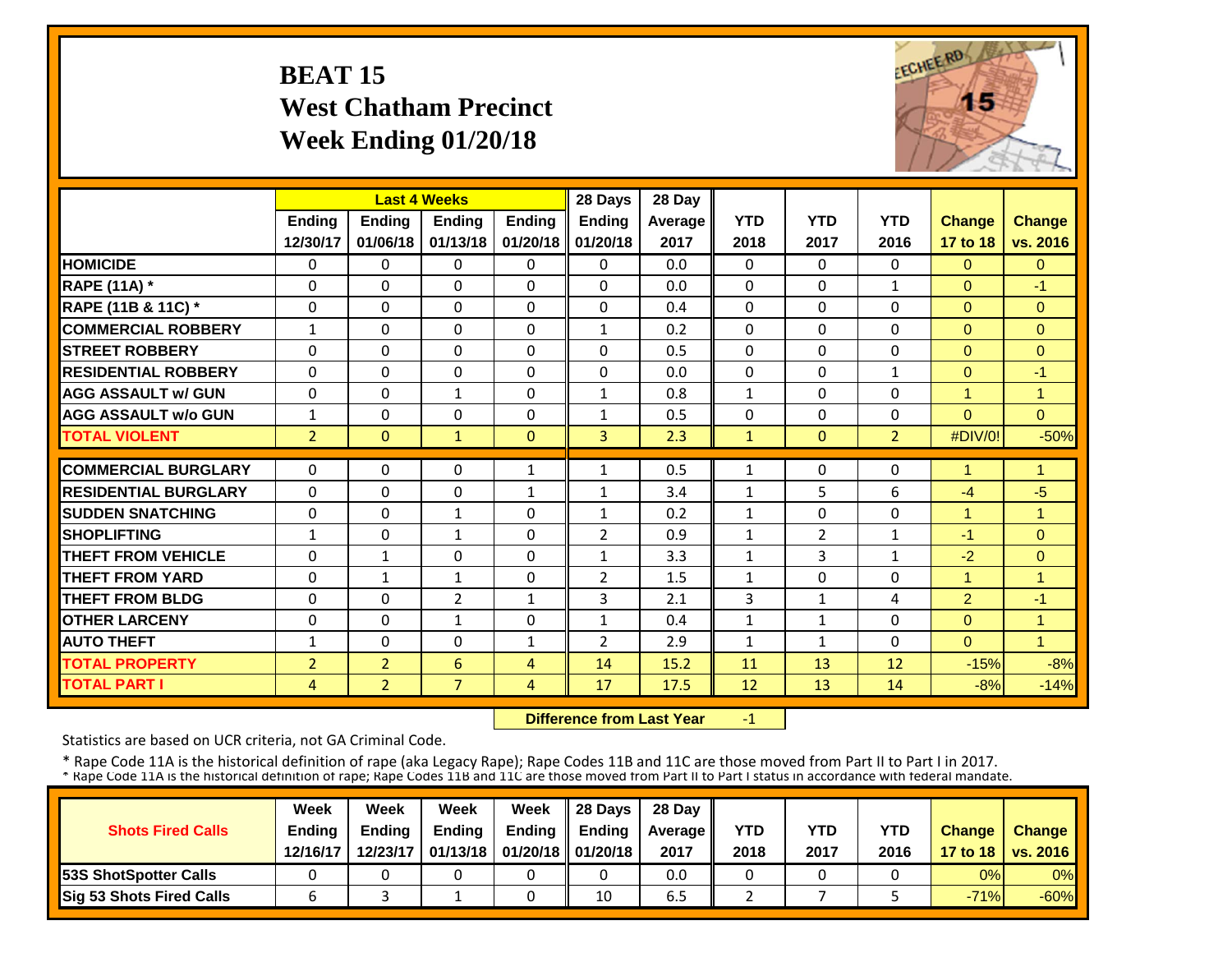## **BEAT 15 West Chatham Precinct Week Ending 01/20/18**



|                             |                | <b>Last 4 Weeks</b> |                |               | 28 Days        | 28 Day  |              |                |                |                |                |
|-----------------------------|----------------|---------------------|----------------|---------------|----------------|---------|--------------|----------------|----------------|----------------|----------------|
|                             | Ending         | Ending              | Ending         | <b>Ending</b> | Ending         | Average | <b>YTD</b>   | <b>YTD</b>     | <b>YTD</b>     | <b>Change</b>  | <b>Change</b>  |
|                             | 12/30/17       | 01/06/18            | 01/13/18       | 01/20/18      | 01/20/18       | 2017    | 2018         | 2017           | 2016           | 17 to 18       | vs. 2016       |
| <b>HOMICIDE</b>             | 0              | $\Omega$            | $\Omega$       | $\Omega$      | 0              | 0.0     | $\Omega$     | $\Omega$       | 0              | $\Omega$       | $\Omega$       |
| <b>RAPE (11A) *</b>         | $\Omega$       | $\Omega$            | $\Omega$       | $\Omega$      | $\Omega$       | 0.0     | $\Omega$     | $\Omega$       | 1              | $\Omega$       | $-1$           |
| RAPE (11B & 11C) *          | 0              | $\Omega$            | 0              | 0             | $\Omega$       | 0.4     | $\Omega$     | $\Omega$       | 0              | $\mathbf{0}$   | $\mathbf{0}$   |
| <b>COMMERCIAL ROBBERY</b>   | $\mathbf{1}$   | $\Omega$            | $\Omega$       | $\Omega$      | $\mathbf{1}$   | 0.2     | $\Omega$     | $\Omega$       | 0              | $\Omega$       | $\Omega$       |
| <b>STREET ROBBERY</b>       | $\Omega$       | $\Omega$            | $\mathbf{0}$   | $\Omega$      | 0              | 0.5     | $\Omega$     | $\Omega$       | 0              | $\Omega$       | $\Omega$       |
| <b>RESIDENTIAL ROBBERY</b>  | $\Omega$       | $\Omega$            | $\Omega$       | $\Omega$      | $\Omega$       | 0.0     | $\Omega$     | $\Omega$       | $\mathbf{1}$   | $\Omega$       | $-1$           |
| <b>AGG ASSAULT w/ GUN</b>   | $\mathbf 0$    | $\Omega$            | $\mathbf{1}$   | $\Omega$      | 1              | 0.8     | $\mathbf{1}$ | $\Omega$       | 0              | 4              | 1              |
| <b>AGG ASSAULT w/o GUN</b>  | $\mathbf{1}$   | $\Omega$            | $\Omega$       | $\Omega$      | 1              | 0.5     | $\Omega$     | 0              | 0              | $\Omega$       | $\Omega$       |
| <b>TOTAL VIOLENT</b>        | $\overline{2}$ | $\Omega$            | $\mathbf{1}$   | $\Omega$      | 3              | 2.3     | $\mathbf{1}$ | $\Omega$       | $\overline{2}$ | #DIV/0!        | $-50%$         |
| <b>COMMERCIAL BURGLARY</b>  | $\Omega$       | $\Omega$            | $\Omega$       | 1             | 1              | 0.5     | $\mathbf{1}$ | $\Omega$       | 0              | 1              | 1              |
| <b>RESIDENTIAL BURGLARY</b> | $\Omega$       | $\Omega$            | 0              | $\mathbf{1}$  | 1              | 3.4     | $\mathbf{1}$ | 5              | 6              | $-4$           | $-5$           |
| <b>ISUDDEN SNATCHING</b>    | 0              | 0                   | 1              | 0             | 1              | 0.2     | $\mathbf{1}$ | 0              | 0              | 4              | 1              |
| <b>SHOPLIFTING</b>          | $\mathbf{1}$   | $\Omega$            | $\mathbf{1}$   | $\Omega$      | $\overline{2}$ | 0.9     | $\mathbf{1}$ | $\overline{2}$ | 1              | $-1$           | $\Omega$       |
| <b>THEFT FROM VEHICLE</b>   | $\Omega$       | $\mathbf{1}$        | $\Omega$       | $\Omega$      | $\mathbf{1}$   | 3.3     | $\mathbf{1}$ | 3              | 1              | $-2$           | $\Omega$       |
| <b>THEFT FROM YARD</b>      | $\Omega$       | 1                   | $\mathbf{1}$   | $\Omega$      | $\overline{2}$ | 1.5     | $\mathbf{1}$ | $\Omega$       | 0              | 1              | $\overline{1}$ |
| <b>THEFT FROM BLDG</b>      | $\Omega$       | $\Omega$            | $\overline{2}$ | 1             | 3              | 2.1     | 3            | 1              | 4              | $\overline{2}$ | $-1$           |
| <b>OTHER LARCENY</b>        | $\Omega$       | $\Omega$            | $\mathbf{1}$   | 0             | $\mathbf{1}$   | 0.4     | $\mathbf{1}$ | 1              | 0              | $\Omega$       | $\overline{1}$ |
| <b>AUTO THEFT</b>           | $\mathbf{1}$   | $\Omega$            | $\Omega$       | 1             | $\overline{2}$ | 2.9     | $\mathbf{1}$ | 1              | $\Omega$       | $\Omega$       | 1              |
| <b>TOTAL PROPERTY</b>       | $\overline{2}$ | $\overline{2}$      | 6              | 4             | 14             | 15.2    | 11           | 13             | 12             | $-15%$         | $-8%$          |
| <b>TOTAL PART I</b>         | 4              | $\overline{2}$      | $\overline{7}$ | 4             | 17             | 17.5    | 12           | 13             | 14             | $-8%$          | $-14%$         |

 **Difference from Last Year**‐1

Statistics are based on UCR criteria, not GA Criminal Code.

|                               | Week          | Week          | Week          | Week                           | $\parallel$ 28 Davs | 28 Day    |      |      |            |               |                     |
|-------------------------------|---------------|---------------|---------------|--------------------------------|---------------------|-----------|------|------|------------|---------------|---------------------|
| <b>Shots Fired Calls</b>      | <b>Ending</b> | <b>Ending</b> | <b>Ending</b> | <b>Ending</b>                  | <b>Ending</b>       | Average I | YTD  | YTD  | <b>YTD</b> | <b>Change</b> | <b>Change</b>       |
|                               | 12/16/17      | 12/23/17      |               | 01/13/18   01/20/18   01/20/18 |                     | 2017      | 2018 | 2017 | 2016       |               | 17 to 18   vs. 2016 |
| <b>153S ShotSpotter Calls</b> |               |               |               |                                |                     | 0.0       |      |      |            | 0%            | $0\%$               |
| Sig 53 Shots Fired Calls      |               |               |               |                                | 10                  | 6.5       |      |      |            | $-71%$        | $-60%$              |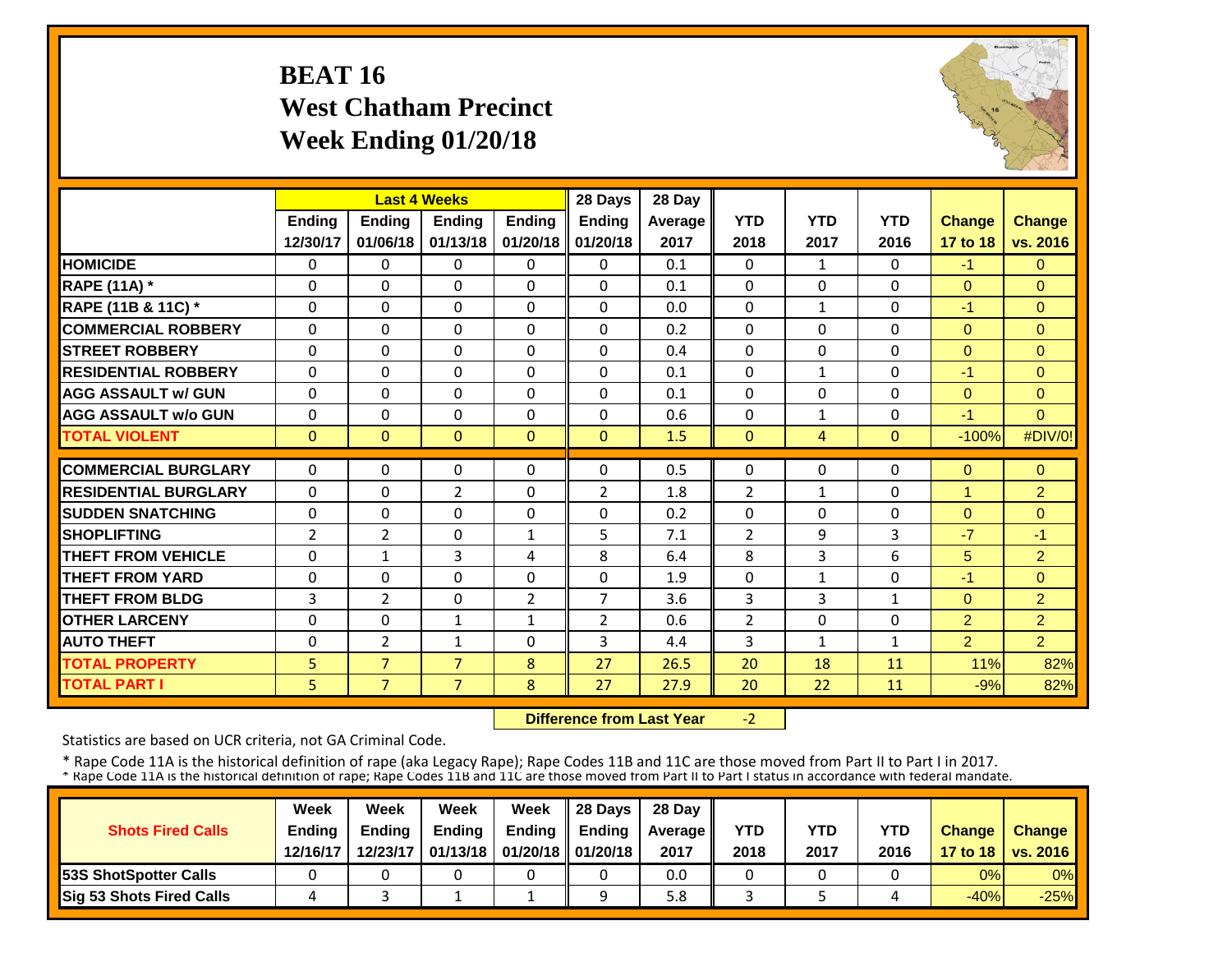## **BEAT 16 West Chatham Precinct Week Ending 01/20/18**



|                             |                | <b>Last 4 Weeks</b> |                |                | 28 Days        | 28 Day  |                |                |              |                |                |
|-----------------------------|----------------|---------------------|----------------|----------------|----------------|---------|----------------|----------------|--------------|----------------|----------------|
|                             | <b>Ending</b>  | Ending              | <b>Endina</b>  | <b>Endina</b>  | <b>Ending</b>  | Average | <b>YTD</b>     | <b>YTD</b>     | <b>YTD</b>   | <b>Change</b>  | <b>Change</b>  |
|                             | 12/30/17       | 01/06/18            | 01/13/18       | 01/20/18       | 01/20/18       | 2017    | 2018           | 2017           | 2016         | 17 to 18       | vs. 2016       |
| <b>HOMICIDE</b>             | 0              | $\Omega$            | $\Omega$       | $\Omega$       | $\Omega$       | 0.1     | $\mathbf{0}$   | $\mathbf{1}$   | 0            | $-1$           | $\Omega$       |
| <b>RAPE (11A) *</b>         | $\Omega$       | $\Omega$            | $\Omega$       | $\Omega$       | $\Omega$       | 0.1     | $\Omega$       | $\Omega$       | 0            | $\Omega$       | $\Omega$       |
| RAPE (11B & 11C) *          | $\Omega$       | $\Omega$            | $\Omega$       | $\Omega$       | $\Omega$       | 0.0     | $\Omega$       | $\mathbf{1}$   | $\Omega$     | $-1$           | $\Omega$       |
| <b>COMMERCIAL ROBBERY</b>   | $\Omega$       | $\Omega$            | $\Omega$       | $\Omega$       | $\Omega$       | 0.2     | $\Omega$       | $\Omega$       | 0            | $\Omega$       | $\Omega$       |
| <b>STREET ROBBERY</b>       | $\Omega$       | $\Omega$            | $\Omega$       | $\Omega$       | $\Omega$       | 0.4     | $\mathbf 0$    | $\Omega$       | $\Omega$     | $\overline{0}$ | $\Omega$       |
| <b>RESIDENTIAL ROBBERY</b>  | $\Omega$       | $\Omega$            | $\Omega$       | $\Omega$       | $\Omega$       | 0.1     | $\Omega$       | $\mathbf{1}$   | $\Omega$     | $-1$           | $\Omega$       |
| <b>AGG ASSAULT w/ GUN</b>   | $\Omega$       | $\Omega$            | $\Omega$       | $\Omega$       | $\Omega$       | 0.1     | $\mathbf 0$    | $\Omega$       | $\Omega$     | $\overline{0}$ | $\Omega$       |
| <b>AGG ASSAULT w/o GUN</b>  | $\Omega$       | $\Omega$            | $\Omega$       | $\Omega$       | $\Omega$       | 0.6     | 0              | $\mathbf{1}$   | $\Omega$     | $-1$           | $\Omega$       |
| <b>TOTAL VIOLENT</b>        | $\mathbf{0}$   | $\Omega$            | $\Omega$       | $\mathbf{0}$   | $\mathbf{0}$   | 1.5     | $\mathbf{0}$   | $\overline{4}$ | $\Omega$     | $-100%$        | #DIV/0!        |
| <b>COMMERCIAL BURGLARY</b>  | $\Omega$       | $\Omega$            | $\Omega$       | $\Omega$       | $\Omega$       | 0.5     | $\Omega$       | $\Omega$       | 0            | $\Omega$       | $\Omega$       |
| <b>RESIDENTIAL BURGLARY</b> | $\Omega$       | $\Omega$            | $\overline{2}$ | $\Omega$       | $\overline{2}$ | 1.8     | $\overline{2}$ | $\mathbf{1}$   | $\Omega$     | $\mathbf{1}$   | $\overline{2}$ |
| <b>ISUDDEN SNATCHING</b>    | $\Omega$       | $\Omega$            | $\Omega$       | $\Omega$       | $\Omega$       | 0.2     | $\Omega$       | $\Omega$       | $\Omega$     | $\Omega$       | $\Omega$       |
| <b>SHOPLIFTING</b>          | $\overline{2}$ | $\overline{2}$      | $\Omega$       | $\mathbf{1}$   | 5              | 7.1     | $\overline{2}$ | 9              | 3            | $-7$           | $-1$           |
| <b>THEFT FROM VEHICLE</b>   | $\Omega$       | 1                   | 3              | 4              | 8              | 6.4     | 8              | 3              | 6            | 5              | $\overline{2}$ |
| <b>THEFT FROM YARD</b>      | 0              | $\Omega$            | $\Omega$       | $\Omega$       | $\Omega$       | 1.9     | $\mathbf 0$    | $\mathbf{1}$   | 0            | $-1$           | $\Omega$       |
| <b>THEFT FROM BLDG</b>      | 3              | 2                   | $\Omega$       | $\overline{2}$ | 7              | 3.6     | 3              | 3              | $\mathbf{1}$ | $\Omega$       | $\overline{2}$ |
| <b>OTHER LARCENY</b>        | $\Omega$       | $\Omega$            | $\mathbf{1}$   | $\mathbf{1}$   | $\overline{2}$ | 0.6     | $\overline{2}$ | $\Omega$       | 0            | $\overline{2}$ | $\overline{2}$ |
| <b>AUTO THEFT</b>           | $\Omega$       | $\overline{2}$      | $\mathbf{1}$   | $\Omega$       | 3              | 4.4     | 3              | $\mathbf{1}$   | $\mathbf{1}$ | $\overline{2}$ | $\overline{2}$ |
| <b>TOTAL PROPERTY</b>       | 5              | $\overline{7}$      | $\overline{7}$ | 8              | 27             | 26.5    | 20             | 18             | 11           | 11%            | 82%            |
| <b>TOTAL PART I</b>         | 5              | 7 <sup>7</sup>      | $\overline{7}$ | 8              | 27             | 27.9    | 20             | 22             | 11           | $-9%$          | 82%            |

 **Difference from Last Year** $-2$ 

Statistics are based on UCR criteria, not GA Criminal Code.

|                               | Week          | Week          | Week          | Week                           | $\parallel$ 28 Davs | 28 Day    |      |      |            |               |                     |
|-------------------------------|---------------|---------------|---------------|--------------------------------|---------------------|-----------|------|------|------------|---------------|---------------------|
| <b>Shots Fired Calls</b>      | <b>Ending</b> | <b>Ending</b> | <b>Ending</b> | <b>Ending</b>                  | <b>Ending</b>       | Average I | YTD  | YTD  | <b>YTD</b> | <b>Change</b> | <b>Change</b>       |
|                               | 12/16/17      | 12/23/17      |               | 01/13/18   01/20/18   01/20/18 |                     | 2017      | 2018 | 2017 | 2016       |               | 17 to 18   vs. 2016 |
| <b>153S ShotSpotter Calls</b> |               |               |               |                                |                     | 0.0       |      |      |            | 0%            | $0\%$               |
| Sig 53 Shots Fired Calls      |               |               |               |                                |                     | 5.8       |      |      |            | $-40%$        | $-25%$              |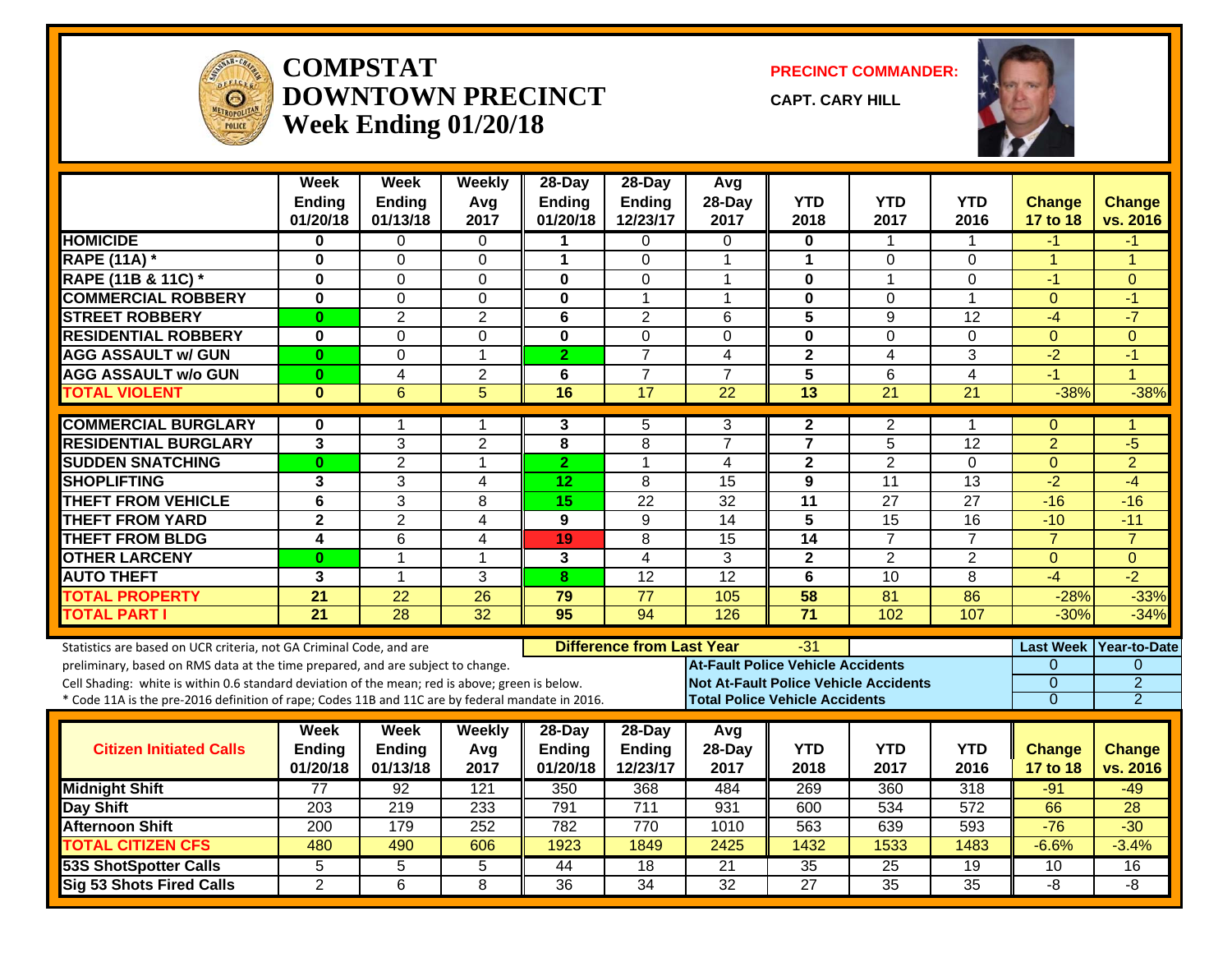

#### **COMPSTATDOWNTOWN PRECINCTWeek Ending 01/20/18**

**PRECINCT COMMANDER:**

**CAPT. CARY HILL**



|                                                                                                                                                                                                                                                                                                                                                               | Week<br><b>Ending</b><br>01/20/18 | <b>Week</b><br><b>Ending</b><br>01/13/18 | Weekly<br>Avg<br>2017   | 28-Day<br>Ending<br>01/20/18 | 28-Day<br>Ending<br>12/23/17        | Avg<br>28-Day<br>2017                    | <b>YTD</b><br>2018                           | <b>YTD</b><br>2017                           | <b>YTD</b><br>2016 | <b>Change</b><br>17 to 18                    | Change<br>vs. 2016                                                     |
|---------------------------------------------------------------------------------------------------------------------------------------------------------------------------------------------------------------------------------------------------------------------------------------------------------------------------------------------------------------|-----------------------------------|------------------------------------------|-------------------------|------------------------------|-------------------------------------|------------------------------------------|----------------------------------------------|----------------------------------------------|--------------------|----------------------------------------------|------------------------------------------------------------------------|
| <b>HOMICIDE</b>                                                                                                                                                                                                                                                                                                                                               | 0                                 | 0                                        | 0                       | 1                            | 0                                   | $\Omega$                                 | 0                                            | $\mathbf 1$                                  | 1                  | -1                                           | -1                                                                     |
| <b>RAPE (11A) *</b>                                                                                                                                                                                                                                                                                                                                           | $\bf{0}$                          | $\Omega$                                 | $\Omega$                | $\mathbf{1}$                 | $\Omega$                            | -1                                       | $\mathbf{1}$                                 | $\Omega$                                     | 0                  | $\mathbf{1}$                                 | 1                                                                      |
| RAPE (11B & 11C) *                                                                                                                                                                                                                                                                                                                                            | $\bf{0}$                          | $\Omega$                                 | $\Omega$                | $\bf{0}$                     | $\Omega$                            | -1                                       | $\bf{0}$                                     | 1                                            | 0                  | $-1$                                         | $\Omega$                                                               |
| <b>COMMERCIAL ROBBERY</b>                                                                                                                                                                                                                                                                                                                                     | $\bf{0}$                          | $\Omega$                                 | $\mathbf 0$             | $\mathbf{0}$                 | 1                                   | -1                                       | $\mathbf 0$                                  | $\mathbf 0$                                  | $\mathbf 1$        | $\Omega$                                     | $-1$                                                                   |
| <b>STREET ROBBERY</b>                                                                                                                                                                                                                                                                                                                                         | $\bf{0}$                          | $\overline{2}$                           | $\overline{2}$          | 6                            | $\overline{2}$                      | 6                                        | 5                                            | 9                                            | 12                 | $-4$                                         | $-7$                                                                   |
| <b>RESIDENTIAL ROBBERY</b>                                                                                                                                                                                                                                                                                                                                    | $\bf{0}$                          | $\Omega$                                 | $\Omega$                | $\mathbf{0}$                 | $\Omega$                            | $\Omega$                                 | $\mathbf{0}$                                 | $\Omega$                                     | 0                  | $\Omega$                                     | $\Omega$                                                               |
| <b>AGG ASSAULT w/ GUN</b>                                                                                                                                                                                                                                                                                                                                     | $\bf{0}$                          | $\Omega$                                 | $\mathbf{1}$            | $\overline{2}$               | $\overline{7}$                      | $\overline{4}$                           | $\mathbf{2}$                                 | $\overline{4}$                               | 3                  | $-2$                                         | $-1$                                                                   |
| <b>AGG ASSAULT w/o GUN</b>                                                                                                                                                                                                                                                                                                                                    | $\bf{0}$                          | $\overline{4}$                           | $\overline{2}$          | 6                            | $\overline{7}$                      | $\overline{7}$                           | 5                                            | 6                                            | $\overline{4}$     | $-1$                                         | $\overline{1}$                                                         |
| <b>TOTAL VIOLENT</b>                                                                                                                                                                                                                                                                                                                                          | $\bf{0}$                          | 6                                        | 5                       | 16                           | $\overline{17}$                     | $\overline{22}$                          | $\overline{13}$                              | $\overline{21}$                              | $\overline{21}$    | $-38%$                                       | $-38%$                                                                 |
| <b>COMMERCIAL BURGLARY</b>                                                                                                                                                                                                                                                                                                                                    | 0                                 | 1                                        | 1                       | 3                            | 5                                   | 3                                        | $\mathbf{2}$                                 | 2                                            | 1                  | $\mathbf 0$                                  | 1                                                                      |
| <b>RESIDENTIAL BURGLARY</b>                                                                                                                                                                                                                                                                                                                                   | $\overline{3}$                    | 3                                        | $\overline{2}$          | 8                            | 8                                   | $\overline{7}$                           | $\overline{7}$                               | 5                                            | 12                 | $\overline{2}$                               | $-5$                                                                   |
| <b>SUDDEN SNATCHING</b>                                                                                                                                                                                                                                                                                                                                       | $\bf{0}$                          | $\overline{2}$                           | $\mathbf{1}$            | $\overline{2}$               | 1                                   | 4                                        | $\overline{2}$                               | $\overline{2}$                               | 0                  | $\overline{0}$                               | $\overline{2}$                                                         |
| <b>SHOPLIFTING</b>                                                                                                                                                                                                                                                                                                                                            | 3                                 | 3                                        | $\overline{\mathbf{4}}$ | 12                           | 8                                   | 15                                       | 9                                            | 11                                           | 13                 | $-2$                                         | $-4$                                                                   |
| <b>THEFT FROM VEHICLE</b>                                                                                                                                                                                                                                                                                                                                     | $\overline{6}$                    | $\overline{3}$                           | 8                       | 15                           | $\overline{22}$                     | $\overline{32}$                          | $\overline{11}$                              | 27                                           | $\overline{27}$    | $-16$                                        | $-16$                                                                  |
| <b>THEFT FROM YARD</b>                                                                                                                                                                                                                                                                                                                                        | $\overline{\mathbf{2}}$           | $\overline{2}$                           | $\overline{4}$          | 9                            | 9                                   | $\overline{14}$                          | $\overline{5}$                               | 15                                           | $\overline{16}$    | $-10$                                        | $-11$                                                                  |
| <b>THEFT FROM BLDG</b>                                                                                                                                                                                                                                                                                                                                        | 4                                 | 6                                        | 4                       | 19                           | 8                                   | 15                                       | 14                                           | $\overline{7}$                               | $\overline{7}$     | $\overline{7}$                               | $\overline{7}$                                                         |
| <b>OTHER LARCENY</b>                                                                                                                                                                                                                                                                                                                                          | $\bf{0}$                          | $\mathbf{1}$                             | $\mathbf{1}$            | 3                            | 4                                   | 3                                        | 2 <sup>1</sup>                               | $\overline{2}$                               | $\overline{2}$     | $\Omega$                                     | $\Omega$                                                               |
| <b>AUTO THEFT</b>                                                                                                                                                                                                                                                                                                                                             | 3                                 | $\mathbf{1}$                             | 3                       | 8                            | 12                                  | $\overline{12}$                          | 6                                            | 10                                           | 8                  | $-4$                                         | $-2$                                                                   |
| <b>TOTAL PROPERTY</b>                                                                                                                                                                                                                                                                                                                                         | 21                                | 22                                       | 26                      | 79                           | 77                                  | 105                                      | 58                                           | 81                                           | 86                 | $-28%$                                       | $-33%$                                                                 |
| <b>TOTAL PART I</b>                                                                                                                                                                                                                                                                                                                                           | $\overline{21}$                   | $\overline{28}$                          | $\overline{32}$         | 95                           | $\overline{94}$                     | 126                                      | $\overline{71}$                              | 102                                          | 107                | $-30%$                                       | $-34%$                                                                 |
| Statistics are based on UCR criteria, not GA Criminal Code, and are<br>preliminary, based on RMS data at the time prepared, and are subject to change.<br>Cell Shading: white is within 0.6 standard deviation of the mean; red is above; green is below.<br>* Code 11A is the pre-2016 definition of rape; Codes 11B and 11C are by federal mandate in 2016. |                                   |                                          |                         |                              | <b>Difference from Last Year</b>    | <b>At-Fault Police Vehicle Accidents</b> | -31<br><b>Total Police Vehicle Accidents</b> | <b>Not At-Fault Police Vehicle Accidents</b> |                    | $\Omega$<br>$\overline{0}$<br>$\overline{0}$ | Last Week Year-to-Date<br>$\Omega$<br>$\overline{2}$<br>$\overline{2}$ |
|                                                                                                                                                                                                                                                                                                                                                               |                                   |                                          |                         |                              |                                     |                                          |                                              |                                              |                    |                                              |                                                                        |
| <b>Citizen Initiated Calls</b>                                                                                                                                                                                                                                                                                                                                | Week<br><b>Ending</b><br>01/20/18 | <b>Week</b><br><b>Ending</b><br>01/13/18 | Weekly<br>Avg<br>2017   | 28-Day<br>Ending<br>01/20/18 | 28-Day<br><b>Ending</b><br>12/23/17 | Avg<br>28-Day<br>2017                    | <b>YTD</b><br>2018                           | <b>YTD</b><br>2017                           | <b>YTD</b><br>2016 | <b>Change</b><br>17 to 18                    | <b>Change</b><br>vs. 2016                                              |
| <b>Midnight Shift</b>                                                                                                                                                                                                                                                                                                                                         | 77                                | $\overline{92}$                          | 121                     | 350                          | 368                                 | 484                                      | 269                                          | 360                                          | $\overline{318}$   | $-91$                                        | $-49$                                                                  |
| <b>Day Shift</b>                                                                                                                                                                                                                                                                                                                                              | 203                               | 219                                      | 233                     | 791                          | 711                                 | 931                                      | 600                                          | 534                                          | 572                | 66                                           | 28                                                                     |
| <b>Afternoon Shift</b>                                                                                                                                                                                                                                                                                                                                        | 200                               | 179                                      | 252                     | 782                          | 770                                 | 1010                                     | 563                                          | 639                                          | 593                | $-76$                                        | $-30$                                                                  |
| <b>TOTAL CITIZEN CFS</b>                                                                                                                                                                                                                                                                                                                                      | 480                               | 490                                      | 606                     | 1923                         | 1849                                | 2425                                     | 1432                                         | 1533                                         | 1483               | $-6.6%$                                      | $-3.4%$                                                                |
| <b>53S ShotSpotter Calls</b>                                                                                                                                                                                                                                                                                                                                  | 5                                 | 5                                        | 5                       | 44                           | $\overline{18}$                     | 21                                       | $\overline{35}$                              | $\overline{25}$                              | 19                 | 10                                           | 16                                                                     |
| <b>Sig 53 Shots Fired Calls</b>                                                                                                                                                                                                                                                                                                                               | $\overline{2}$                    | 6                                        | 8                       | 36                           | $\overline{34}$                     | $\overline{32}$                          | $\overline{27}$                              | 35                                           | $\overline{35}$    | -8                                           | -8                                                                     |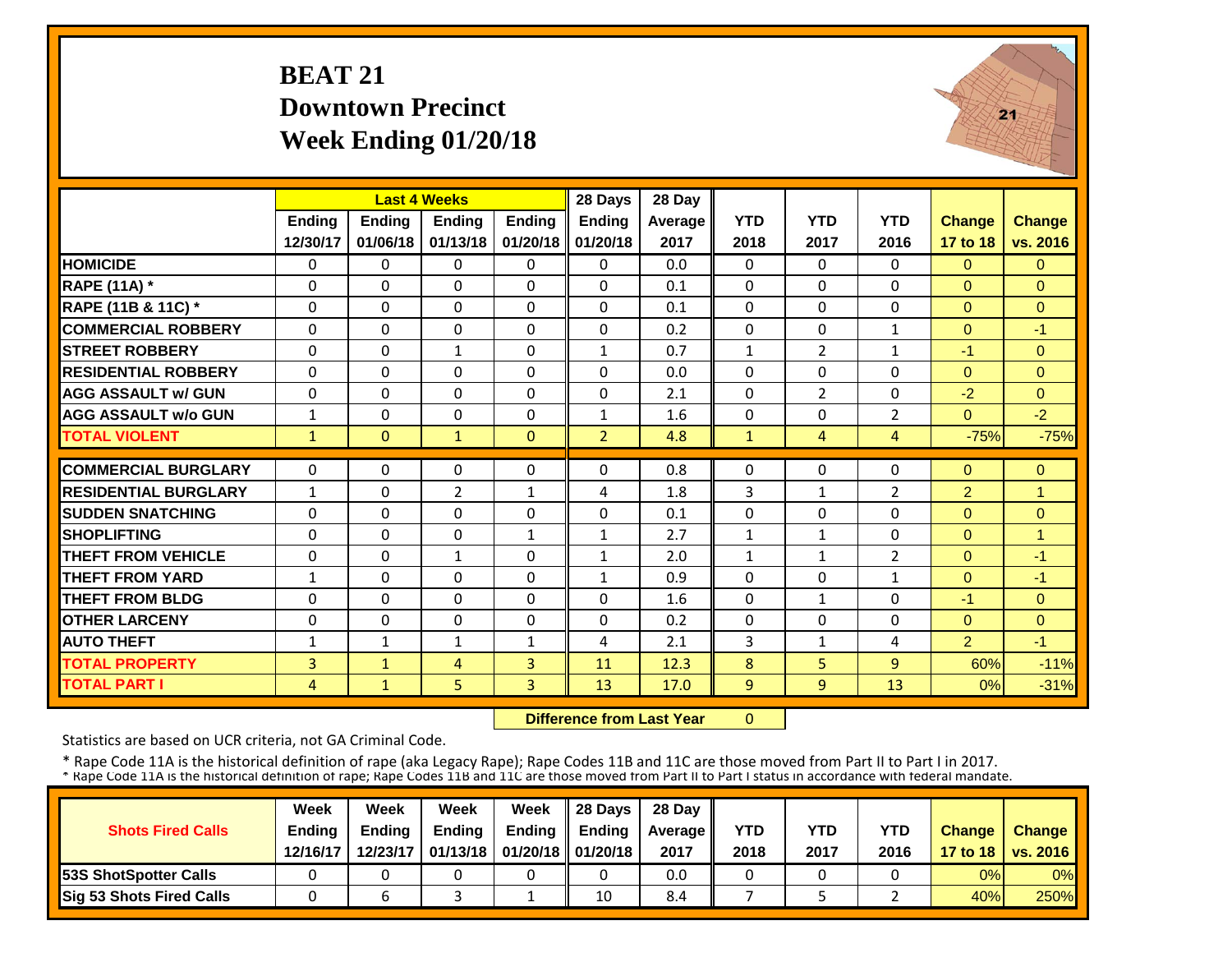## **BEAT 21 Downtown PrecinctWeek Ending 01/20/18**



|                             |                | <b>Last 4 Weeks</b> |                |               | 28 Days        | 28 Day  |              |                |                |                |                |
|-----------------------------|----------------|---------------------|----------------|---------------|----------------|---------|--------------|----------------|----------------|----------------|----------------|
|                             | <b>Ending</b>  | Ending              | <b>Ending</b>  | <b>Ending</b> | <b>Ending</b>  | Average | <b>YTD</b>   | <b>YTD</b>     | <b>YTD</b>     | <b>Change</b>  | <b>Change</b>  |
|                             | 12/30/17       | 01/06/18            | 01/13/18       | 01/20/18      | 01/20/18       | 2017    | 2018         | 2017           | 2016           | 17 to 18       | vs. 2016       |
| <b>HOMICIDE</b>             | 0              | $\Omega$            | 0              | $\Omega$      | $\Omega$       | 0.0     | $\mathbf{0}$ | $\Omega$       | 0              | $\mathbf{0}$   | $\Omega$       |
| <b>RAPE (11A) *</b>         | $\Omega$       | $\Omega$            | $\Omega$       | $\Omega$      | 0              | 0.1     | $\Omega$     | 0              | 0              | $\Omega$       | $\Omega$       |
| RAPE (11B & 11C) *          | $\Omega$       | $\Omega$            | $\Omega$       | $\Omega$      | 0              | 0.1     | $\Omega$     | 0              | 0              | $\Omega$       | $\Omega$       |
| <b>COMMERCIAL ROBBERY</b>   | $\Omega$       | $\Omega$            | $\Omega$       | $\Omega$      | $\Omega$       | 0.2     | $\Omega$     | $\Omega$       | $\mathbf{1}$   | $\Omega$       | $-1$           |
| <b>STREET ROBBERY</b>       | 0              | $\mathbf{0}$        | $\mathbf{1}$   | $\Omega$      | $\mathbf{1}$   | 0.7     | $\mathbf{1}$ | $\overline{2}$ | $\mathbf{1}$   | $-1$           | $\Omega$       |
| <b>RESIDENTIAL ROBBERY</b>  | $\mathbf{0}$   | $\Omega$            | $\Omega$       | $\Omega$      | 0              | 0.0     | $\Omega$     | $\Omega$       | 0              | $\overline{0}$ | $\mathbf{0}$   |
| <b>AGG ASSAULT w/ GUN</b>   | $\mathbf 0$    | 0                   | $\Omega$       | $\Omega$      | 0              | 2.1     | $\Omega$     | $\overline{2}$ | 0              | $-2$           | $\Omega$       |
| <b>AGG ASSAULT w/o GUN</b>  | $\mathbf{1}$   | $\Omega$            | 0              | $\mathbf{0}$  | 1              | 1.6     | $\Omega$     | $\Omega$       | $\overline{2}$ | $\Omega$       | $-2$           |
| <b>TOTAL VIOLENT</b>        | $\mathbf{1}$   | $\mathbf{0}$        | $\mathbf{1}$   | $\mathbf{0}$  | $\overline{2}$ | 4.8     | $\mathbf{1}$ | $\overline{4}$ | 4              | $-75%$         | $-75%$         |
|                             |                |                     |                |               |                |         |              |                |                |                |                |
| <b>COMMERCIAL BURGLARY</b>  | 0              | $\Omega$            | 0              | $\Omega$      | 0              | 0.8     | $\mathbf 0$  | $\Omega$       | 0              | $\mathbf{0}$   | $\mathbf{0}$   |
| <b>RESIDENTIAL BURGLARY</b> | $\mathbf{1}$   | $\Omega$            | $\overline{2}$ | $\mathbf{1}$  | 4              | 1.8     | 3            | $\mathbf{1}$   | 2              | $\overline{2}$ | $\overline{1}$ |
| <b>SUDDEN SNATCHING</b>     | $\Omega$       | $\Omega$            | $\Omega$       | $\Omega$      | $\Omega$       | 0.1     | $\Omega$     | $\Omega$       | $\Omega$       | $\Omega$       | $\Omega$       |
| <b>SHOPLIFTING</b>          | $\Omega$       | $\Omega$            | $\Omega$       | $\mathbf{1}$  | 1              | 2.7     | $\mathbf{1}$ | $\mathbf{1}$   | 0              | $\Omega$       | $\overline{1}$ |
| <b>THEFT FROM VEHICLE</b>   | 0              | $\Omega$            | $\mathbf{1}$   | $\Omega$      | $\mathbf{1}$   | 2.0     | $\mathbf{1}$ | $\mathbf{1}$   | 2              | $\mathbf{0}$   | $-1$           |
| <b>THEFT FROM YARD</b>      | $\mathbf{1}$   | $\Omega$            | $\Omega$       | $\Omega$      | $\mathbf{1}$   | 0.9     | $\Omega$     | $\Omega$       | 1              | $\Omega$       | $-1$           |
| <b>THEFT FROM BLDG</b>      | 0              | $\Omega$            | $\Omega$       | $\Omega$      | $\Omega$       | 1.6     | $\Omega$     | 1              | 0              | $-1$           | $\Omega$       |
| <b>OTHER LARCENY</b>        | $\Omega$       | $\Omega$            | 0              | 0             | 0              | 0.2     | $\Omega$     | 0              | 0              | $\Omega$       | $\Omega$       |
| <b>AUTO THEFT</b>           | $\mathbf{1}$   | $\mathbf{1}$        | $\mathbf{1}$   | $\mathbf{1}$  | 4              | 2.1     | 3            | $\mathbf{1}$   | 4              | $\overline{2}$ | $-1$           |
| <b>TOTAL PROPERTY</b>       | $\overline{3}$ | $\mathbf{1}$        | 4              | 3             | 11             | 12.3    | 8            | 5              | 9              | 60%            | $-11%$         |
| <b>TOTAL PART I</b>         | $\overline{4}$ | $\mathbf{1}$        | 5              | 3             | 13             | 17.0    | 9            | 9              | 13             | $0\%$          | $-31%$         |

 **Difference from Last Year** $\overline{0}$ 

Statistics are based on UCR criteria, not GA Criminal Code.

|                               | Week          | Week          | Week          | Week                           | $\parallel$ 28 Davs | 28 Day    |      |      |            |               |                     |
|-------------------------------|---------------|---------------|---------------|--------------------------------|---------------------|-----------|------|------|------------|---------------|---------------------|
| <b>Shots Fired Calls</b>      | <b>Ending</b> | <b>Ending</b> | <b>Ending</b> | <b>Ending</b>                  | <b>Ending</b>       | Average I | YTD  | YTD  | <b>YTD</b> | <b>Change</b> | <b>Change</b>       |
|                               | 12/16/17      | 12/23/17      |               | 01/13/18   01/20/18   01/20/18 |                     | 2017      | 2018 | 2017 | 2016       |               | 17 to 18   vs. 2016 |
| <b>153S ShotSpotter Calls</b> |               |               |               |                                |                     | 0.0       |      |      |            | 0%            | $0\%$               |
| Sig 53 Shots Fired Calls      |               |               |               |                                | 10                  | 8.4       |      |      |            | 40%           | 250%                |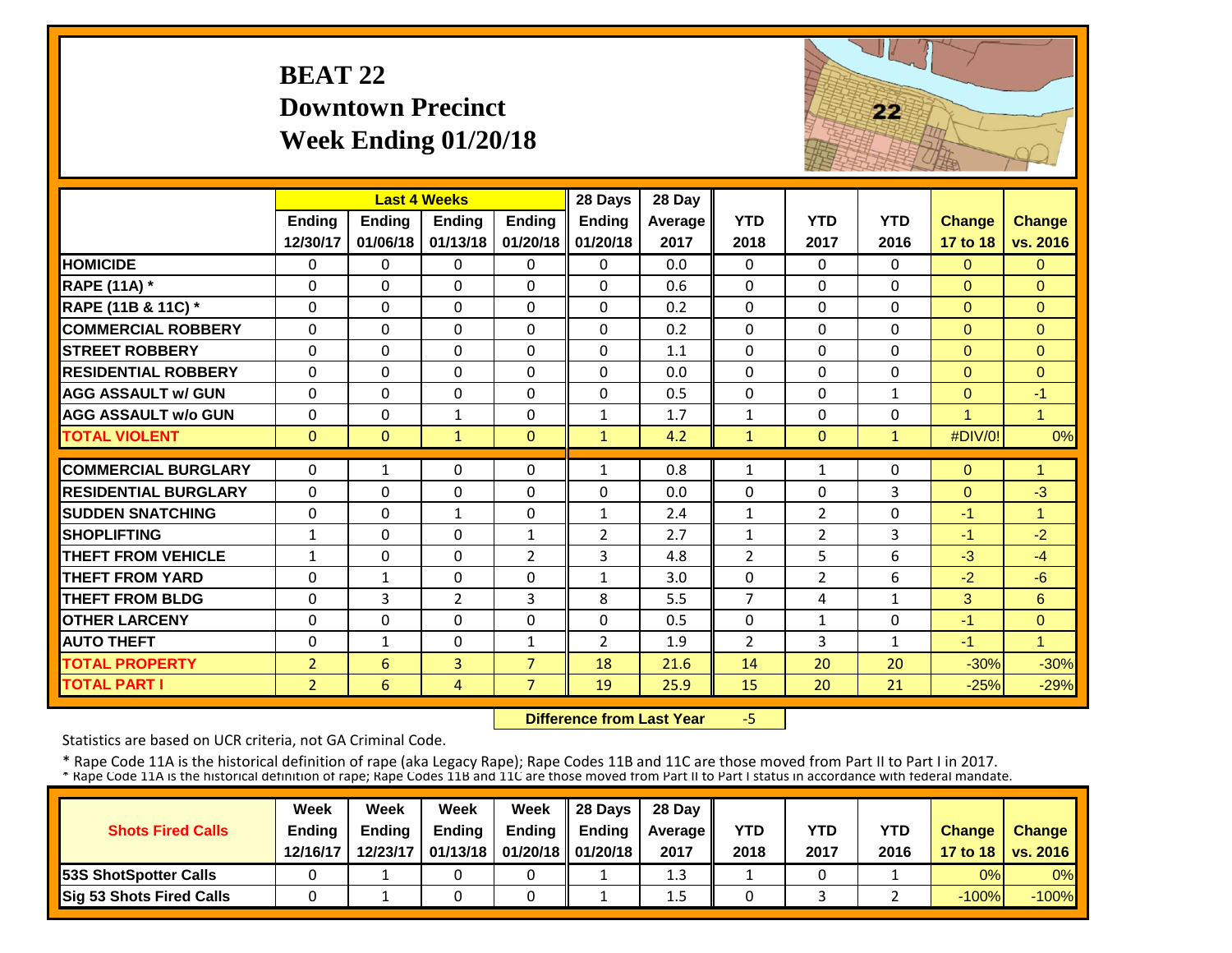## **BEAT 22 Downtown PrecinctWeek Ending 01/20/18**



|                             |                          |                | <b>Last 4 Weeks</b> |                   | 28 Days                        | 28 Day  |                              |                |              |                |                            |
|-----------------------------|--------------------------|----------------|---------------------|-------------------|--------------------------------|---------|------------------------------|----------------|--------------|----------------|----------------------------|
|                             | <b>Ending</b>            | Ending         | <b>Endina</b>       | <b>Ending</b>     | <b>Ending</b>                  | Average | <b>YTD</b>                   | <b>YTD</b>     | <b>YTD</b>   | <b>Change</b>  | <b>Change</b>              |
|                             | 12/30/17                 | 01/06/18       | 01/13/18            | 01/20/18          | 01/20/18                       | 2017    | 2018                         | 2017           | 2016         | 17 to 18       | vs. 2016                   |
| <b>HOMICIDE</b>             | $\Omega$                 | 0              | $\Omega$            | 0                 | 0                              | 0.0     | $\Omega$                     | $\Omega$       | 0            | $\Omega$       | $\Omega$                   |
| <b>RAPE (11A) *</b>         | $\Omega$                 | 0              | $\Omega$            | $\Omega$          | $\Omega$                       | 0.6     | $\Omega$                     | $\Omega$       | 0            | $\Omega$       | $\Omega$                   |
| RAPE (11B & 11C) *          | $\Omega$                 | 0              | $\Omega$            | $\Omega$          | $\Omega$                       | 0.2     | $\Omega$                     | $\Omega$       | 0            | $\Omega$       | $\Omega$                   |
| <b>COMMERCIAL ROBBERY</b>   | $\Omega$                 | $\Omega$       | $\Omega$            | $\Omega$          | $\Omega$                       | 0.2     | $\Omega$                     | $\Omega$       | $\Omega$     | $\Omega$       | $\Omega$                   |
| <b>STREET ROBBERY</b>       | $\Omega$                 | $\Omega$       | 0                   | $\Omega$          | $\Omega$                       | 1.1     | $\Omega$                     | $\Omega$       | 0            | $\overline{0}$ | $\overline{0}$             |
| <b>RESIDENTIAL ROBBERY</b>  | $\Omega$                 | 0              | $\Omega$            | $\Omega$          | 0                              | 0.0     | $\Omega$                     | $\Omega$       | 0            | $\Omega$       | $\Omega$                   |
| <b>AGG ASSAULT w/ GUN</b>   | $\Omega$                 | $\Omega$       | $\Omega$            | $\Omega$          | $\Omega$                       | 0.5     | $\Omega$                     | $\Omega$       | $\mathbf{1}$ | $\Omega$       | $-1$                       |
| <b>AGG ASSAULT w/o GUN</b>  | $\Omega$                 | $\Omega$       | $\mathbf{1}$        | $\Omega$          | $\mathbf{1}$                   | 1.7     | $\mathbf{1}$                 | $\Omega$       | 0            | 1              | 1                          |
| <b>TOTAL VIOLENT</b>        | $\mathbf{0}$             | $\overline{0}$ | $\mathbf{1}$        | $\mathbf{0}$      | $\mathbf{1}$                   | 4.2     | $\mathbf{1}$                 | $\Omega$       | $\mathbf{1}$ | #DIV/0!        | 0%                         |
| <b>COMMERCIAL BURGLARY</b>  | $\Omega$                 | $\mathbf{1}$   | 0                   | $\Omega$          | 1                              | 0.8     | $\mathbf{1}$                 | $\mathbf{1}$   | 0            | $\Omega$       | $\overline{1}$             |
| <b>RESIDENTIAL BURGLARY</b> | $\Omega$                 | $\Omega$       | $\Omega$            | $\Omega$          | $\Omega$                       | 0.0     | $\Omega$                     | $\Omega$       | 3            | $\Omega$       | $-3$                       |
| <b>SUDDEN SNATCHING</b>     |                          |                |                     |                   |                                | 2.4     |                              | $\overline{2}$ |              |                | $\blacktriangleleft$       |
| <b>SHOPLIFTING</b>          | $\Omega$<br>$\mathbf{1}$ | 0<br>0         | $\mathbf{1}$<br>0   | 0<br>$\mathbf{1}$ | $\mathbf{1}$<br>$\overline{2}$ | 2.7     | $\mathbf{1}$<br>$\mathbf{1}$ | $\overline{2}$ | 0<br>3       | $-1$<br>$-1$   | $-2$                       |
| <b>THEFT FROM VEHICLE</b>   | $\mathbf{1}$             | $\Omega$       | $\Omega$            | $\overline{2}$    | 3                              | 4.8     | $\overline{2}$               | 5              | 6            | $-3$           | $-4$                       |
| <b>THEFT FROM YARD</b>      | $\Omega$                 |                | $\Omega$            | $\Omega$          |                                | 3.0     | $\Omega$                     |                | 6            |                | $-6$                       |
| <b>THEFT FROM BLDG</b>      | $\Omega$                 | 1              |                     | 3                 | $\mathbf{1}$                   |         | $\overline{7}$               | $\overline{2}$ |              | $-2$           |                            |
|                             |                          | 3              | $\overline{2}$      |                   | 8                              | 5.5     |                              | 4              | 1            | 3              | 6                          |
| <b>OTHER LARCENY</b>        | $\Omega$                 | 0              | $\Omega$            | $\Omega$          | 0                              | 0.5     | $\Omega$                     | $\mathbf{1}$   | 0            | $-1$           | $\Omega$<br>$\overline{1}$ |
| <b>AUTO THEFT</b>           | $\Omega$                 | $\mathbf{1}$   | $\Omega$            | $\mathbf{1}$      | $\overline{2}$                 | 1.9     | $\overline{2}$               | 3              | $\mathbf{1}$ | $-1$           |                            |
| <b>TOTAL PROPERTY</b>       | $\overline{2}$           | 6              | 3                   | $\overline{7}$    | 18                             | 21.6    | 14                           | 20             | 20           | $-30%$         | $-30%$                     |
| <b>TOTAL PART I</b>         | $\overline{2}$           | 6              | 4                   | 7                 | 19                             | 25.9    | 15                           | 20             | 21           | $-25%$         | $-29%$                     |

 **Difference from Last Year** $-5$ 

Statistics are based on UCR criteria, not GA Criminal Code.

|                               | Week          | Week          | Week          | Week                           | $\parallel$ 28 Davs | 28 Day    |      |      |            |               |                     |
|-------------------------------|---------------|---------------|---------------|--------------------------------|---------------------|-----------|------|------|------------|---------------|---------------------|
| <b>Shots Fired Calls</b>      | <b>Ending</b> | <b>Ending</b> | <b>Ending</b> | <b>Ending</b>                  | <b>Ending</b>       | Average I | YTD  | YTD  | <b>YTD</b> | <b>Change</b> | <b>Change</b>       |
|                               | 12/16/17      | 12/23/17      |               | 01/13/18   01/20/18   01/20/18 |                     | 2017      | 2018 | 2017 | 2016       |               | 17 to 18   vs. 2016 |
| <b>153S ShotSpotter Calls</b> |               |               |               |                                |                     | 1.3       |      |      |            | 0%            | $0\%$               |
| Sig 53 Shots Fired Calls      |               |               |               |                                |                     | 1.5       |      |      |            | $-100%$       | $-100\%$            |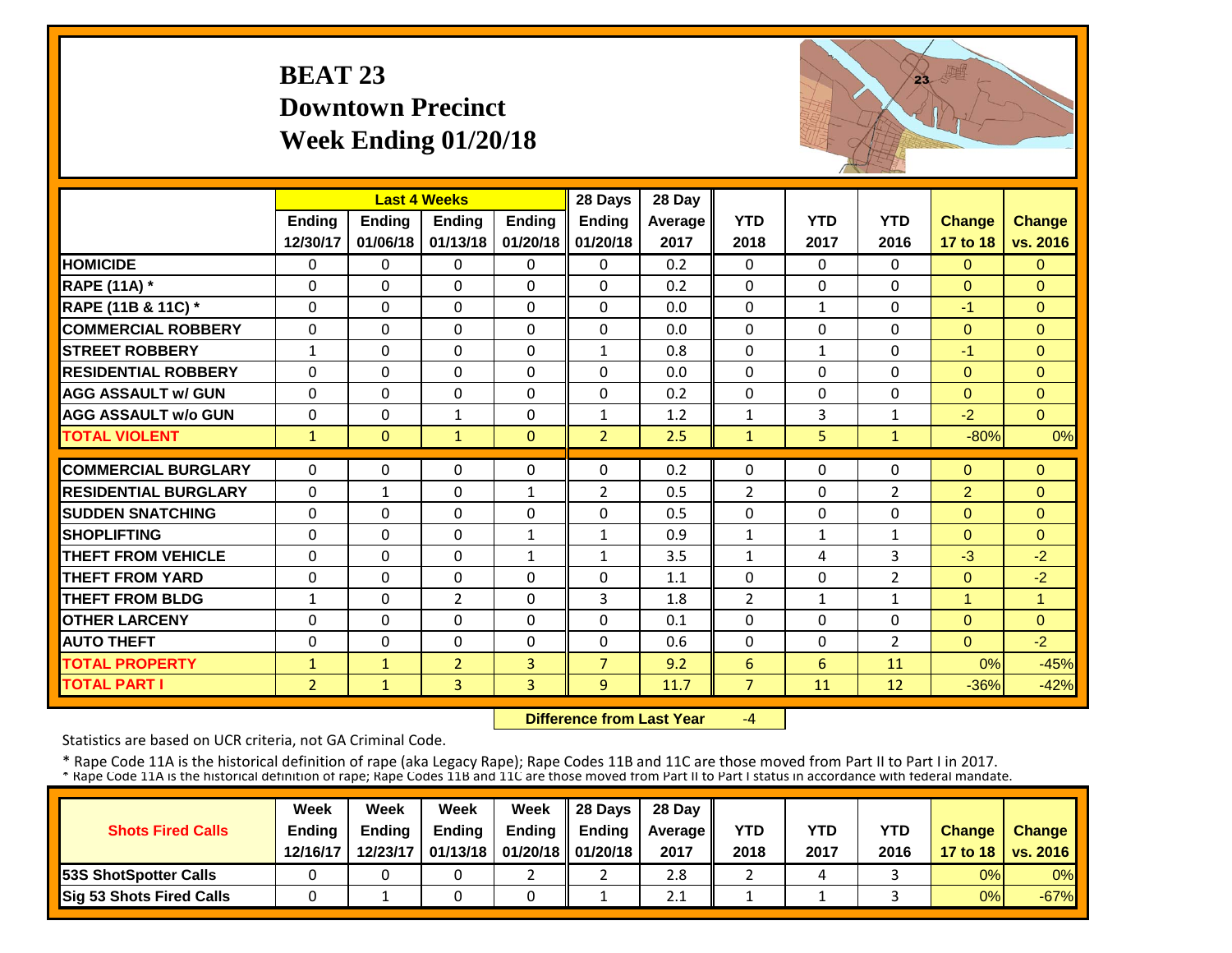## **BEAT 23 Downtown PrecinctWeek Ending 01/20/18**



|                             |                | <b>Last 4 Weeks</b> |                |               | 28 Days        | 28 Day  |                 |                |                |                |                |
|-----------------------------|----------------|---------------------|----------------|---------------|----------------|---------|-----------------|----------------|----------------|----------------|----------------|
|                             | <b>Ending</b>  | <b>Ending</b>       | <b>Ending</b>  | <b>Ending</b> | <b>Ending</b>  | Average | <b>YTD</b>      | <b>YTD</b>     | <b>YTD</b>     | <b>Change</b>  | <b>Change</b>  |
|                             | 12/30/17       | 01/06/18            | 01/13/18       | 01/20/18      | 01/20/18       | 2017    | 2018            | 2017           | 2016           | 17 to 18       | vs. 2016       |
| <b>HOMICIDE</b>             | 0              | $\Omega$            | 0              | $\Omega$      | $\Omega$       | 0.2     | 0               | $\Omega$       | 0              | $\Omega$       | $\Omega$       |
| <b>RAPE (11A) *</b>         | $\Omega$       | $\Omega$            | $\Omega$       | 0             | $\Omega$       | 0.2     | $\Omega$        | $\Omega$       | 0              | $\Omega$       | $\Omega$       |
| RAPE (11B & 11C) *          | $\Omega$       | $\Omega$            | $\Omega$       | 0             | $\Omega$       | 0.0     | $\Omega$        | $\mathbf{1}$   | 0              | $-1$           | $\Omega$       |
| <b>COMMERCIAL ROBBERY</b>   | $\Omega$       | $\Omega$            | $\Omega$       | $\Omega$      | $\Omega$       | 0.0     | $\Omega$        | $\Omega$       | 0              | $\Omega$       | $\Omega$       |
| <b>STREET ROBBERY</b>       | $\mathbf{1}$   | $\mathbf{0}$        | $\mathbf{0}$   | $\Omega$      | $\mathbf{1}$   | 0.8     | 0               | $\mathbf{1}$   | 0              | $-1$           | $\Omega$       |
| <b>RESIDENTIAL ROBBERY</b>  | $\Omega$       | $\Omega$            | $\Omega$       | $\Omega$      | $\Omega$       | 0.0     | 0               | $\Omega$       | 0              | $\Omega$       | $\Omega$       |
| <b>AGG ASSAULT w/ GUN</b>   | $\mathbf 0$    | $\Omega$            | $\Omega$       | $\Omega$      | $\Omega$       | 0.2     | 0               | $\Omega$       | 0              | $\overline{0}$ | $\overline{0}$ |
| <b>AGG ASSAULT w/o GUN</b>  | $\Omega$       | $\Omega$            | $\mathbf{1}$   | $\Omega$      | $\mathbf{1}$   | 1.2     | $\mathbf{1}$    | $\overline{3}$ | $\mathbf{1}$   | $-2$           | $\Omega$       |
| <b>TOTAL VIOLENT</b>        | $\mathbf{1}$   | $\mathbf{0}$        | $\mathbf{1}$   | $\mathbf{0}$  | $\overline{2}$ | 2.5     | $\mathbf{1}$    | 5              | $\mathbf{1}$   | $-80%$         | 0%             |
|                             |                |                     |                |               |                |         |                 |                |                |                |                |
| <b>COMMERCIAL BURGLARY</b>  | $\Omega$       | $\Omega$            | 0              | 0             | $\Omega$       | 0.2     | 0               | $\Omega$       | 0              | $\overline{0}$ | $\overline{0}$ |
| <b>RESIDENTIAL BURGLARY</b> | $\Omega$       | $\mathbf{1}$        | $\Omega$       | $\mathbf{1}$  | 2              | 0.5     | $\overline{2}$  | $\Omega$       | $\overline{2}$ | $\overline{2}$ | $\Omega$       |
| <b>SUDDEN SNATCHING</b>     | $\Omega$       | $\Omega$            | $\Omega$       | $\Omega$      | $\Omega$       | 0.5     | $\Omega$        | $\Omega$       | $\Omega$       | $\Omega$       | $\Omega$       |
| <b>SHOPLIFTING</b>          | $\Omega$       | $\Omega$            | $\Omega$       | $\mathbf{1}$  | $\mathbf{1}$   | 0.9     | $\mathbf{1}$    | $\mathbf{1}$   | $\mathbf{1}$   | $\Omega$       | $\Omega$       |
| <b>THEFT FROM VEHICLE</b>   | 0              | $\Omega$            | 0              | 1             | 1              | 3.5     | $\mathbf{1}$    | 4              | 3              | $-3$           | $-2$           |
| <b>THEFT FROM YARD</b>      | $\Omega$       | $\Omega$            | $\Omega$       | $\Omega$      | $\Omega$       | 1.1     | $\Omega$        | $\Omega$       | $\overline{2}$ | $\Omega$       | $-2$           |
| <b>THEFT FROM BLDG</b>      | $\mathbf{1}$   | $\Omega$            | 2              | 0             | 3              | 1.8     | $\overline{2}$  | $\mathbf{1}$   | 1              | 1              | $\mathbf{1}$   |
| <b>OTHER LARCENY</b>        | $\Omega$       | $\Omega$            | $\Omega$       | 0             | $\Omega$       | 0.1     | $\Omega$        | $\Omega$       | 0              | $\Omega$       | $\Omega$       |
| <b>AUTO THEFT</b>           | $\Omega$       | $\Omega$            | $\Omega$       | $\Omega$      | 0              | 0.6     | $\Omega$        | $\Omega$       | $\overline{2}$ | $\Omega$       | $-2$           |
| <b>TOTAL PROPERTY</b>       | $\mathbf{1}$   | $\mathbf{1}$        | $\overline{2}$ | 3             | $\overline{7}$ | 9.2     | $6\phantom{1}6$ | 6              | 11             | 0%             | $-45%$         |
| <b>TOTAL PART I</b>         | $\overline{2}$ | $\mathbf{1}$        | $\overline{3}$ | 3             | 9              | 11.7    | $\overline{7}$  | 11             | 12             | $-36%$         | $-42%$         |

 **Difference from Last Year**‐4

Statistics are based on UCR criteria, not GA Criminal Code.

|                               | Week          | Week          | Week          | Week                           | $\parallel$ 28 Davs | 28 Day    |      |      |            |               |                     |
|-------------------------------|---------------|---------------|---------------|--------------------------------|---------------------|-----------|------|------|------------|---------------|---------------------|
| <b>Shots Fired Calls</b>      | <b>Ending</b> | <b>Ending</b> | <b>Ending</b> | <b>Ending</b>                  | <b>Ending</b>       | Average I | YTD  | YTD  | <b>YTD</b> | <b>Change</b> | <b>Change</b>       |
|                               | 12/16/17      | 12/23/17      |               | 01/13/18   01/20/18   01/20/18 |                     | 2017      | 2018 | 2017 | 2016       |               | 17 to 18   vs. 2016 |
| <b>153S ShotSpotter Calls</b> |               |               |               |                                |                     | 2.8       |      |      |            | 0%            | $0\%$               |
| Sig 53 Shots Fired Calls      |               |               |               |                                |                     | 2.1       |      |      |            | 0%            | $-67%$              |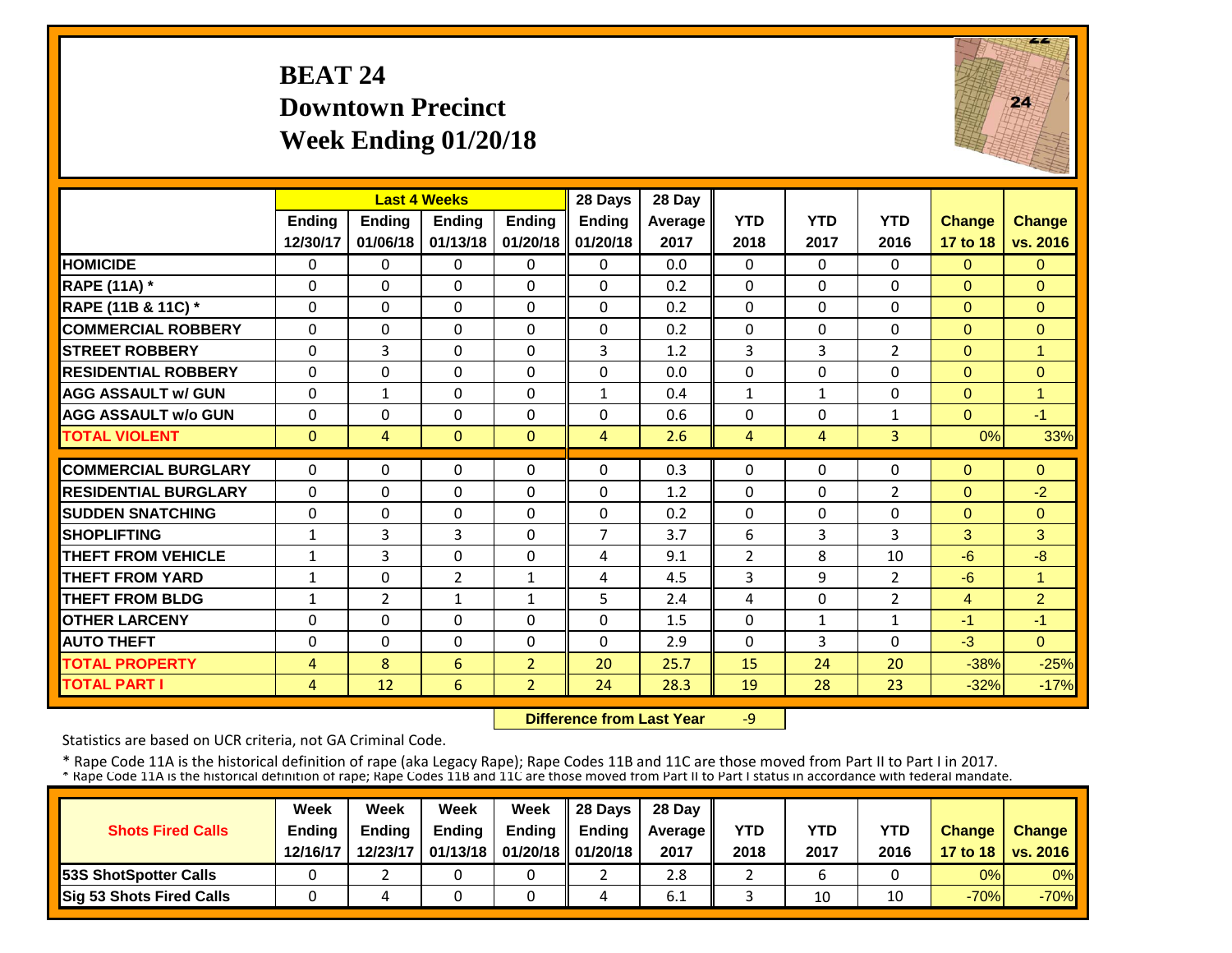## **BEAT 24 Downtown PrecinctWeek Ending 01/20/18**



|                             |                | <b>Last 4 Weeks</b> |                |                | 28 Days       | 28 Day  |                |              |                |               |                |
|-----------------------------|----------------|---------------------|----------------|----------------|---------------|---------|----------------|--------------|----------------|---------------|----------------|
|                             | <b>Ending</b>  | <b>Ending</b>       | Ending         | <b>Ending</b>  | <b>Ending</b> | Average | <b>YTD</b>     | <b>YTD</b>   | <b>YTD</b>     | <b>Change</b> | <b>Change</b>  |
|                             | 12/30/17       | 01/06/18            | 01/13/18       | 01/20/18       | 01/20/18      | 2017    | 2018           | 2017         | 2016           | 17 to 18      | vs. 2016       |
| <b>HOMICIDE</b>             | 0              | $\Omega$            | $\Omega$       | $\Omega$       | 0             | 0.0     | $\mathbf{0}$   | $\Omega$     | $\Omega$       | $\Omega$      | $\Omega$       |
| <b>RAPE (11A) *</b>         | $\Omega$       | $\Omega$            | $\Omega$       | $\Omega$       | $\Omega$      | 0.2     | $\Omega$       | $\Omega$     | $\Omega$       | $\Omega$      | $\Omega$       |
| RAPE (11B & 11C) *          | $\Omega$       | $\Omega$            | $\Omega$       | $\Omega$       | $\Omega$      | 0.2     | $\Omega$       | $\Omega$     | $\Omega$       | $\Omega$      | $\Omega$       |
| <b>COMMERCIAL ROBBERY</b>   | $\Omega$       | $\Omega$            | $\Omega$       | $\Omega$       | $\Omega$      | 0.2     | $\Omega$       | $\Omega$     | $\Omega$       | $\Omega$      | $\Omega$       |
| <b>STREET ROBBERY</b>       | $\Omega$       | 3                   | $\Omega$       | $\Omega$       | 3             | 1.2     | 3              | 3            | $\overline{2}$ | $\Omega$      | $\mathbf{1}$   |
| <b>RESIDENTIAL ROBBERY</b>  | $\Omega$       | $\Omega$            | $\Omega$       | $\Omega$       | $\Omega$      | 0.0     | $\Omega$       | $\Omega$     | 0              | $\Omega$      | $\Omega$       |
| <b>AGG ASSAULT w/ GUN</b>   | $\Omega$       | $\mathbf{1}$        | $\Omega$       | 0              | $\mathbf{1}$  | 0.4     | $\mathbf{1}$   | $\mathbf{1}$ | 0              | $\Omega$      | $\mathbf{1}$   |
| <b>AGG ASSAULT w/o GUN</b>  | 0              | $\Omega$            | $\Omega$       | $\Omega$       | 0             | 0.6     | $\Omega$       | $\Omega$     | 1              | $\Omega$      | $-1$           |
| <b>TOTAL VIOLENT</b>        | $\mathbf{0}$   | 4                   | $\Omega$       | $\mathbf{0}$   | 4             | 2.6     | $\overline{4}$ | 4            | $\overline{3}$ | 0%            | 33%            |
| <b>COMMERCIAL BURGLARY</b>  | $\Omega$       | $\Omega$            | 0              | 0              | 0             | 0.3     | $\Omega$       | $\Omega$     | 0              | $\Omega$      | $\Omega$       |
| <b>RESIDENTIAL BURGLARY</b> | $\Omega$       | $\Omega$            | $\Omega$       | $\Omega$       | $\Omega$      | 1.2     | $\Omega$       | $\Omega$     | 2              | $\Omega$      | $-2$           |
| <b>ISUDDEN SNATCHING</b>    | $\mathbf 0$    | $\Omega$            | $\Omega$       | $\mathbf{0}$   | $\Omega$      | 0.2     | $\Omega$       | $\Omega$     | 0              | $\Omega$      | $\Omega$       |
| <b>SHOPLIFTING</b>          | $\mathbf{1}$   | 3                   | 3              | $\Omega$       | 7             | 3.7     | 6              | 3            | 3              | 3             | 3              |
| <b>THEFT FROM VEHICLE</b>   | $\mathbf{1}$   | 3                   | 0              | 0              | 4             | 9.1     | $\overline{2}$ | 8            | 10             | $-6$          | $-8$           |
| <b>THEFT FROM YARD</b>      | $\mathbf{1}$   | $\Omega$            | $\overline{2}$ | $\mathbf{1}$   | 4             | 4.5     | 3              | 9            | $\overline{2}$ | $-6$          | $\mathbf{1}$   |
| <b>THEFT FROM BLDG</b>      | $\mathbf{1}$   | $\overline{2}$      | $\mathbf{1}$   | $\mathbf{1}$   | 5             | 2.4     | 4              | $\Omega$     | $\overline{2}$ | 4             | $\overline{2}$ |
| <b>OTHER LARCENY</b>        | $\Omega$       | $\Omega$            | $\Omega$       | 0              | 0             | 1.5     | $\Omega$       | 1            | $\mathbf{1}$   | $-1$          | $-1$           |
| <b>AUTO THEFT</b>           | $\Omega$       | $\Omega$            | $\Omega$       | $\Omega$       | $\Omega$      | 2.9     | $\Omega$       | 3            | $\Omega$       | $-3$          | $\Omega$       |
| <b>TOTAL PROPERTY</b>       | $\overline{4}$ | 8                   | 6              | $\overline{2}$ | 20            | 25.7    | 15             | 24           | 20             | $-38%$        | $-25%$         |
| <b>TOTAL PART I</b>         | 4              | 12                  | 6              | $\overline{2}$ | 24            | 28.3    | 19             | 28           | 23             | $-32%$        | $-17%$         |
|                             |                |                     |                |                |               |         |                |              |                |               |                |

 **Difference from Last Year** $-9$ 

Statistics are based on UCR criteria, not GA Criminal Code.

|                               | Week          | Week          | Week          | Week                           | $\parallel$ 28 Davs | 28 Day    |      |      |            |               |                     |
|-------------------------------|---------------|---------------|---------------|--------------------------------|---------------------|-----------|------|------|------------|---------------|---------------------|
| <b>Shots Fired Calls</b>      | <b>Ending</b> | <b>Ending</b> | <b>Ending</b> | <b>Ending</b>                  | <b>Ending</b>       | Average I | YTD  | YTD  | <b>YTD</b> | <b>Change</b> | <b>Change</b>       |
|                               | 12/16/17      | 12/23/17      |               | 01/13/18   01/20/18   01/20/18 |                     | 2017      | 2018 | 2017 | 2016       |               | 17 to 18   vs. 2016 |
| <b>153S ShotSpotter Calls</b> |               |               |               |                                |                     | 2.8       |      | b    |            | 0%            | $0\%$               |
| Sig 53 Shots Fired Calls      |               |               |               |                                |                     | 6.1       |      | 10   | 10         | $-70%$        | $-70%$              |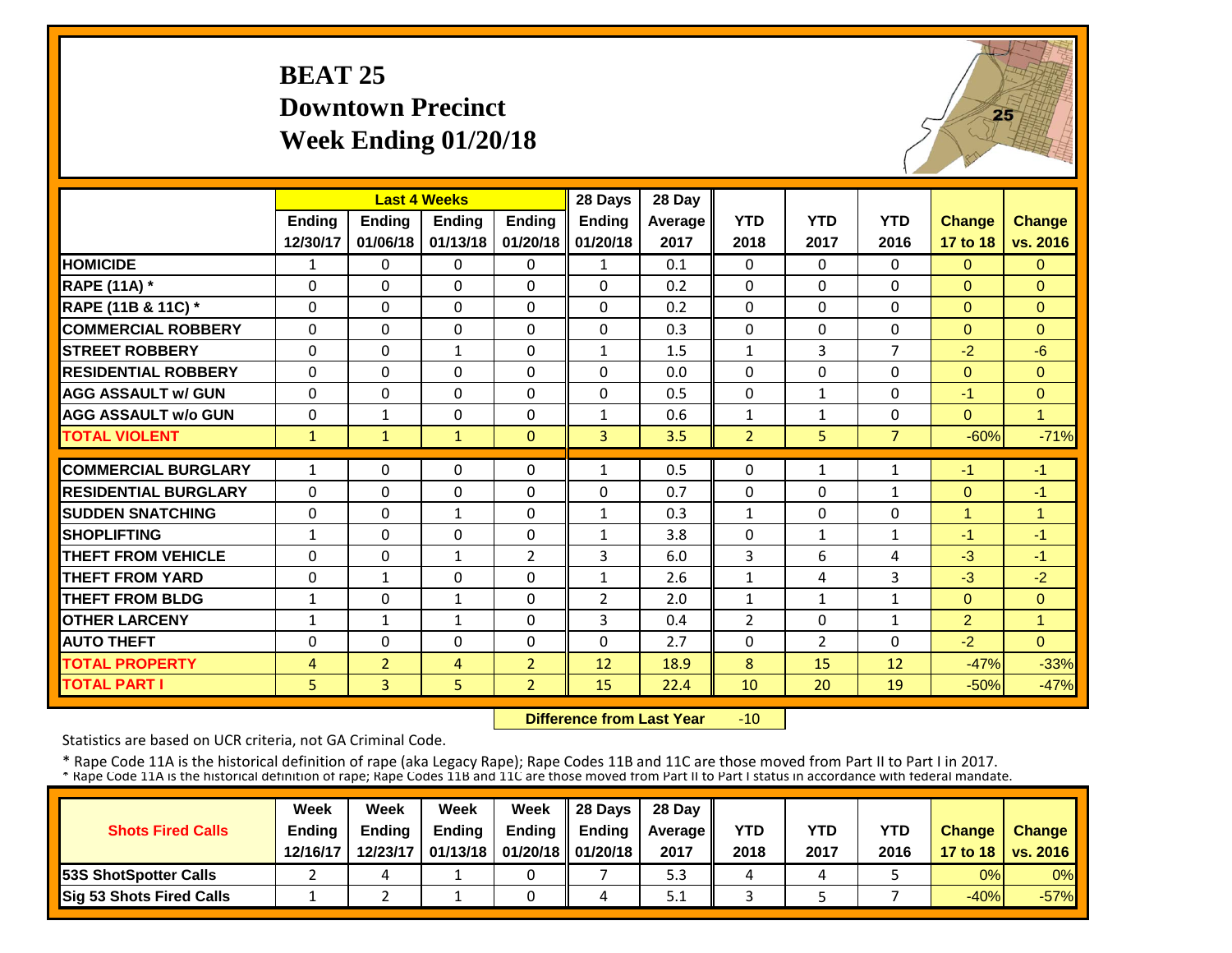#### **BEAT 25 Downtown PrecinctWeek Ending 01/20/18**



|                             |              | <b>Last 4 Weeks</b> |               |                | 28 Days        | 28 Day  |                |                |                |                |                |
|-----------------------------|--------------|---------------------|---------------|----------------|----------------|---------|----------------|----------------|----------------|----------------|----------------|
|                             | Ending       | <b>Ending</b>       | <b>Ending</b> | <b>Ending</b>  | <b>Ending</b>  | Average | <b>YTD</b>     | <b>YTD</b>     | <b>YTD</b>     | <b>Change</b>  | <b>Change</b>  |
|                             | 12/30/17     | 01/06/18            | 01/13/18      | 01/20/18       | 01/20/18       | 2017    | 2018           | 2017           | 2016           | 17 to 18       | vs. 2016       |
| <b>HOMICIDE</b>             | $\mathbf{1}$ | 0                   | $\Omega$      | $\Omega$       | $\mathbf{1}$   | 0.1     | $\Omega$       | $\Omega$       | 0              | $\Omega$       | $\Omega$       |
| <b>RAPE (11A) *</b>         | $\Omega$     | 0                   | $\Omega$      | $\Omega$       | 0              | 0.2     | $\Omega$       | $\Omega$       | 0              | $\Omega$       | $\Omega$       |
| RAPE (11B & 11C) *          | 0            | $\Omega$            | $\mathbf 0$   | $\Omega$       | 0              | 0.2     | $\Omega$       | $\Omega$       | 0              | $\overline{0}$ | $\overline{0}$ |
| <b>COMMERCIAL ROBBERY</b>   | $\Omega$     | $\Omega$            | $\Omega$      | $\Omega$       | $\Omega$       | 0.3     | $\Omega$       | $\Omega$       | 0              | $\Omega$       | $\Omega$       |
| <b>STREET ROBBERY</b>       | $\Omega$     | $\Omega$            | $\mathbf{1}$  | $\Omega$       | $\mathbf{1}$   | 1.5     | $\mathbf{1}$   | 3              | $\overline{7}$ | $-2$           | $-6$           |
| <b>RESIDENTIAL ROBBERY</b>  | $\Omega$     | $\Omega$            | $\Omega$      | $\Omega$       | $\Omega$       | 0.0     | $\Omega$       | $\Omega$       | 0              | $\Omega$       | $\Omega$       |
| <b>AGG ASSAULT w/ GUN</b>   | $\Omega$     | 0                   | $\Omega$      | $\Omega$       | $\Omega$       | 0.5     | $\Omega$       | $\mathbf{1}$   | 0              | $-1$           | $\Omega$       |
| <b>AGG ASSAULT w/o GUN</b>  | $\Omega$     | $\mathbf{1}$        | $\Omega$      | $\Omega$       | $\mathbf{1}$   | 0.6     | $\mathbf{1}$   | $\mathbf{1}$   | 0              | $\Omega$       | $\overline{1}$ |
| <b>TOTAL VIOLENT</b>        | $\mathbf{1}$ | $\mathbf{1}$        | $\mathbf{1}$  | $\Omega$       | 3              | 3.5     | $\overline{2}$ | 5              | $\overline{7}$ | $-60%$         | $-71%$         |
| <b>COMMERCIAL BURGLARY</b>  | $\mathbf{1}$ | 0                   | $\Omega$      | $\Omega$       | 1              | 0.5     | $\Omega$       | $\mathbf{1}$   | $\mathbf{1}$   | $-1$           | $-1$           |
| <b>RESIDENTIAL BURGLARY</b> | $\Omega$     | $\Omega$            | $\Omega$      | $\Omega$       | $\Omega$       | 0.7     | $\Omega$       | $\Omega$       | $\mathbf{1}$   | $\Omega$       | $-1$           |
| <b>SUDDEN SNATCHING</b>     | $\Omega$     | 0                   | $\mathbf{1}$  | 0              | $\mathbf{1}$   | 0.3     | $\mathbf{1}$   | $\Omega$       | 0              | 1              | $\overline{1}$ |
| <b>SHOPLIFTING</b>          | $\mathbf{1}$ | $\Omega$            | $\Omega$      | $\Omega$       | $\mathbf{1}$   | 3.8     | $\Omega$       | $\mathbf{1}$   | 1              | $-1$           | $-1$           |
| <b>THEFT FROM VEHICLE</b>   | $\Omega$     | $\Omega$            | $\mathbf{1}$  | $\overline{2}$ | 3              | 6.0     | 3              | 6              | 4              | $-3$           | $-1$           |
| <b>THEFT FROM YARD</b>      | $\Omega$     | $\mathbf{1}$        | $\Omega$      | $\Omega$       | $\mathbf{1}$   | 2.6     | $\mathbf{1}$   | 4              | 3              | $-3$           | $-2$           |
| <b>THEFT FROM BLDG</b>      | $\mathbf{1}$ | 0                   | $\mathbf{1}$  | $\Omega$       | $\overline{2}$ | 2.0     | $\mathbf{1}$   | $\mathbf{1}$   | 1              | $\Omega$       | $\overline{0}$ |
| <b>OTHER LARCENY</b>        | $\mathbf{1}$ | $\mathbf{1}$        |               | $\Omega$       | 3              | 0.4     | $\overline{2}$ | 0              | 1              | $\overline{2}$ | $\overline{1}$ |
| <b>AUTO THEFT</b>           | $\Omega$     | $\Omega$            | 1<br>$\Omega$ | $\Omega$       | $\Omega$       | 2.7     | $\Omega$       | $\overline{2}$ | $\Omega$       | $-2$           | $\Omega$       |
| <b>TOTAL PROPERTY</b>       |              |                     |               |                |                |         | 8              |                | 12             |                | $-33%$         |
|                             | 4            | $\overline{2}$      | 4             | $\overline{2}$ | 12             | 18.9    |                | 15             |                | $-47%$         |                |
| <b>TOTAL PART I</b>         | 5            | $\overline{3}$      | 5             | $\overline{2}$ | 15             | 22.4    | 10             | 20             | 19             | $-50%$         | $-47%$         |

 **Difference from Last Year** $-10$ 

Statistics are based on UCR criteria, not GA Criminal Code.

|                               | Week          | Week          | Week          | Week                           | $\parallel$ 28 Davs | 28 Day    |      |      |            |               |                     |
|-------------------------------|---------------|---------------|---------------|--------------------------------|---------------------|-----------|------|------|------------|---------------|---------------------|
| <b>Shots Fired Calls</b>      | <b>Ending</b> | <b>Ending</b> | <b>Ending</b> | <b>Ending</b>                  | <b>Ending</b>       | Average I | YTD  | YTD  | <b>YTD</b> | <b>Change</b> | <b>Change</b>       |
|                               | 12/16/17      | 12/23/17      |               | 01/13/18   01/20/18   01/20/18 |                     | 2017      | 2018 | 2017 | 2016       |               | 17 to 18   vs. 2016 |
| <b>153S ShotSpotter Calls</b> |               |               |               |                                |                     | 5.3       |      |      |            | 0%            | $0\%$               |
| Sig 53 Shots Fired Calls      |               |               |               |                                |                     | 5.1       |      |      |            | $-40%$        | $-57%$              |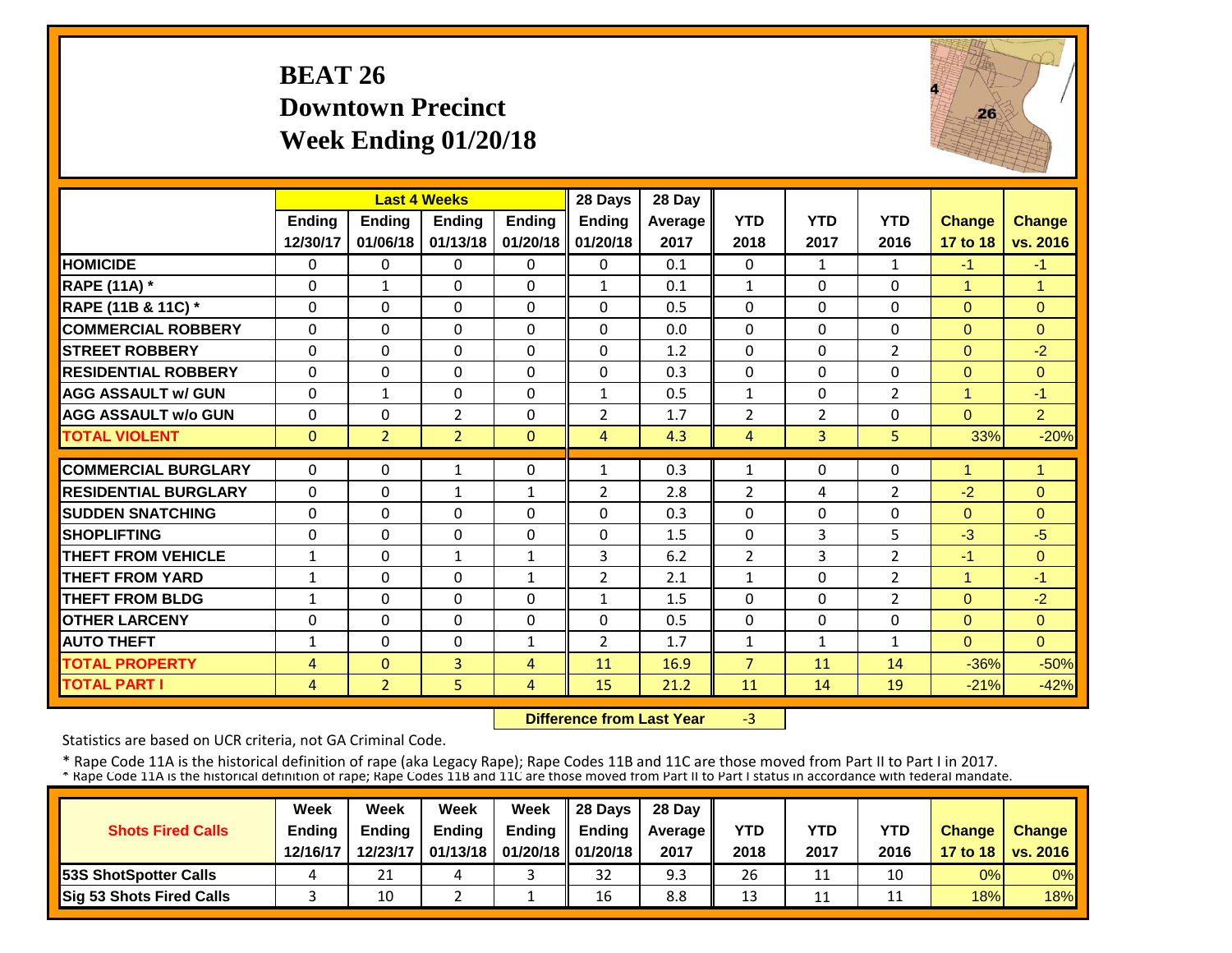#### **BEAT 26 Downtown PrecinctWeek Ending 01/20/18**



|                             |                | <b>Last 4 Weeks</b> |                |               | 28 Days        | 28 Day  |                |                |                |               |                |
|-----------------------------|----------------|---------------------|----------------|---------------|----------------|---------|----------------|----------------|----------------|---------------|----------------|
|                             | Ending         | <b>Ending</b>       | <b>Ending</b>  | <b>Ending</b> | <b>Ending</b>  | Average | <b>YTD</b>     | <b>YTD</b>     | <b>YTD</b>     | <b>Change</b> | <b>Change</b>  |
|                             | 12/30/17       | 01/06/18            | 01/13/18       | 01/20/18      | 01/20/18       | 2017    | 2018           | 2017           | 2016           | 17 to 18      | vs. 2016       |
| <b>HOMICIDE</b>             | $\Omega$       | $\Omega$            | 0              | $\mathbf{0}$  | 0              | 0.1     | $\Omega$       | $\mathbf{1}$   | $\mathbf{1}$   | $-1$          | $-1$           |
| <b>RAPE (11A)</b> *         | $\Omega$       | $\mathbf{1}$        | $\Omega$       | $\Omega$      | $\mathbf{1}$   | 0.1     | $\mathbf{1}$   | $\Omega$       | 0              | $\mathbf{1}$  | $\overline{1}$ |
| RAPE (11B & 11C) *          | $\mathbf 0$    | $\Omega$            | $\Omega$       | $\Omega$      | 0              | 0.5     | $\Omega$       | $\Omega$       | 0              | $\Omega$      | $\Omega$       |
| <b>COMMERCIAL ROBBERY</b>   | $\Omega$       | $\Omega$            | $\Omega$       | $\Omega$      | $\Omega$       | 0.0     | $\Omega$       | $\Omega$       | 0              | $\Omega$      | $\Omega$       |
| <b>STREET ROBBERY</b>       | 0              | $\Omega$            | $\Omega$       | $\Omega$      | 0              | 1.2     | $\Omega$       | $\Omega$       | 2              | $\Omega$      | $-2$           |
| <b>RESIDENTIAL ROBBERY</b>  | $\Omega$       | $\Omega$            | $\Omega$       | 0             | 0              | 0.3     | $\Omega$       | $\Omega$       | 0              | $\Omega$      | $\Omega$       |
| <b>AGG ASSAULT w/ GUN</b>   | $\Omega$       | $\mathbf{1}$        | $\Omega$       | 0             | $\mathbf{1}$   | 0.5     | $\mathbf{1}$   | $\Omega$       | $\overline{2}$ | 1             | $-1$           |
| <b>AGG ASSAULT w/o GUN</b>  | 0              | $\Omega$            | $\overline{2}$ | $\Omega$      | $\overline{2}$ | 1.7     | $\overline{2}$ | $\overline{2}$ | 0              | $\Omega$      | $\overline{2}$ |
| <b>TOTAL VIOLENT</b>        | $\mathbf{0}$   | $\overline{2}$      | $\overline{2}$ | $\Omega$      | 4              | 4.3     | 4              | $\overline{3}$ | 5              | 33%           | $-20%$         |
| <b>COMMERCIAL BURGLARY</b>  | $\Omega$       | $\Omega$            | 1              | 0             | 1              | 0.3     | $\mathbf{1}$   | $\Omega$       | 0              | 1             | $\mathbf{1}$   |
| <b>RESIDENTIAL BURGLARY</b> | $\Omega$       | $\Omega$            | 1              | $\mathbf{1}$  | 2              | 2.8     | $\overline{2}$ | 4              | 2              | $-2$          | $\Omega$       |
| <b>SUDDEN SNATCHING</b>     | $\Omega$       | $\Omega$            | $\Omega$       | 0             | $\Omega$       | 0.3     | $\Omega$       | $\Omega$       | 0              | $\Omega$      | $\Omega$       |
| <b>SHOPLIFTING</b>          | $\Omega$       | $\Omega$            | $\Omega$       | $\Omega$      | $\Omega$       | 1.5     | $\Omega$       | 3              | 5              | $-3$          | $-5$           |
| <b>THEFT FROM VEHICLE</b>   | $\mathbf{1}$   | $\Omega$            | $\mathbf{1}$   | $\mathbf{1}$  | 3              | 6.2     | $\overline{2}$ | 3              | $\overline{2}$ | $-1$          | $\Omega$       |
| <b>THEFT FROM YARD</b>      | $\mathbf{1}$   | $\Omega$            | $\Omega$       | $\mathbf{1}$  | $\overline{2}$ | 2.1     | $\mathbf{1}$   | 0              | $\overline{2}$ | 1             | $-1$           |
| <b>THEFT FROM BLDG</b>      | $\mathbf{1}$   | $\Omega$            | $\Omega$       | 0             | $\mathbf{1}$   | 1.5     | $\Omega$       | 0              | $\overline{2}$ | $\Omega$      | $-2$           |
| <b>OTHER LARCENY</b>        | 0              | $\Omega$            | $\Omega$       | 0             | 0              | 0.5     | $\Omega$       | 0              | 0              | $\Omega$      | $\Omega$       |
| <b>AUTO THEFT</b>           | 1              | $\Omega$            | $\Omega$       | $\mathbf{1}$  | $\overline{2}$ | 1.7     | $\mathbf{1}$   | $\mathbf{1}$   | $\mathbf{1}$   | $\Omega$      | $\Omega$       |
| <b>TOTAL PROPERTY</b>       | $\overline{4}$ | $\Omega$            | 3              | 4             | 11             | 16.9    | $\overline{7}$ | 11             | 14             | $-36%$        | $-50%$         |
| <b>TOTAL PART I</b>         | $\overline{4}$ | $\overline{2}$      | 5              | 4             | 15             | 21.2    | 11             | 14             | 19             | $-21%$        | $-42%$         |

 **Difference from Last Year** $-3$ 

Statistics are based on UCR criteria, not GA Criminal Code.

|                               | Week          | Week          | Week          | Week                           | $\parallel$ 28 Davs | 28 Day    |      |      |            |               |                     |
|-------------------------------|---------------|---------------|---------------|--------------------------------|---------------------|-----------|------|------|------------|---------------|---------------------|
| <b>Shots Fired Calls</b>      | <b>Ending</b> | <b>Ending</b> | <b>Ending</b> | <b>Ending</b>                  | <b>Ending</b>       | Average I | YTD  | YTD  | <b>YTD</b> | <b>Change</b> | <b>Change</b>       |
|                               | 12/16/17      | 12/23/17      |               | 01/13/18   01/20/18   01/20/18 |                     | 2017      | 2018 | 2017 | 2016       |               | 17 to 18   vs. 2016 |
| <b>153S ShotSpotter Calls</b> |               | 21            |               |                                | 32                  | 9.3       | 26   | 11   | 10         | 0%            | $0\%$               |
| Sig 53 Shots Fired Calls      |               | 10            |               |                                | 16                  | 8.8       | 13   |      | ᆠᆂ         | 18%           | 18%                 |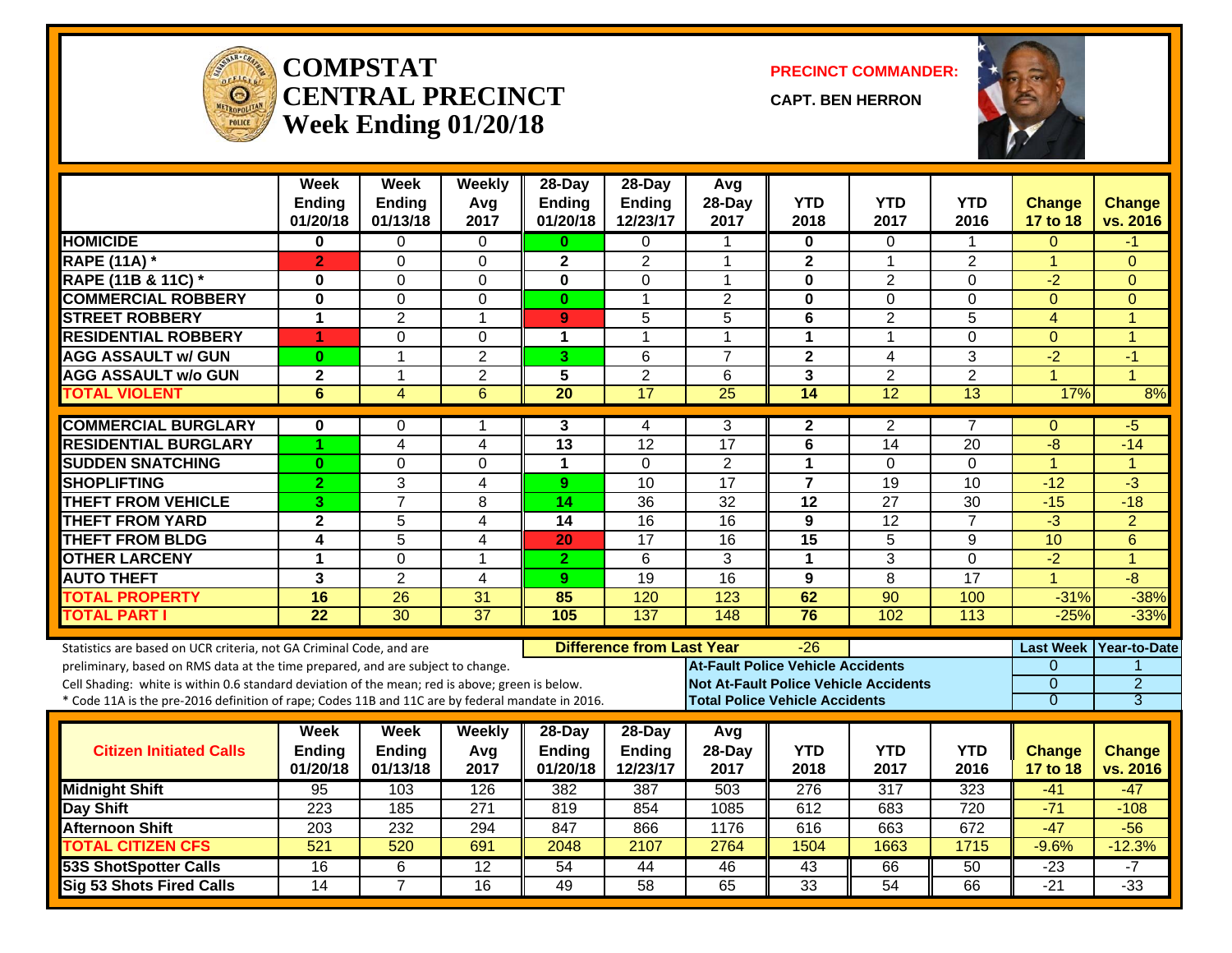

#### **COMPSTATCENTRAL PRECINCTWeek Ending 01/20/18**

**PRECINCT COMMANDER:**

**CAPT. BEN HERRON**



|                                                                                                  | <b>Week</b><br><b>Ending</b> | <b>Week</b><br>Ending | Weekly<br>Avg    | 28-Day<br>Ending | 28-Day<br>Ending                 | Avg<br>28-Day                                | <b>YTD</b>                            | <b>YTD</b>       | <b>YTD</b>       | <b>Change</b>        | <b>Change</b>  |
|--------------------------------------------------------------------------------------------------|------------------------------|-----------------------|------------------|------------------|----------------------------------|----------------------------------------------|---------------------------------------|------------------|------------------|----------------------|----------------|
|                                                                                                  | 01/20/18                     | 01/13/18              | 2017             | 01/20/18         | 12/23/17                         | 2017                                         | 2018                                  | 2017             | 2016             | 17 to 18             | vs. 2016       |
| <b>HOMICIDE</b>                                                                                  | 0                            | 0                     | 0                | 0                | 0                                | -1                                           | 0                                     | $\Omega$         | 1                | $\Omega$             | -1             |
| <b>RAPE (11A) *</b>                                                                              | $\overline{2}$               | $\mathbf{0}$          | $\Omega$         | $\mathbf{2}$     | $\overline{2}$                   | $\overline{1}$                               | $\mathbf{2}$                          | $\mathbf{1}$     | $\overline{2}$   | $\overline{1}$       | $\Omega$       |
| RAPE (11B & 11C) *                                                                               | $\bf{0}$                     | $\Omega$              | 0                | $\mathbf 0$      | $\overline{0}$                   | $\mathbf 1$                                  | 0                                     | $\overline{2}$   | $\overline{0}$   | $-2$                 | $\Omega$       |
| <b>COMMERCIAL ROBBERY</b>                                                                        | $\mathbf 0$                  | $\mathbf 0$           | $\mathbf 0$      | $\mathbf{0}$     | $\mathbf{1}$                     | $\overline{2}$                               | $\mathbf 0$                           | $\overline{0}$   | 0                | $\Omega$             | $\Omega$       |
| <b>STREET ROBBERY</b>                                                                            | $\mathbf{1}$                 | $\overline{2}$        | $\mathbf{1}$     | 9                | 5                                | 5                                            | $\overline{\mathbf{6}}$               | $\overline{2}$   | $\overline{5}$   | $\overline{4}$       | $\overline{1}$ |
| <b>RESIDENTIAL ROBBERY</b>                                                                       | 1                            | $\Omega$              | $\overline{0}$   | $\mathbf{1}$     | 1                                | $\overline{1}$                               | $\mathbf{1}$                          | $\mathbf{1}$     | $\Omega$         | $\Omega$             | $\overline{1}$ |
| <b>AGG ASSAULT w/ GUN</b>                                                                        | $\bf{0}$                     | $\mathbf{1}$          | $\overline{2}$   | 3                | 6                                | $\overline{7}$                               | $\overline{2}$                        | 4                | $\overline{3}$   | $-2$                 | $-1$           |
| <b>AGG ASSAULT w/o GUN</b>                                                                       | $\overline{\mathbf{2}}$      | $\mathbf{1}$          | $\overline{2}$   | $\overline{5}$   | $\overline{2}$                   | 6                                            | $\overline{\mathbf{3}}$               | $\overline{2}$   | $\overline{2}$   | $\overline{1}$       | $\overline{A}$ |
| <b>TOTAL VIOLENT</b>                                                                             | 6                            | $\overline{4}$        | 6                | $\overline{20}$  | $\overline{17}$                  | 25                                           | $\overline{14}$                       | 12               | $\overline{13}$  | 17%                  | 8%             |
| <b>COMMERCIAL BURGLARY</b>                                                                       | $\bf{0}$                     | $\Omega$              | 1                | 3                | 4                                | 3                                            | $\overline{2}$                        | $\overline{2}$   | $\overline{7}$   | $\mathbf{0}$         | -5             |
| <b>RESIDENTIAL BURGLARY</b>                                                                      | 1                            | 4                     | 4                | $\overline{13}$  | $\overline{12}$                  | $\overline{17}$                              | 6                                     | 14               | 20               | -8                   | $-14$          |
| <b>SUDDEN SNATCHING</b>                                                                          | $\bf{0}$                     | $\mathbf 0$           | $\overline{0}$   | $\mathbf{1}$     | $\overline{0}$                   | $\overline{2}$                               | $\mathbf{1}$                          | $\Omega$         | 0                | $\overline{1}$       | 1              |
| <b>SHOPLIFTING</b>                                                                               | $\overline{2}$               | 3                     | 4                | 9                | $\overline{10}$                  | $\overline{17}$                              | $\overline{7}$                        | 19               | 10               | $-12$                | $-3$           |
| <b>THEFT FROM VEHICLE</b>                                                                        | 3                            | $\overline{7}$        | 8                | 14               | $\overline{36}$                  | $\overline{32}$                              | $\overline{12}$                       | $\overline{27}$  | $\overline{30}$  | $-15$                | $-18$          |
| <b>THEFT FROM YARD</b>                                                                           | $\mathbf{2}$                 | 5                     | 4                | 14               | 16                               | 16                                           | 9                                     | 12               | $\overline{7}$   | $-3$                 | $\overline{2}$ |
| <b>THEFT FROM BLDG</b>                                                                           | 4                            | 5                     | $\overline{4}$   | 20               | $\overline{17}$                  | 16                                           | $\overline{15}$                       | 5                | 9                | 10                   | 6              |
| <b>OTHER LARCENY</b>                                                                             | 1                            | $\mathbf 0$           | $\mathbf{1}$     | $\mathbf{2}$     | 6                                | $\overline{3}$                               | $\mathbf{1}$                          | 3                | 0                | $-2$                 | $\overline{1}$ |
| <b>AUTO THEFT</b>                                                                                | 3                            | $\overline{2}$        | 4                | 9                | 19                               | 16                                           | 9                                     | 8                | $\overline{17}$  | $\blacktriangleleft$ | $-8$           |
| <b>TOTAL PROPERTY</b>                                                                            | 16                           | 26                    | 31               | 85               | 120                              | 123                                          | 62                                    | 90               | 100              | $-31%$               | $-38%$         |
| <b>TOTAL PART I</b>                                                                              | $\overline{22}$              | $\overline{30}$       | $\overline{37}$  | 105              | 137                              | 148                                          | 76                                    | 102              | 113              | $-25%$               | $-33%$         |
| Statistics are based on UCR criteria, not GA Criminal Code, and are                              |                              |                       |                  |                  | <b>Difference from Last Year</b> |                                              | -26                                   |                  |                  | <b>Last Week</b>     | Year-to-Date   |
| preliminary, based on RMS data at the time prepared, and are subject to change.                  |                              |                       |                  |                  |                                  | <b>At-Fault Police Vehicle Accidents</b>     |                                       |                  |                  | $\Omega$             |                |
| Cell Shading: white is within 0.6 standard deviation of the mean; red is above; green is below.  |                              |                       |                  |                  |                                  | <b>Not At-Fault Police Vehicle Accidents</b> |                                       |                  |                  | $\Omega$             | $\overline{2}$ |
| * Code 11A is the pre-2016 definition of rape; Codes 11B and 11C are by federal mandate in 2016. |                              |                       |                  |                  |                                  |                                              | <b>Total Police Vehicle Accidents</b> |                  |                  | $\overline{0}$       | $\overline{3}$ |
|                                                                                                  | Week                         | Week                  | Weekly           | 28-Day           | 28-Day                           | Avg                                          |                                       |                  |                  |                      |                |
| <b>Citizen Initiated Calls</b>                                                                   | <b>Ending</b>                | Ending                | Avg              | Ending           | Ending                           | 28-Day                                       | <b>YTD</b>                            | <b>YTD</b>       | <b>YTD</b>       | <b>Change</b>        | <b>Change</b>  |
|                                                                                                  | 01/20/18                     | 01/13/18              | 2017             | 01/20/18         | 12/23/17                         | 2017                                         | 2018                                  | 2017             | 2016             | 17 to 18             | vs. 2016       |
| <b>Midnight Shift</b>                                                                            | 95                           | 103                   | 126              | 382              | 387                              | 503                                          | $\overline{276}$                      | $\overline{317}$ | 323              | $-41$                | $-47$          |
| <b>Day Shift</b>                                                                                 | $\overline{223}$             | 185                   | $\overline{271}$ | 819              | 854                              | 1085                                         | 612                                   | 683              | $\overline{720}$ | $-71$                | $-108$         |
| <b>Afternoon Shift</b>                                                                           | 203                          | 232                   | 294              | 847              | 866                              | 1176                                         | 616                                   | 663              | 672              | $-47$                | $-56$          |
| <b>TOTAL CITIZEN CFS</b>                                                                         | 521                          | 520                   | 691              | 2048             | 2107                             | 2764                                         | 1504                                  | 1663             | 1715             | $-9.6%$              | $-12.3%$       |
| <b>53S ShotSpotter Calls</b>                                                                     | 16                           | 6                     | $\overline{12}$  | $\overline{54}$  | 44                               | 46                                           | 43                                    | 66               | 50               | $-23$                | -7             |
| <b>Sig 53 Shots Fired Calls</b>                                                                  | 14                           | $\overline{7}$        | 16               | 49               | 58                               | 65                                           | 33                                    | 54               | 66               | $-21$                | $-33$          |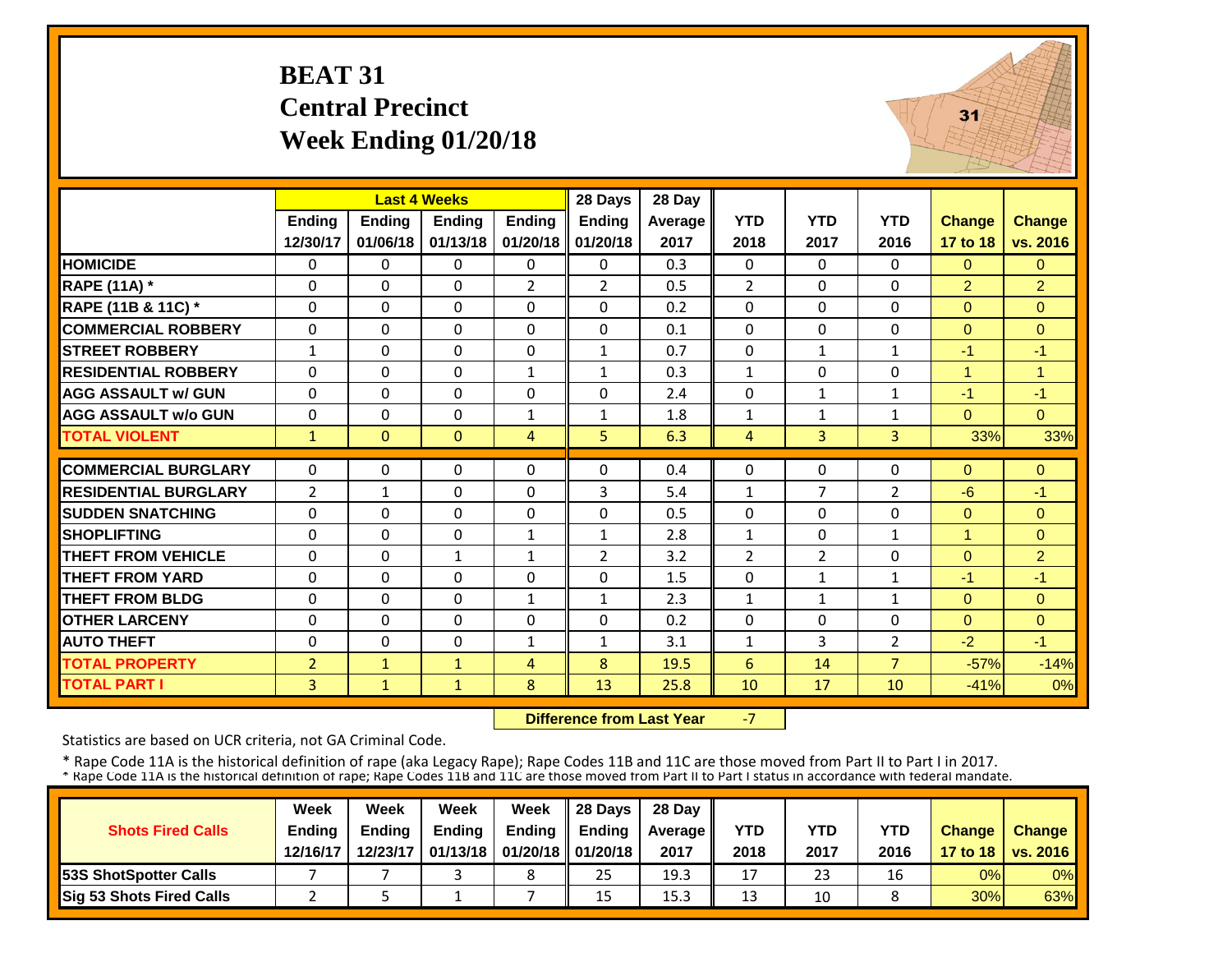## **BEAT 31 Central Precinct Week Ending 01/20/18**



|                             |                |              | <b>Last 4 Weeks</b> |                | 28 Days        | 28 Day  |                |                |                |                |                      |
|-----------------------------|----------------|--------------|---------------------|----------------|----------------|---------|----------------|----------------|----------------|----------------|----------------------|
|                             | Ending         | Ending       | <b>Endina</b>       | <b>Endina</b>  | Ending         | Average | <b>YTD</b>     | <b>YTD</b>     | <b>YTD</b>     | <b>Change</b>  | <b>Change</b>        |
|                             | 12/30/17       | 01/06/18     | 01/13/18            | 01/20/18       | 01/20/18       | 2017    | 2018           | 2017           | 2016           | 17 to 18       | vs. 2016             |
| <b>HOMICIDE</b>             | 0              | $\Omega$     | $\Omega$            | $\mathbf{0}$   | $\Omega$       | 0.3     | $\mathbf{0}$   | $\Omega$       | $\Omega$       | $\Omega$       | $\Omega$             |
| <b>RAPE (11A) *</b>         | $\Omega$       | $\Omega$     | $\Omega$            | $\overline{2}$ | $\overline{2}$ | 0.5     | $\overline{2}$ | $\Omega$       | $\Omega$       | $\overline{2}$ | 2                    |
| RAPE (11B & 11C) *          | $\Omega$       | $\Omega$     | $\Omega$            | $\Omega$       | $\Omega$       | 0.2     | $\Omega$       | $\Omega$       | $\Omega$       | $\Omega$       | $\Omega$             |
| <b>COMMERCIAL ROBBERY</b>   | $\Omega$       | $\Omega$     | $\Omega$            | $\mathbf{0}$   | $\mathbf{0}$   | 0.1     | $\Omega$       | $\Omega$       | $\Omega$       | $\Omega$       | $\Omega$             |
| <b>STREET ROBBERY</b>       | $\mathbf{1}$   | $\Omega$     | $\Omega$            | 0              | $\mathbf{1}$   | 0.7     | 0              | $\mathbf{1}$   | $\mathbf{1}$   | $-1$           | $-1$                 |
| <b>RESIDENTIAL ROBBERY</b>  | $\Omega$       | $\Omega$     | $\Omega$            | $\mathbf{1}$   | $\mathbf{1}$   | 0.3     | $\mathbf{1}$   | $\Omega$       | $\Omega$       | $\mathbf{1}$   | $\blacktriangleleft$ |
| <b>AGG ASSAULT w/ GUN</b>   | $\Omega$       | $\Omega$     | $\mathbf 0$         | $\Omega$       | $\Omega$       | 2.4     | 0              | $\mathbf{1}$   | $\mathbf{1}$   | $-1$           | $-1$                 |
| <b>AGG ASSAULT w/o GUN</b>  | $\Omega$       | $\Omega$     | $\Omega$            | $\mathbf{1}$   | 1              | 1.8     | $\mathbf{1}$   | $\mathbf{1}$   | 1              | $\Omega$       | $\Omega$             |
| <b>TOTAL VIOLENT</b>        | $\mathbf{1}$   | $\Omega$     | $\mathbf{0}$        | $\overline{4}$ | 5.             | 6.3     | $\overline{4}$ | $\overline{3}$ | $\overline{3}$ | 33%            | 33%                  |
| <b>COMMERCIAL BURGLARY</b>  | $\Omega$       | $\Omega$     | $\Omega$            | $\Omega$       | $\Omega$       | 0.4     | $\mathbf 0$    | $\Omega$       | $\Omega$       | $\Omega$       | $\overline{0}$       |
| <b>RESIDENTIAL BURGLARY</b> | $\overline{2}$ | $\mathbf{1}$ | $\Omega$            | $\Omega$       | 3              | 5.4     | $\mathbf{1}$   | $\overline{7}$ | 2              | $-6$           | $-1$                 |
| <b>ISUDDEN SNATCHING</b>    | $\Omega$       | $\Omega$     | $\Omega$            | $\Omega$       | $\Omega$       | 0.5     | $\Omega$       | $\Omega$       | $\Omega$       | $\Omega$       | $\Omega$             |
| <b>SHOPLIFTING</b>          | $\Omega$       | $\Omega$     | $\Omega$            | $\mathbf{1}$   | $\mathbf{1}$   | 2.8     | $\mathbf{1}$   | $\Omega$       | $\mathbf{1}$   | $\mathbf{1}$   | $\Omega$             |
| <b>THEFT FROM VEHICLE</b>   | 0              | $\Omega$     | 1                   | $\mathbf{1}$   | $\overline{2}$ | 3.2     | $\overline{2}$ | $\overline{2}$ | $\Omega$       | $\overline{0}$ | $\overline{2}$       |
| <b>THEFT FROM YARD</b>      | 0              | $\Omega$     | $\Omega$            | 0              | 0              | 1.5     | 0              | $\mathbf{1}$   | $\mathbf{1}$   | $-1$           | $-1$                 |
| <b>THEFT FROM BLDG</b>      | 0              | $\Omega$     | $\Omega$            | $\mathbf{1}$   | $\mathbf{1}$   | 2.3     | $\mathbf{1}$   | $\mathbf{1}$   | $\mathbf{1}$   | $\Omega$       | $\Omega$             |
| <b>OTHER LARCENY</b>        | 0              | $\Omega$     | $\Omega$            | $\Omega$       | $\Omega$       | 0.2     | 0              | 0              | $\Omega$       | $\overline{0}$ | $\mathbf{0}$         |
| <b>AUTO THEFT</b>           | $\Omega$       | $\Omega$     | $\Omega$            | $\mathbf{1}$   | 1              | 3.1     | $\mathbf{1}$   | 3              | $\overline{2}$ | $-2$           | $-1$                 |
| <b>TOTAL PROPERTY</b>       | $\overline{2}$ | $\mathbf{1}$ | $\mathbf{1}$        | 4              | 8              | 19.5    | 6              | 14             | $\overline{7}$ | $-57%$         | $-14%$               |
| <b>TOTAL PART I</b>         | 3              | $\mathbf{1}$ | $\mathbf{1}$        | 8              | 13             | 25.8    | 10             | 17             | 10             | $-41%$         | 0%                   |
|                             |                |              |                     |                |                |         |                |                |                |                |                      |

 **Difference from Last Year**‐7

Statistics are based on UCR criteria, not GA Criminal Code.

|                               | Week     | Week          | Week          | Week                           | $\parallel$ 28 Davs | 28 Day    |      |      |            |               |                     |
|-------------------------------|----------|---------------|---------------|--------------------------------|---------------------|-----------|------|------|------------|---------------|---------------------|
| <b>Shots Fired Calls</b>      | Ending   | <b>Ending</b> | <b>Ending</b> | <b>Ending</b>                  | <b>Ending</b>       | Average I | YTD  | YTD  | <b>YTD</b> | <b>Change</b> | <b>Change</b>       |
|                               | 12/16/17 | 12/23/17      |               | 01/13/18   01/20/18   01/20/18 |                     | 2017      | 2018 | 2017 | 2016       |               | 17 to 18   vs. 2016 |
| <b>153S ShotSpotter Calls</b> |          |               |               |                                | 25                  | 19.3      | 17   | 23   | 16         | 0%            | $0\%$               |
| Sig 53 Shots Fired Calls      |          |               |               |                                | 15                  | 15.3      | 13   | 10   |            | 30%           | 63%                 |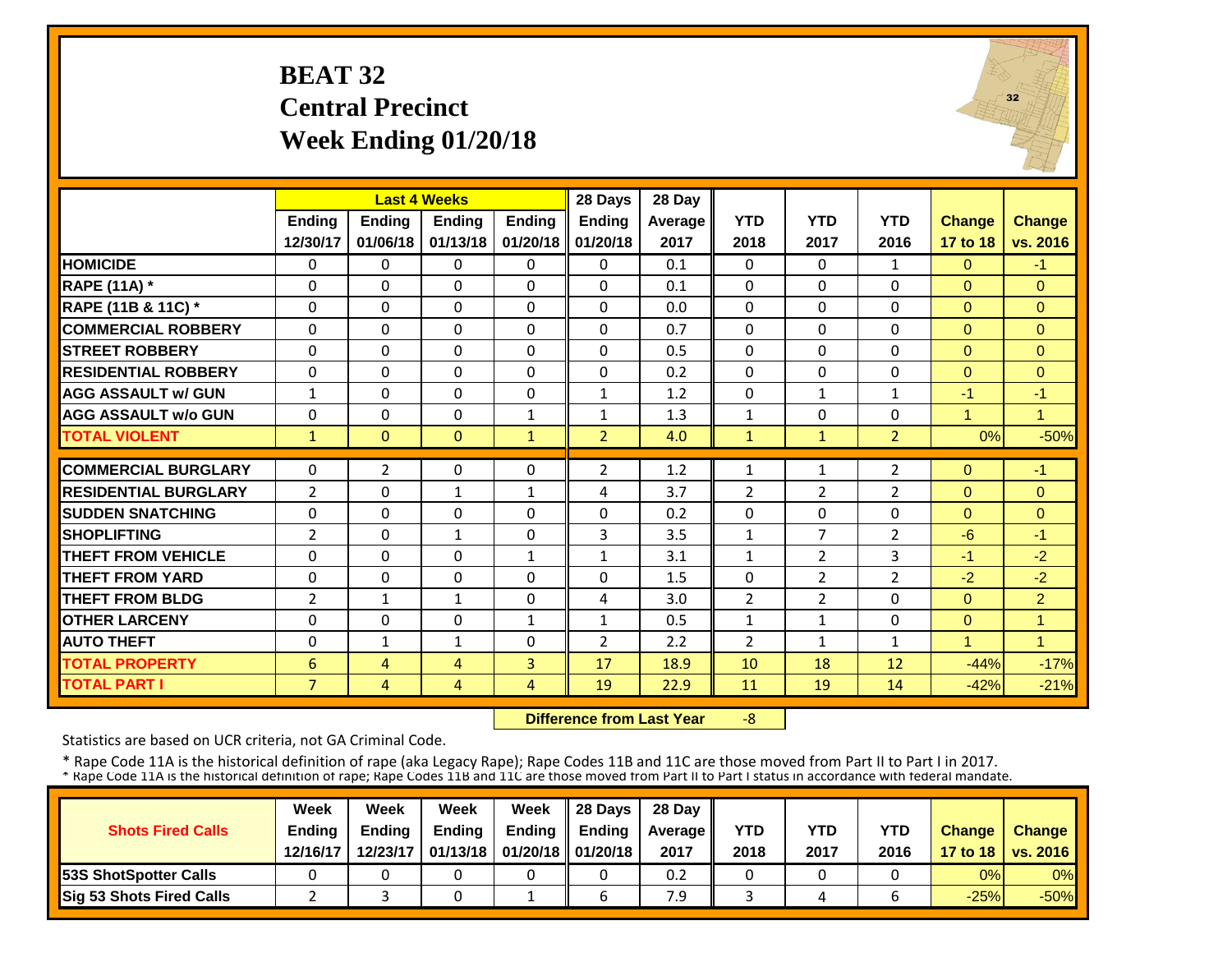## **BEAT 32 Central Precinct Week Ending 01/20/18**



|                             |                |                | <b>Last 4 Weeks</b> |               | 28 Days        | 28 Day  |                |                |                |               |                |
|-----------------------------|----------------|----------------|---------------------|---------------|----------------|---------|----------------|----------------|----------------|---------------|----------------|
|                             | <b>Ending</b>  | Ending         | <b>Endina</b>       | <b>Ending</b> | Ending         | Average | <b>YTD</b>     | <b>YTD</b>     | <b>YTD</b>     | <b>Change</b> | <b>Change</b>  |
|                             | 12/30/17       | 01/06/18       | 01/13/18            | 01/20/18      | 01/20/18       | 2017    | 2018           | 2017           | 2016           | 17 to 18      | vs. 2016       |
| <b>HOMICIDE</b>             | $\Omega$       | $\Omega$       | $\Omega$            | $\Omega$      | $\Omega$       | 0.1     | $\Omega$       | $\Omega$       | 1              | $\Omega$      | $-1$           |
| <b>RAPE (11A)</b> *         | $\Omega$       | $\Omega$       | $\Omega$            | $\Omega$      | $\Omega$       | 0.1     | $\mathbf 0$    | $\Omega$       | $\Omega$       | $\Omega$      | $\Omega$       |
| RAPE (11B & 11C) *          | $\Omega$       | $\Omega$       | $\Omega$            | $\Omega$      | $\Omega$       | 0.0     | $\mathbf 0$    | $\Omega$       | $\Omega$       | $\Omega$      | $\Omega$       |
| <b>COMMERCIAL ROBBERY</b>   | $\Omega$       | $\Omega$       | $\Omega$            | $\mathbf{0}$  | $\Omega$       | 0.7     | 0              | $\Omega$       | $\Omega$       | $\Omega$      | $\Omega$       |
| <b>STREET ROBBERY</b>       | $\Omega$       | $\Omega$       | $\Omega$            | $\Omega$      | $\Omega$       | 0.5     | 0              | $\Omega$       | $\Omega$       | $\Omega$      | $\Omega$       |
| <b>RESIDENTIAL ROBBERY</b>  | $\Omega$       | $\Omega$       | $\Omega$            | $\Omega$      | $\mathbf{0}$   | 0.2     | $\Omega$       | $\Omega$       | 0              | $\Omega$      | $\Omega$       |
| <b>AGG ASSAULT w/ GUN</b>   | $\mathbf{1}$   | $\Omega$       | $\Omega$            | $\Omega$      | $\mathbf{1}$   | 1.2     | $\Omega$       | $\mathbf{1}$   | $\mathbf{1}$   | $-1$          | $-1$           |
| <b>AGG ASSAULT w/o GUN</b>  | 0              | $\Omega$       | $\Omega$            | $\mathbf{1}$  | 1              | 1.3     | $\mathbf{1}$   | $\Omega$       | 0              | $\mathbf{1}$  | $\mathbf{1}$   |
| <b>TOTAL VIOLENT</b>        | $\mathbf{1}$   | $\Omega$       | $\Omega$            | $\mathbf{1}$  | $\overline{2}$ | 4.0     | $\mathbf{1}$   | $\mathbf{1}$   | $\overline{2}$ | 0%            | $-50%$         |
|                             |                |                |                     |               |                |         |                |                |                |               |                |
| <b>COMMERCIAL BURGLARY</b>  | $\Omega$       | $\overline{2}$ | $\Omega$            | $\Omega$      | $\overline{2}$ | 1.2     | 1              | 1              | $\overline{2}$ | $\Omega$      | $-1$           |
| <b>RESIDENTIAL BURGLARY</b> | $\overline{2}$ | $\Omega$       | $\mathbf{1}$        | $\mathbf{1}$  | 4              | 3.7     | $\overline{2}$ | $\overline{2}$ | $\overline{2}$ | $\Omega$      | $\Omega$       |
| <b>ISUDDEN SNATCHING</b>    | 0              | $\Omega$       | $\Omega$            | $\Omega$      | $\Omega$       | 0.2     | 0              | $\Omega$       | 0              | $\Omega$      | $\Omega$       |
| <b>SHOPLIFTING</b>          | $\overline{2}$ | $\Omega$       | $\mathbf{1}$        | 0             | $\overline{3}$ | 3.5     | $\mathbf{1}$   | $\overline{7}$ | 2              | $-6$          | $-1$           |
| <b>THEFT FROM VEHICLE</b>   | $\Omega$       | $\Omega$       | $\Omega$            | $\mathbf{1}$  | $\mathbf{1}$   | 3.1     | $\mathbf{1}$   | 2              | 3              | $-1$          | $-2$           |
| <b>THEFT FROM YARD</b>      | $\Omega$       | $\Omega$       | $\Omega$            | $\Omega$      | $\Omega$       | 1.5     | $\Omega$       | $\overline{2}$ | 2              | $-2$          | $-2$           |
| <b>THEFT FROM BLDG</b>      | $\overline{2}$ | $\mathbf{1}$   | $\mathbf{1}$        | 0             | 4              | 3.0     | $\overline{2}$ | $\overline{2}$ | $\Omega$       | $\Omega$      | $\overline{2}$ |
| <b>OTHER LARCENY</b>        | $\Omega$       | $\Omega$       | $\Omega$            | $\mathbf{1}$  | 1              | 0.5     | $\mathbf{1}$   | $\mathbf{1}$   | 0              | $\Omega$      | $\mathbf{1}$   |
| <b>AUTO THEFT</b>           | $\Omega$       | $\mathbf{1}$   | $\mathbf{1}$        | $\Omega$      | $\overline{2}$ | 2.2     | $\overline{2}$ | $\mathbf{1}$   | 1              | $\mathbf{1}$  | $\mathbf{1}$   |
| <b>TOTAL PROPERTY</b>       | 6              | 4              | 4                   | 3             | 17             | 18.9    | 10             | 18             | 12             | $-44%$        | $-17%$         |
| <b>TOTAL PART I</b>         | 7              | $\overline{4}$ | 4                   | 4             | 19             | 22.9    | 11             | 19             | 14             | $-42%$        | $-21%$         |

 **Difference from Last Year**‐8

Statistics are based on UCR criteria, not GA Criminal Code.

|                               | Week          | Week          | Week          | Week                           | $\parallel$ 28 Davs | 28 Day    |      |      |            |               |                     |
|-------------------------------|---------------|---------------|---------------|--------------------------------|---------------------|-----------|------|------|------------|---------------|---------------------|
| <b>Shots Fired Calls</b>      | <b>Ending</b> | <b>Ending</b> | <b>Ending</b> | <b>Ending</b>                  | <b>Ending</b>       | Average I | YTD  | YTD  | <b>YTD</b> | <b>Change</b> | <b>Change</b>       |
|                               | 12/16/17      | 12/23/17      |               | 01/13/18   01/20/18   01/20/18 |                     | 2017      | 2018 | 2017 | 2016       |               | 17 to 18   vs. 2016 |
| <b>153S ShotSpotter Calls</b> |               |               |               |                                |                     | 0.2       |      |      |            | 0%            | $0\%$               |
| Sig 53 Shots Fired Calls      |               |               |               |                                |                     | 7.9       |      |      |            | $-25%$        | $-50%$              |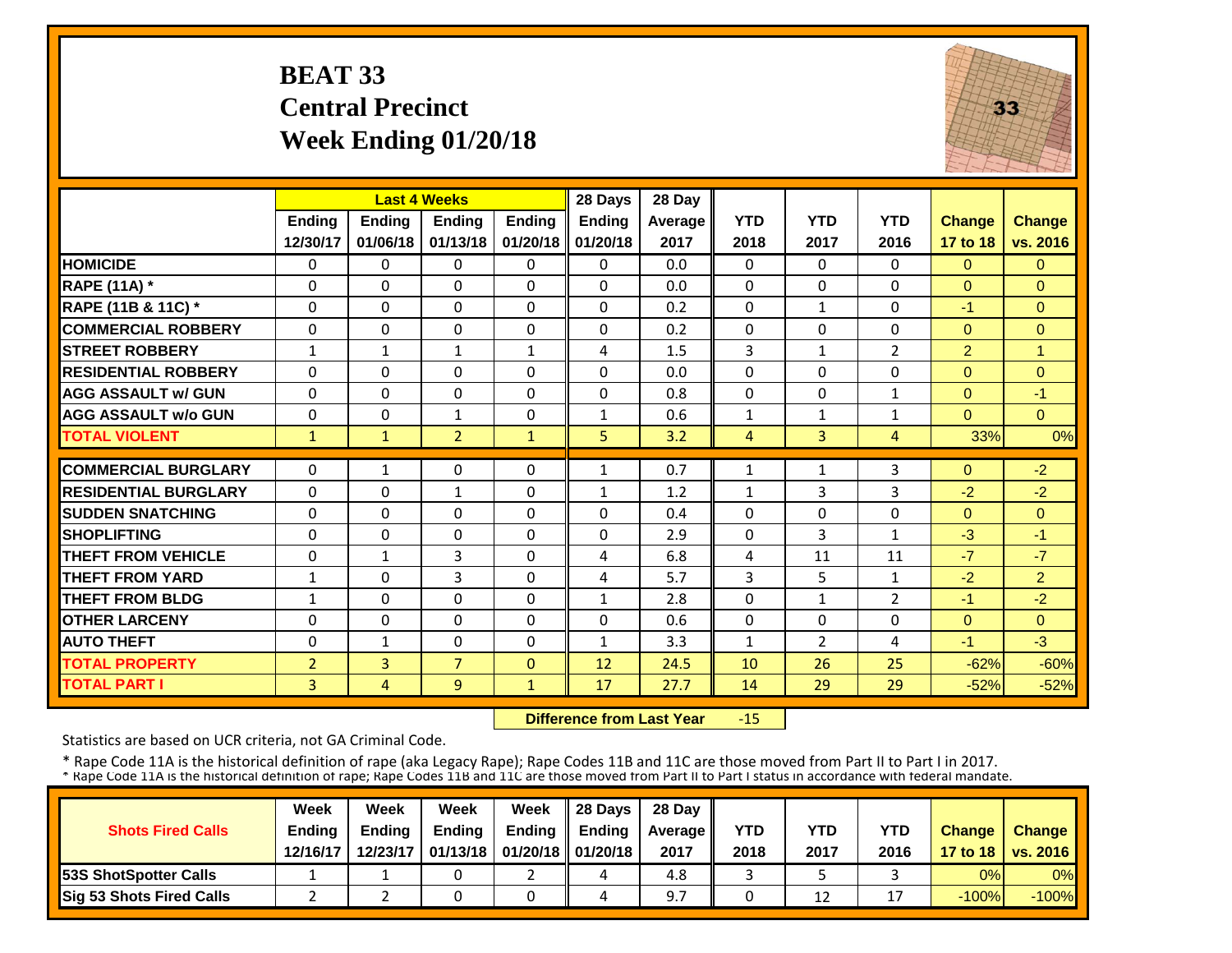## **BEAT 33 Central Precinct Week Ending 01/20/18**



|                             |                | <b>Last 4 Weeks</b> |                |               | 28 Days       | 28 Day  |                |                |                |                |               |
|-----------------------------|----------------|---------------------|----------------|---------------|---------------|---------|----------------|----------------|----------------|----------------|---------------|
|                             | Ending         | <b>Ending</b>       | Ending         | <b>Ending</b> | <b>Ending</b> | Average | <b>YTD</b>     | <b>YTD</b>     | <b>YTD</b>     | <b>Change</b>  | <b>Change</b> |
|                             | 12/30/17       | 01/06/18            | 01/13/18       | 01/20/18      | 01/20/18      | 2017    | 2018           | 2017           | 2016           | 17 to 18       | vs. 2016      |
| <b>HOMICIDE</b>             | $\Omega$       | $\Omega$            | $\Omega$       | 0             | $\Omega$      | 0.0     | $\Omega$       | $\Omega$       | 0              | $\Omega$       | $\Omega$      |
| <b>RAPE (11A)</b> *         | $\Omega$       | $\Omega$            | $\Omega$       | $\Omega$      | $\Omega$      | 0.0     | $\Omega$       | $\Omega$       | $\Omega$       | $\Omega$       | $\Omega$      |
| RAPE (11B & 11C) *          | $\mathbf 0$    | $\Omega$            | 0              | 0             | $\Omega$      | 0.2     | 0              | $\mathbf{1}$   | $\Omega$       | $-1$           | $\Omega$      |
| <b>COMMERCIAL ROBBERY</b>   | $\Omega$       | $\Omega$            | $\Omega$       | $\Omega$      | 0             | 0.2     | $\Omega$       | $\Omega$       | $\Omega$       | $\Omega$       | $\Omega$      |
| <b>STREET ROBBERY</b>       | $\mathbf{1}$   | $\mathbf{1}$        | $\mathbf{1}$   | $\mathbf{1}$  | 4             | 1.5     | 3              | $\mathbf{1}$   | $\overline{2}$ | $\overline{2}$ | 1             |
| <b>RESIDENTIAL ROBBERY</b>  | $\Omega$       | $\Omega$            | $\Omega$       | 0             | 0             | 0.0     | $\Omega$       | $\Omega$       | $\Omega$       | $\Omega$       | $\Omega$      |
| <b>AGG ASSAULT w/ GUN</b>   | $\Omega$       | $\Omega$            | $\Omega$       | $\Omega$      | $\Omega$      | 0.8     | 0              | $\Omega$       | $\mathbf{1}$   | $\Omega$       | $-1$          |
| <b>AGG ASSAULT w/o GUN</b>  | $\Omega$       | $\Omega$            | $\mathbf{1}$   | $\Omega$      | 1             | 0.6     | $\mathbf{1}$   | $\mathbf{1}$   | $\mathbf 1$    | $\Omega$       | $\Omega$      |
| <b>TOTAL VIOLENT</b>        | $\mathbf{1}$   | $\mathbf{1}$        | $\overline{2}$ | $\mathbf{1}$  | 5.            | 3.2     | $\overline{4}$ | 3              | 4              | 33%            | 0%            |
| <b>COMMERCIAL BURGLARY</b>  | $\Omega$       | $\mathbf{1}$        | $\Omega$       | 0             | 1             | 0.7     | 1              | 1              | 3              | $\Omega$       | $-2$          |
| <b>RESIDENTIAL BURGLARY</b> | $\Omega$       | $\Omega$            | $\mathbf{1}$   | 0             | 1             | 1.2     | $\mathbf{1}$   | 3              | 3              | $-2$           | $-2$          |
| <b>SUDDEN SNATCHING</b>     | 0              | $\Omega$            | $\Omega$       | 0             | $\Omega$      | 0.4     | $\Omega$       | $\Omega$       | 0              | $\Omega$       | $\Omega$      |
| <b>SHOPLIFTING</b>          | $\Omega$       | $\Omega$            | $\Omega$       | $\Omega$      | $\Omega$      | 2.9     | $\Omega$       | 3              | $\mathbf{1}$   | $-3$           | $-1$          |
| <b>THEFT FROM VEHICLE</b>   | $\Omega$       | $\mathbf{1}$        | 3              | $\Omega$      | 4             | 6.8     | 4              | 11             | 11             | $-7$           | $-7$          |
| <b>THEFT FROM YARD</b>      | $\mathbf{1}$   | $\Omega$            | 3              | $\Omega$      | 4             | 5.7     | 3              | 5              | 1              | $-2$           | 2             |
| <b>THEFT FROM BLDG</b>      | $\mathbf{1}$   | $\Omega$            | $\Omega$       | 0             | $\mathbf{1}$  | 2.8     | $\Omega$       | 1              | $\overline{2}$ | $-1$           | $-2$          |
| <b>OTHER LARCENY</b>        | $\Omega$       | $\Omega$            | $\Omega$       | 0             | $\Omega$      | 0.6     | $\Omega$       | $\Omega$       | $\Omega$       | $\Omega$       | $\Omega$      |
| <b>AUTO THEFT</b>           | $\mathbf 0$    | $\mathbf{1}$        | $\Omega$       | 0             | $\mathbf{1}$  | 3.3     | $\mathbf{1}$   | $\overline{2}$ | 4              | $-1$           | $-3$          |
| <b>TOTAL PROPERTY</b>       | $\overline{2}$ | 3                   | $\overline{7}$ | $\Omega$      | 12            | 24.5    | 10             | 26             | 25             | $-62%$         | $-60%$        |
| <b>TOTAL PART I</b>         | 3              | $\overline{4}$      | 9              | 1             | 17            | 27.7    | 14             | 29             | 29             | $-52%$         | $-52%$        |

 **Difference from Last Year**‐15

Statistics are based on UCR criteria, not GA Criminal Code.

|                               | Week          | Week          | Week          | Week                           | 28 Davs       | 28 Day    |      |      |            |               |                     |
|-------------------------------|---------------|---------------|---------------|--------------------------------|---------------|-----------|------|------|------------|---------------|---------------------|
| <b>Shots Fired Calls</b>      | <b>Endina</b> | <b>Endina</b> | <b>Ending</b> | <b>Ending</b>                  | <b>Endina</b> | Average I | YTD  | YTD  | <b>YTD</b> | <b>Change</b> | <b>Change</b>       |
|                               | 12/16/17      | 12/23/17      |               | 01/13/18   01/20/18   01/20/18 |               | 2017      | 2018 | 2017 | 2016       |               | 17 to 18   vs. 2016 |
| <b>153S ShotSpotter Calls</b> |               |               |               |                                |               | 4.8       |      |      |            | 0%            | $0\%$               |
| Sig 53 Shots Fired Calls      |               |               |               |                                |               |           |      | 12   |            | $-100%$       | $-100%$             |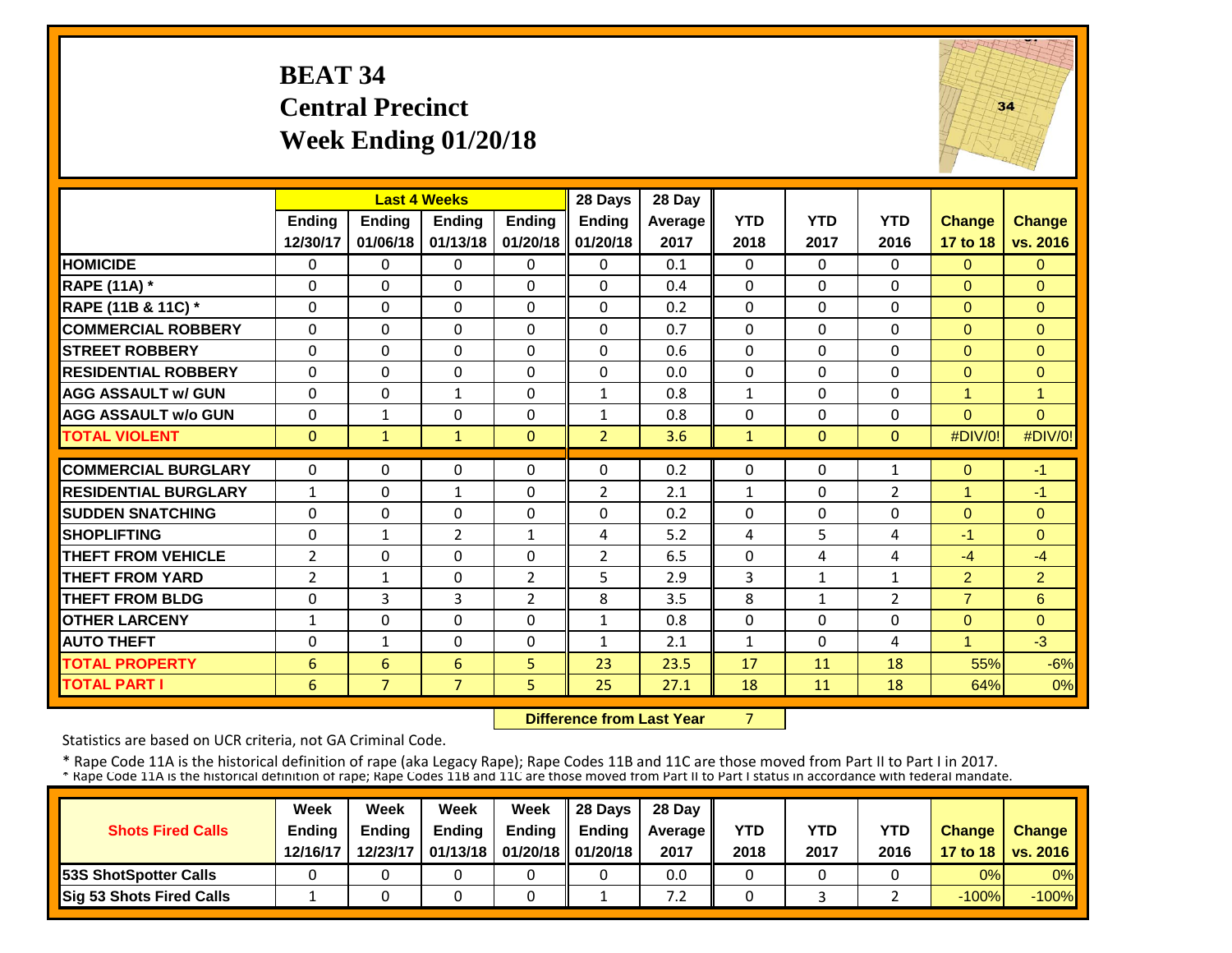## **BEAT 34 Central Precinct Week Ending 01/20/18**



|                             |                | <b>Last 4 Weeks</b> |                |                | 28 Days        | 28 Day  |                |              |                |                |                |
|-----------------------------|----------------|---------------------|----------------|----------------|----------------|---------|----------------|--------------|----------------|----------------|----------------|
|                             | <b>Ending</b>  | <b>Ending</b>       | <b>Endina</b>  | <b>Ending</b>  | <b>Ending</b>  | Average | <b>YTD</b>     | <b>YTD</b>   | <b>YTD</b>     | <b>Change</b>  | <b>Change</b>  |
|                             | 12/30/17       | 01/06/18            | 01/13/18       | 01/20/18       | 01/20/18       | 2017    | 2018           | 2017         | 2016           | 17 to 18       | vs. 2016       |
| <b>HOMICIDE</b>             | 0              | $\Omega$            | $\Omega$       | $\Omega$       | 0              | 0.1     | $\Omega$       | $\Omega$     | 0              | $\Omega$       | $\Omega$       |
| <b>RAPE (11A)</b> *         | $\Omega$       | 0                   | $\Omega$       | $\Omega$       | $\Omega$       | 0.4     | $\Omega$       | $\Omega$     | 0              | $\Omega$       | $\Omega$       |
| RAPE (11B & 11C) *          | $\mathbf 0$    | $\Omega$            | $\Omega$       | 0              | $\Omega$       | 0.2     | 0              | $\Omega$     | 0              | $\Omega$       | $\Omega$       |
| <b>COMMERCIAL ROBBERY</b>   | 0              | $\Omega$            | $\Omega$       | 0              | 0              | 0.7     | $\Omega$       | $\Omega$     | 0              | $\Omega$       | $\Omega$       |
| <b>ISTREET ROBBERY</b>      | 0              | $\Omega$            | $\Omega$       | 0              | $\Omega$       | 0.6     | $\Omega$       | $\Omega$     | 0              | $\overline{0}$ | $\mathbf{0}$   |
| <b>RESIDENTIAL ROBBERY</b>  | $\Omega$       | $\Omega$            | $\Omega$       | $\Omega$       | $\Omega$       | 0.0     | $\Omega$       | $\Omega$     | 0              | $\Omega$       | $\Omega$       |
| <b>AGG ASSAULT w/ GUN</b>   | $\Omega$       | $\Omega$            | $\mathbf{1}$   | $\Omega$       | 1              | 0.8     | $\mathbf{1}$   | $\Omega$     | 0              | 1              | $\overline{1}$ |
| <b>AGG ASSAULT w/o GUN</b>  | 0              | $\mathbf{1}$        | $\Omega$       | $\Omega$       | 1              | 0.8     | $\Omega$       | $\Omega$     | 0              | $\Omega$       | $\Omega$       |
| <b>TOTAL VIOLENT</b>        | $\mathbf{0}$   | $\mathbf{1}$        | $\mathbf{1}$   | $\mathbf{0}$   | $\overline{2}$ | 3.6     | $\mathbf{1}$   | $\mathbf{0}$ | $\Omega$       | #DIV/0!        | #DIV/0!        |
| <b>COMMERCIAL BURGLARY</b>  | $\Omega$       | $\Omega$            | $\Omega$       | $\Omega$       | $\Omega$       | 0.2     | $\Omega$       | $\Omega$     | 1              | $\Omega$       | $-1$           |
| <b>RESIDENTIAL BURGLARY</b> | $\mathbf{1}$   | $\Omega$            |                | $\Omega$       | $\overline{2}$ | 2.1     | $\mathbf{1}$   | $\Omega$     |                | 1              | $-1$           |
|                             |                |                     | $\mathbf{1}$   |                |                |         |                |              | 2              |                |                |
| <b>ISUDDEN SNATCHING</b>    | $\Omega$       | $\Omega$            | $\Omega$       | $\Omega$       | $\Omega$       | 0.2     | $\Omega$       | $\Omega$     | 0              | $\Omega$       | $\Omega$       |
| <b>SHOPLIFTING</b>          | $\Omega$       | $\mathbf{1}$        | $\overline{2}$ | $\mathbf{1}$   | 4              | 5.2     | $\overline{4}$ | 5            | 4              | $-1$           | $\Omega$       |
| <b>THEFT FROM VEHICLE</b>   | $\overline{2}$ | $\Omega$            | $\Omega$       | 0              | $\overline{2}$ | 6.5     | $\Omega$       | 4            | 4              | $-4$           | $-4$           |
| <b>THEFT FROM YARD</b>      | $\overline{2}$ | $\mathbf{1}$        | $\Omega$       | $\overline{2}$ | 5              | 2.9     | 3              | $\mathbf{1}$ | 1              | $\overline{2}$ | $\overline{2}$ |
| <b>THEFT FROM BLDG</b>      | 0              | 3                   | 3              | $\overline{2}$ | 8              | 3.5     | 8              | $\mathbf{1}$ | $\overline{2}$ | $\overline{7}$ | 6              |
| <b>OTHER LARCENY</b>        | $\mathbf{1}$   | $\Omega$            | $\Omega$       | 0              | $\mathbf{1}$   | 0.8     | $\Omega$       | 0            | 0              | $\Omega$       | $\Omega$       |
| <b>AUTO THEFT</b>           | 0              | $\mathbf{1}$        | $\Omega$       | $\Omega$       | $\mathbf{1}$   | 2.1     | $\mathbf{1}$   | $\Omega$     | 4              | $\overline{ }$ | $-3$           |
| <b>TOTAL PROPERTY</b>       | 6              | 6                   | 6              | 5              | 23             | 23.5    | 17             | 11           | 18             | 55%            | $-6%$          |
| <b>TOTAL PART I</b>         | 6              | 7 <sup>1</sup>      | $\overline{7}$ | 5              | 25             | 27.1    | 18             | 11           | 18             | 64%            | 0%             |

 **Difference from Last Year** 7

Statistics are based on UCR criteria, not GA Criminal Code.

|                               | Week          | Week          | Week          | Week                           | $\parallel$ 28 Davs | 28 Day    |      |      |            |               |                     |
|-------------------------------|---------------|---------------|---------------|--------------------------------|---------------------|-----------|------|------|------------|---------------|---------------------|
| <b>Shots Fired Calls</b>      | <b>Ending</b> | <b>Ending</b> | <b>Ending</b> | <b>Ending</b>                  | <b>Ending</b>       | Average I | YTD  | YTD  | <b>YTD</b> | <b>Change</b> | <b>Change</b>       |
|                               | 12/16/17      | 12/23/17      |               | 01/13/18   01/20/18   01/20/18 |                     | 2017      | 2018 | 2017 | 2016       |               | 17 to 18   vs. 2016 |
| <b>153S ShotSpotter Calls</b> |               |               |               |                                |                     | 0.0       |      |      |            | 0%            | $0\%$               |
| Sig 53 Shots Fired Calls      |               |               |               |                                |                     | ⇁<br>ے.   |      |      |            | $-100%$       | $-100\%$            |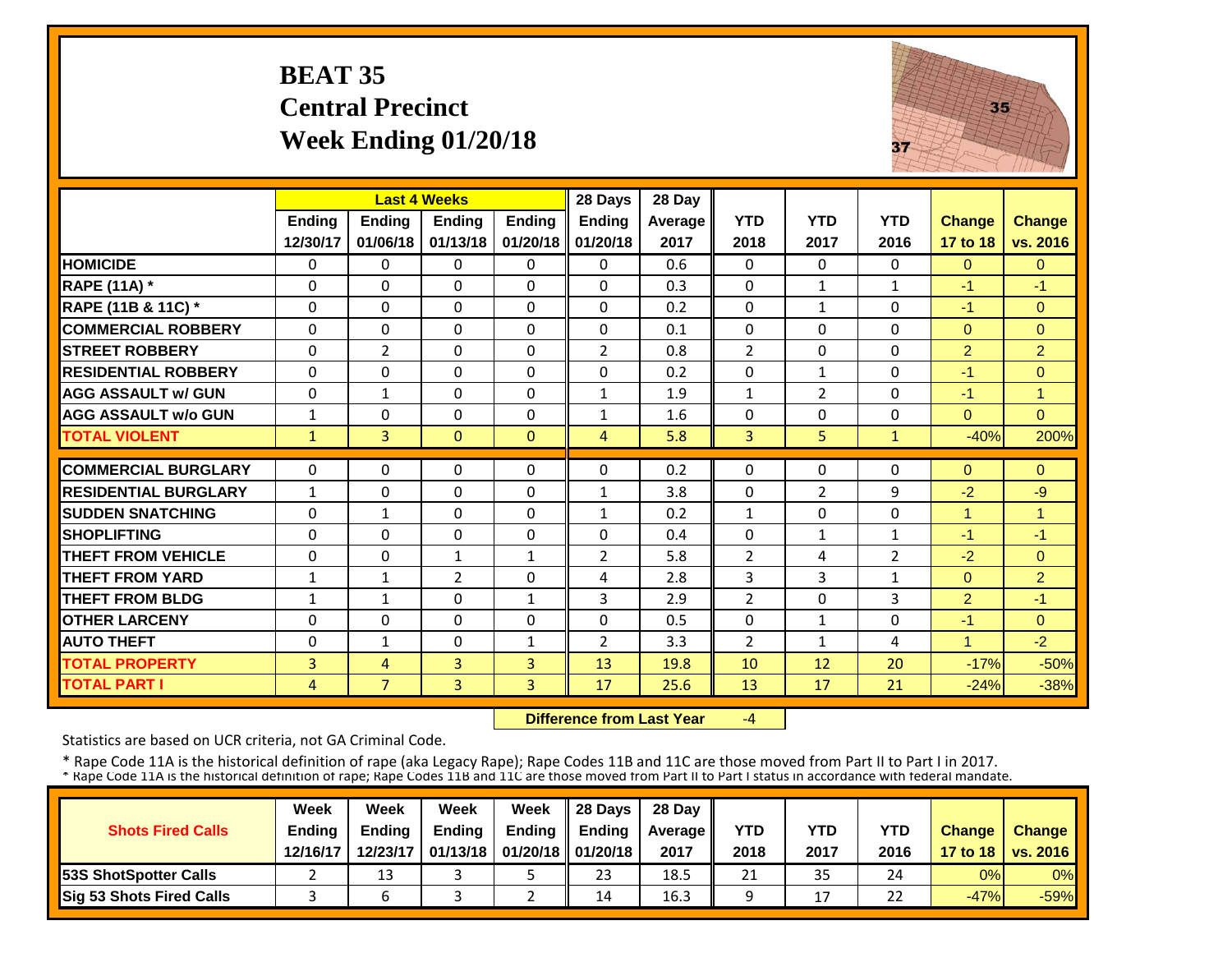## **BEAT 35 Central Precinct Week Ending 01/20/18**



|                             |              | <b>Last 4 Weeks</b> |                |               | 28 Days        | 28 Day  |                |                |                |                |                |
|-----------------------------|--------------|---------------------|----------------|---------------|----------------|---------|----------------|----------------|----------------|----------------|----------------|
|                             | Ending       | <b>Ending</b>       | <b>Ending</b>  | <b>Ending</b> | <b>Ending</b>  | Average | <b>YTD</b>     | <b>YTD</b>     | <b>YTD</b>     | <b>Change</b>  | <b>Change</b>  |
|                             | 12/30/17     | 01/06/18            | 01/13/18       | 01/20/18      | 01/20/18       | 2017    | 2018           | 2017           | 2016           | 17 to 18       | vs. 2016       |
| <b>HOMICIDE</b>             | $\Omega$     | 0                   | $\Omega$       | $\Omega$      | $\Omega$       | 0.6     | $\Omega$       | $\Omega$       | 0              | $\Omega$       | $\Omega$       |
| <b>RAPE (11A) *</b>         | $\Omega$     | 0                   | $\Omega$       | $\Omega$      | 0              | 0.3     | $\Omega$       | $\mathbf{1}$   | $\mathbf{1}$   | $-1$           | $-1$           |
| RAPE (11B & 11C) *          | 0            | $\Omega$            | $\Omega$       | $\Omega$      | 0              | 0.2     | 0              | $\mathbf{1}$   | 0              | $-1$           | $\overline{0}$ |
| <b>COMMERCIAL ROBBERY</b>   | $\Omega$     | $\Omega$            | $\Omega$       | $\Omega$      | $\Omega$       | 0.1     | $\Omega$       | $\Omega$       | 0              | $\Omega$       | $\Omega$       |
| <b>STREET ROBBERY</b>       | $\Omega$     | $\overline{2}$      | $\Omega$       | $\Omega$      | $\overline{2}$ | 0.8     | $\overline{2}$ | $\Omega$       | 0              | $\overline{2}$ | $\overline{2}$ |
| <b>RESIDENTIAL ROBBERY</b>  | $\Omega$     | $\Omega$            | $\Omega$       | $\Omega$      | $\Omega$       | 0.2     | $\Omega$       | $\mathbf{1}$   | 0              | $-1$           | $\Omega$       |
| <b>AGG ASSAULT w/ GUN</b>   | $\Omega$     | $\mathbf{1}$        | $\Omega$       | $\Omega$      | $\mathbf{1}$   | 1.9     | $\mathbf{1}$   | $\overline{2}$ | 0              | $-1$           | $\overline{1}$ |
| <b>AGG ASSAULT w/o GUN</b>  | $\mathbf{1}$ | 0                   | $\Omega$       | $\Omega$      | $\mathbf{1}$   | 1.6     | $\Omega$       | $\Omega$       | 0              | $\Omega$       | $\Omega$       |
| <b>TOTAL VIOLENT</b>        | $\mathbf{1}$ | $\overline{3}$      | $\Omega$       | $\Omega$      | $\overline{4}$ | 5.8     | $\overline{3}$ | 5              | $\mathbf{1}$   | $-40%$         | 200%           |
| <b>COMMERCIAL BURGLARY</b>  | $\Omega$     | 0                   | $\Omega$       | $\Omega$      | $\Omega$       | 0.2     | $\Omega$       | $\Omega$       | 0              | $\Omega$       | $\Omega$       |
|                             |              |                     |                |               |                |         |                |                |                |                |                |
| <b>RESIDENTIAL BURGLARY</b> | $\mathbf{1}$ | $\Omega$            | $\Omega$       | $\Omega$      | $\mathbf{1}$   | 3.8     | $\Omega$       | $\overline{2}$ | 9              | $-2$           | -9             |
| <b>SUDDEN SNATCHING</b>     | $\Omega$     | $\mathbf{1}$        | 0              | 0             | $\mathbf{1}$   | 0.2     | $\mathbf{1}$   | $\Omega$       | 0              | 1              | 1              |
| <b>SHOPLIFTING</b>          | $\Omega$     | $\Omega$            | $\Omega$       | $\Omega$      | $\Omega$       | 0.4     | $\Omega$       | $\mathbf{1}$   | 1              | $-1$           | $-1$           |
| <b>THEFT FROM VEHICLE</b>   | $\Omega$     | $\Omega$            | $\mathbf{1}$   | $\mathbf{1}$  | $\overline{2}$ | 5.8     | $\overline{2}$ | 4              | $\overline{2}$ | $-2$           | $\Omega$       |
| <b>THEFT FROM YARD</b>      | $\mathbf{1}$ | $\mathbf{1}$        | $\overline{2}$ | $\Omega$      | 4              | 2.8     | 3              | 3              | $\mathbf{1}$   | $\Omega$       | $\overline{2}$ |
| <b>THEFT FROM BLDG</b>      | $\mathbf{1}$ | $\mathbf{1}$        | $\Omega$       | 1             | 3              | 2.9     | $\overline{2}$ | $\Omega$       | 3              | $\overline{2}$ | $-1$           |
| <b>OTHER LARCENY</b>        | $\Omega$     | 0                   | 0              | $\Omega$      | 0              | 0.5     | $\Omega$       | $\mathbf{1}$   | 0              | $-1$           | $\overline{0}$ |
| <b>AUTO THEFT</b>           | $\Omega$     | $\mathbf{1}$        | $\Omega$       | $\mathbf{1}$  | $\overline{2}$ | 3.3     | 2              | 1              | 4              | 1              | $-2$           |
| <b>TOTAL PROPERTY</b>       | 3            | 4                   | 3              | 3             | 13             | 19.8    | 10             | 12             | 20             | $-17%$         | $-50%$         |
| <b>TOTAL PART I</b>         | 4            | $\overline{7}$      | $\overline{3}$ | 3             | 17             | 25.6    | 13             | 17             | 21             | $-24%$         | $-38%$         |

 **Difference from Last Year**‐4

Statistics are based on UCR criteria, not GA Criminal Code.

|                               | Week     | Week          | Week          | Week                           | $\parallel$ 28 Davs | 28 Day    |      |      |            |               |                     |
|-------------------------------|----------|---------------|---------------|--------------------------------|---------------------|-----------|------|------|------------|---------------|---------------------|
| <b>Shots Fired Calls</b>      | Ending   | <b>Ending</b> | <b>Ending</b> | <b>Ending</b>                  | <b>Ending</b>       | Average I | YTD  | YTD  | <b>YTD</b> | <b>Change</b> | <b>Change</b>       |
|                               | 12/16/17 | 12/23/17      |               | 01/13/18   01/20/18   01/20/18 |                     | 2017      | 2018 | 2017 | 2016       |               | 17 to 18   vs. 2016 |
| <b>153S ShotSpotter Calls</b> |          | 13            |               |                                | 23                  | 18.5      | 21   | 35   | 24         | 0%            | $0\%$               |
| Sig 53 Shots Fired Calls      |          |               |               |                                | 14                  | 16.3      |      | 17   | 22         | $-47%$        | $-59%$              |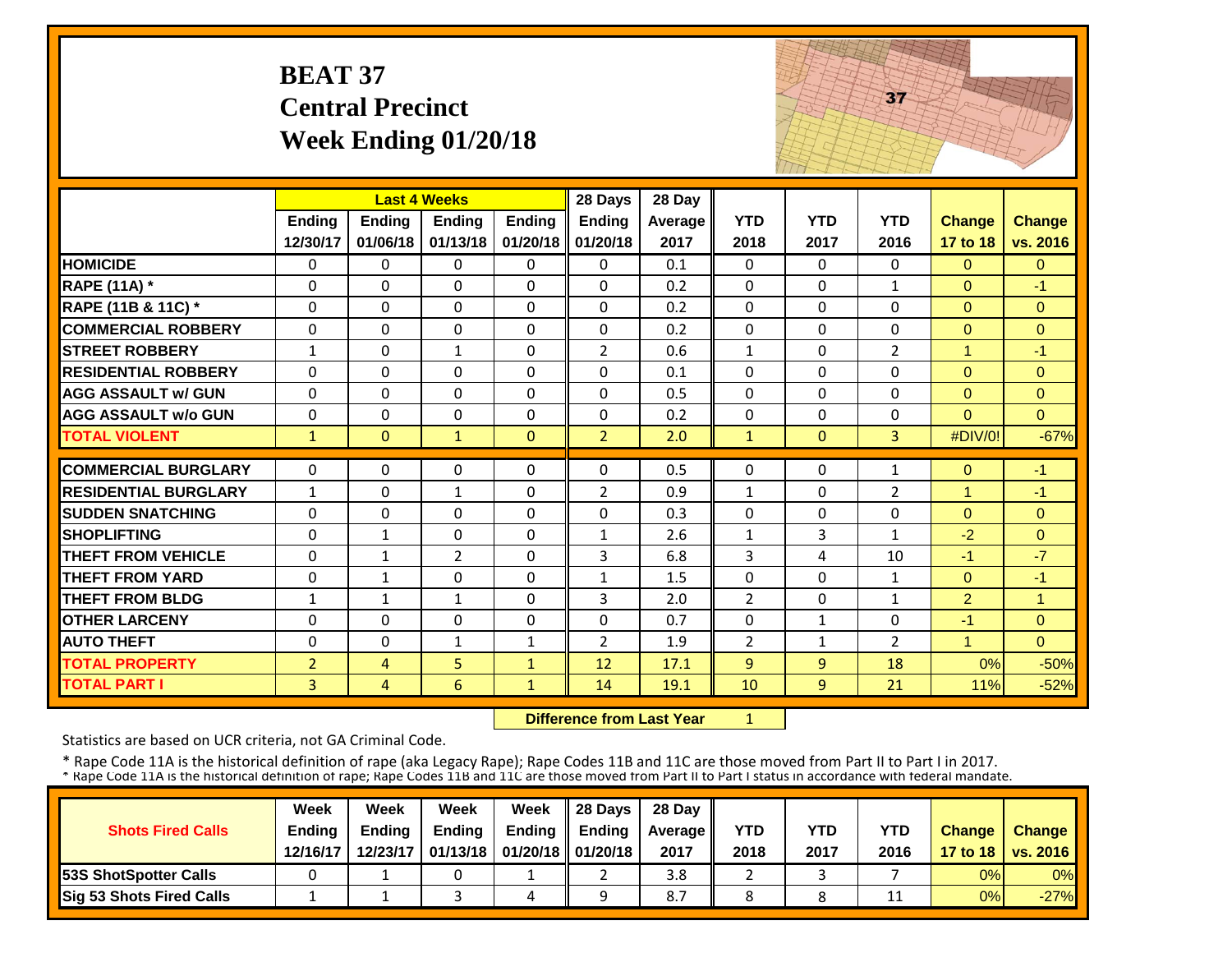|                             | <b>BEAT 37</b> | <b>Central Precinct</b><br>Week Ending $01/20/18$ |                     |               |                                  |         | 37             |                |                |                |                |
|-----------------------------|----------------|---------------------------------------------------|---------------------|---------------|----------------------------------|---------|----------------|----------------|----------------|----------------|----------------|
|                             |                |                                                   | <b>Last 4 Weeks</b> |               | 28 Days                          | 28 Day  |                |                |                |                |                |
|                             | <b>Ending</b>  | <b>Ending</b>                                     | <b>Ending</b>       | <b>Ending</b> | <b>Ending</b>                    | Average | <b>YTD</b>     | <b>YTD</b>     | <b>YTD</b>     | <b>Change</b>  | <b>Change</b>  |
|                             | 12/30/17       | 01/06/18                                          | 01/13/18            | 01/20/18      | 01/20/18                         | 2017    | 2018           | 2017           | 2016           | 17 to 18       | vs. 2016       |
| <b>HOMICIDE</b>             | $\mathbf 0$    | $\Omega$                                          | 0                   | $\Omega$      | $\Omega$                         | 0.1     | $\Omega$       | $\Omega$       | $\Omega$       | $\Omega$       | $\Omega$       |
| <b>RAPE (11A) *</b>         | 0              | $\Omega$                                          | 0                   | 0             | 0                                | 0.2     | 0              | 0              | $\mathbf{1}$   | $\mathbf{0}$   | -1             |
| RAPE (11B & 11C) *          | $\Omega$       | $\Omega$                                          | $\Omega$            | $\Omega$      | $\Omega$                         | 0.2     | $\Omega$       | $\Omega$       | $\Omega$       | $\Omega$       | $\Omega$       |
| <b>COMMERCIAL ROBBERY</b>   | $\pmb{0}$      | 0                                                 | 0                   | 0             | 0                                | 0.2     | 0              | 0              | 0              | $\mathbf 0$    | $\overline{0}$ |
| <b>STREET ROBBERY</b>       | $\mathbf{1}$   | 0                                                 | 1                   | 0             | $\overline{2}$                   | 0.6     | $\mathbf{1}$   | 0              | $\overline{2}$ | $\mathbf{1}$   | $-1$           |
| <b>RESIDENTIAL ROBBERY</b>  | $\Omega$       | $\Omega$                                          | $\Omega$            | $\Omega$      | $\Omega$                         | 0.1     | $\Omega$       | 0              | 0              | $\Omega$       | $\Omega$       |
| <b>AGG ASSAULT w/ GUN</b>   | $\Omega$       | $\Omega$                                          | $\Omega$            | $\Omega$      | $\Omega$                         | 0.5     | $\Omega$       | $\Omega$       | 0              | $\Omega$       | $\Omega$       |
| <b>AGG ASSAULT w/o GUN</b>  | 0              | $\Omega$                                          | $\Omega$            | $\Omega$      | $\Omega$                         | 0.2     | $\Omega$       | 0              | 0              | $\Omega$       | $\Omega$       |
| <b>TOTAL VIOLENT</b>        | $\mathbf{1}$   | $\Omega$                                          | $\mathbf{1}$        | $\Omega$      | $\overline{2}$                   | 2.0     | $\mathbf{1}$   | $\overline{0}$ | $\overline{3}$ | #DIV/0!        | $-67%$         |
| <b>COMMERCIAL BURGLARY</b>  | 0              | 0                                                 | 0                   | 0             | 0                                | 0.5     | $\mathbf 0$    | $\Omega$       | $\mathbf{1}$   | $\mathbf 0$    | $-1$           |
| <b>RESIDENTIAL BURGLARY</b> | $\mathbf{1}$   | $\Omega$                                          | 1                   | $\Omega$      | $\overline{2}$                   | 0.9     | $\mathbf{1}$   | 0              | $\overline{2}$ | $\mathbf{1}$   | $-1$           |
| <b>SUDDEN SNATCHING</b>     | 0              | $\mathbf{0}$                                      | $\Omega$            | $\Omega$      | $\Omega$                         | 0.3     | $\mathbf{0}$   | $\Omega$       | 0              | $\Omega$       | $\Omega$       |
| <b>SHOPLIFTING</b>          | $\Omega$       | $\mathbf{1}$                                      | 0                   | $\Omega$      | $\mathbf{1}$                     | 2.6     | 1              | 3              | $\mathbf{1}$   | $-2$           | $\Omega$       |
| <b>THEFT FROM VEHICLE</b>   | $\mathbf 0$    | $\mathbf{1}$                                      | $\overline{2}$      | $\Omega$      | 3                                | 6.8     | $\overline{3}$ | 4              | 10             | $-1$           | $-7$           |
| <b>THEFT FROM YARD</b>      | 0              | $\mathbf{1}$                                      | 0                   | 0             | $\mathbf{1}$                     | 1.5     | $\mathbf 0$    | $\Omega$       | $\mathbf{1}$   | $\mathbf{0}$   | $-1$           |
| <b>THEFT FROM BLDG</b>      | $\mathbf{1}$   | $\mathbf{1}$                                      | $\mathbf 1$         | $\Omega$      | 3                                | 2.0     | $\overline{2}$ | 0              | $\mathbf{1}$   | $\overline{2}$ | $\overline{1}$ |
| <b>OTHER LARCENY</b>        | $\mathbf 0$    | 0                                                 | 0                   | $\Omega$      | 0                                | 0.7     | $\mathbf 0$    | $\mathbf{1}$   | 0              | $-1$           | $\overline{0}$ |
| <b>AUTO THEFT</b>           | 0              | $\Omega$                                          | $\mathbf 1$         | $\mathbf{1}$  | $\overline{2}$                   | 1.9     | $\overline{2}$ | $\mathbf{1}$   | $\overline{2}$ | $\mathbf{1}$   | $\overline{0}$ |
| <b>TOTAL PROPERTY</b>       | $\overline{2}$ | 4                                                 | 5                   | $\mathbf{1}$  | 12                               | 17.1    | 9              | 9              | 18             | 0%             | $-50%$         |
| <b>TOTAL PART I</b>         | $\overline{3}$ | $\overline{4}$                                    | $6\overline{6}$     | $\mathbf{1}$  | 14                               | 19.1    | 10             | 9              | 21             | 11%            | $-52%$         |
|                             |                |                                                   |                     |               | <b>Difference from Last Year</b> |         | $\mathbf{1}$   |                |                |                |                |

 **Difference from Last Year**

Statistics are based on UCR criteria, not GA Criminal Code.

|                                 | Week          | Week          | Week          | Week                           | 28 Days       | 28 Day    |            |      |            |               |                     |
|---------------------------------|---------------|---------------|---------------|--------------------------------|---------------|-----------|------------|------|------------|---------------|---------------------|
| <b>Shots Fired Calls</b>        | <b>Ending</b> | <b>Ending</b> | <b>Ending</b> | <b>Ending</b>                  | <b>Endina</b> | Average I | <b>YTD</b> | YTD  | <b>YTD</b> | <b>Change</b> | <b>Change</b>       |
|                                 | 12/16/17      | 12/23/17      |               | 01/13/18   01/20/18   01/20/18 |               | 2017      | 2018       | 2017 | 2016       |               | 17 to 18   vs. 2016 |
| <b>53S ShotSpotter Calls</b>    |               |               |               |                                |               | 3.8       |            |      |            | 0%            | $0\%$               |
| <b>Sig 53 Shots Fired Calls</b> |               |               |               | 4                              |               | 8.7       |            |      | 11         | 0%            | $-27%$              |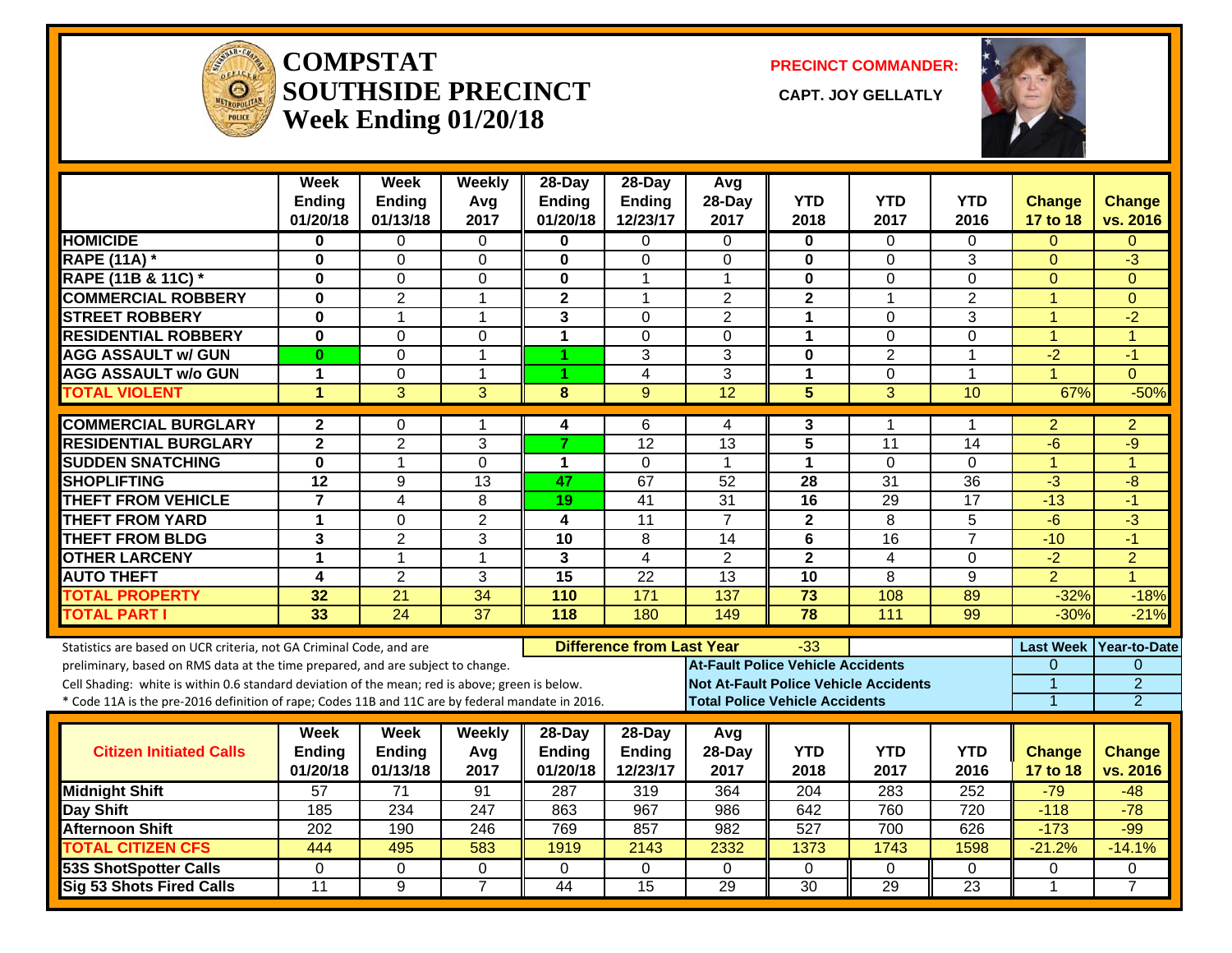

**COMPSTATSOUTHSIDE PRECINCT Week Ending 01/20/18**

**PRECINCT COMMANDER:**

**CAPT. JOY GELLATLY** 



|                                                                                                  | <b>Week</b>               | <b>Week</b>               | Weekly          | $28-Dav$                  | $28-Dav$                         | Avg                                      |                                       |                                              |                 |                      |                     |
|--------------------------------------------------------------------------------------------------|---------------------------|---------------------------|-----------------|---------------------------|----------------------------------|------------------------------------------|---------------------------------------|----------------------------------------------|-----------------|----------------------|---------------------|
|                                                                                                  | <b>Ending</b><br>01/20/18 | <b>Ending</b><br>01/13/18 | Avg<br>2017     | <b>Ending</b><br>01/20/18 | Ending<br>12/23/17               | 28-Day<br>2017                           | <b>YTD</b><br>2018                    | <b>YTD</b><br>2017                           | YTD.<br>2016    | Change<br>17 to 18   | Change<br>vs. 2016  |
| <b>HOMICIDE</b>                                                                                  | $\bf{0}$                  | $\Omega$                  | 0               | 0                         | $\Omega$                         | $\Omega$                                 | 0                                     | $\Omega$                                     | 0               | $\Omega$             | $\Omega$            |
| <b>RAPE (11A)</b> *                                                                              | $\bf{0}$                  | $\Omega$                  | $\Omega$        | $\bf{0}$                  | $\Omega$                         | $\mathbf{0}$                             | 0                                     | $\Omega$                                     | 3               | $\mathbf{0}$         | $\overline{3}$      |
| <b>RAPE (11B &amp; 11C)</b> *                                                                    | $\bf{0}$                  | $\Omega$                  | $\Omega$        | $\bf{0}$                  | 1                                | $\overline{1}$                           | $\bf{0}$                              | $\Omega$                                     | 0               | $\Omega$             | $\Omega$            |
| <b>COMMERCIAL ROBBERY</b>                                                                        | $\bf{0}$                  | $\overline{2}$            | 1               | $\mathbf{2}$              | 1                                | $\overline{2}$                           | $\mathbf{2}$                          | 1                                            | $\overline{2}$  | $\overline{1}$       | $\Omega$            |
| <b>STREET ROBBERY</b>                                                                            | $\mathbf 0$               | $\mathbf{1}$              | $\mathbf{1}$    | $\mathbf{3}$              | $\mathbf 0$                      | $\overline{2}$                           | $\mathbf{1}$                          | $\mathbf 0$                                  | $\overline{3}$  | $\overline{1}$       | $-2$                |
| <b>RESIDENTIAL ROBBERY</b>                                                                       | $\mathbf 0$               | $\Omega$                  | 0               | $\mathbf{1}$              | $\Omega$                         | $\Omega$                                 | $\mathbf{1}$                          | $\mathbf 0$                                  | 0               | $\blacktriangleleft$ | $\overline{1}$      |
| <b>AGG ASSAULT w/ GUN</b>                                                                        | $\bf{0}$                  | $\Omega$                  | $\mathbf{1}$    | 4                         | 3                                | 3                                        | $\mathbf{0}$                          | $\overline{2}$                               | 1               | $-2$                 | $-1$                |
| <b>AGG ASSAULT w/o GUN</b>                                                                       | $\mathbf{1}$              | $\Omega$                  | $\mathbf{1}$    |                           | 4                                | 3                                        | $\mathbf{1}$                          | 0                                            | $\mathbf{1}$    | 4                    | $\Omega$            |
| <b>TOTAL VIOLENT</b>                                                                             | $\blacktriangleleft$      | $\overline{3}$            | $\overline{3}$  | 8                         | $\mathbf{Q}$                     | $\overline{12}$                          | $\overline{5}$                        | $\overline{3}$                               | 10              | 67%                  | $-50%$              |
| <b>COMMERCIAL BURGLARY</b>                                                                       | $\mathbf{2}$              | $\Omega$                  | $\mathbf 1$     | 4                         | 6                                | 4                                        | 3                                     | 1                                            | 1               | 2                    | $\overline{2}$      |
| <b>RESIDENTIAL BURGLARY</b>                                                                      | $\overline{2}$            | $\overline{2}$            | 3               | $\overline{7}$            | $\overline{12}$                  | $\overline{13}$                          | $\overline{5}$                        | $\overline{11}$                              | $\overline{14}$ | $-6$                 | $-9$                |
| <b>SUDDEN SNATCHING</b>                                                                          | $\mathbf 0$               | $\mathbf{1}$              | 0               | $\mathbf{1}$              | $\Omega$                         | $\overline{1}$                           | $\mathbf{1}$                          | $\mathbf 0$                                  | 0               | $\blacktriangleleft$ | 4                   |
| <b>SHOPLIFTING</b>                                                                               | $\overline{12}$           | 9                         | 13              | 47                        | 67                               | 52                                       | 28                                    | $\overline{31}$                              | 36              | $-3$                 | -8                  |
| <b>THEFT FROM VEHICLE</b>                                                                        | $\overline{\mathbf{7}}$   | 4                         | 8               | 19                        | 41                               | $\overline{31}$                          | 16                                    | 29                                           | $\overline{17}$ | $-13$                | $-1$                |
| <b>THEFT FROM YARD</b>                                                                           | $\mathbf{1}$              | $\Omega$                  | $\overline{2}$  | 4                         | 11                               | $\overline{7}$                           | $\mathbf{2}$                          | 8                                            | 5               | $-6$                 | $\overline{3}$      |
| <b>THEFT FROM BLDG</b>                                                                           | 3                         | $\overline{2}$            | 3               | $\overline{10}$           | 8                                | 14                                       | 6                                     | 16                                           | $\overline{7}$  | $-10$                | $-1$                |
| <b>OTHER LARCENY</b>                                                                             | $\mathbf 1$               | $\mathbf{1}$              | $\mathbf{1}$    | 3                         | $\overline{4}$                   | $\overline{2}$                           | $\mathbf{2}$                          | $\overline{4}$                               | 0               | $-2$                 | $\overline{2}$      |
| <b>AUTO THEFT</b>                                                                                | $\overline{\mathbf{4}}$   | $\overline{2}$            | 3               | $\overline{15}$           | 22                               | 13                                       | 10                                    | 8                                            | 9               | $\overline{2}$       | 4                   |
| <b>TOTAL PROPERTY</b>                                                                            | $\overline{32}$           | $\overline{21}$           | $\overline{34}$ | 110                       | $\overline{171}$                 | 137                                      | $\overline{73}$                       | 108                                          | 89              | $-32%$               | $-18%$              |
| <b>TOTAL PART I</b>                                                                              | 33                        | 24                        | $\overline{37}$ | 118                       | 180                              | 149                                      | $\overline{78}$                       | 111                                          | 99              | $-30%$               | $-21%$              |
| Statistics are based on UCR criteria, not GA Criminal Code, and are                              |                           |                           |                 |                           | <b>Difference from Last Year</b> |                                          | -33                                   |                                              |                 | <b>Last Week</b>     | <b>Year-to-Date</b> |
| preliminary, based on RMS data at the time prepared, and are subject to change.                  |                           |                           |                 |                           |                                  | <b>At-Fault Police Vehicle Accidents</b> |                                       |                                              |                 | 0                    | $\Omega$            |
| Cell Shading: white is within 0.6 standard deviation of the mean; red is above; green is below.  |                           |                           |                 |                           |                                  |                                          |                                       | <b>Not At-Fault Police Vehicle Accidents</b> |                 | 1                    | $\overline{2}$      |
| * Code 11A is the pre-2016 definition of rape; Codes 11B and 11C are by federal mandate in 2016. |                           |                           |                 |                           |                                  |                                          | <b>Total Police Vehicle Accidents</b> |                                              |                 | $\overline{1}$       | $\overline{2}$      |
|                                                                                                  | Week                      | Week                      | Weekly          | 28-Day                    | 28-Day                           | Avg                                      |                                       |                                              |                 |                      |                     |
| <b>Citizen Initiated Calls</b>                                                                   | <b>Ending</b>             | <b>Ending</b>             | Avg             | <b>Ending</b>             | <b>Ending</b>                    | 28-Day                                   | <b>YTD</b>                            | <b>YTD</b>                                   | <b>YTD</b>      | <b>Change</b>        | <b>Change</b>       |
|                                                                                                  | 01/20/18                  | 01/13/18                  | 2017            | 01/20/18                  | 12/23/17                         | 2017                                     | 2018                                  | 2017                                         | 2016            | 17 to 18             | vs. 2016            |
| <b>Midnight Shift</b>                                                                            | 57                        | 71                        | 91              | 287                       | 319                              | 364                                      | 204                                   | 283                                          | 252             | $-79$                | $-48$               |
| <b>Day Shift</b>                                                                                 | 185                       | 234                       | 247             | 863                       | 967                              | 986                                      | 642                                   | 760                                          | 720             | $-118$               | $-78$               |
| <b>Afternoon Shift</b>                                                                           | 202                       | 190                       | 246             | 769                       | 857                              | 982                                      | 527                                   | 700                                          | 626             | $-173$               | $-99$               |
| <b>TOTAL CITIZEN CFS</b>                                                                         | 444                       | 495                       | 583             | 1919                      | 2143                             | 2332                                     | 1373                                  | 1743                                         | 1598            | $-21.2%$             | $-14.1%$            |
| 53S ShotSpotter Calls                                                                            | 0                         | $\mathbf{0}$              | 0               | $\Omega$                  | $\Omega$                         | $\Omega$                                 | 0                                     | 0                                            | 0               | 0                    | 0                   |
| <b>Sig 53 Shots Fired Calls</b>                                                                  | 11                        | 9                         | $\overline{7}$  | 44                        | $\overline{15}$                  | $\overline{29}$                          | $\overline{30}$                       | $\overline{29}$                              | $\overline{23}$ | 1                    | $\overline{7}$      |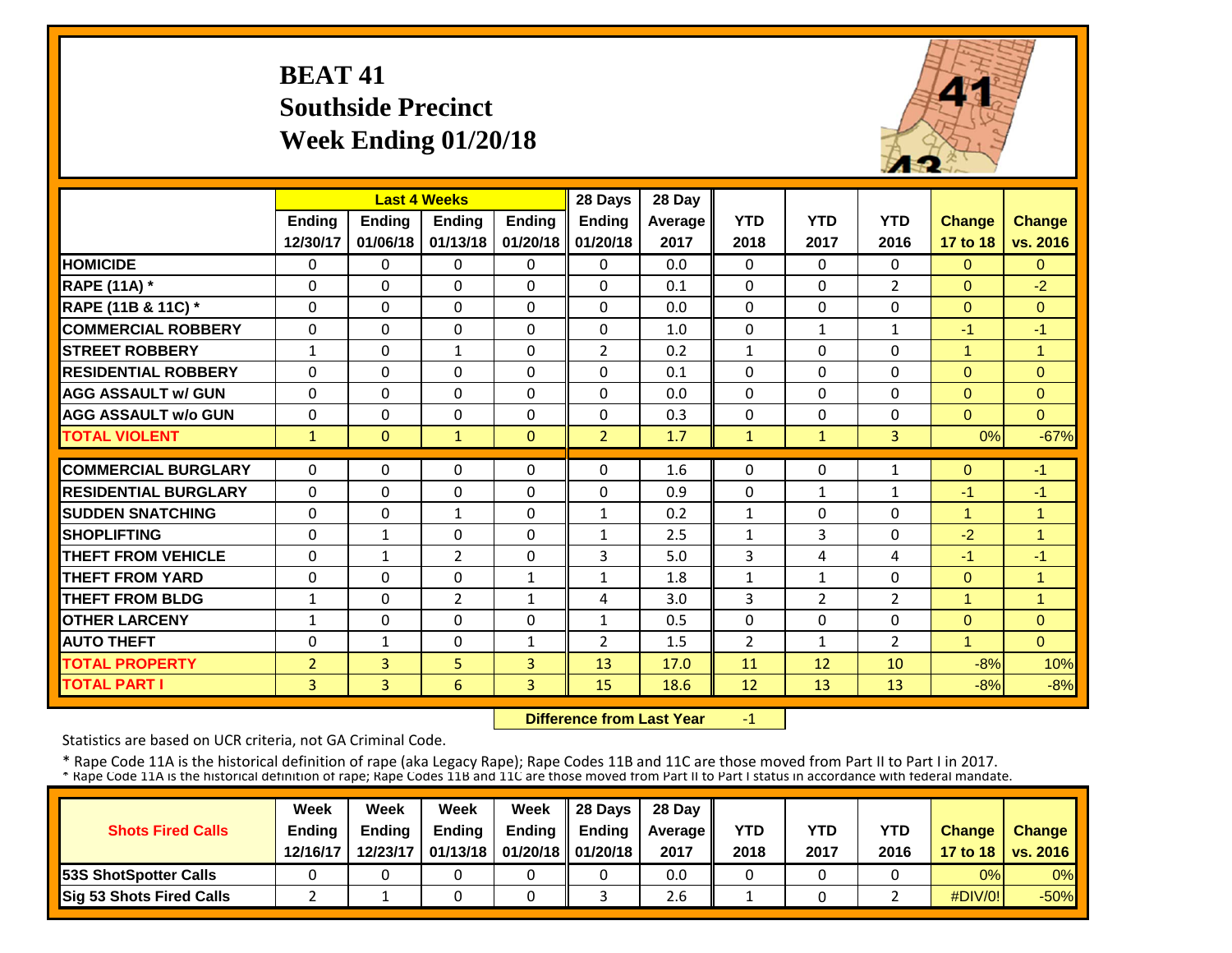## **BEAT 41 Southside Precinct Week Ending 01/20/18**



|                             |                | <b>Last 4 Weeks</b> |                |               | 28 Days        | 28 Day  |                |                |                |                |                |
|-----------------------------|----------------|---------------------|----------------|---------------|----------------|---------|----------------|----------------|----------------|----------------|----------------|
|                             | <b>Ending</b>  | <b>Ending</b>       | <b>Ending</b>  | <b>Ending</b> | <b>Ending</b>  | Average | <b>YTD</b>     | <b>YTD</b>     | <b>YTD</b>     | <b>Change</b>  | <b>Change</b>  |
|                             | 12/30/17       | 01/06/18            | 01/13/18       | 01/20/18      | 01/20/18       | 2017    | 2018           | 2017           | 2016           | 17 to 18       | vs. 2016       |
| <b>HOMICIDE</b>             | $\Omega$       | $\Omega$            | $\Omega$       | $\Omega$      | 0              | 0.0     | $\Omega$       | $\Omega$       | 0              | $\Omega$       | $\Omega$       |
| <b>RAPE (11A)</b> *         | $\Omega$       | $\Omega$            | $\Omega$       | $\Omega$      | $\Omega$       | 0.1     | $\Omega$       | $\Omega$       | $\overline{2}$ | $\Omega$       | $-2$           |
| RAPE (11B & 11C) *          | $\Omega$       | $\Omega$            | $\Omega$       | $\Omega$      | $\Omega$       | 0.0     | $\Omega$       | $\Omega$       | 0              | $\Omega$       | $\Omega$       |
| <b>COMMERCIAL ROBBERY</b>   | 0              | $\Omega$            | $\Omega$       | $\Omega$      | $\Omega$       | 1.0     | $\Omega$       | $\mathbf{1}$   | 1              | $-1$           | $-1$           |
| <b>STREET ROBBERY</b>       | $\mathbf{1}$   | $\Omega$            | $\mathbf{1}$   | 0             | 2              | 0.2     | $\mathbf{1}$   | $\Omega$       | 0              | 1              | $\mathbf{1}$   |
| <b>RESIDENTIAL ROBBERY</b>  | $\Omega$       | $\Omega$            | $\Omega$       | $\Omega$      | 0              | 0.1     | $\Omega$       | $\Omega$       | 0              | $\Omega$       | $\Omega$       |
| <b>AGG ASSAULT w/ GUN</b>   | $\Omega$       | $\Omega$            | $\Omega$       | $\Omega$      | $\Omega$       | 0.0     | $\Omega$       | $\Omega$       | 0              | $\Omega$       | $\Omega$       |
| <b>AGG ASSAULT w/o GUN</b>  | 0              | 0                   | $\Omega$       | $\Omega$      | $\Omega$       | 0.3     | $\Omega$       | $\Omega$       | 0              | $\Omega$       | $\Omega$       |
| <b>TOTAL VIOLENT</b>        | $\mathbf{1}$   | $\Omega$            | $\mathbf{1}$   | $\mathbf{0}$  | $\overline{2}$ | 1.7     | $\mathbf{1}$   | $\mathbf{1}$   | $\overline{3}$ | 0%             | $-67%$         |
| <b>COMMERCIAL BURGLARY</b>  | $\Omega$       | $\Omega$            | $\Omega$       | 0             | 0              | 1.6     | 0              | $\Omega$       | 1              | $\Omega$       | $-1$           |
| <b>RESIDENTIAL BURGLARY</b> | $\Omega$       | $\Omega$            | $\Omega$       | $\Omega$      | 0              | 0.9     | $\Omega$       | $\mathbf{1}$   | $\mathbf{1}$   | $-1$           | $-1$           |
| <b>SUDDEN SNATCHING</b>     | $\Omega$       | $\Omega$            | $\mathbf{1}$   | $\Omega$      | $\mathbf{1}$   | 0.2     | $\mathbf{1}$   | 0              | 0              | 4              | 1              |
| <b>SHOPLIFTING</b>          | $\Omega$       | $\mathbf{1}$        | $\Omega$       | $\Omega$      | 1              | 2.5     | $\mathbf{1}$   | 3              | 0              | $-2$           | $\overline{1}$ |
| <b>THEFT FROM VEHICLE</b>   | $\Omega$       | $\mathbf{1}$        | $\overline{2}$ | $\Omega$      | 3              | 5.0     | 3              | 4              | 4              | $-1$           | $-1$           |
| <b>THEFT FROM YARD</b>      | $\Omega$       | $\Omega$            | $\Omega$       | $\mathbf{1}$  | 1              | 1.8     | $\mathbf{1}$   | $\mathbf{1}$   | 0              | $\Omega$       | $\overline{1}$ |
| <b>THEFT FROM BLDG</b>      | $\mathbf{1}$   | $\Omega$            | $\overline{2}$ | $\mathbf{1}$  | 4              | 3.0     | 3              | $\overline{2}$ | $\overline{2}$ | 1              | 1              |
| <b>OTHER LARCENY</b>        | $\mathbf{1}$   | $\Omega$            | $\Omega$       | $\Omega$      | $\mathbf{1}$   | 0.5     | $\Omega$       | $\Omega$       | 0              | $\Omega$       | $\Omega$       |
| <b>AUTO THEFT</b>           | $\mathbf 0$    | $\mathbf{1}$        | $\Omega$       | $\mathbf{1}$  | $\overline{2}$ | 1.5     | $\overline{2}$ | $\mathbf{1}$   | $\overline{2}$ | $\overline{1}$ | $\Omega$       |
| <b>TOTAL PROPERTY</b>       | $\overline{2}$ | 3                   | 5 <sup>5</sup> | 3             | 13             | 17.0    | 11             | 12             | 10             | $-8%$          | 10%            |
| <b>TOTAL PART I</b>         | 3              | 3                   | 6              | 3             | 15             | 18.6    | 12             | 13             | 13             | $-8%$          | $-8%$          |
|                             |                |                     |                |               |                |         |                |                |                |                |                |

 **Difference from Last Year**‐1

Statistics are based on UCR criteria, not GA Criminal Code.

|                               | Week          | Week          | Week          | Week                           | $\parallel$ 28 Davs | 28 Day    |      |      |            |               |                     |
|-------------------------------|---------------|---------------|---------------|--------------------------------|---------------------|-----------|------|------|------------|---------------|---------------------|
| <b>Shots Fired Calls</b>      | <b>Ending</b> | <b>Ending</b> | <b>Ending</b> | <b>Ending</b>                  | <b>Ending</b>       | Average I | YTD  | YTD  | <b>YTD</b> | <b>Change</b> | <b>Change</b>       |
|                               | 12/16/17      | 12/23/17      |               | 01/13/18   01/20/18   01/20/18 |                     | 2017      | 2018 | 2017 | 2016       |               | 17 to 18   vs. 2016 |
| <b>153S ShotSpotter Calls</b> |               |               |               |                                |                     | 0.0       |      |      |            | 0%            | $0\%$               |
| Sig 53 Shots Fired Calls      |               |               |               |                                |                     | 2.6       |      |      |            | $\#$ DIV/0!   | $-50%$              |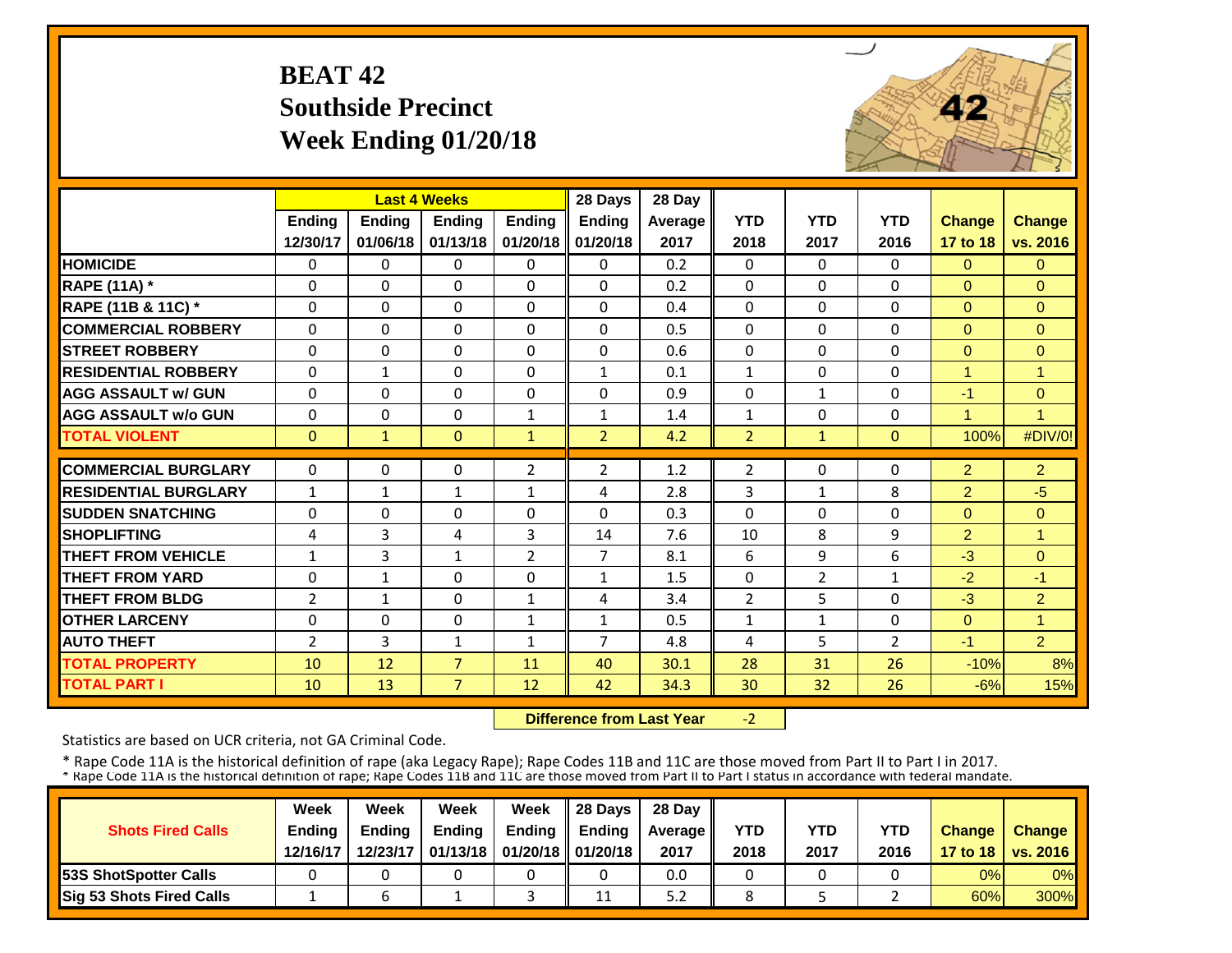## **BEAT 42 Southside Precinct Week Ending 01/20/18**



|                             |                | <b>Last 4 Weeks</b> |                |                | 28 Days        | 28 Day  |                |                |                |                |                |
|-----------------------------|----------------|---------------------|----------------|----------------|----------------|---------|----------------|----------------|----------------|----------------|----------------|
|                             | Ending         | <b>Ending</b>       | <b>Ending</b>  | <b>Endina</b>  | <b>Ending</b>  | Average | <b>YTD</b>     | <b>YTD</b>     | <b>YTD</b>     | <b>Change</b>  | <b>Change</b>  |
|                             | 12/30/17       | 01/06/18            | 01/13/18       | 01/20/18       | 01/20/18       | 2017    | 2018           | 2017           | 2016           | 17 to 18       | vs. 2016       |
| <b>HOMICIDE</b>             | $\Omega$       | $\Omega$            | $\Omega$       | $\Omega$       | $\Omega$       | 0.2     | $\Omega$       | $\Omega$       | 0              | $\Omega$       | $\Omega$       |
| <b>RAPE (11A) *</b>         | $\Omega$       | $\Omega$            | $\Omega$       | $\Omega$       | $\Omega$       | 0.2     | $\Omega$       | $\Omega$       | $\Omega$       | $\Omega$       | $\Omega$       |
| RAPE (11B & 11C) *          | $\Omega$       | $\Omega$            | $\Omega$       | $\Omega$       | $\Omega$       | 0.4     | $\Omega$       | $\Omega$       | $\Omega$       | $\Omega$       | $\Omega$       |
| <b>COMMERCIAL ROBBERY</b>   | 0              | $\Omega$            | $\Omega$       | $\Omega$       | $\Omega$       | 0.5     | 0              | $\Omega$       | $\Omega$       | $\Omega$       | $\mathbf{0}$   |
| <b>STREET ROBBERY</b>       | $\mathbf 0$    | $\Omega$            | $\Omega$       | $\Omega$       | $\Omega$       | 0.6     | 0              | $\mathbf 0$    | $\Omega$       | $\Omega$       | $\Omega$       |
| <b>RESIDENTIAL ROBBERY</b>  | $\Omega$       | $\mathbf{1}$        | $\Omega$       | $\Omega$       | $\mathbf{1}$   | 0.1     | $\mathbf{1}$   | $\Omega$       | $\Omega$       | 1              | $\overline{1}$ |
| <b>AGG ASSAULT w/ GUN</b>   | $\Omega$       | $\Omega$            | $\Omega$       | $\Omega$       | $\Omega$       | 0.9     | 0              | $\mathbf{1}$   | $\Omega$       | $-1$           | $\mathbf{0}$   |
| <b>AGG ASSAULT w/o GUN</b>  | 0              | $\Omega$            | 0              | 1              | 1              | 1.4     | $\mathbf{1}$   | $\Omega$       | $\Omega$       | $\mathbf{1}$   | 1              |
| <b>TOTAL VIOLENT</b>        | $\mathbf{0}$   | $\mathbf{1}$        | $\mathbf{0}$   | $\mathbf{1}$   | $\overline{2}$ | 4.2     | $\overline{2}$ | $\mathbf{1}$   | $\Omega$       | 100%           | #DIV/0!        |
| <b>COMMERCIAL BURGLARY</b>  | $\Omega$       | $\Omega$            | 0              | $\overline{2}$ | $\overline{2}$ | 1.2     | $\overline{2}$ | $\Omega$       | 0              | $\overline{2}$ | $\overline{2}$ |
| <b>RESIDENTIAL BURGLARY</b> |                |                     |                |                | 4              |         | 3              |                | 8              |                | $-5$           |
|                             | $\mathbf{1}$   | 1                   | $\mathbf{1}$   | 1              |                | 2.8     |                | 1              |                | $\overline{2}$ |                |
| <b>SUDDEN SNATCHING</b>     | $\Omega$       | $\Omega$            | $\Omega$       | $\Omega$       | $\Omega$       | 0.3     | $\Omega$       | $\Omega$       | $\Omega$       | $\Omega$       | $\Omega$       |
| <b>SHOPLIFTING</b>          | 4              | 3                   | 4              | 3              | 14             | 7.6     | 10             | 8              | 9              | $\overline{2}$ | $\overline{1}$ |
| <b>THEFT FROM VEHICLE</b>   | $\mathbf{1}$   | 3                   | $\mathbf{1}$   | $\overline{2}$ | $\overline{7}$ | 8.1     | 6              | 9              | 6              | $-3$           | $\Omega$       |
| <b>THEFT FROM YARD</b>      | 0              | $\mathbf{1}$        | 0              | 0              | 1              | 1.5     | 0              | $\overline{2}$ | $\mathbf{1}$   | $-2$           | $-1$           |
| <b>THEFT FROM BLDG</b>      | $\overline{2}$ | $\mathbf{1}$        | 0              | $\mathbf{1}$   | 4              | 3.4     | $\overline{2}$ | 5              | 0              | $-3$           | $\overline{2}$ |
| <b>OTHER LARCENY</b>        | $\Omega$       | $\Omega$            | $\Omega$       | 1              | 1              | 0.5     | $\mathbf{1}$   | $\mathbf{1}$   | 0              | $\Omega$       | 1              |
| <b>AUTO THEFT</b>           | 2              | 3                   | $\mathbf{1}$   | 1              | $\overline{7}$ | 4.8     | 4              | 5              | $\overline{2}$ | $-1$           | 2              |
| <b>TOTAL PROPERTY</b>       | 10             | 12                  | $\overline{7}$ | 11             | 40             | 30.1    | 28             | 31             | 26             | $-10%$         | 8%             |
| <b>TOTAL PART I</b>         | 10             | 13                  | $\overline{7}$ | 12             | 42             | 34.3    | 30             | 32             | 26             | $-6%$          | 15%            |

 **Difference from Last Year** $-2$ 

Statistics are based on UCR criteria, not GA Criminal Code.

|                               | Week          | Week          | Week          | Week                           | $\parallel$ 28 Davs | 28 Day    |      |      |            |               |                     |
|-------------------------------|---------------|---------------|---------------|--------------------------------|---------------------|-----------|------|------|------------|---------------|---------------------|
| <b>Shots Fired Calls</b>      | <b>Ending</b> | <b>Ending</b> | <b>Ending</b> | <b>Ending</b>                  | <b>Ending</b>       | Average I | YTD  | YTD  | <b>YTD</b> | <b>Change</b> | <b>Change</b>       |
|                               | 12/16/17      | 12/23/17      |               | 01/13/18   01/20/18   01/20/18 |                     | 2017      | 2018 | 2017 | 2016       |               | 17 to 18   vs. 2016 |
| <b>153S ShotSpotter Calls</b> |               |               |               |                                |                     | 0.0       |      |      |            | 0%            | $0\%$               |
| Sig 53 Shots Fired Calls      |               |               |               |                                | 11                  | 5.2       |      |      |            | 60%           | <b>300%</b>         |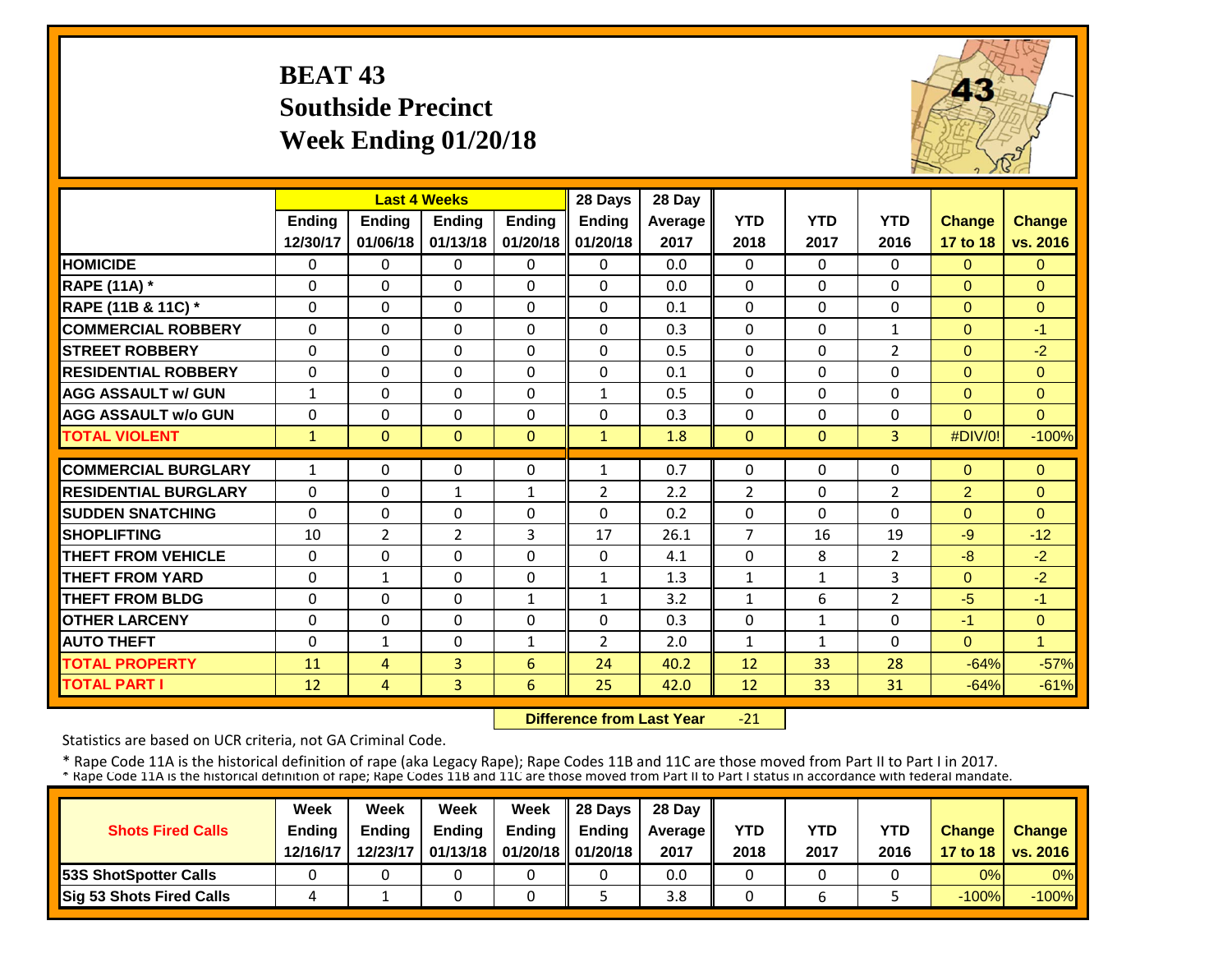## **BEAT 43 Southside Precinct Week Ending 01/20/18**



|                             |               | <b>Last 4 Weeks</b> |               |               | 28 Days        | 28 Day  |                |                |                |                |               |
|-----------------------------|---------------|---------------------|---------------|---------------|----------------|---------|----------------|----------------|----------------|----------------|---------------|
|                             | <b>Ending</b> | <b>Ending</b>       | <b>Endina</b> | <b>Ending</b> | <b>Ending</b>  | Average | <b>YTD</b>     | <b>YTD</b>     | <b>YTD</b>     | <b>Change</b>  | <b>Change</b> |
|                             | 12/30/17      | 01/06/18            | 01/13/18      | 01/20/18      | 01/20/18       | 2017    | 2018           | 2017           | 2016           | 17 to 18       | vs. 2016      |
| <b>HOMICIDE</b>             | 0             | 0                   | 0             | $\Omega$      | 0              | 0.0     | $\mathbf{0}$   | $\Omega$       | 0              | $\mathbf{0}$   | $\Omega$      |
| <b>RAPE (11A)</b> *         | $\Omega$      | $\Omega$            | $\Omega$      | $\Omega$      | $\Omega$       | 0.0     | $\Omega$       | $\Omega$       | $\Omega$       | $\Omega$       | $\Omega$      |
| RAPE (11B & 11C) *          | $\Omega$      | $\Omega$            | $\Omega$      | $\Omega$      | 0              | 0.1     | $\Omega$       | $\Omega$       | 0              | $\Omega$       | $\Omega$      |
| <b>COMMERCIAL ROBBERY</b>   | $\Omega$      | $\Omega$            | $\Omega$      | $\Omega$      | 0              | 0.3     | $\Omega$       | $\Omega$       | $\mathbf{1}$   | $\Omega$       | $-1$          |
| <b>ISTREET ROBBERY</b>      | $\Omega$      | $\Omega$            | $\Omega$      | $\Omega$      | $\Omega$       | 0.5     | $\Omega$       | $\Omega$       | 2              | $\Omega$       | $-2$          |
| <b>RESIDENTIAL ROBBERY</b>  | $\Omega$      | $\Omega$            | $\Omega$      | 0             | $\Omega$       | 0.1     | $\Omega$       | $\Omega$       | 0              | $\Omega$       | $\Omega$      |
| <b>AGG ASSAULT w/ GUN</b>   | $\mathbf{1}$  | $\Omega$            | $\Omega$      | $\Omega$      | $\mathbf{1}$   | 0.5     | $\Omega$       | $\Omega$       | 0              | $\Omega$       | $\Omega$      |
| <b>AGG ASSAULT w/o GUN</b>  | $\Omega$      | $\Omega$            | $\Omega$      | $\Omega$      | 0              | 0.3     | $\Omega$       | 0              | 0              | $\Omega$       | $\Omega$      |
| <b>TOTAL VIOLENT</b>        | 1             | $\Omega$            | $\Omega$      | $\Omega$      | $\mathbf{1}$   | 1.8     | $\mathbf{0}$   | $\overline{0}$ | $\overline{3}$ | #DIV/0!        | $-100%$       |
| <b>COMMERCIAL BURGLARY</b>  | $\mathbf{1}$  | $\Omega$            | $\Omega$      | 0             | $\mathbf{1}$   | 0.7     | $\Omega$       | 0              | 0              | $\Omega$       | $\Omega$      |
| <b>RESIDENTIAL BURGLARY</b> | $\Omega$      | $\Omega$            | $\mathbf{1}$  | $\mathbf{1}$  | 2              | 2.2     | $\overline{2}$ | $\Omega$       | 2              | $\overline{2}$ | $\Omega$      |
| <b>SUDDEN SNATCHING</b>     | $\Omega$      | $\Omega$            | $\Omega$      | $\Omega$      | $\Omega$       | 0.2     | $\Omega$       | $\Omega$       | 0              | $\Omega$       | $\Omega$      |
| <b>SHOPLIFTING</b>          | 10            | $\overline{2}$      | 2             | 3             | 17             | 26.1    | $\overline{7}$ | 16             | 19             | $-9$           | $-12$         |
| <b>THEFT FROM VEHICLE</b>   | $\Omega$      | $\Omega$            | $\Omega$      | 0             | 0              | 4.1     | $\Omega$       | 8              | 2              | $-8$           | $-2$          |
| <b>THEFT FROM YARD</b>      | $\Omega$      | $\mathbf{1}$        | $\Omega$      | $\Omega$      | $\mathbf{1}$   | 1.3     | $\mathbf{1}$   | $\mathbf{1}$   | 3              | $\Omega$       | $-2$          |
| <b>THEFT FROM BLDG</b>      | $\Omega$      | $\Omega$            | $\Omega$      | $\mathbf{1}$  | $\mathbf{1}$   | 3.2     | $\mathbf{1}$   | 6              | $\overline{2}$ | $-5$           | $-1$          |
| <b>OTHER LARCENY</b>        | $\Omega$      | $\Omega$            | $\Omega$      | $\Omega$      | $\Omega$       | 0.3     | $\Omega$       | 1              | 0              | $-1$           | $\Omega$      |
| <b>AUTO THEFT</b>           | $\Omega$      | $\mathbf{1}$        | $\Omega$      | $\mathbf{1}$  | $\overline{2}$ | 2.0     | $\mathbf{1}$   | 1              | 0              | $\Omega$       | 1             |
| <b>TOTAL PROPERTY</b>       | 11            | 4                   | 3             | 6             | 24             | 40.2    | 12             | 33             | 28             | $-64%$         | $-57%$        |
| <b>TOTAL PART I</b>         | 12            | $\overline{4}$      | 3             | 6             | 25             | 42.0    | 12             | 33             | 31             | $-64%$         | $-61%$        |

 **Difference from Last Year** $-21$ 

Statistics are based on UCR criteria, not GA Criminal Code.

|                               | Week          | Week          | Week          | Week                           | $\parallel$ 28 Davs | 28 Day    |      |      |            |               |                     |
|-------------------------------|---------------|---------------|---------------|--------------------------------|---------------------|-----------|------|------|------------|---------------|---------------------|
| <b>Shots Fired Calls</b>      | <b>Ending</b> | <b>Ending</b> | <b>Ending</b> | <b>Ending</b>                  | <b>Ending</b>       | Average I | YTD  | YTD  | <b>YTD</b> | <b>Change</b> | <b>Change</b>       |
|                               | 12/16/17      | 12/23/17      |               | 01/13/18   01/20/18   01/20/18 |                     | 2017      | 2018 | 2017 | 2016       |               | 17 to 18   vs. 2016 |
| <b>153S ShotSpotter Calls</b> |               |               |               |                                |                     | 0.0       |      |      |            | 0%            | $0\%$               |
| Sig 53 Shots Fired Calls      |               |               |               |                                |                     | 3.8       |      | b    |            | $-100%$       | $-100\%$            |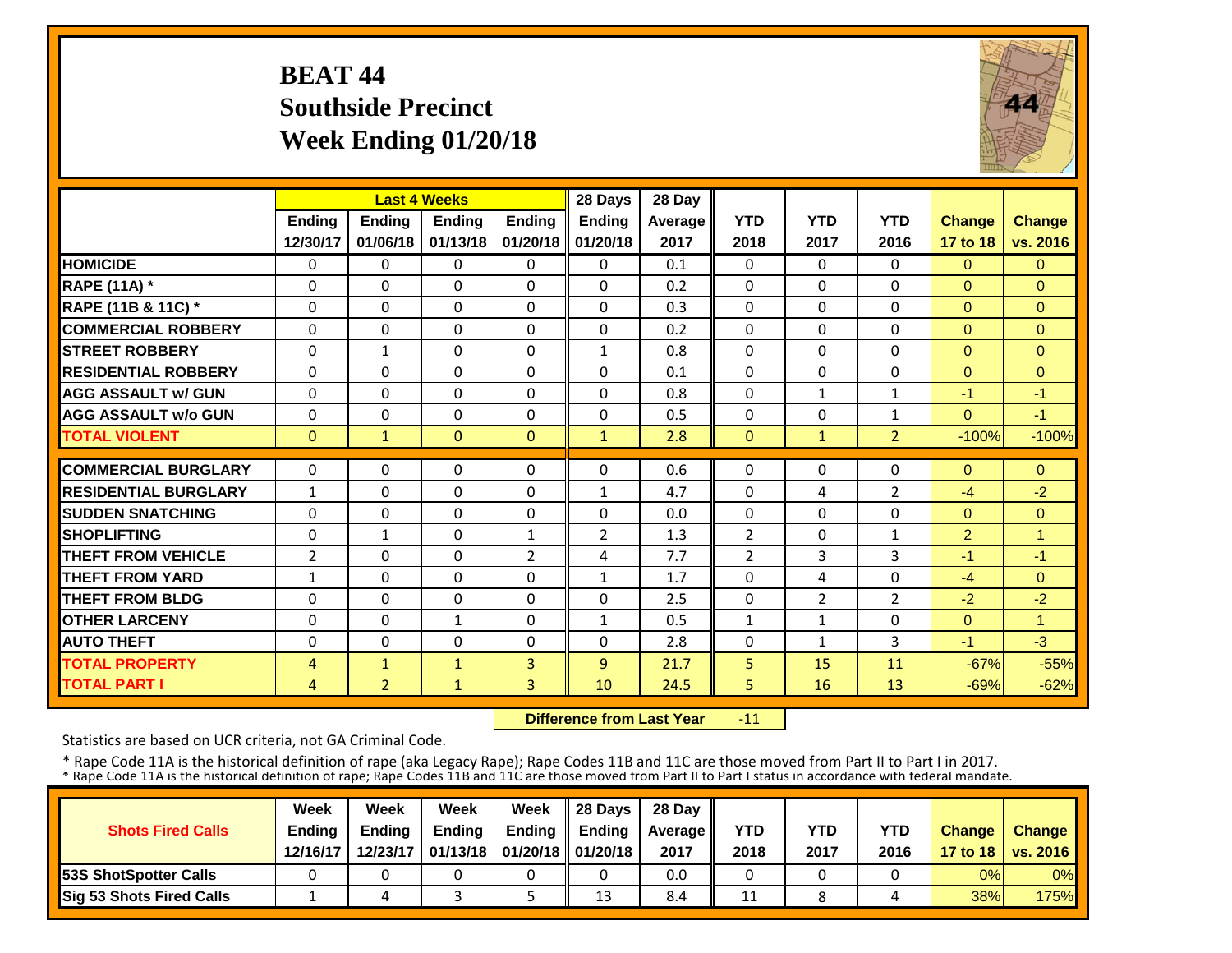## **BEAT 44 Southside Precinct Week Ending 01/20/18**



|                             |                | <b>Last 4 Weeks</b> |               |               | 28 Days        | 28 Day  |                |                |                |                |                |
|-----------------------------|----------------|---------------------|---------------|---------------|----------------|---------|----------------|----------------|----------------|----------------|----------------|
|                             | <b>Ending</b>  | <b>Ending</b>       | <b>Ending</b> | <b>Ending</b> | <b>Ending</b>  | Average | <b>YTD</b>     | <b>YTD</b>     | <b>YTD</b>     | <b>Change</b>  | <b>Change</b>  |
|                             | 12/30/17       | 01/06/18            | 01/13/18      | 01/20/18      | 01/20/18       | 2017    | 2018           | 2017           | 2016           | 17 to 18       | vs. 2016       |
| <b>HOMICIDE</b>             | $\Omega$       | 0                   | 0             | 0             | 0              | 0.1     | $\Omega$       | $\Omega$       | 0              | $\mathbf{0}$   | $\Omega$       |
| <b>RAPE (11A)</b> *         | $\Omega$       | $\Omega$            | $\Omega$      | $\Omega$      | $\Omega$       | 0.2     | $\Omega$       | $\Omega$       | 0              | $\Omega$       | $\Omega$       |
| RAPE (11B & 11C) *          | $\Omega$       | 0                   | $\mathbf 0$   | $\Omega$      | $\Omega$       | 0.3     | $\mathbf 0$    | $\Omega$       | $\Omega$       | $\Omega$       | $\Omega$       |
| <b>COMMERCIAL ROBBERY</b>   | $\Omega$       | 0                   | $\Omega$      | $\Omega$      | $\Omega$       | 0.2     | $\Omega$       | $\Omega$       | 0              | $\Omega$       | $\Omega$       |
| <b>STREET ROBBERY</b>       | $\Omega$       | $\mathbf{1}$        | 0             | $\Omega$      | $\mathbf{1}$   | 0.8     | $\Omega$       | $\Omega$       | 0              | $\Omega$       | $\Omega$       |
| <b>IRESIDENTIAL ROBBERY</b> | $\Omega$       | 0                   | 0             | $\Omega$      | $\Omega$       | 0.1     | $\Omega$       | 0              | 0              | $\Omega$       | $\Omega$       |
| <b>AGG ASSAULT w/ GUN</b>   | $\Omega$       | 0                   | $\Omega$      | $\Omega$      | $\Omega$       | 0.8     | $\Omega$       | $\mathbf{1}$   | 1              | $-1$           | $-1$           |
| <b>AGG ASSAULT w/o GUN</b>  | $\Omega$       | 0                   | 0             | $\Omega$      | $\Omega$       | 0.5     | $\Omega$       | 0              | 1              | $\Omega$       | $-1$           |
| <b>TOTAL VIOLENT</b>        | $\Omega$       | $\mathbf{1}$        | $\Omega$      | $\Omega$      | $\mathbf{1}$   | 2.8     | $\Omega$       | $\mathbf{1}$   | $\overline{2}$ | $-100%$        | $-100%$        |
| <b>COMMERCIAL BURGLARY</b>  | $\Omega$       | 0                   | $\Omega$      | $\Omega$      | $\Omega$       | 0.6     | $\Omega$       | $\Omega$       | 0              | $\Omega$       | $\Omega$       |
| <b>RESIDENTIAL BURGLARY</b> | $\mathbf{1}$   | 0                   | $\Omega$      | 0             | $\mathbf{1}$   | 4.7     | $\Omega$       | 4              | 2              | $-4$           | $-2$           |
| <b>SUDDEN SNATCHING</b>     | $\Omega$       | 0                   | $\Omega$      | $\Omega$      | $\Omega$       | 0.0     | $\Omega$       | $\Omega$       | 0              | $\Omega$       | $\Omega$       |
| <b>SHOPLIFTING</b>          | $\Omega$       | $\mathbf{1}$        | $\Omega$      | $\mathbf{1}$  | $\overline{2}$ | 1.3     | $\overline{2}$ | $\Omega$       | $\mathbf{1}$   | $\overline{2}$ | $\overline{1}$ |
| <b>THEFT FROM VEHICLE</b>   | $\overline{2}$ | 0                   | $\Omega$      | 2             | 4              | 7.7     | 2              | 3              | 3              | $-1$           | $-1$           |
| <b>THEFT FROM YARD</b>      | $\mathbf{1}$   | $\Omega$            | $\Omega$      | $\Omega$      | 1              | 1.7     | $\Omega$       | 4              | 0              | $-4$           | $\Omega$       |
| <b>THEFT FROM BLDG</b>      | $\Omega$       | 0                   | $\Omega$      | $\Omega$      | $\Omega$       | 2.5     | $\Omega$       | $\overline{2}$ | $\overline{2}$ | $-2$           | $-2$           |
| <b>OTHER LARCENY</b>        | $\Omega$       | 0                   | $\mathbf{1}$  | $\Omega$      | $\mathbf{1}$   | 0.5     | $\mathbf{1}$   | 1              | 0              | $\Omega$       | $\overline{1}$ |
| <b>AUTO THEFT</b>           | $\Omega$       | $\Omega$            | $\Omega$      | $\Omega$      | 0              | 2.8     | $\Omega$       | 1              | 3              | $-1$           | $-3$           |
| <b>TOTAL PROPERTY</b>       | 4              | $\mathbf{1}$        | $\mathbf{1}$  | 3             | $\overline{9}$ | 21.7    | 5              | 15             | 11             | $-67%$         | $-55%$         |
| <b>TOTAL PART I</b>         | $\overline{4}$ | $\overline{2}$      | $\mathbf{1}$  | 3             | 10             | 24.5    | 5              | 16             | 13             | $-69%$         | $-62%$         |

 **Difference from Last Year**‐11

Statistics are based on UCR criteria, not GA Criminal Code.

|                               | Week          | Week          | Week          | Week                           | $\parallel$ 28 Davs | 28 Day    |      |      |            |               |                     |
|-------------------------------|---------------|---------------|---------------|--------------------------------|---------------------|-----------|------|------|------------|---------------|---------------------|
| <b>Shots Fired Calls</b>      | <b>Ending</b> | <b>Ending</b> | <b>Ending</b> | <b>Ending</b>                  | <b>Ending</b>       | Average I | YTD  | YTD  | <b>YTD</b> | <b>Change</b> | <b>Change</b>       |
|                               | 12/16/17      | 12/23/17      |               | 01/13/18   01/20/18   01/20/18 |                     | 2017      | 2018 | 2017 | 2016       |               | 17 to 18   vs. 2016 |
| <b>153S ShotSpotter Calls</b> |               |               |               |                                |                     | 0.0       |      |      |            | 0%            | $0\%$               |
| Sig 53 Shots Fired Calls      |               |               |               |                                | 13                  | 8.4       | 11   |      |            | 38%           | <b>175%</b>         |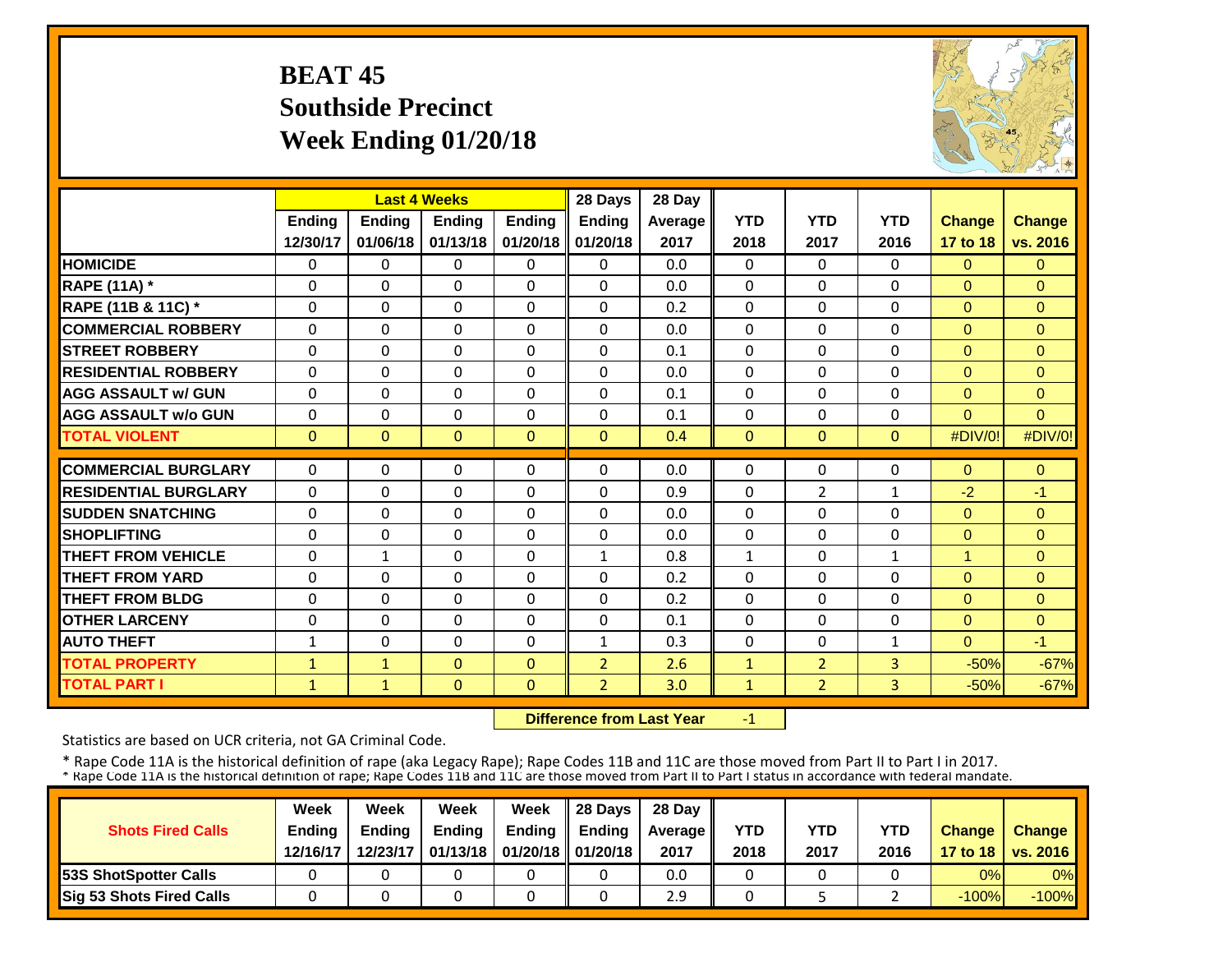## **BEAT 45 Southside Precinct Week Ending 01/20/18**



|                             |               | <b>Last 4 Weeks</b> |               |               | 28 Days        | 28 Day  |              |                |                |               |               |
|-----------------------------|---------------|---------------------|---------------|---------------|----------------|---------|--------------|----------------|----------------|---------------|---------------|
|                             | <b>Ending</b> | Ending              | <b>Endina</b> | <b>Endina</b> | <b>Ending</b>  | Average | <b>YTD</b>   | <b>YTD</b>     | <b>YTD</b>     | <b>Change</b> | <b>Change</b> |
|                             | 12/30/17      | 01/06/18            | 01/13/18      | 01/20/18      | 01/20/18       | 2017    | 2018         | 2017           | 2016           | 17 to 18      | vs. 2016      |
| <b>HOMICIDE</b>             | $\Omega$      | $\Omega$            | $\Omega$      | $\Omega$      | $\Omega$       | 0.0     | $\Omega$     | $\Omega$       | 0              | $\Omega$      | $\Omega$      |
| <b>RAPE (11A) *</b>         | $\Omega$      | $\Omega$            | $\Omega$      | $\Omega$      | $\Omega$       | 0.0     | $\Omega$     | $\Omega$       | $\Omega$       | $\Omega$      | $\Omega$      |
| RAPE (11B & 11C) *          | $\Omega$      | $\Omega$            | $\Omega$      | $\Omega$      | $\Omega$       | 0.2     | $\Omega$     | $\Omega$       | $\Omega$       | $\Omega$      | $\Omega$      |
| <b>COMMERCIAL ROBBERY</b>   | $\mathbf{0}$  | $\Omega$            | $\Omega$      | $\Omega$      | 0              | 0.0     | $\Omega$     | $\Omega$       | 0              | $\Omega$      | $\mathbf{0}$  |
| <b>STREET ROBBERY</b>       | $\mathbf 0$   | $\Omega$            | 0             | $\Omega$      | 0              | 0.1     | $\mathbf 0$  | $\Omega$       | 0              | $\mathbf{0}$  | $\mathbf{0}$  |
| <b>RESIDENTIAL ROBBERY</b>  | $\Omega$      | $\Omega$            | $\Omega$      | $\Omega$      | 0              | 0.0     | $\Omega$     | $\Omega$       | 0              | $\Omega$      | $\Omega$      |
| <b>AGG ASSAULT w/ GUN</b>   | $\Omega$      | $\Omega$            | $\Omega$      | $\Omega$      | $\Omega$       | 0.1     | $\Omega$     | $\Omega$       | $\Omega$       | $\Omega$      | $\Omega$      |
| <b>AGG ASSAULT w/o GUN</b>  | $\Omega$      | $\Omega$            | $\Omega$      | $\Omega$      | $\Omega$       | 0.1     | $\Omega$     | $\Omega$       | 0              | $\Omega$      | $\Omega$      |
| <b>TOTAL VIOLENT</b>        | $\mathbf{0}$  | $\mathbf{0}$        | $\mathbf{0}$  | $\Omega$      | $\mathbf{0}$   | 0.4     | $\mathbf{0}$ | $\mathbf{0}$   | $\overline{0}$ | #DIV/0!       | #DIV/0!       |
|                             |               |                     |               |               |                |         |              |                |                |               |               |
| <b>COMMERCIAL BURGLARY</b>  | $\Omega$      | $\Omega$            | 0             | $\Omega$      | 0              | 0.0     | $\Omega$     | $\Omega$       | 0              | $\Omega$      | $\mathbf{0}$  |
| <b>RESIDENTIAL BURGLARY</b> | $\Omega$      | $\Omega$            | $\Omega$      | $\Omega$      | $\Omega$       | 0.9     | $\Omega$     | $\overline{2}$ | $\mathbf{1}$   | $-2$          | $-1$          |
| <b>SUDDEN SNATCHING</b>     | $\Omega$      | $\Omega$            | $\Omega$      | $\Omega$      | $\Omega$       | 0.0     | $\Omega$     | $\Omega$       | 0              | $\Omega$      | $\Omega$      |
| <b>SHOPLIFTING</b>          | $\Omega$      | $\Omega$            | $\Omega$      | $\Omega$      | $\Omega$       | 0.0     | $\Omega$     | $\Omega$       | 0              | $\mathbf{0}$  | $\Omega$      |
| <b>THEFT FROM VEHICLE</b>   | 0             | $\mathbf{1}$        | 0             | $\Omega$      | $\mathbf{1}$   | 0.8     | $\mathbf{1}$ | $\Omega$       | 1              | 1             | $\Omega$      |
| <b>THEFT FROM YARD</b>      | 0             | $\Omega$            | $\Omega$      | $\Omega$      | 0              | 0.2     | $\Omega$     | $\Omega$       | 0              | $\Omega$      | $\Omega$      |
| <b>THEFT FROM BLDG</b>      | $\Omega$      | $\Omega$            | $\Omega$      | $\Omega$      | 0              | 0.2     | $\Omega$     | 0              | 0              | $\Omega$      | $\Omega$      |
| <b>OTHER LARCENY</b>        | $\Omega$      | $\Omega$            | $\Omega$      | 0             | $\Omega$       | 0.1     | $\Omega$     | $\Omega$       | 0              | $\Omega$      | $\Omega$      |
| <b>AUTO THEFT</b>           | 1             | $\Omega$            | $\Omega$      | $\Omega$      | $\mathbf{1}$   | 0.3     | $\Omega$     | $\Omega$       | $\mathbf{1}$   | $\Omega$      | $-1$          |
| <b>TOTAL PROPERTY</b>       | $\mathbf{1}$  | $\mathbf{1}$        | $\Omega$      | $\Omega$      | $\overline{2}$ | 2.6     | $\mathbf{1}$ | $\overline{2}$ | 3              | $-50%$        | $-67%$        |
| <b>TOTAL PART I</b>         | $\mathbf{1}$  | $\mathbf{1}$        | $\Omega$      | $\Omega$      | $\overline{2}$ | 3.0     | $\mathbf{1}$ | $\overline{2}$ | 3              | $-50%$        | $-67%$        |

 **Difference from Last Year**‐1

Statistics are based on UCR criteria, not GA Criminal Code.

|                                 | Week     | Week          | Week          | Week                            | $\parallel$ 28 Davs | 28 Day    |      |      |      |               |                     |
|---------------------------------|----------|---------------|---------------|---------------------------------|---------------------|-----------|------|------|------|---------------|---------------------|
| <b>Shots Fired Calls</b>        | Ending   | <b>Ending</b> | <b>Ending</b> | Ending                          | <b>Endina</b>       | Average I | YTD  | YTD  | YTD  | <b>Change</b> | Change              |
|                                 | 12/16/17 | 12/23/17      |               | 01/13/18   01/20/18    01/20/18 |                     | 2017      | 2018 | 2017 | 2016 |               | 17 to 18   vs. 2016 |
| <b>153S ShotSpotter Calls</b>   |          |               |               |                                 |                     | 0.0       |      |      |      | 0%            | $0\%$               |
| <b>Sig 53 Shots Fired Calls</b> |          |               |               |                                 |                     | 2.9       |      |      |      | $-100%$       | $-100%$             |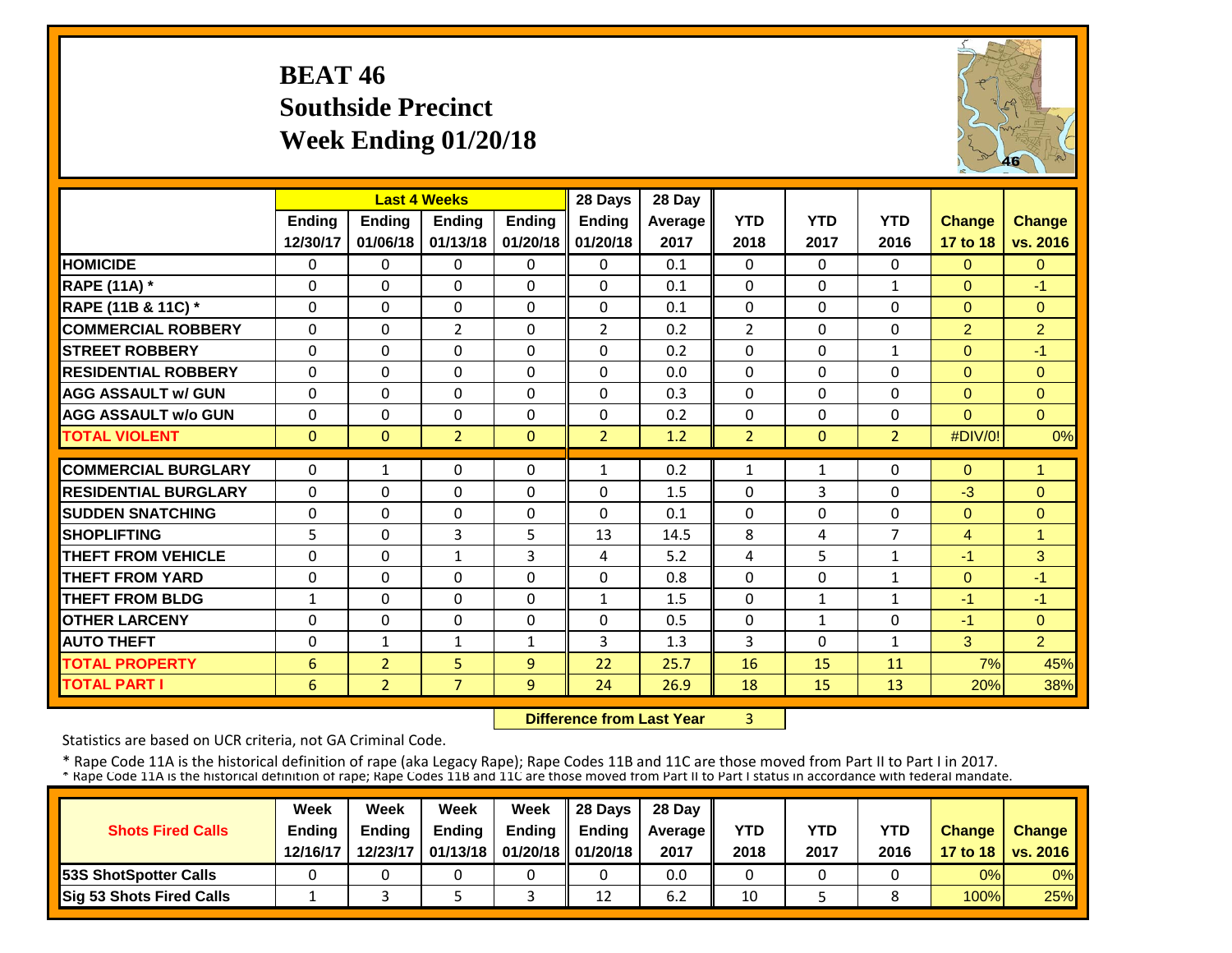#### **BEAT 46 Southside Precinct Week Ending 01/20/18**



|                             |               | <b>Last 4 Weeks</b> |                |               | 28 Days        | 28 Day  |                |              |                |                |                |
|-----------------------------|---------------|---------------------|----------------|---------------|----------------|---------|----------------|--------------|----------------|----------------|----------------|
|                             | <b>Ending</b> | <b>Ending</b>       | <b>Endina</b>  | <b>Endina</b> | <b>Ending</b>  | Average | <b>YTD</b>     | <b>YTD</b>   | <b>YTD</b>     | <b>Change</b>  | Change         |
|                             | 12/30/17      | 01/06/18            | 01/13/18       | 01/20/18      | 01/20/18       | 2017    | 2018           | 2017         | 2016           | 17 to 18       | vs. 2016       |
| <b>HOMICIDE</b>             | 0             | $\Omega$            | 0              | $\Omega$      | 0              | 0.1     | 0              | $\Omega$     | 0              | $\Omega$       | $\Omega$       |
| <b>RAPE (11A) *</b>         | 0             | $\Omega$            | $\Omega$       | $\Omega$      | $\Omega$       | 0.1     | $\Omega$       | $\Omega$     | 1              | $\Omega$       | $-1$           |
| RAPE (11B & 11C) *          | $\Omega$      | $\Omega$            | $\Omega$       | $\Omega$      | $\Omega$       | 0.1     | $\Omega$       | $\Omega$     | 0              | $\Omega$       | $\Omega$       |
| <b>COMMERCIAL ROBBERY</b>   | $\Omega$      | $\Omega$            | $\overline{2}$ | $\Omega$      | $\overline{2}$ | 0.2     | $\overline{2}$ | $\Omega$     | 0              | $\overline{2}$ | $\overline{2}$ |
| <b>STREET ROBBERY</b>       | $\mathbf 0$   | $\Omega$            | $\Omega$       | $\Omega$      | $\Omega$       | 0.2     | $\Omega$       | $\Omega$     | $\mathbf{1}$   | $\Omega$       | $-1$           |
| <b>RESIDENTIAL ROBBERY</b>  | $\Omega$      | $\Omega$            | $\Omega$       | $\Omega$      | $\Omega$       | 0.0     | $\Omega$       | $\Omega$     | 0              | $\Omega$       | $\overline{0}$ |
| <b>AGG ASSAULT w/ GUN</b>   | $\Omega$      | $\Omega$            | $\Omega$       | $\Omega$      | $\Omega$       | 0.3     | $\Omega$       | $\Omega$     | 0              | $\Omega$       | $\Omega$       |
| <b>AGG ASSAULT w/o GUN</b>  | $\Omega$      | $\Omega$            | $\Omega$       | $\Omega$      | 0              | 0.2     | $\Omega$       | $\Omega$     | 0              | $\Omega$       | $\Omega$       |
| <b>TOTAL VIOLENT</b>        | $\Omega$      | $\Omega$            | $\overline{2}$ | $\Omega$      | $\overline{2}$ | 1.2     | $\overline{2}$ | $\mathbf{0}$ | $\overline{2}$ | #DIV/0!        | 0%             |
| <b>COMMERCIAL BURGLARY</b>  | $\Omega$      | $\mathbf{1}$        | 0              | $\Omega$      | 1              | 0.2     | 1              | 1            | 0              | $\Omega$       | 1              |
| <b>RESIDENTIAL BURGLARY</b> | $\Omega$      | $\Omega$            | $\Omega$       | $\Omega$      | 0              | 1.5     | $\Omega$       | 3            | 0              | $-3$           | $\overline{0}$ |
|                             |               |                     |                |               | $\Omega$       |         |                |              |                |                |                |
| <b>ISUDDEN SNATCHING</b>    | 0             | $\Omega$            | $\Omega$       | $\Omega$      |                | 0.1     | $\Omega$       | 0            | 0              | $\Omega$       | $\overline{0}$ |
| <b>SHOPLIFTING</b>          | 5             | $\Omega$            | 3              | 5             | 13             | 14.5    | 8              | 4            | $\overline{7}$ | 4              | $\overline{1}$ |
| <b>THEFT FROM VEHICLE</b>   | $\Omega$      | $\Omega$            | $\mathbf{1}$   | 3             | 4              | 5.2     | $\overline{4}$ | 5            | $\mathbf{1}$   | $-1$           | 3              |
| <b>THEFT FROM YARD</b>      | $\Omega$      | $\Omega$            | $\Omega$       | $\Omega$      | $\Omega$       | 0.8     | $\Omega$       | $\Omega$     | 1              | $\Omega$       | $-1$           |
| <b>THEFT FROM BLDG</b>      | $\mathbf{1}$  | $\Omega$            | $\Omega$       | 0             | $\mathbf{1}$   | 1.5     | $\Omega$       | $\mathbf{1}$ | $\mathbf{1}$   | $-1$           | $-1$           |
| <b>OTHER LARCENY</b>        | $\Omega$      | $\Omega$            | $\Omega$       | $\Omega$      | $\Omega$       | 0.5     | $\Omega$       | $\mathbf{1}$ | 0              | $-1$           | $\Omega$       |
| <b>AUTO THEFT</b>           | $\Omega$      | $\mathbf{1}$        | $\mathbf{1}$   | 1             | 3              | 1.3     | 3              | $\Omega$     | 1              | 3              | $\overline{2}$ |
| <b>TOTAL PROPERTY</b>       | 6             | $\overline{2}$      | 5              | 9             | 22             | 25.7    | 16             | 15           | 11             | 7%             | 45%            |
| <b>TOTAL PART I</b>         | 6             | $\overline{2}$      | $\overline{7}$ | 9             | 24             | 26.9    | 18             | 15           | 13             | 20%            | 38%            |

 **Difference from Last Year**3

Statistics are based on UCR criteria, not GA Criminal Code.

|                               | Week          | Week          | Week          | Week                           | $\parallel$ 28 Davs | 28 Day    |      |      |            |               |                     |
|-------------------------------|---------------|---------------|---------------|--------------------------------|---------------------|-----------|------|------|------------|---------------|---------------------|
| <b>Shots Fired Calls</b>      | <b>Ending</b> | <b>Ending</b> | <b>Ending</b> | <b>Ending</b>                  | <b>Ending</b>       | Average I | YTD  | YTD  | <b>YTD</b> | <b>Change</b> | <b>Change</b>       |
|                               | 12/16/17      | 12/23/17      |               | 01/13/18   01/20/18   01/20/18 |                     | 2017      | 2018 | 2017 | 2016       |               | 17 to 18   vs. 2016 |
| <b>153S ShotSpotter Calls</b> |               |               |               |                                |                     | 0.0       |      |      |            | 0%            | $0\%$               |
| Sig 53 Shots Fired Calls      |               |               |               |                                | 12                  | 6.2       | 10   |      |            | 100%          | 25%                 |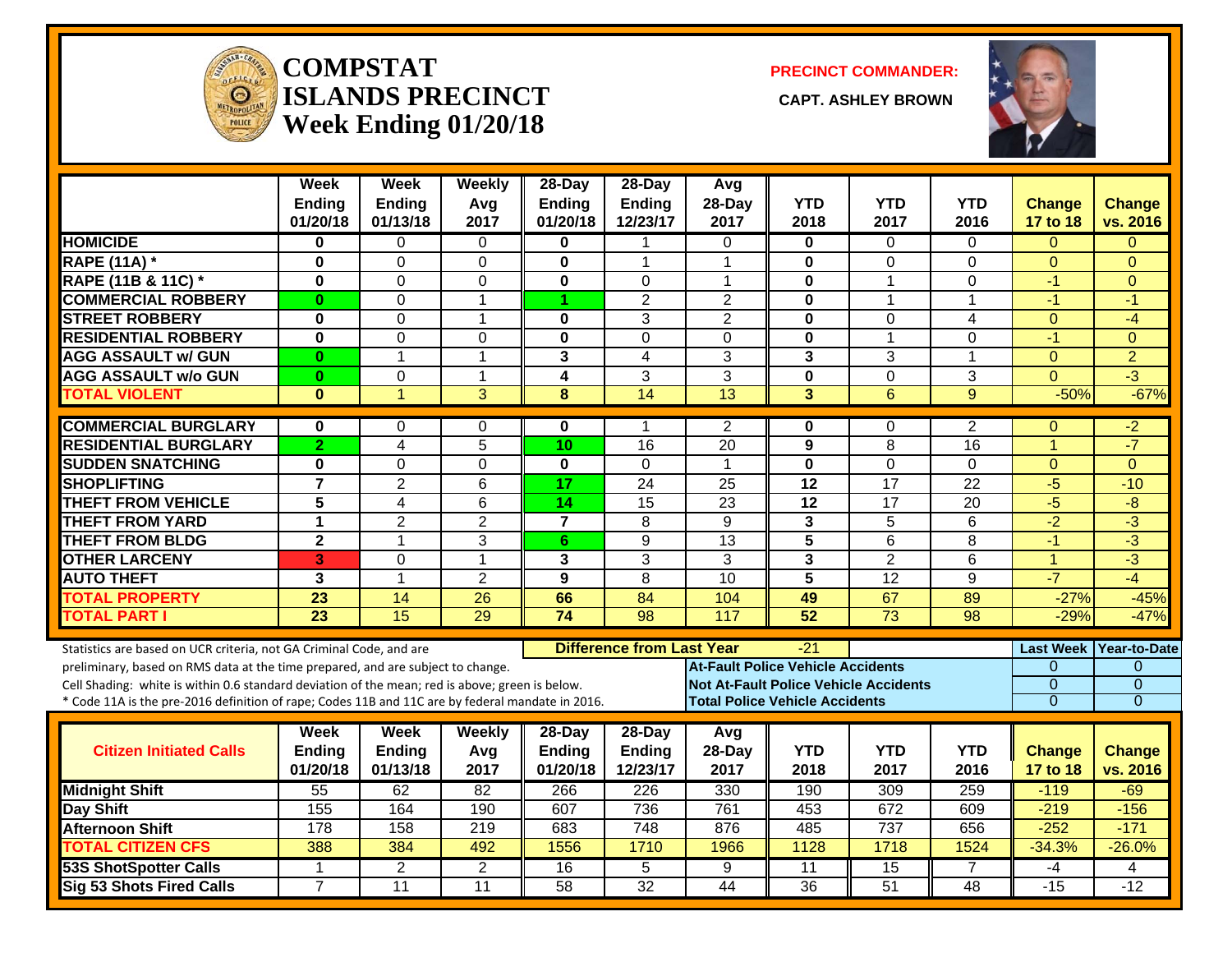

#### **COMPSTAT** $\overline{\textbf{ISLANDS PRECINCT}}$ **Week Ending 01/20/18**

**PRECINCT COMMANDER:**

**CAPT. ASHLEY BROWN** 



|                                                                                                                                                                                                                                                                                                                                                               | Week<br><b>Ending</b><br>01/20/18 | <b>Week</b><br><b>Ending</b><br>01/13/18 | <b>Weekly</b><br>Avg<br>2017 | $28$ -Day<br><b>Ending</b><br>01/20/18 | $28$ -Day<br><b>Ending</b><br>12/23/17 | Avg<br>28-Day<br>2017 | <b>YTD</b><br>2018                                                                                                                         | <b>YTD</b><br>2017 | YTD<br>2016        | <b>Change</b><br><b>17 to 18</b>                    | <b>Change</b><br>vs. 2016                                  |
|---------------------------------------------------------------------------------------------------------------------------------------------------------------------------------------------------------------------------------------------------------------------------------------------------------------------------------------------------------------|-----------------------------------|------------------------------------------|------------------------------|----------------------------------------|----------------------------------------|-----------------------|--------------------------------------------------------------------------------------------------------------------------------------------|--------------------|--------------------|-----------------------------------------------------|------------------------------------------------------------|
| <b>HOMICIDE</b>                                                                                                                                                                                                                                                                                                                                               | 0                                 | 0                                        | $\Omega$                     | 0                                      |                                        | 0                     | $\mathbf{0}$                                                                                                                               | $\Omega$           | $\Omega$           | $\Omega$                                            | $\Omega$                                                   |
| <b>RAPE (11A) *</b>                                                                                                                                                                                                                                                                                                                                           | $\mathbf 0$                       | 0                                        | $\mathbf 0$                  | $\mathbf{0}$                           | 1                                      | 1                     | 0                                                                                                                                          | $\overline{0}$     | $\mathbf{0}$       | $\Omega$                                            | $\Omega$                                                   |
| RAPE (11B & 11C) *                                                                                                                                                                                                                                                                                                                                            | $\bf{0}$                          | 0                                        | $\mathbf 0$                  | 0                                      | 0                                      | $\mathbf 1$           | $\mathbf 0$                                                                                                                                | $\mathbf 1$        | $\Omega$           | -1                                                  | $\Omega$                                                   |
| <b>COMMERCIAL ROBBERY</b>                                                                                                                                                                                                                                                                                                                                     | $\bf{0}$                          | 0                                        | $\mathbf{1}$                 | 1                                      | $\overline{2}$                         | $\overline{2}$        | $\bf{0}$                                                                                                                                   | $\mathbf 1$        | $\mathbf{1}$       | $-1$                                                | $-1$                                                       |
| <b>STREET ROBBERY</b>                                                                                                                                                                                                                                                                                                                                         | $\bf{0}$                          | 0                                        | $\mathbf 1$                  | 0                                      | 3                                      | $\overline{2}$        | $\mathbf 0$                                                                                                                                | $\Omega$           | 4                  | $\mathbf{0}$                                        | $-4$                                                       |
| <b>RESIDENTIAL ROBBERY</b>                                                                                                                                                                                                                                                                                                                                    | $\bf{0}$                          | $\overline{0}$                           | $\mathbf 0$                  | $\mathbf{0}$                           | $\Omega$                               | $\Omega$              | $\mathbf 0$                                                                                                                                | $\overline{1}$     | $\Omega$           | $-1$                                                | $\Omega$                                                   |
| <b>AGG ASSAULT w/ GUN</b>                                                                                                                                                                                                                                                                                                                                     | $\bf{0}$                          | $\mathbf{1}$                             | $\mathbf{1}$                 | 3                                      | 4                                      | 3                     | $\mathbf{3}$                                                                                                                               | 3                  | $\mathbf{1}$       | $\mathbf{0}$                                        | $\overline{2}$                                             |
| <b>AGG ASSAULT w/o GUN</b>                                                                                                                                                                                                                                                                                                                                    | $\bf{0}$                          | 0                                        | $\mathbf{1}$                 | 4                                      | 3                                      | 3                     | $\mathbf 0$                                                                                                                                | $\mathbf 0$        | 3                  | $\Omega$                                            | $-3$                                                       |
| <b>TOTAL VIOLENT</b>                                                                                                                                                                                                                                                                                                                                          | $\bf{0}$                          | 1                                        | 3                            | 8                                      | 14                                     | 13                    | 3                                                                                                                                          | $6\phantom{1}6$    | 9                  | $-50%$                                              | $-67%$                                                     |
| <b>COMMERCIAL BURGLARY</b>                                                                                                                                                                                                                                                                                                                                    | 0                                 | 0                                        | $\Omega$                     | 0                                      | 1                                      | 2                     | 0                                                                                                                                          | 0                  | $\overline{2}$     | $\Omega$                                            | -2                                                         |
| <b>RESIDENTIAL BURGLARY</b>                                                                                                                                                                                                                                                                                                                                   | $\overline{2}$                    | 4                                        | 5                            | 10                                     | 16                                     | $\overline{20}$       | 9                                                                                                                                          | 8                  | 16                 | $\overline{1}$                                      | $-7$                                                       |
| <b>SUDDEN SNATCHING</b>                                                                                                                                                                                                                                                                                                                                       | $\mathbf 0$                       | $\overline{0}$                           | $\mathbf 0$                  | $\mathbf{0}$                           | $\Omega$                               | $\overline{1}$        | $\mathbf 0$                                                                                                                                | $\overline{0}$     | $\Omega$           | $\mathbf{0}$                                        | $\Omega$                                                   |
| <b>SHOPLIFTING</b>                                                                                                                                                                                                                                                                                                                                            | $\overline{7}$                    | $\overline{2}$                           | 6                            | 17                                     | 24                                     | 25                    | 12                                                                                                                                         | 17                 | 22                 | $-5$                                                | $-10$                                                      |
| <b>THEFT FROM VEHICLE</b>                                                                                                                                                                                                                                                                                                                                     | $\overline{5}$                    | 4                                        | $\overline{6}$               | $\overline{14}$                        | $\overline{15}$                        | $\overline{23}$       | 12                                                                                                                                         | 17                 | $\overline{20}$    | $-5$                                                | $\overline{-8}$                                            |
| <b>THEFT FROM YARD</b>                                                                                                                                                                                                                                                                                                                                        | $\overline{1}$                    | $\overline{2}$                           | $\overline{2}$               | $\overline{7}$                         | $\overline{8}$                         | $\overline{9}$        | $\overline{\mathbf{3}}$                                                                                                                    | $\overline{5}$     | $\overline{6}$     | $-2$                                                | $-3$                                                       |
| <b>THEFT FROM BLDG</b>                                                                                                                                                                                                                                                                                                                                        | $\overline{\mathbf{2}}$           | $\mathbf{1}$                             | 3                            | 6                                      | 9                                      | 13                    | 5                                                                                                                                          | 6                  | 8                  | $-1$                                                | $\overline{3}$                                             |
| <b>OTHER LARCENY</b>                                                                                                                                                                                                                                                                                                                                          | 3                                 | 0                                        | $\mathbf{1}$                 | 3                                      | 3                                      | 3                     | $\overline{3}$                                                                                                                             | $\overline{2}$     | $\overline{6}$     | $\overline{1}$                                      | $-3$                                                       |
| <b>AUTO THEFT</b>                                                                                                                                                                                                                                                                                                                                             | 3                                 | $\mathbf{1}$                             | $\overline{2}$               | 9                                      | 8                                      | 10                    | 5                                                                                                                                          | 12                 | 9                  | $-7$                                                | $-4$                                                       |
| <b>TOTAL PROPERTY</b>                                                                                                                                                                                                                                                                                                                                         | 23                                | 14                                       | 26                           | 66                                     | 84                                     | 104                   | 49                                                                                                                                         | 67                 | 89                 | $-27%$                                              | $-45%$                                                     |
| <b>TOTAL PART I</b>                                                                                                                                                                                                                                                                                                                                           | $\overline{23}$                   | $\overline{15}$                          | 29                           | $\overline{74}$                        | 98                                     | 117                   | 52                                                                                                                                         | $\overline{73}$    | $\overline{98}$    | $-29%$                                              | $-47%$                                                     |
| Statistics are based on UCR criteria, not GA Criminal Code, and are<br>preliminary, based on RMS data at the time prepared, and are subject to change.<br>Cell Shading: white is within 0.6 standard deviation of the mean; red is above; green is below.<br>* Code 11A is the pre-2016 definition of rape; Codes 11B and 11C are by federal mandate in 2016. |                                   |                                          |                              |                                        | <b>Difference from Last Year</b>       |                       | $-21$<br><b>At-Fault Police Vehicle Accidents</b><br><b>Not At-Fault Police Vehicle Accidents</b><br><b>Total Police Vehicle Accidents</b> |                    |                    | <b>Last Week</b><br>$\Omega$<br>0<br>$\overline{0}$ | Year-to-Date<br>$\Omega$<br>$\mathbf{0}$<br>$\overline{0}$ |
| <b>Citizen Initiated Calls</b>                                                                                                                                                                                                                                                                                                                                | Week<br>Ending<br>01/20/18        | Week<br><b>Ending</b><br>01/13/18        | Weekly<br>Avg<br>2017        | 28-Day<br>Ending<br>01/20/18           | 28-Day<br>Ending<br>12/23/17           | Avg<br>28-Day<br>2017 | <b>YTD</b><br>2018                                                                                                                         | <b>YTD</b><br>2017 | <b>YTD</b><br>2016 | Change<br>17 to 18                                  | <b>Change</b><br>vs. 2016                                  |
| <b>Midnight Shift</b>                                                                                                                                                                                                                                                                                                                                         | 55                                | 62                                       | 82                           | 266                                    | 226                                    | 330                   | 190                                                                                                                                        | 309                | 259                | $-119$                                              | $-69$                                                      |
| Day Shift                                                                                                                                                                                                                                                                                                                                                     | 155                               | 164                                      | 190                          | 607                                    | 736                                    | 761                   | 453                                                                                                                                        | 672                | 609                | $-219$                                              | $-156$                                                     |
| <b>Afternoon Shift</b>                                                                                                                                                                                                                                                                                                                                        | 178                               | 158                                      | $\overline{219}$             | 683                                    | 748                                    | 876                   | 485                                                                                                                                        | 737                | 656                | $-252$                                              | $-171$                                                     |
| <b>TOTAL CITIZEN CFS</b>                                                                                                                                                                                                                                                                                                                                      | 388                               | 384                                      | 492                          | 1556                                   | 1710                                   | 1966                  | 1128                                                                                                                                       | 1718               | 1524               | $-34.3%$                                            | $-26.0%$                                                   |
| <b>53S ShotSpotter Calls</b>                                                                                                                                                                                                                                                                                                                                  | 1                                 | 2                                        | $\overline{2}$               | 16                                     | 5                                      | 9                     | 11                                                                                                                                         | 15                 | 7                  | -4                                                  | 4                                                          |
| <b>Sig 53 Shots Fired Calls</b>                                                                                                                                                                                                                                                                                                                               | $\overline{7}$                    | 11                                       | $\overline{11}$              | 58                                     | $\overline{32}$                        | $\overline{44}$       | 36                                                                                                                                         | 51                 | $\overline{48}$    | $-15$                                               | $-12$                                                      |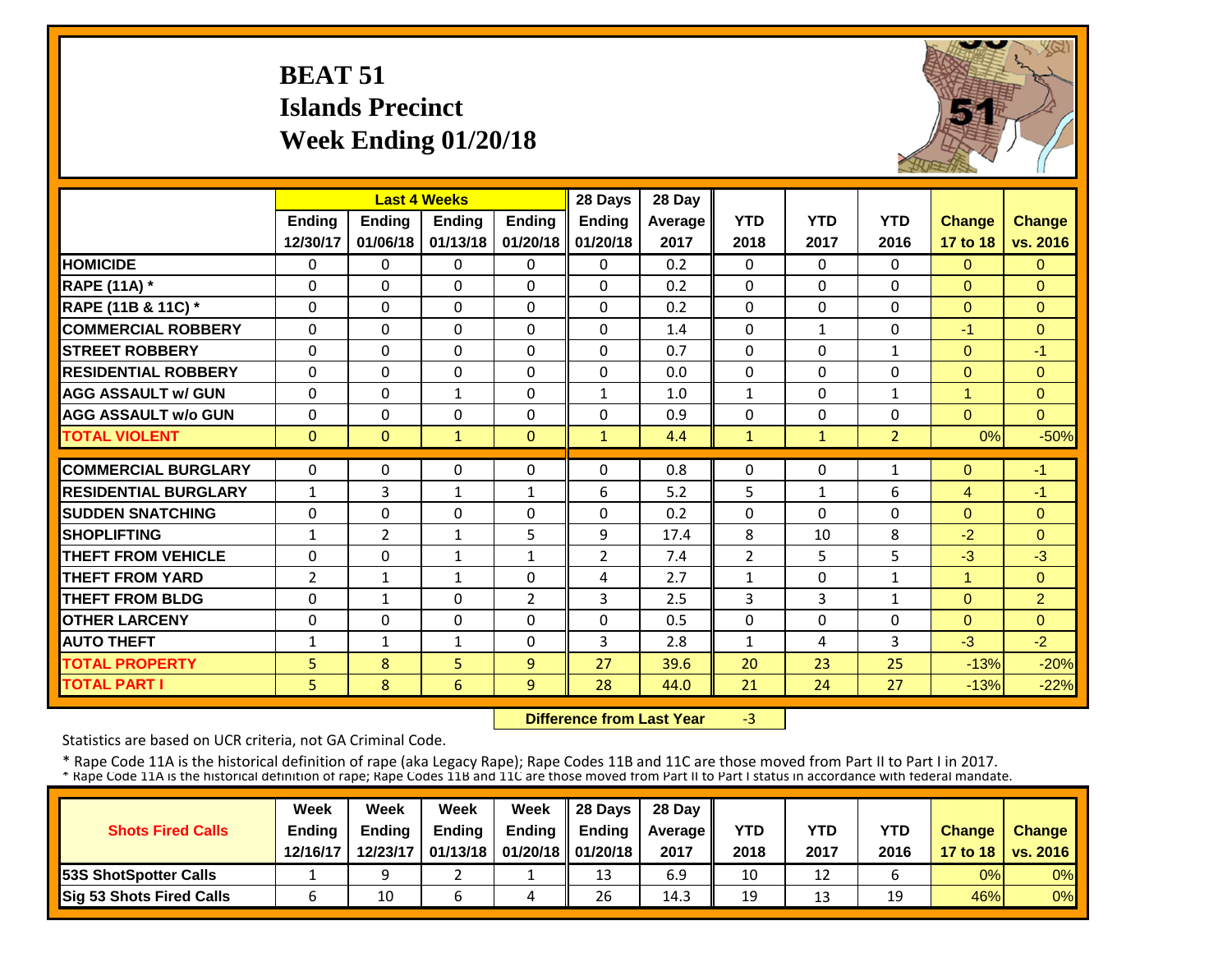## **BEAT 51 Islands PrecinctWeek Ending 01/20/18**



|                             |                | <b>Last 4 Weeks</b> |               |                | 28 Days      | 28 Day  |                |              |                |                |                |
|-----------------------------|----------------|---------------------|---------------|----------------|--------------|---------|----------------|--------------|----------------|----------------|----------------|
|                             | Ending         | <b>Ending</b>       | <b>Ending</b> | <b>Endina</b>  | Ending       | Average | <b>YTD</b>     | <b>YTD</b>   | <b>YTD</b>     | <b>Change</b>  | <b>Change</b>  |
|                             | 12/30/17       | 01/06/18            | 01/13/18      | 01/20/18       | 01/20/18     | 2017    | 2018           | 2017         | 2016           | 17 to 18       | vs. 2016       |
| <b>HOMICIDE</b>             | $\Omega$       | 0                   | $\mathbf{0}$  | $\Omega$       | $\Omega$     | 0.2     | $\Omega$       | $\Omega$     | 0              | $\Omega$       | $\overline{0}$ |
| <b>RAPE (11A) *</b>         | $\Omega$       | 0                   | 0             | $\Omega$       | $\Omega$     | 0.2     | $\Omega$       | 0            | 0              | $\Omega$       | $\Omega$       |
| RAPE (11B & 11C) *          | $\mathbf 0$    | 0                   | $\mathbf 0$   | $\Omega$       | $\mathbf{0}$ | 0.2     | $\Omega$       | $\Omega$     | $\Omega$       | $\mathbf{0}$   | $\Omega$       |
| <b>COMMERCIAL ROBBERY</b>   | $\Omega$       | $\Omega$            | 0             | $\Omega$       | 0            | 1.4     | $\mathbf 0$    | $\mathbf{1}$ | 0              | $-1$           | $\Omega$       |
| <b>STREET ROBBERY</b>       | $\Omega$       | $\Omega$            | $\Omega$      | $\Omega$       | $\Omega$     | 0.7     | $\Omega$       | 0            | $\mathbf{1}$   | $\Omega$       | $-1$           |
| <b>RESIDENTIAL ROBBERY</b>  | $\Omega$       | 0                   | $\Omega$      | $\Omega$       | $\Omega$     | 0.0     | $\Omega$       | $\Omega$     | 0              | $\Omega$       | $\Omega$       |
| <b>AGG ASSAULT w/ GUN</b>   | $\Omega$       | 0                   | $\mathbf{1}$  | $\Omega$       | 1            | 1.0     | $\mathbf{1}$   | 0            | $\mathbf{1}$   | $\mathbf{1}$   | $\Omega$       |
| <b>AGG ASSAULT w/o GUN</b>  | $\Omega$       | $\Omega$            | $\Omega$      | $\Omega$       | $\Omega$     | 0.9     | $\Omega$       | 0            | 0              | $\Omega$       | $\Omega$       |
| <b>TOTAL VIOLENT</b>        | $\mathbf{0}$   | $\overline{0}$      | $\mathbf{1}$  | $\mathbf{0}$   | $\mathbf{1}$ | 4.4     | $\mathbf{1}$   | $\mathbf{1}$ | $\overline{2}$ | 0%             | $-50%$         |
| <b>COMMERCIAL BURGLARY</b>  | $\Omega$       |                     |               |                |              | 0.8     |                | 0            |                |                |                |
|                             |                | 0                   | 0             | $\Omega$       | $\Omega$     |         | $\Omega$       |              | 1              | $\mathbf{0}$   | $-1$           |
| <b>RESIDENTIAL BURGLARY</b> | $\mathbf{1}$   | 3                   | $\mathbf{1}$  | $\mathbf{1}$   | 6            | 5.2     | 5              | $\mathbf{1}$ | 6              | $\overline{4}$ | $-1$           |
| <b>ISUDDEN SNATCHING</b>    | $\Omega$       | 0                   | $\Omega$      | $\Omega$       | $\Omega$     | 0.2     | $\Omega$       | 0            | 0              | $\Omega$       | $\Omega$       |
| <b>SHOPLIFTING</b>          | $\mathbf{1}$   | 2                   | $\mathbf{1}$  | 5              | 9            | 17.4    | 8              | 10           | 8              | $-2$           | $\Omega$       |
| <b>THEFT FROM VEHICLE</b>   | $\Omega$       | 0                   | $\mathbf{1}$  | 1              | 2            | 7.4     | $\overline{2}$ | 5.           | 5              | $-3$           | $-3$           |
| <b>THEFT FROM YARD</b>      | $\overline{2}$ | $\mathbf{1}$        | $\mathbf{1}$  | $\Omega$       | 4            | 2.7     | $\mathbf{1}$   | 0            | $\mathbf{1}$   | $\overline{1}$ | $\Omega$       |
| <b>THEFT FROM BLDG</b>      | $\Omega$       | $\mathbf{1}$        | 0             | $\overline{2}$ | 3            | 2.5     | 3              | 3            | $\mathbf{1}$   | $\Omega$       | $\overline{2}$ |
| <b>OTHER LARCENY</b>        | $\mathbf 0$    | 0                   | 0             | $\Omega$       | $\Omega$     | 0.5     | 0              | $\Omega$     | 0              | $\Omega$       | $\overline{0}$ |
| <b>AUTO THEFT</b>           | $\mathbf{1}$   | $\mathbf{1}$        | 1             | $\Omega$       | 3            | 2.8     | $\mathbf{1}$   | 4            | 3              | $-3$           | $-2$           |
| <b>TOTAL PROPERTY</b>       | 5              | 8                   | 5             | 9              | 27           | 39.6    | 20             | 23           | 25             | $-13%$         | $-20%$         |
| <b>TOTAL PART I</b>         | 5              | 8                   | 6             | 9              | 28           | 44.0    | 21             | 24           | 27             | $-13%$         | $-22%$         |

 **Difference from Last Year**‐3

Statistics are based on UCR criteria, not GA Criminal Code.

|                               | Week          | Week          | Week          | Week                           | $\parallel$ 28 Davs | 28 Day    |      |      |            |               |                     |
|-------------------------------|---------------|---------------|---------------|--------------------------------|---------------------|-----------|------|------|------------|---------------|---------------------|
| <b>Shots Fired Calls</b>      | <b>Ending</b> | <b>Ending</b> | <b>Ending</b> | <b>Ending</b>                  | <b>Ending</b>       | Average I | YTD  | YTD  | <b>YTD</b> | <b>Change</b> | <b>Change</b>       |
|                               | 12/16/17      | 12/23/17      |               | 01/13/18   01/20/18   01/20/18 |                     | 2017      | 2018 | 2017 | 2016       |               | 17 to 18   vs. 2016 |
| <b>153S ShotSpotter Calls</b> |               |               |               |                                | 13                  | 6.9       | 10   | 12   |            | 0%            | $0\%$               |
| Sig 53 Shots Fired Calls      |               | 10            |               | 4                              | 26                  | 14.3      | 19   | 13   | 19         | 46%           | 0%                  |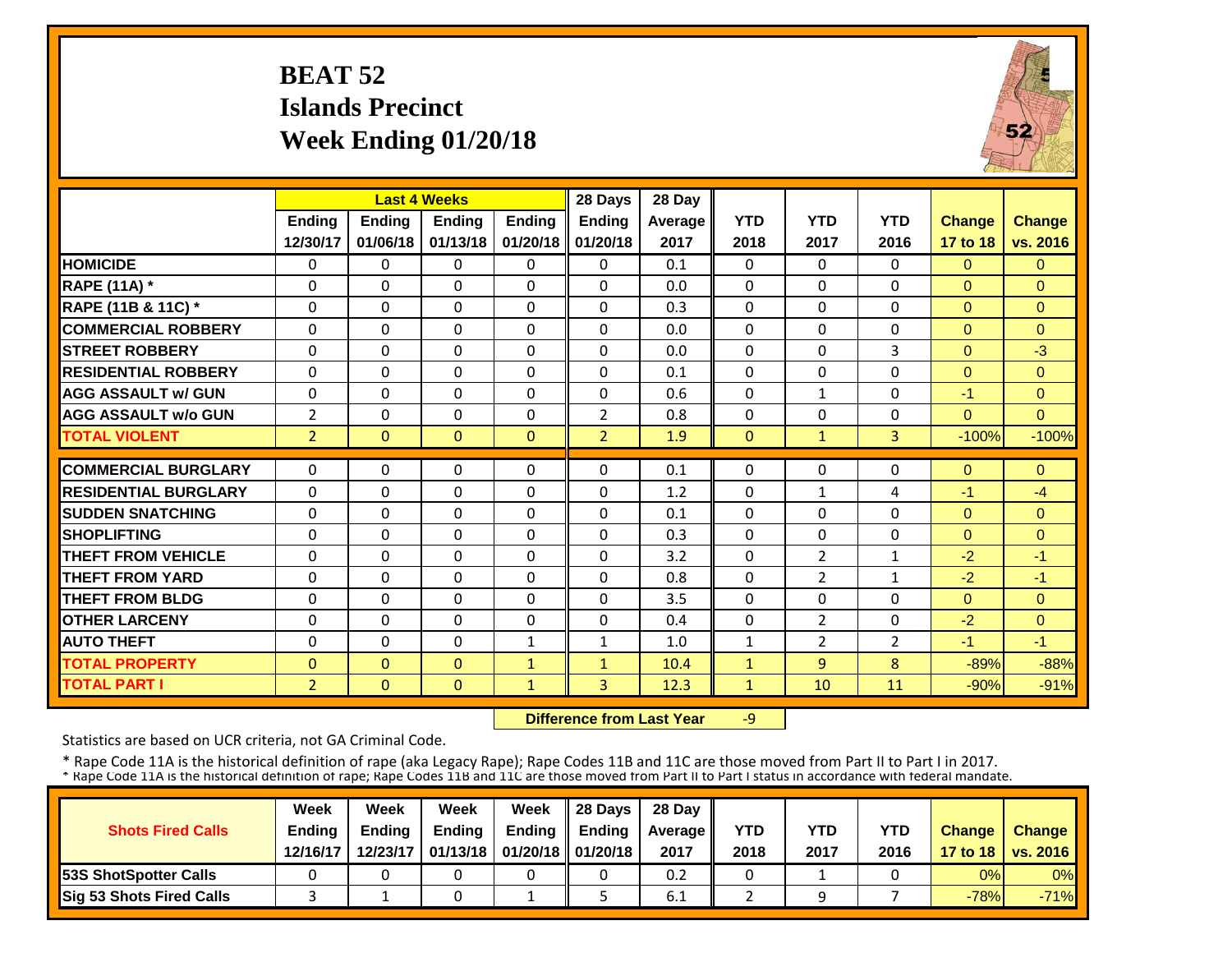## **BEAT 52 Islands PrecinctWeek Ending 01/20/18**



|                             |                | <b>Last 4 Weeks</b> |               |               | 28 Days        | 28 Day  |              |                |                |                |               |
|-----------------------------|----------------|---------------------|---------------|---------------|----------------|---------|--------------|----------------|----------------|----------------|---------------|
|                             | <b>Ending</b>  | Ending              | <b>Ending</b> | <b>Ending</b> | <b>Ending</b>  | Average | <b>YTD</b>   | <b>YTD</b>     | <b>YTD</b>     | <b>Change</b>  | <b>Change</b> |
|                             | 12/30/17       | 01/06/18            | 01/13/18      | 01/20/18      | 01/20/18       | 2017    | 2018         | 2017           | 2016           | 17 to 18       | vs. 2016      |
| <b>HOMICIDE</b>             | $\Omega$       | $\Omega$            | $\Omega$      | $\Omega$      | $\mathbf{0}$   | 0.1     | $\mathbf{0}$ | $\Omega$       | $\Omega$       | $\overline{0}$ | $\Omega$      |
| <b>RAPE (11A) *</b>         | $\Omega$       | $\Omega$            | $\Omega$      | $\Omega$      | $\Omega$       | 0.0     | $\mathbf 0$  | $\Omega$       | 0              | $\Omega$       | $\Omega$      |
| RAPE (11B & 11C) *          | $\Omega$       | $\Omega$            | $\Omega$      | $\Omega$      | $\Omega$       | 0.3     | 0            | $\Omega$       | $\Omega$       | $\Omega$       | $\Omega$      |
| <b>COMMERCIAL ROBBERY</b>   | $\Omega$       | $\Omega$            | $\Omega$      | $\Omega$      | $\Omega$       | 0.0     | $\mathbf{0}$ | $\Omega$       | $\Omega$       | $\Omega$       | $\Omega$      |
| <b>STREET ROBBERY</b>       | $\Omega$       | 0                   | $\mathbf 0$   | $\Omega$      | $\Omega$       | 0.0     | $\Omega$     | $\Omega$       | 3              | $\Omega$       | $-3$          |
| <b>RESIDENTIAL ROBBERY</b>  | $\Omega$       | $\Omega$            | $\Omega$      | $\Omega$      | $\Omega$       | 0.1     | $\mathbf{0}$ | $\Omega$       | 0              | $\Omega$       | $\Omega$      |
| <b>AGG ASSAULT w/ GUN</b>   | $\Omega$       | $\Omega$            | $\Omega$      | $\Omega$      | $\Omega$       | 0.6     | $\Omega$     | $\mathbf{1}$   | 0              | $-1$           | $\Omega$      |
| <b>AGG ASSAULT w/o GUN</b>  | $\overline{2}$ | $\Omega$            | 0             | 0             | $\overline{2}$ | 0.8     | 0            | $\Omega$       | 0              | $\Omega$       | $\Omega$      |
| <b>TOTAL VIOLENT</b>        | $\overline{2}$ | $\mathbf{0}$        | $\mathbf{0}$  | $\Omega$      | $\overline{2}$ | 1.9     | $\Omega$     | $\mathbf{1}$   | $\overline{3}$ | $-100%$        | $-100%$       |
| <b>COMMERCIAL BURGLARY</b>  | $\Omega$       | $\Omega$            | $\Omega$      | 0             | $\Omega$       | 0.1     | $\Omega$     | $\Omega$       | 0              | $\Omega$       | $\Omega$      |
| <b>RESIDENTIAL BURGLARY</b> | $\Omega$       | $\Omega$            | $\Omega$      | $\Omega$      | $\Omega$       | 1.2     | $\Omega$     | $\mathbf{1}$   |                |                | $-4$          |
|                             |                |                     |               |               |                |         |              |                | 4              | $-1$           |               |
| <b>SUDDEN SNATCHING</b>     | $\Omega$       | $\Omega$            | $\Omega$      | 0             | $\Omega$       | 0.1     | $\Omega$     | $\Omega$       | $\Omega$       | $\Omega$       | $\Omega$      |
| <b>SHOPLIFTING</b>          | $\Omega$       | $\Omega$            | $\Omega$      | $\Omega$      | $\Omega$       | 0.3     | $\Omega$     | $\Omega$       | 0              | $\Omega$       | $\Omega$      |
| <b>THEFT FROM VEHICLE</b>   | $\Omega$       | $\Omega$            | $\Omega$      | 0             | $\Omega$       | 3.2     | $\Omega$     | $\overline{2}$ | $\mathbf{1}$   | $-2$           | $-1$          |
| <b>THEFT FROM YARD</b>      | $\Omega$       | $\Omega$            | $\Omega$      | 0             | $\Omega$       | 0.8     | $\Omega$     | $\overline{2}$ | $\mathbf{1}$   | $-2$           | $-1$          |
| <b>THEFT FROM BLDG</b>      | 0              | $\Omega$            | $\Omega$      | 0             | $\Omega$       | 3.5     | $\Omega$     | $\Omega$       | 0              | $\Omega$       | $\Omega$      |
| <b>OTHER LARCENY</b>        | $\Omega$       | $\Omega$            | $\Omega$      | $\Omega$      | $\Omega$       | 0.4     | $\Omega$     | $\overline{2}$ | 0              | $-2$           | $\Omega$      |
| <b>AUTO THEFT</b>           | $\Omega$       | $\Omega$            | $\Omega$      | 1             | 1              | 1.0     | 1            | $\overline{2}$ | 2              | $-1$           | $-1$          |
| <b>TOTAL PROPERTY</b>       | $\mathbf{0}$   | $\Omega$            | $\Omega$      | $\mathbf{1}$  | $\mathbf{1}$   | 10.4    | $\mathbf{1}$ | 9              | 8              | $-89%$         | $-88%$        |
| <b>TOTAL PART I</b>         | $\overline{2}$ | $\mathbf{0}$        | $\Omega$      | $\mathbf{1}$  | $\overline{3}$ | 12.3    | $\mathbf{1}$ | 10             | 11             | $-90%$         | $-91%$        |

 **Difference from Last Year** $-9$ 

Statistics are based on UCR criteria, not GA Criminal Code.

|                                 | Week          | Week          | Week                            | Week   | $\parallel$ 28 Davs | 28 Day    |      |      |      |               |                     |
|---------------------------------|---------------|---------------|---------------------------------|--------|---------------------|-----------|------|------|------|---------------|---------------------|
| <b>Shots Fired Calls</b>        | <b>Ending</b> | <b>Ending</b> | <b>Ending</b>                   | Ending | <b>Endina</b>       | Average I | YTD  | YTD  | YTD  | <b>Change</b> | Change              |
|                                 | 12/16/17      | 12/23/17      | 01/13/18   01/20/18    01/20/18 |        |                     | 2017      | 2018 | 2017 | 2016 |               | 17 to 18   vs. 2016 |
| <b>153S ShotSpotter Calls</b>   |               |               |                                 |        |                     | 0.2       |      |      |      | 0%            | $0\%$               |
| <b>Sig 53 Shots Fired Calls</b> |               |               |                                 |        |                     | ∽<br>6.1  |      |      |      | $-78%$        | $-71%$              |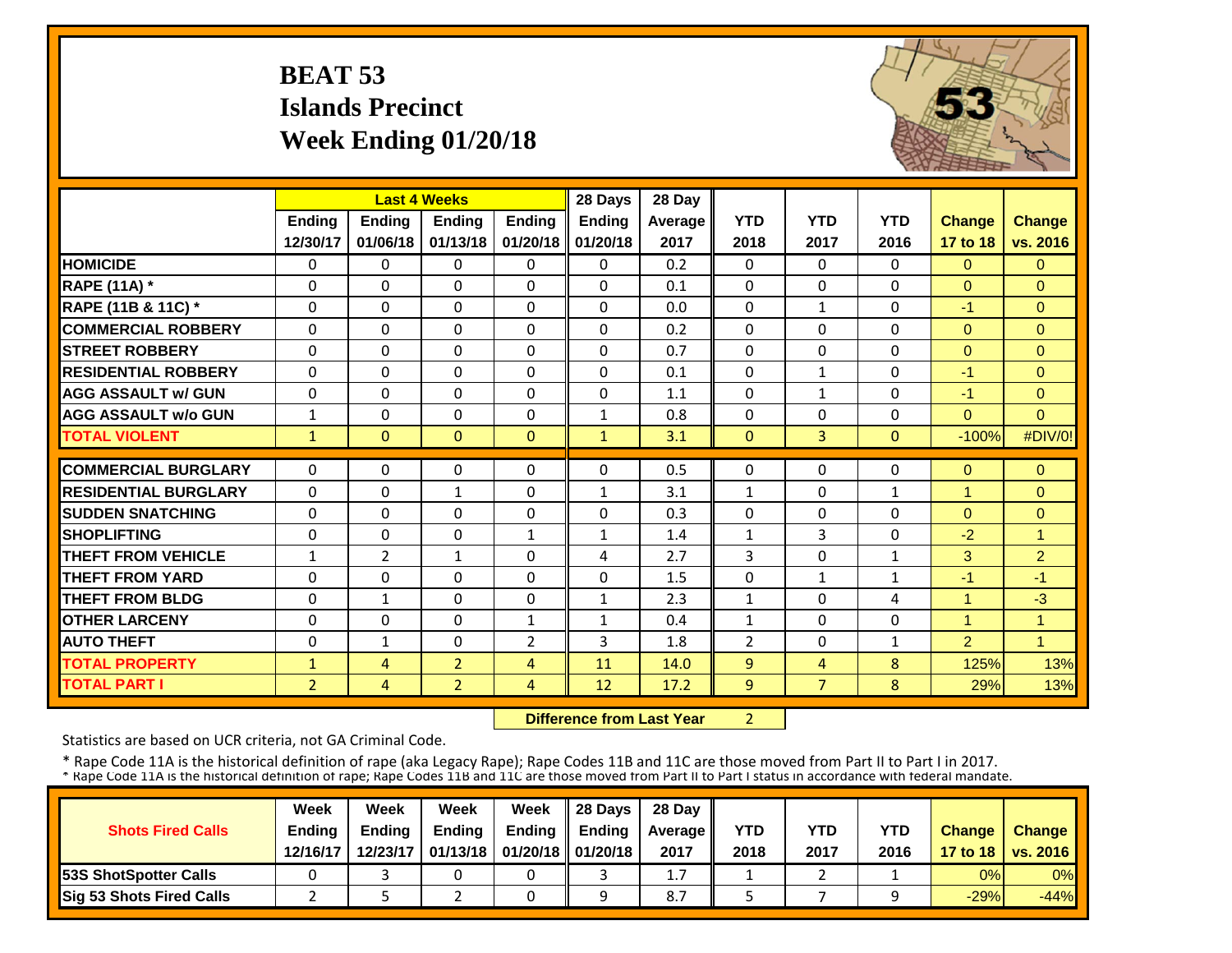## **BEAT 53 Islands PrecinctWeek Ending 01/20/18**



|                             |                | <b>Last 4 Weeks</b> |                |                | 28 Days       | 28 Day  |              |                |              |                |                |
|-----------------------------|----------------|---------------------|----------------|----------------|---------------|---------|--------------|----------------|--------------|----------------|----------------|
|                             | Ending         | <b>Ending</b>       | <b>Ending</b>  | <b>Ending</b>  | <b>Ending</b> | Average | <b>YTD</b>   | <b>YTD</b>     | <b>YTD</b>   | <b>Change</b>  | <b>Change</b>  |
|                             | 12/30/17       | 01/06/18            | 01/13/18       | 01/20/18       | 01/20/18      | 2017    | 2018         | 2017           | 2016         | 17 to 18       | vs. 2016       |
| <b>HOMICIDE</b>             | $\Omega$       | 0                   | $\Omega$       | $\Omega$       | $\Omega$      | 0.2     | $\Omega$     | $\Omega$       | 0            | $\Omega$       | $\Omega$       |
| <b>RAPE (11A) *</b>         | $\Omega$       | $\Omega$            | $\Omega$       | $\Omega$       | $\Omega$      | 0.1     | $\Omega$     | $\Omega$       | 0            | $\Omega$       | $\Omega$       |
| RAPE (11B & 11C) *          | $\Omega$       | $\Omega$            | $\Omega$       | $\Omega$       | $\Omega$      | 0.0     | $\Omega$     | $\mathbf{1}$   | $\Omega$     | $-1$           | $\Omega$       |
| <b>COMMERCIAL ROBBERY</b>   | $\Omega$       | $\Omega$            | $\Omega$       | $\Omega$       | $\Omega$      | 0.2     | $\Omega$     | $\Omega$       | $\Omega$     | $\Omega$       | $\Omega$       |
| <b>STREET ROBBERY</b>       | $\Omega$       | 0                   | $\Omega$       | $\Omega$       | $\Omega$      | 0.7     | $\mathbf 0$  | $\Omega$       | $\Omega$     | $\Omega$       | $\Omega$       |
| <b>RESIDENTIAL ROBBERY</b>  | $\Omega$       | 0                   | $\Omega$       | $\Omega$       | $\Omega$      | 0.1     | $\Omega$     | $\mathbf{1}$   | 0            | $-1$           | $\Omega$       |
| <b>AGG ASSAULT w/ GUN</b>   | $\Omega$       | 0                   | $\Omega$       | $\Omega$       | 0             | 1.1     | $\Omega$     | $\mathbf{1}$   | 0            | $-1$           | $\Omega$       |
| <b>AGG ASSAULT w/o GUN</b>  | $\mathbf{1}$   | 0                   | 0              | $\Omega$       | $\mathbf{1}$  | 0.8     | $\Omega$     | $\Omega$       | 0            | $\mathbf{0}$   | $\Omega$       |
| <b>TOTAL VIOLENT</b>        | $\mathbf{1}$   | $\Omega$            | $\Omega$       | $\Omega$       | $\mathbf{1}$  | 3.1     | $\mathbf{0}$ | $\overline{3}$ | $\Omega$     | $-100%$        | #DIV/0!        |
| <b>COMMERCIAL BURGLARY</b>  | $\Omega$       | 0                   | $\Omega$       | $\Omega$       | 0             | 0.5     | $\Omega$     | $\Omega$       | 0            | $\Omega$       | $\Omega$       |
| <b>RESIDENTIAL BURGLARY</b> | $\Omega$       | 0                   | $\mathbf{1}$   | $\Omega$       | $\mathbf{1}$  | 3.1     | $\mathbf{1}$ | $\Omega$       | $\mathbf{1}$ | $\mathbf{1}$   | $\Omega$       |
| <b>SUDDEN SNATCHING</b>     | $\Omega$       | $\Omega$            | $\Omega$       | $\Omega$       | $\Omega$      | 0.3     | $\Omega$     | $\Omega$       | 0            | $\Omega$       | $\Omega$       |
| <b>SHOPLIFTING</b>          | $\Omega$       | $\Omega$            | $\Omega$       | $\mathbf{1}$   | $\mathbf{1}$  | 1.4     | $\mathbf{1}$ | 3              | 0            | $-2$           | $\overline{1}$ |
| <b>THEFT FROM VEHICLE</b>   | $\mathbf{1}$   | 2                   | 1              | $\Omega$       | 4             | 2.7     | 3            | $\Omega$       | 1            | 3              | $\overline{2}$ |
| <b>THEFT FROM YARD</b>      | $\Omega$       | 0                   | $\Omega$       | $\Omega$       | $\Omega$      | 1.5     | $\Omega$     | $\mathbf{1}$   | $\mathbf{1}$ | $-1$           | $-1$           |
| <b>THEFT FROM BLDG</b>      | $\Omega$       | $\mathbf{1}$        | 0              | $\Omega$       | $\mathbf{1}$  | 2.3     | $\mathbf{1}$ | 0              | 4            | 1              | $-3$           |
| <b>OTHER LARCENY</b>        | $\Omega$       | 0                   | $\Omega$       | $\mathbf{1}$   | $\mathbf{1}$  | 0.4     | $\mathbf{1}$ | $\Omega$       | 0            | 1              | $\overline{1}$ |
| <b>AUTO THEFT</b>           | $\Omega$       | $\mathbf{1}$        | $\Omega$       | 2              | 3             | 1.8     | 2            | $\Omega$       | $\mathbf{1}$ | $\overline{2}$ | $\overline{1}$ |
| <b>TOTAL PROPERTY</b>       | $\mathbf{1}$   | 4                   | $\overline{2}$ | $\overline{4}$ | 11            | 14.0    | 9            | 4              | 8            | 125%           | 13%            |
| <b>TOTAL PART I</b>         | $\overline{2}$ | $\overline{4}$      | $\overline{2}$ | 4              | 12            | 17.2    | 9            | $\overline{7}$ | 8            | 29%            | 13%            |
|                             |                |                     |                |                |               |         |              |                |              |                |                |

 **Difference from Last Year**2

Statistics are based on UCR criteria, not GA Criminal Code.

|                               | Week          | Week          | Week          | Week                           | $\parallel$ 28 Davs | 28 Day    |      |      |            |               |                     |
|-------------------------------|---------------|---------------|---------------|--------------------------------|---------------------|-----------|------|------|------------|---------------|---------------------|
| <b>Shots Fired Calls</b>      | <b>Ending</b> | <b>Ending</b> | <b>Ending</b> | <b>Ending</b>                  | <b>Ending</b>       | Average I | YTD  | YTD  | <b>YTD</b> | <b>Change</b> | <b>Change</b>       |
|                               | 12/16/17      | 12/23/17      |               | 01/13/18   01/20/18   01/20/18 |                     | 2017      | 2018 | 2017 | 2016       |               | 17 to 18   vs. 2016 |
| <b>153S ShotSpotter Calls</b> |               |               |               |                                |                     | 1.7       |      |      |            | 0%            | $0\%$               |
| Sig 53 Shots Fired Calls      |               |               |               |                                |                     | 8.7       |      |      |            | $-29%$        | $-44%$              |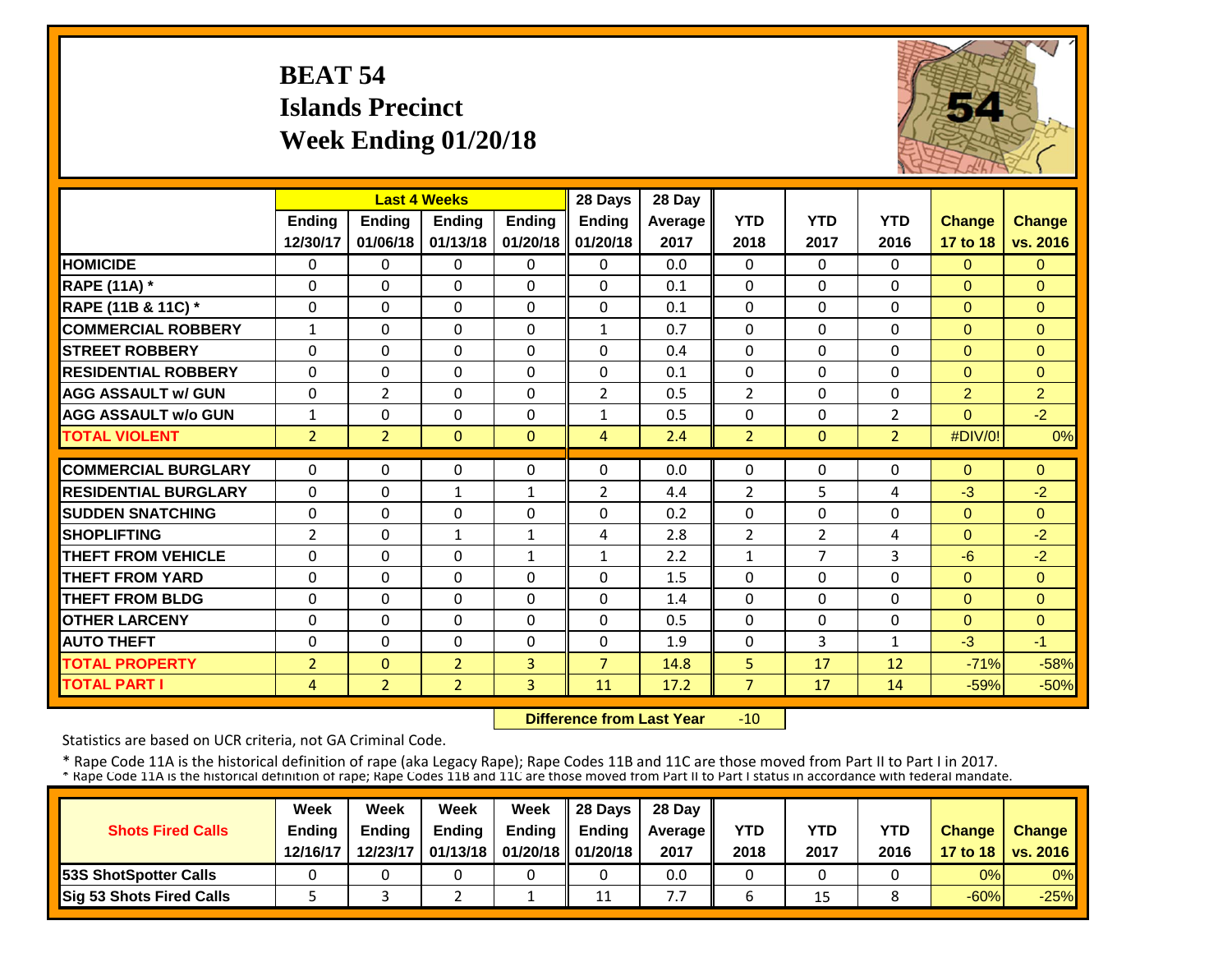## **BEAT 54 Islands PrecinctWeek Ending 01/20/18**



|                             |                | <b>Last 4 Weeks</b> |                |               | 28 Days        | 28 Day  |                |            |                |                |                |
|-----------------------------|----------------|---------------------|----------------|---------------|----------------|---------|----------------|------------|----------------|----------------|----------------|
|                             | <b>Ending</b>  | <b>Ending</b>       | <b>Endina</b>  | <b>Ending</b> | <b>Ending</b>  | Average | <b>YTD</b>     | <b>YTD</b> | <b>YTD</b>     | <b>Change</b>  | Change         |
|                             | 12/30/17       | 01/06/18            | 01/13/18       | 01/20/18      | 01/20/18       | 2017    | 2018           | 2017       | 2016           | 17 to 18       | vs. 2016       |
| <b>HOMICIDE</b>             | $\Omega$       | $\Omega$            | $\Omega$       | $\Omega$      | $\Omega$       | 0.0     | $\Omega$       | $\Omega$   | 0              | $\Omega$       | $\overline{0}$ |
| <b>RAPE (11A) *</b>         | $\Omega$       | $\Omega$            | $\Omega$       | $\Omega$      | 0              | 0.1     | $\Omega$       | $\Omega$   | 0              | $\Omega$       | $\Omega$       |
| RAPE (11B & 11C) *          | $\mathbf 0$    | $\Omega$            | $\Omega$       | $\Omega$      | $\Omega$       | 0.1     | $\Omega$       | $\Omega$   | 0              | $\overline{0}$ | $\mathbf{0}$   |
| <b>COMMERCIAL ROBBERY</b>   | $\mathbf{1}$   | $\Omega$            | $\Omega$       | $\Omega$      | $\mathbf{1}$   | 0.7     | $\Omega$       | $\Omega$   | 0              | $\Omega$       | $\Omega$       |
| <b>ISTREET ROBBERY</b>      | $\Omega$       | $\Omega$            | $\Omega$       | $\Omega$      | $\Omega$       | 0.4     | $\Omega$       | $\Omega$   | $\Omega$       | $\Omega$       | $\Omega$       |
| <b>RESIDENTIAL ROBBERY</b>  | $\Omega$       | $\Omega$            | $\Omega$       | $\Omega$      | 0              | 0.1     | $\Omega$       | $\Omega$   | 0              | $\Omega$       | $\Omega$       |
| <b>AGG ASSAULT w/ GUN</b>   | $\Omega$       | $\overline{2}$      | $\Omega$       | $\Omega$      | $\overline{2}$ | 0.5     | $\overline{2}$ | $\Omega$   | 0              | $\overline{2}$ | $\overline{2}$ |
| <b>AGG ASSAULT w/o GUN</b>  | $\mathbf{1}$   | $\Omega$            | $\Omega$       | $\Omega$      | $\mathbf{1}$   | 0.5     | $\Omega$       | 0          | 2              | $\Omega$       | $-2$           |
| <b>TOTAL VIOLENT</b>        | $\overline{2}$ | $\overline{2}$      | $\Omega$       | $\Omega$      | 4              | 2.4     | $\overline{2}$ | $\Omega$   | $\overline{2}$ | #DIV/0!        | 0%             |
| <b>COMMERCIAL BURGLARY</b>  | $\Omega$       | $\Omega$            | $\Omega$       | $\Omega$      | 0              | 0.0     | $\Omega$       | 0          | 0              | $\Omega$       | $\Omega$       |
| <b>RESIDENTIAL BURGLARY</b> | 0              | $\Omega$            | $\mathbf{1}$   | $\mathbf{1}$  | 2              | 4.4     | $\overline{2}$ | 5          | 4              | $-3$           | $-2$           |
| <b>ISUDDEN SNATCHING</b>    | 0              | $\Omega$            | $\Omega$       | $\Omega$      | 0              | 0.2     | $\Omega$       | 0          | 0              | $\Omega$       | $\Omega$       |
| <b>SHOPLIFTING</b>          | $\overline{2}$ | $\Omega$            | $\mathbf{1}$   | $\mathbf{1}$  | 4              | 2.8     | $\overline{2}$ | 2          | 4              | $\Omega$       | $-2$           |
| <b>THEFT FROM VEHICLE</b>   | $\Omega$       | $\Omega$            | $\Omega$       | 1             | $\mathbf{1}$   | 2.2     | $\mathbf{1}$   | 7          | 3              | $-6$           | $-2$           |
| <b>THEFT FROM YARD</b>      | $\Omega$       | $\Omega$            | $\Omega$       | $\Omega$      | $\Omega$       | 1.5     | $\Omega$       | 0          | $\Omega$       | $\Omega$       | $\Omega$       |
| <b>THEFT FROM BLDG</b>      | 0              | $\Omega$            | $\Omega$       | $\Omega$      | 0              | 1.4     | $\Omega$       | 0          | 0              | $\Omega$       | $\Omega$       |
| <b>OTHER LARCENY</b>        | $\Omega$       | $\Omega$            | $\Omega$       | $\Omega$      | 0              | 0.5     | $\Omega$       | 0          | 0              | $\Omega$       | $\Omega$       |
| <b>AUTO THEFT</b>           | $\Omega$       | $\Omega$            | $\Omega$       | 0             | 0              | 1.9     | $\Omega$       | 3          | $\mathbf{1}$   | $-3$           | $-1$           |
| <b>TOTAL PROPERTY</b>       | $\overline{2}$ | $\Omega$            | $\overline{2}$ | 3             | $\overline{7}$ | 14.8    | 5              | 17         | 12             | $-71%$         | $-58%$         |
| <b>TOTAL PART I</b>         | $\overline{4}$ | $\overline{2}$      | $\overline{2}$ | 3             | 11             | 17.2    | $\overline{7}$ | 17         | 14             | $-59%$         | $-50%$         |
|                             |                |                     |                |               |                |         |                |            |                |                |                |

 **Difference from Last Year** $-10$ 

Statistics are based on UCR criteria, not GA Criminal Code.

|                                 | Week          | Week          | Week          | Week                            | $\parallel$ 28 Davs | 28 Day    |      |      |      |               |                     |
|---------------------------------|---------------|---------------|---------------|---------------------------------|---------------------|-----------|------|------|------|---------------|---------------------|
| <b>Shots Fired Calls</b>        | <b>Ending</b> | <b>Ending</b> | <b>Ending</b> | <b>Ending</b>                   | <b>Endina</b>       | Average I | YTD  | YTD  | YTD  | <b>Change</b> | Change              |
|                                 | 12/16/17      | 12/23/17      |               | 01/13/18   01/20/18    01/20/18 |                     | 2017      | 2018 | 2017 | 2016 |               | 17 to 18   vs. 2016 |
| <b>153S ShotSpotter Calls</b>   |               |               |               |                                 |                     | 0.0       |      |      |      | 0%            | $0\%$               |
| <b>Sig 53 Shots Fired Calls</b> |               |               |               |                                 | 11                  | ٠.,       |      | 15   |      | $-60%$        | $-25%$              |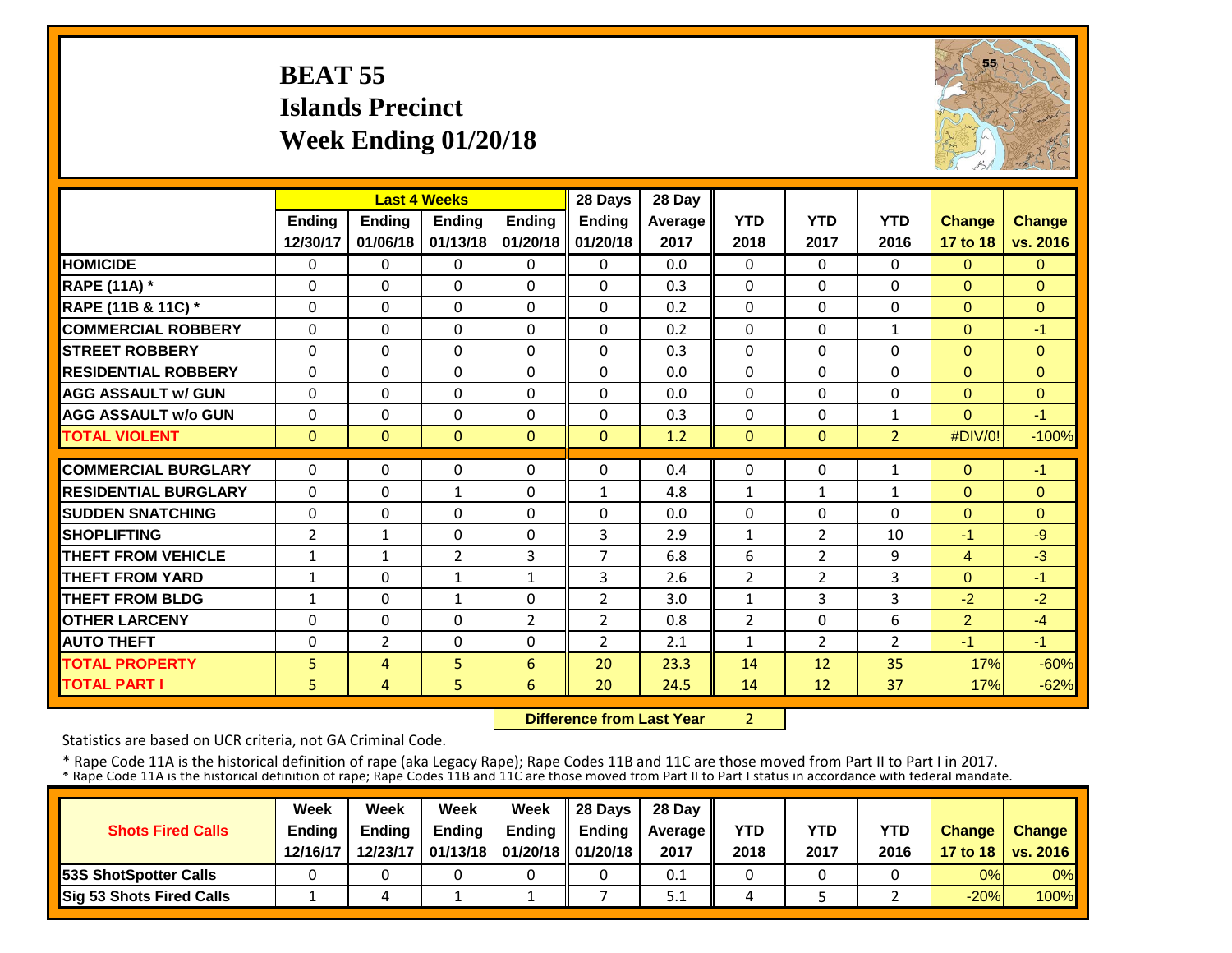## **BEAT 55 Islands PrecinctWeek Ending 01/20/18**



|                             |                | <b>Last 4 Weeks</b> |                |                | 28 Days        | 28 Day  |                |                |                |                |               |
|-----------------------------|----------------|---------------------|----------------|----------------|----------------|---------|----------------|----------------|----------------|----------------|---------------|
|                             | <b>Ending</b>  | <b>Ending</b>       | <b>Endina</b>  | <b>Endina</b>  | <b>Ending</b>  | Average | <b>YTD</b>     | <b>YTD</b>     | <b>YTD</b>     | <b>Change</b>  | <b>Change</b> |
|                             | 12/30/17       | 01/06/18            | 01/13/18       | 01/20/18       | 01/20/18       | 2017    | 2018           | 2017           | 2016           | 17 to 18       | vs. 2016      |
| <b>HOMICIDE</b>             | $\mathbf 0$    | $\Omega$            | $\mathbf{0}$   | 0              | $\Omega$       | 0.0     | $\mathbf 0$    | $\Omega$       | $\Omega$       | $\Omega$       | $\Omega$      |
| <b>RAPE (11A)</b> *         | $\Omega$       | $\Omega$            | $\Omega$       | $\Omega$       | $\Omega$       | 0.3     | $\Omega$       | $\Omega$       | $\Omega$       | $\Omega$       | $\Omega$      |
| RAPE (11B & 11C) *          | $\Omega$       | $\Omega$            | $\Omega$       | $\Omega$       | $\Omega$       | 0.2     | 0              | $\Omega$       | $\Omega$       | $\Omega$       | $\Omega$      |
| <b>COMMERCIAL ROBBERY</b>   | $\Omega$       | $\Omega$            | $\Omega$       | $\Omega$       | $\Omega$       | 0.2     | $\mathbf{0}$   | $\Omega$       | $\mathbf{1}$   | $\Omega$       | $-1$          |
| <b>ISTREET ROBBERY</b>      | 0              | $\Omega$            | $\Omega$       | $\Omega$       | $\Omega$       | 0.3     | $\mathbf 0$    | $\Omega$       | 0              | $\mathbf{0}$   | $\mathbf{0}$  |
| <b>RESIDENTIAL ROBBERY</b>  | $\Omega$       | $\Omega$            | $\Omega$       | $\Omega$       | 0              | 0.0     | $\Omega$       | $\Omega$       | $\Omega$       | $\Omega$       | $\Omega$      |
| <b>AGG ASSAULT w/ GUN</b>   | $\Omega$       | $\Omega$            | $\Omega$       | $\Omega$       | $\Omega$       | 0.0     | $\Omega$       | $\Omega$       | 0              | $\Omega$       | $\Omega$      |
| <b>AGG ASSAULT w/o GUN</b>  | $\Omega$       | 0                   | $\Omega$       | $\Omega$       | 0              | 0.3     | $\Omega$       | $\Omega$       | $\mathbf{1}$   | $\Omega$       | $-1$          |
| <b>TOTAL VIOLENT</b>        | $\mathbf{0}$   | $\Omega$            | $\mathbf{0}$   | $\mathbf{0}$   | $\Omega$       | 1.2     | $\mathbf{0}$   | $\Omega$       | $\overline{2}$ | #DIV/0!        | $-100%$       |
| <b>COMMERCIAL BURGLARY</b>  | $\Omega$       | $\Omega$            | $\Omega$       | $\Omega$       | $\Omega$       | 0.4     | $\Omega$       | $\Omega$       | 1              | $\Omega$       | $-1$          |
| <b>RESIDENTIAL BURGLARY</b> | $\Omega$       | $\Omega$            | 1              | $\Omega$       | $\mathbf{1}$   | 4.8     | $\mathbf{1}$   | 1              | 1              | $\Omega$       | $\Omega$      |
| <b>SUDDEN SNATCHING</b>     | $\mathbf 0$    | $\Omega$            | $\Omega$       | $\Omega$       | $\Omega$       | 0.0     | $\Omega$       | $\Omega$       | $\Omega$       | $\Omega$       | $\Omega$      |
| <b>SHOPLIFTING</b>          | $\overline{2}$ | $\mathbf{1}$        | $\Omega$       | 0              | 3              | 2.9     | $\mathbf{1}$   | $\overline{2}$ | 10             | $-1$           | $-9$          |
| <b>THEFT FROM VEHICLE</b>   | $\mathbf{1}$   | 1                   | $\overline{2}$ | $\overline{3}$ | 7              | 6.8     | 6              | 2              | 9              | 4              | $-3$          |
| <b>THEFT FROM YARD</b>      | $\mathbf{1}$   | $\Omega$            | $\mathbf{1}$   | $\mathbf{1}$   | 3              | 2.6     | $\overline{2}$ | 2              | 3              | $\Omega$       | $-1$          |
| <b>THEFT FROM BLDG</b>      | $\mathbf{1}$   | 0                   | $\mathbf{1}$   | 0              | $\overline{2}$ | 3.0     | $\mathbf{1}$   | 3              | 3              | $-2$           | $-2$          |
| <b>OTHER LARCENY</b>        | $\Omega$       | $\Omega$            | $\Omega$       | $\overline{2}$ | $\overline{2}$ | 0.8     | $\overline{2}$ | $\Omega$       | 6              | $\overline{2}$ | $-4$          |
| <b>AUTO THEFT</b>           | $\Omega$       | 2                   | $\Omega$       | 0              | $\overline{2}$ | 2.1     | $\mathbf{1}$   | $\overline{2}$ | $\overline{2}$ | $-1$           | $-1$          |
| <b>TOTAL PROPERTY</b>       | 5              | $\overline{4}$      | 5              | 6              | 20             | 23.3    | 14             | 12             | 35             | 17%            | $-60%$        |
| <b>TOTAL PART I</b>         | 5              | 4                   | 5              | 6              | 20             | 24.5    | 14             | 12             | 37             | 17%            | $-62%$        |

 **Difference from Last Year**2

Statistics are based on UCR criteria, not GA Criminal Code.

|                               | Week          | Week          | Week          | Week                           | $\parallel$ 28 Davs | 28 Day    |      |      |            |               |                     |
|-------------------------------|---------------|---------------|---------------|--------------------------------|---------------------|-----------|------|------|------------|---------------|---------------------|
| <b>Shots Fired Calls</b>      | <b>Ending</b> | <b>Ending</b> | <b>Ending</b> | <b>Ending</b>                  | <b>Ending</b>       | Average I | YTD  | YTD  | <b>YTD</b> | <b>Change</b> | <b>Change</b>       |
|                               | 12/16/17      | 12/23/17      |               | 01/13/18   01/20/18   01/20/18 |                     | 2017      | 2018 | 2017 | 2016       |               | 17 to 18   vs. 2016 |
| <b>153S ShotSpotter Calls</b> |               |               |               |                                |                     | 0.1       |      |      |            | 0%            | $0\%$               |
| Sig 53 Shots Fired Calls      |               |               |               |                                |                     | 5.1       |      |      |            | $-20%$        | <b>100%</b>         |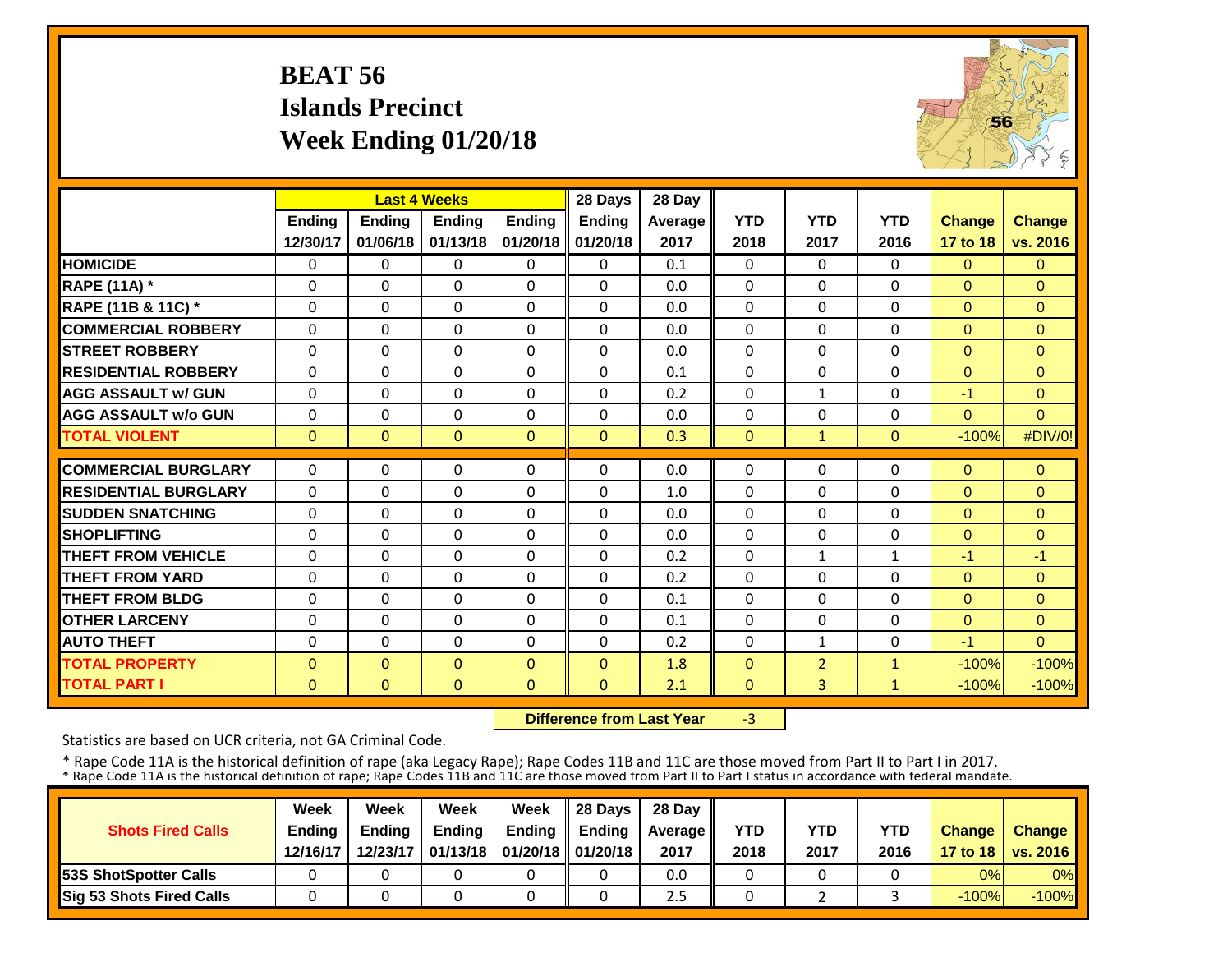## **BEAT 56 Islands Precinct Week Ending 01/20/18**



|                             |               | <b>Last 4 Weeks</b> |               |                | 28 Days       | 28 Day  |              |                |              |                |                |
|-----------------------------|---------------|---------------------|---------------|----------------|---------------|---------|--------------|----------------|--------------|----------------|----------------|
|                             | <b>Ending</b> | <b>Ending</b>       | <b>Endina</b> | <b>Endina</b>  | <b>Ending</b> | Average | <b>YTD</b>   | <b>YTD</b>     | <b>YTD</b>   | <b>Change</b>  | <b>Change</b>  |
|                             | 12/30/17      | 01/06/18            | 01/13/18      | 01/20/18       | 01/20/18      | 2017    | 2018         | 2017           | 2016         | 17 to 18       | vs. 2016       |
| <b>HOMICIDE</b>             | 0             | $\Omega$            | $\Omega$      | $\Omega$       | 0             | 0.1     | $\Omega$     | $\Omega$       | 0            | $\Omega$       | $\Omega$       |
| <b>RAPE (11A) *</b>         | $\Omega$      | $\Omega$            | $\Omega$      | $\Omega$       | $\Omega$      | 0.0     | $\Omega$     | $\Omega$       | 0            | $\Omega$       | $\Omega$       |
| RAPE (11B & 11C) *          | $\Omega$      | $\Omega$            | $\Omega$      | $\Omega$       | $\Omega$      | 0.0     | $\Omega$     | $\Omega$       | 0            | $\Omega$       | $\Omega$       |
| <b>COMMERCIAL ROBBERY</b>   | $\Omega$      | $\Omega$            | $\Omega$      | $\Omega$       | 0             | 0.0     | $\Omega$     | $\Omega$       | 0            | $\Omega$       | $\Omega$       |
| <b>STREET ROBBERY</b>       | $\mathbf 0$   | $\Omega$            | $\Omega$      | $\Omega$       | $\Omega$      | 0.0     | $\mathbf 0$  | $\Omega$       | 0            | $\overline{0}$ | $\mathbf{0}$   |
| <b>RESIDENTIAL ROBBERY</b>  | $\Omega$      | $\Omega$            | $\Omega$      | $\Omega$       | $\Omega$      | 0.1     | $\Omega$     | $\Omega$       | 0            | $\Omega$       | $\Omega$       |
| <b>AGG ASSAULT w/ GUN</b>   | $\Omega$      | $\Omega$            | $\Omega$      | $\Omega$       | $\Omega$      | 0.2     | $\Omega$     | $\mathbf{1}$   | 0            | $-1$           | $\Omega$       |
| <b>AGG ASSAULT w/o GUN</b>  | $\Omega$      | $\Omega$            | $\Omega$      | $\Omega$       | $\Omega$      | 0.0     | $\Omega$     | $\Omega$       | 0            | $\Omega$       | $\Omega$       |
| <b>TOTAL VIOLENT</b>        | $\mathbf{0}$  | $\Omega$            | $\mathbf{0}$  | $\mathbf{0}$   | $\mathbf{0}$  | 0.3     | $\Omega$     | $\mathbf{1}$   | $\Omega$     | $-100%$        | #DIV/0!        |
| <b>COMMERCIAL BURGLARY</b>  | $\Omega$      | $\Omega$            | $\Omega$      | $\Omega$       | 0             | 0.0     | $\Omega$     | $\Omega$       | 0            | $\Omega$       | $\Omega$       |
| <b>RESIDENTIAL BURGLARY</b> | $\Omega$      | $\Omega$            | $\Omega$      | $\Omega$       | $\Omega$      | 1.0     | $\Omega$     | $\Omega$       | 0            | $\Omega$       | $\Omega$       |
| <b>ISUDDEN SNATCHING</b>    | $\Omega$      | $\Omega$            | $\Omega$      | $\Omega$       | $\Omega$      | 0.0     | $\Omega$     | $\Omega$       | 0            | $\Omega$       | $\Omega$       |
| <b>SHOPLIFTING</b>          | $\Omega$      | $\Omega$            | $\Omega$      | $\Omega$       | $\Omega$      | 0.0     | $\Omega$     | $\Omega$       | 0            | $\Omega$       | $\Omega$       |
| <b>THEFT FROM VEHICLE</b>   | 0             | $\Omega$            | $\mathbf 0$   | 0              | $\Omega$      | 0.2     | $\Omega$     | 1              | 1            | $-1$           | $-1$           |
| <b>THEFT FROM YARD</b>      | $\mathbf 0$   | $\Omega$            | $\mathbf 0$   | $\Omega$       | $\Omega$      | 0.2     | $\Omega$     | $\Omega$       | 0            | $\Omega$       | $\Omega$       |
| <b>THEFT FROM BLDG</b>      | 0             | $\Omega$            | $\Omega$      | 0              | 0             | 0.1     | $\Omega$     | $\Omega$       | 0            | $\Omega$       | $\Omega$       |
| <b>OTHER LARCENY</b>        | 0             | $\Omega$            | $\Omega$      | $\Omega$       | $\Omega$      | 0.1     | $\Omega$     | $\Omega$       | 0            | $\Omega$       | $\overline{0}$ |
| <b>AUTO THEFT</b>           | $\Omega$      | $\Omega$            | $\Omega$      | $\Omega$       | $\Omega$      | 0.2     | $\Omega$     | $\mathbf{1}$   | 0            | $-1$           | $\Omega$       |
| <b>TOTAL PROPERTY</b>       | $\Omega$      | $\Omega$            | $\Omega$      | $\Omega$       | $\Omega$      | 1.8     | $\Omega$     | $\overline{2}$ | $\mathbf{1}$ | $-100%$        | $-100%$        |
| <b>TOTAL PART I</b>         | $\mathbf{0}$  | $\mathbf{0}$        | $\mathbf{0}$  | $\overline{0}$ | $\Omega$      | 2.1     | $\mathbf{0}$ | $\overline{3}$ | $\mathbf{1}$ | $-100%$        | $-100%$        |

 **Difference from Last Year**‐3

Statistics are based on UCR criteria, not GA Criminal Code.

|                               | Week          | Week          | Week          | Week                           | $\parallel$ 28 Davs | 28 Day    |      |      |            |               |                     |
|-------------------------------|---------------|---------------|---------------|--------------------------------|---------------------|-----------|------|------|------------|---------------|---------------------|
| <b>Shots Fired Calls</b>      | <b>Ending</b> | <b>Ending</b> | <b>Ending</b> | <b>Ending</b>                  | <b>Ending</b>       | Average I | YTD  | YTD  | <b>YTD</b> | <b>Change</b> | <b>Change</b>       |
|                               | 12/16/17      | 12/23/17      |               | 01/13/18   01/20/18   01/20/18 |                     | 2017      | 2018 | 2017 | 2016       |               | 17 to 18   vs. 2016 |
| <b>153S ShotSpotter Calls</b> |               |               |               |                                |                     | 0.0       |      |      |            | 0%            | $0\%$               |
| Sig 53 Shots Fired Calls      |               |               |               |                                |                     | Z.5       |      |      |            | $-100%$       | $-100\%$            |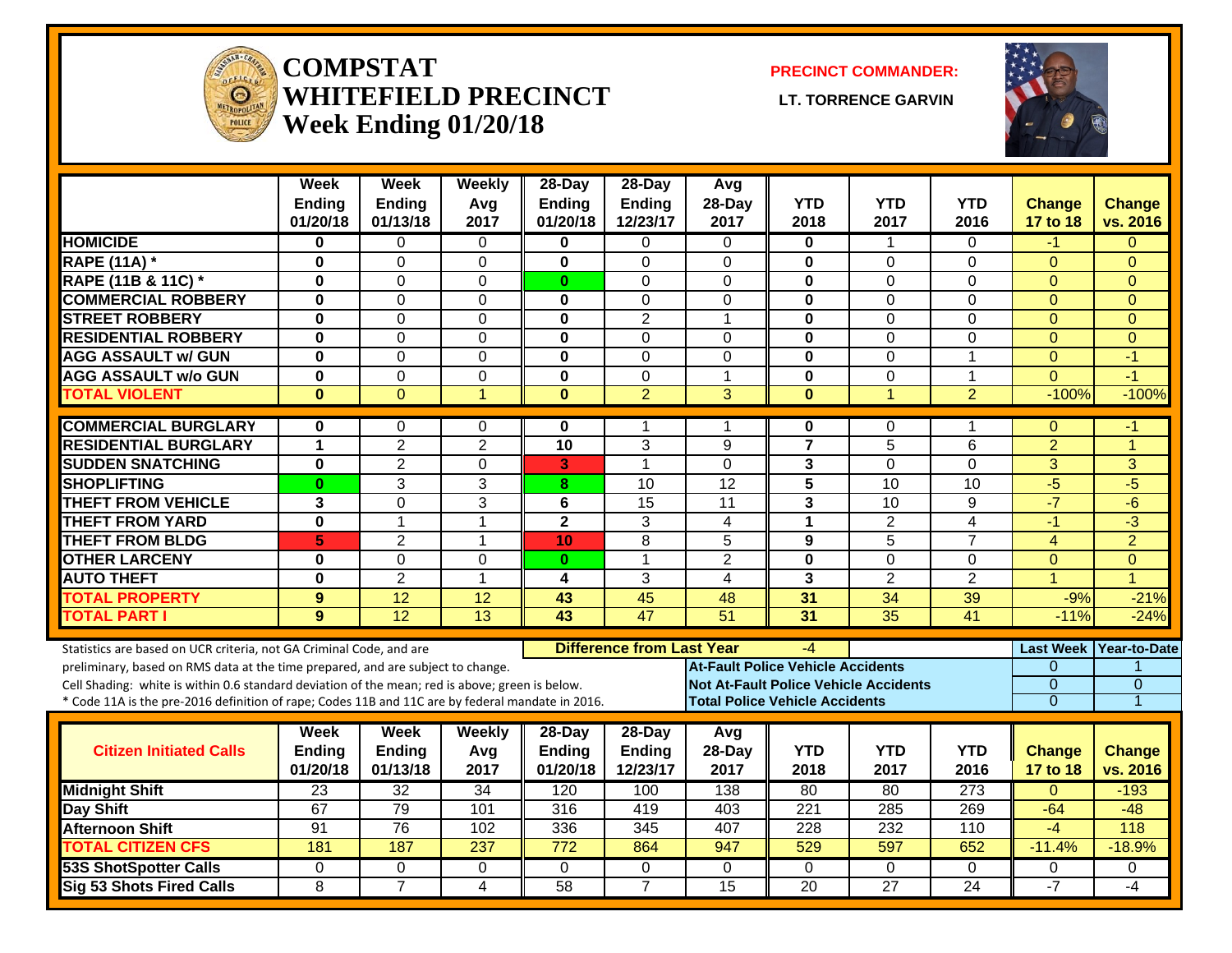

#### **COMPSTATWHITEFIELD PRECINCT Week Ending 01/20/18**

**PRECINCT COMMANDER:**

**LT. TORRENCE GARVIN** 



|                                                                                                  | <b>Week</b><br><b>Ending</b> | Week<br><b>Ending</b> | Weeklv<br>Avg    | 28-Day<br>Ending | 28-Day<br>Ending                 | Avg<br>28-Day                         | <b>YTD</b>              | <b>YTD</b>                                   | <b>YTD</b>              | <b>Change</b>    | Change         |
|--------------------------------------------------------------------------------------------------|------------------------------|-----------------------|------------------|------------------|----------------------------------|---------------------------------------|-------------------------|----------------------------------------------|-------------------------|------------------|----------------|
|                                                                                                  | 01/20/18                     | 01/13/18              | 2017             | 01/20/18         | 12/23/17                         | 2017                                  | 2018                    | 2017                                         | 2016                    | 17 to 18         | vs. 2016       |
| <b>HOMICIDE</b>                                                                                  | $\bf{0}$                     | $\Omega$              | $\Omega$         | $\mathbf{0}$     | $\Omega$                         | $\Omega$                              | 0                       | $\mathbf 1$                                  | $\Omega$                | -1               | $\Omega$       |
| <b>RAPE (11A) *</b>                                                                              | $\bf{0}$                     | $\Omega$              | $\Omega$         | $\mathbf{0}$     | $\Omega$                         | $\Omega$                              | $\bf{0}$                | $\Omega$                                     | $\Omega$                | $\Omega$         | $\Omega$       |
| RAPE (11B & 11C) *                                                                               | $\bf{0}$                     | 0                     | $\mathbf 0$      | $\mathbf{0}$     | $\Omega$                         | $\Omega$                              | $\bf{0}$                | $\Omega$                                     | $\Omega$                | $\Omega$         | $\Omega$       |
| <b>COMMERCIAL ROBBERY</b>                                                                        | $\bf{0}$                     | $\Omega$              | 0                | 0                | 0                                | 0                                     | $\mathbf 0$             | 0                                            | $\Omega$                | $\mathbf{0}$     | $\mathbf{0}$   |
| <b>STREET ROBBERY</b>                                                                            | $\bf{0}$                     | $\mathbf 0$           | 0                | 0                | $\overline{2}$                   | 1                                     | $\mathbf 0$             | 0                                            | $\Omega$                | $\mathbf{0}$     | $\Omega$       |
| <b>RESIDENTIAL ROBBERY</b>                                                                       | $\mathbf 0$                  | 0                     | $\Omega$         | $\bf{0}$         | $\Omega$                         | $\Omega$                              | $\bf{0}$                | $\Omega$                                     | $\Omega$                | $\mathbf{0}$     | $\Omega$       |
| <b>AGG ASSAULT w/ GUN</b>                                                                        | $\mathbf 0$                  | 0                     | $\Omega$         | $\mathbf 0$      | $\mathbf{0}$                     | $\Omega$                              | $\bf{0}$                | $\Omega$                                     | $\mathbf{1}$            | $\Omega$         | $-1$           |
| <b>AGG ASSAULT w/o GUN</b>                                                                       | $\overline{\mathbf{0}}$      | $\overline{0}$        | $\overline{0}$   | $\mathbf{0}$     | $\mathbf{0}$                     | $\mathbf{1}$                          | $\mathbf 0$             | $\overline{0}$                               | $\mathbf{1}$            | $\Omega$         | $-1$           |
| <b>TOTAL VIOLENT</b>                                                                             | $\bf{0}$                     | $\overline{0}$        | $\overline{1}$   | $\mathbf{0}$     | $\overline{2}$                   | $\overline{3}$                        | $\bf{0}$                | $\overline{1}$                               | $\overline{2}$          | $-100%$          | $-100%$        |
| <b>COMMERCIAL BURGLARY</b>                                                                       | $\bf{0}$                     | 0                     | 0                | 0                | 1                                | 1                                     | $\mathbf 0$             | 0                                            | 1                       | $\theta$         | -1             |
| <b>RESIDENTIAL BURGLARY</b>                                                                      | 1                            | $\overline{2}$        | $\overline{2}$   | $\overline{10}$  | 3                                | 9                                     | $\overline{7}$          | 5                                            | 6                       | $\overline{2}$   | 1              |
| <b>SUDDEN SNATCHING</b>                                                                          | $\mathbf 0$                  | $\overline{2}$        | $\mathbf 0$      | 3                | $\mathbf{1}$                     | $\Omega$                              | 3                       | 0                                            | 0                       | $\overline{3}$   | 3              |
| <b>SHOPLIFTING</b>                                                                               | $\bf{0}$                     | 3                     | 3                | 8                | 10                               | 12                                    | $\overline{\mathbf{5}}$ | 10                                           | 10                      | $-5$             | $-5$           |
| <b>THEFT FROM VEHICLE</b>                                                                        | 3                            | 0                     | 3                | 6                | 15                               | 11                                    | 3                       | $\overline{10}$                              | 9                       | $-7$             | $-\sqrt{6}$    |
| <b>THEFT FROM YARD</b>                                                                           | $\mathbf 0$                  | 1                     | $\mathbf{1}$     | $\overline{2}$   | 3                                | $\overline{4}$                        | $\mathbf{1}$            | $\overline{2}$                               | $\overline{\mathbf{4}}$ | $-1$             | $\overline{3}$ |
| <b>THEFT FROM BLDG</b>                                                                           | 5                            | $\overline{2}$        | 1                | 10               | 8                                | 5                                     | 9                       | 5                                            | $\overline{7}$          | $\overline{4}$   | $\overline{2}$ |
| <b>OTHER LARCENY</b>                                                                             | $\bf{0}$                     | $\overline{0}$        | $\mathbf 0$      | $\bf{0}$         | 1                                | $\overline{2}$                        | $\mathbf 0$             | $\overline{0}$                               | $\Omega$                | $\overline{0}$   | $\overline{0}$ |
| <b>AUTO THEFT</b>                                                                                | $\bf{0}$                     | $\overline{2}$        | $\overline{1}$   | 4                | 3                                | $\overline{4}$                        | 3                       | $\overline{2}$                               | $\overline{2}$          | $\overline{1}$   | $\overline{1}$ |
| <b>TOTAL PROPERTY</b>                                                                            | 9                            | 12                    | 12               | 43               | 45                               | 48                                    | 31                      | 34                                           | 39                      | $-9%$            | $-21%$         |
| <b>TOTAL PART I</b>                                                                              | 9                            | $\overline{12}$       | $\overline{13}$  | 43               | 47                               | $\overline{51}$                       | $\overline{31}$         | $\overline{35}$                              | $\overline{41}$         | $-11%$           | $-24%$         |
| Statistics are based on UCR criteria, not GA Criminal Code, and are                              |                              |                       |                  |                  | <b>Difference from Last Year</b> |                                       | -4                      |                                              |                         | <b>Last Week</b> | Year-to-Date   |
| preliminary, based on RMS data at the time prepared, and are subject to change.                  |                              |                       |                  |                  |                                  | At-Fault Police Vehicle Accidents     |                         |                                              |                         | $\Omega$         |                |
| Cell Shading: white is within 0.6 standard deviation of the mean; red is above; green is below.  |                              |                       |                  |                  |                                  |                                       |                         | <b>Not At-Fault Police Vehicle Accidents</b> |                         | $\overline{0}$   | $\mathbf 0$    |
| * Code 11A is the pre-2016 definition of rape; Codes 11B and 11C are by federal mandate in 2016. |                              |                       |                  |                  |                                  | <b>Total Police Vehicle Accidents</b> |                         |                                              |                         | $\overline{0}$   | 1              |
|                                                                                                  | Week                         | <b>Week</b>           | Weekly           | 28-Day           | 28-Day                           | Avg                                   |                         |                                              |                         |                  |                |
| <b>Citizen Initiated Calls</b>                                                                   | <b>Ending</b>                | <b>Ending</b>         | Avg              | <b>Ending</b>    | <b>Ending</b>                    | 28-Day                                | <b>YTD</b>              | <b>YTD</b>                                   | <b>YTD</b>              | Change           | <b>Change</b>  |
|                                                                                                  | 01/20/18                     | 01/13/18              | 2017             | 01/20/18         | 12/23/17                         | 2017                                  | 2018                    | 2017                                         | 2016                    | 17 to 18         | vs. 2016       |
| <b>Midnight Shift</b>                                                                            | 23                           | 32                    | 34               | 120              | 100                              | 138                                   | 80                      | 80                                           | 273                     | $\Omega$         | $-193$         |
| Day Shift                                                                                        | 67                           | 79                    | 101              | 316              | 419                              | 403                                   | 221                     | 285                                          | 269                     | $-64$            | $-48$          |
| <b>Afternoon Shift</b>                                                                           | 91                           | 76                    | 102              | 336              | 345                              | 407                                   | 228                     | 232                                          | 110                     | $-4$             | 118            |
| <b>TOTAL CITIZEN CFS</b>                                                                         | 181                          | 187                   | $\overline{237}$ | $\frac{1}{772}$  | 864                              | 947                                   | 529                     | 597                                          | 652                     | $-11.4%$         | $-18.9%$       |
| <b>53S ShotSpotter Calls</b>                                                                     | $\Omega$                     | $\Omega$              | $\mathbf 0$      | $\Omega$         | $\mathbf{0}$                     | $\Omega$                              | $\Omega$                | $\Omega$                                     | 0                       | 0                | $\Omega$       |
| Sig 53 Shots Fired Calls                                                                         | 8                            | $\overline{7}$        | 4                | 58               | $\overline{7}$                   | $\overline{15}$                       | $\overline{20}$         | $\overline{27}$                              | $\overline{24}$         | $-7$             | -4             |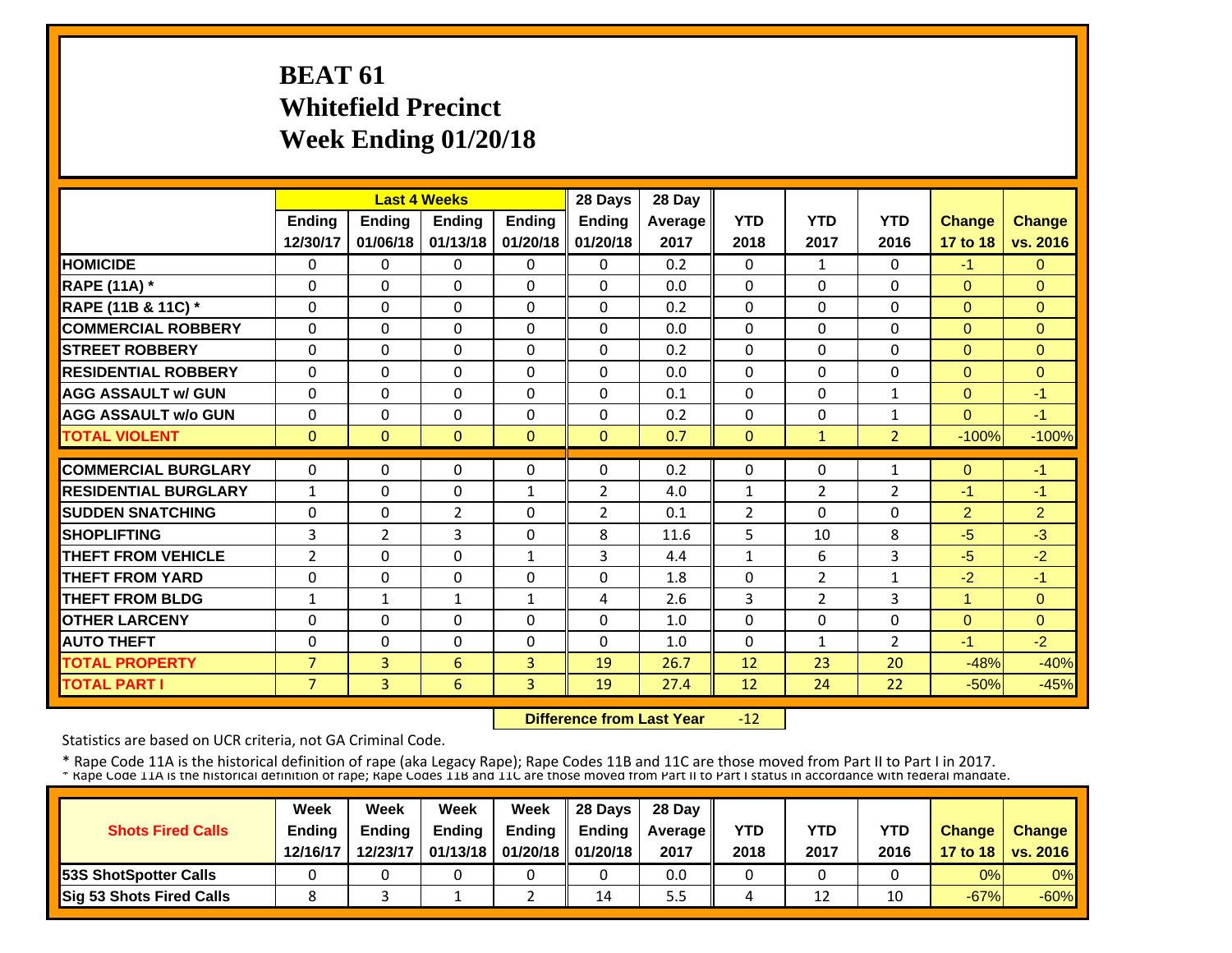## **BEAT 61 Whitefield Precinct Week Ending 01/20/18**

|                             |                |                | <b>Last 4 Weeks</b> |               | 28 Days        | 28 Day  |                |                |                |                |               |
|-----------------------------|----------------|----------------|---------------------|---------------|----------------|---------|----------------|----------------|----------------|----------------|---------------|
|                             | <b>Ending</b>  | <b>Endina</b>  | <b>Endina</b>       | <b>Endina</b> | <b>Ending</b>  | Average | <b>YTD</b>     | <b>YTD</b>     | <b>YTD</b>     | <b>Change</b>  | <b>Change</b> |
|                             | 12/30/17       | 01/06/18       | 01/13/18            | 01/20/18      | 01/20/18       | 2017    | 2018           | 2017           | 2016           | 17 to 18       | vs. 2016      |
| <b>HOMICIDE</b>             | 0              | 0              | 0                   | 0             | 0              | 0.2     | $\Omega$       | $\mathbf{1}$   | $\Omega$       | -1.            | $\Omega$      |
| <b>RAPE (11A) *</b>         | $\Omega$       | $\Omega$       | $\Omega$            | $\Omega$      | $\Omega$       | 0.0     | $\Omega$       | 0              | $\Omega$       | $\Omega$       | $\Omega$      |
| RAPE (11B & 11C) *          | 0              | $\Omega$       | 0                   | $\mathbf{0}$  | $\Omega$       | 0.2     | 0              | 0              | 0              | $\overline{0}$ | $\Omega$      |
| <b>COMMERCIAL ROBBERY</b>   | $\Omega$       | $\Omega$       | $\Omega$            | $\Omega$      | $\Omega$       | 0.0     | $\Omega$       | 0              | $\Omega$       | $\Omega$       | $\Omega$      |
| <b>STREET ROBBERY</b>       | $\Omega$       | $\Omega$       | $\Omega$            | $\Omega$      | $\Omega$       | 0.2     | $\Omega$       | 0              | $\Omega$       | $\Omega$       | $\Omega$      |
| <b>RESIDENTIAL ROBBERY</b>  | $\Omega$       | $\Omega$       | 0                   | $\mathbf{0}$  | 0              | 0.0     | 0              | 0              | 0              | $\mathbf{0}$   | $\mathbf{0}$  |
| <b>AGG ASSAULT w/ GUN</b>   | $\Omega$       | $\Omega$       | $\Omega$            | $\mathbf{0}$  | 0              | 0.1     | $\Omega$       | 0              | 1              | $\Omega$       | $-1$          |
| <b>AGG ASSAULT w/o GUN</b>  | $\Omega$       | 0              | $\Omega$            | $\mathbf{0}$  | 0              | 0.2     | $\Omega$       | 0              | 1              | $\Omega$       | $-1$          |
| <b>TOTAL VIOLENT</b>        | $\mathbf{0}$   | $\Omega$       | $\Omega$            | $\mathbf{0}$  | $\Omega$       | 0.7     | $\Omega$       | $\mathbf{1}$   | $\overline{2}$ | $-100%$        | $-100%$       |
| <b>COMMERCIAL BURGLARY</b>  | $\Omega$       | $\Omega$       | $\Omega$            | $\Omega$      | $\Omega$       |         |                | 0              |                |                | $-1$          |
|                             |                |                |                     |               |                | 0.2     | 0              |                | $\mathbf{1}$   | $\Omega$       |               |
| <b>RESIDENTIAL BURGLARY</b> | $\mathbf{1}$   | $\Omega$       | 0                   | $\mathbf{1}$  | 2              | 4.0     | $\mathbf{1}$   | 2              | $\overline{2}$ | $-1$           | $-1$          |
| <b>SUDDEN SNATCHING</b>     | $\Omega$       | $\Omega$       | $\overline{2}$      | $\Omega$      | $\overline{2}$ | 0.1     | $\overline{2}$ | 0              | $\Omega$       | $\overline{2}$ | 2             |
| <b>SHOPLIFTING</b>          | 3              | $\overline{2}$ | 3                   | $\mathbf{0}$  | 8              | 11.6    | 5              | 10             | 8              | $-5$           | $-3$          |
| <b>THEFT FROM VEHICLE</b>   | $\overline{2}$ | $\Omega$       | $\Omega$            | $\mathbf{1}$  | 3              | 4.4     | 1              | 6              | 3              | $-5$           | $-2$          |
| <b>THEFT FROM YARD</b>      | 0              | 0              | 0                   | $\Omega$      | $\Omega$       | 1.8     | 0              | $\overline{2}$ | 1              | $-2$           | $-1$          |
| <b>THEFT FROM BLDG</b>      | 1              | $\mathbf{1}$   | $\mathbf{1}$        | $\mathbf{1}$  | 4              | 2.6     | 3              | $\overline{2}$ | 3              | $\mathbf{1}$   | $\Omega$      |
| <b>OTHER LARCENY</b>        | $\Omega$       | $\Omega$       | $\Omega$            | $\mathbf{0}$  | 0              | 1.0     | $\Omega$       | 0              | 0              | $\Omega$       | $\Omega$      |
| <b>AUTO THEFT</b>           | $\Omega$       | $\Omega$       | $\Omega$            | $\mathbf{0}$  | 0              | 1.0     | $\Omega$       | 1              | $\overline{2}$ | $-1$           | $-2$          |
| <b>TOTAL PROPERTY</b>       | $\overline{7}$ | 3              | 6                   | 3             | 19             | 26.7    | 12             | 23             | 20             | $-48%$         | $-40%$        |
| <b>TOTAL PART I</b>         | $\overline{7}$ | 3              | 6                   | 3             | 19             | 27.4    | 12             | 24             | 22             | $-50%$         | $-45%$        |

 **Difference from Last Year** $-12$ 

Statistics are based on UCR criteria, not GA Criminal Code.

| <b>Shots Fired Calls</b>        | Week<br><b>Ending</b><br>12/16/17 | Week<br><b>Endina</b><br>12/23/17 | Week<br><b>Ending</b> | Week<br>Endina<br>01/13/18   01/20/18   01/20/18 | 28 Days<br><b>Endina</b> | 28 Day<br>Average II<br>2017 | YTD<br>2018 | YTD<br>2017 | <b>YTD</b><br>2016 | <b>Change</b> | <b>Change</b><br>17 to 18   vs. 2016 |
|---------------------------------|-----------------------------------|-----------------------------------|-----------------------|--------------------------------------------------|--------------------------|------------------------------|-------------|-------------|--------------------|---------------|--------------------------------------|
| <b>153S ShotSpotter Calls</b>   |                                   |                                   |                       |                                                  |                          | 0.0                          |             |             |                    | 0%            | $0\%$                                |
| <b>Sig 53 Shots Fired Calls</b> |                                   |                                   |                       |                                                  | 14                       | 5.5                          |             | 12          | 10                 | $-67%$        | $-60%$                               |